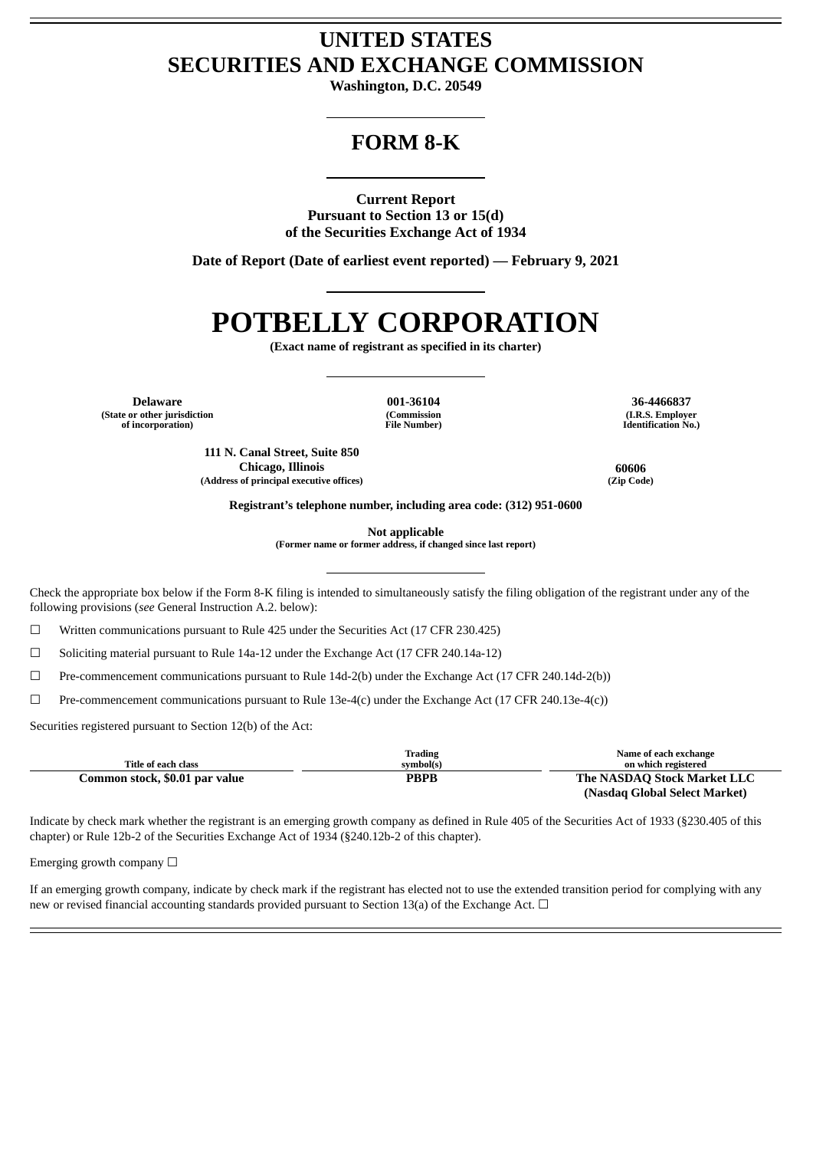# **UNITED STATES SECURITIES AND EXCHANGE COMMISSION**

**Washington, D.C. 20549**

# **FORM 8-K**

**Current Report Pursuant to Section 13 or 15(d) of the Securities Exchange Act of 1934**

**Date of Report (Date of earliest event reported) — February 9, 2021**

# **POTBELLY CORPORATION**

**(Exact name of registrant as specified in its charter)**

**Delaware 001-36104 36-4466837 (State or other jurisdiction of incorporation)**

**(Commission File Number)**

**(I.R.S. Employer Identification No.)**

**111 N. Canal Street, Suite 850 Chicago, Illinois 60606 (Address of principal executive offices) (Zip Code)**

**Registrant's telephone number, including area code: (312) 951-0600**

**Not applicable**

**(Former name or former address, if changed since last report)**

Check the appropriate box below if the Form 8-K filing is intended to simultaneously satisfy the filing obligation of the registrant under any of the following provisions (*see* General Instruction A.2. below):

☐ Written communications pursuant to Rule 425 under the Securities Act (17 CFR 230.425)

☐ Soliciting material pursuant to Rule 14a-12 under the Exchange Act (17 CFR 240.14a-12)

☐ Pre-commencement communications pursuant to Rule 14d-2(b) under the Exchange Act (17 CFR 240.14d-2(b))

 $\Box$  Pre-commencement communications pursuant to Rule 13e-4(c) under the Exchange Act (17 CFR 240.13e-4(c))

Securities registered pursuant to Section 12(b) of the Act:

|                                | Trading   | Name of each exchange         |
|--------------------------------|-----------|-------------------------------|
| Title of each class            | symbol(s) | on which registered           |
| Common stock, \$0.01 par value | PBPB      | The NASDAQ Stock Market LLC   |
|                                |           | (Nasdaq Global Select Market) |

Indicate by check mark whether the registrant is an emerging growth company as defined in Rule 405 of the Securities Act of 1933 (§230.405 of this chapter) or Rule 12b-2 of the Securities Exchange Act of 1934 (§240.12b-2 of this chapter).

Emerging growth company  $\Box$ 

If an emerging growth company, indicate by check mark if the registrant has elected not to use the extended transition period for complying with any new or revised financial accounting standards provided pursuant to Section 13(a) of the Exchange Act.  $\Box$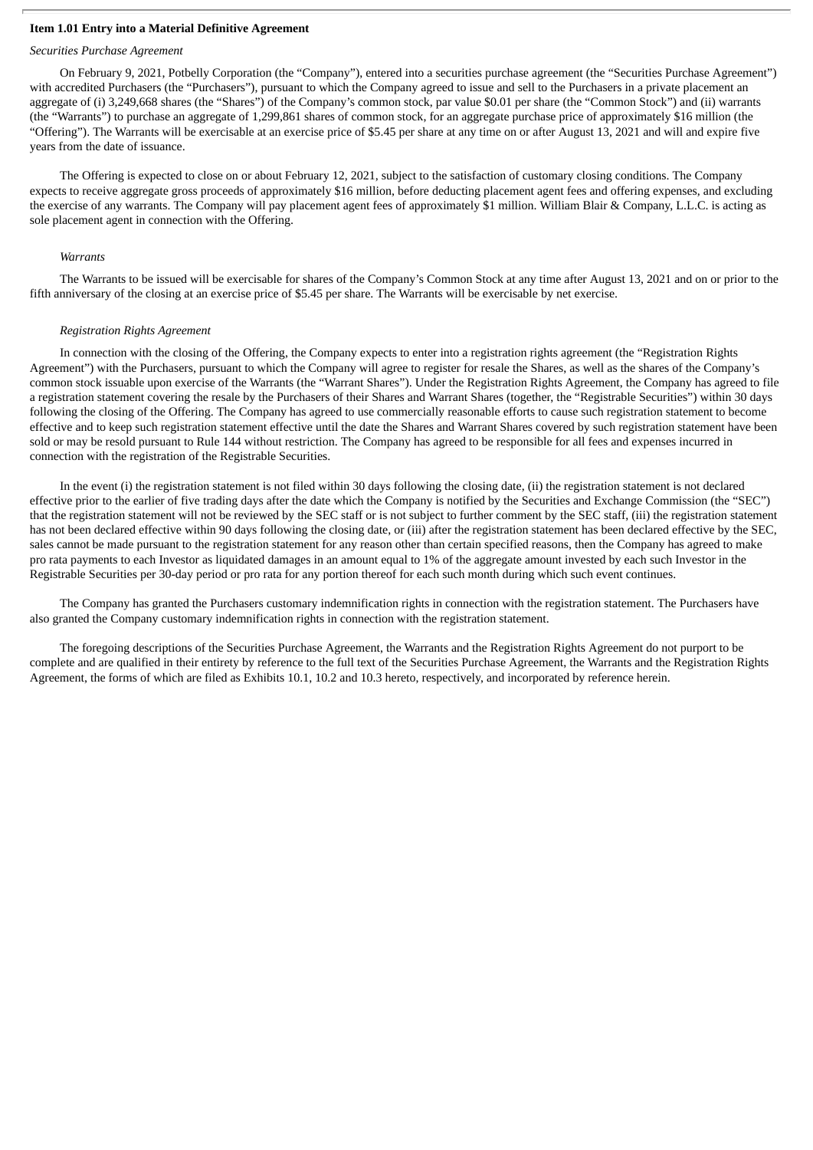#### **Item 1.01 Entry into a Material Definitive Agreement**

## *Securities Purchase Agreement*

On February 9, 2021, Potbelly Corporation (the "Company"), entered into a securities purchase agreement (the "Securities Purchase Agreement") with accredited Purchasers (the "Purchasers"), pursuant to which the Company agreed to issue and sell to the Purchasers in a private placement an aggregate of (i) 3,249,668 shares (the "Shares") of the Company's common stock, par value \$0.01 per share (the "Common Stock") and (ii) warrants (the "Warrants") to purchase an aggregate of 1,299,861 shares of common stock, for an aggregate purchase price of approximately \$16 million (the "Offering"). The Warrants will be exercisable at an exercise price of \$5.45 per share at any time on or after August 13, 2021 and will and expire five years from the date of issuance.

The Offering is expected to close on or about February 12, 2021, subject to the satisfaction of customary closing conditions. The Company expects to receive aggregate gross proceeds of approximately \$16 million, before deducting placement agent fees and offering expenses, and excluding the exercise of any warrants. The Company will pay placement agent fees of approximately \$1 million. William Blair & Company, L.L.C. is acting as sole placement agent in connection with the Offering.

#### *Warrants*

The Warrants to be issued will be exercisable for shares of the Company's Common Stock at any time after August 13, 2021 and on or prior to the fifth anniversary of the closing at an exercise price of \$5.45 per share. The Warrants will be exercisable by net exercise.

# *Registration Rights Agreement*

In connection with the closing of the Offering, the Company expects to enter into a registration rights agreement (the "Registration Rights Agreement") with the Purchasers, pursuant to which the Company will agree to register for resale the Shares, as well as the shares of the Company's common stock issuable upon exercise of the Warrants (the "Warrant Shares"). Under the Registration Rights Agreement, the Company has agreed to file a registration statement covering the resale by the Purchasers of their Shares and Warrant Shares (together, the "Registrable Securities") within 30 days following the closing of the Offering. The Company has agreed to use commercially reasonable efforts to cause such registration statement to become effective and to keep such registration statement effective until the date the Shares and Warrant Shares covered by such registration statement have been sold or may be resold pursuant to Rule 144 without restriction. The Company has agreed to be responsible for all fees and expenses incurred in connection with the registration of the Registrable Securities.

In the event (i) the registration statement is not filed within 30 days following the closing date, (ii) the registration statement is not declared effective prior to the earlier of five trading days after the date which the Company is notified by the Securities and Exchange Commission (the "SEC") that the registration statement will not be reviewed by the SEC staff or is not subject to further comment by the SEC staff, (iii) the registration statement has not been declared effective within 90 days following the closing date, or (iii) after the registration statement has been declared effective by the SEC, sales cannot be made pursuant to the registration statement for any reason other than certain specified reasons, then the Company has agreed to make pro rata payments to each Investor as liquidated damages in an amount equal to 1% of the aggregate amount invested by each such Investor in the Registrable Securities per 30-day period or pro rata for any portion thereof for each such month during which such event continues.

The Company has granted the Purchasers customary indemnification rights in connection with the registration statement. The Purchasers have also granted the Company customary indemnification rights in connection with the registration statement.

The foregoing descriptions of the Securities Purchase Agreement, the Warrants and the Registration Rights Agreement do not purport to be complete and are qualified in their entirety by reference to the full text of the Securities Purchase Agreement, the Warrants and the Registration Rights Agreement, the forms of which are filed as Exhibits 10.1, 10.2 and 10.3 hereto, respectively, and incorporated by reference herein.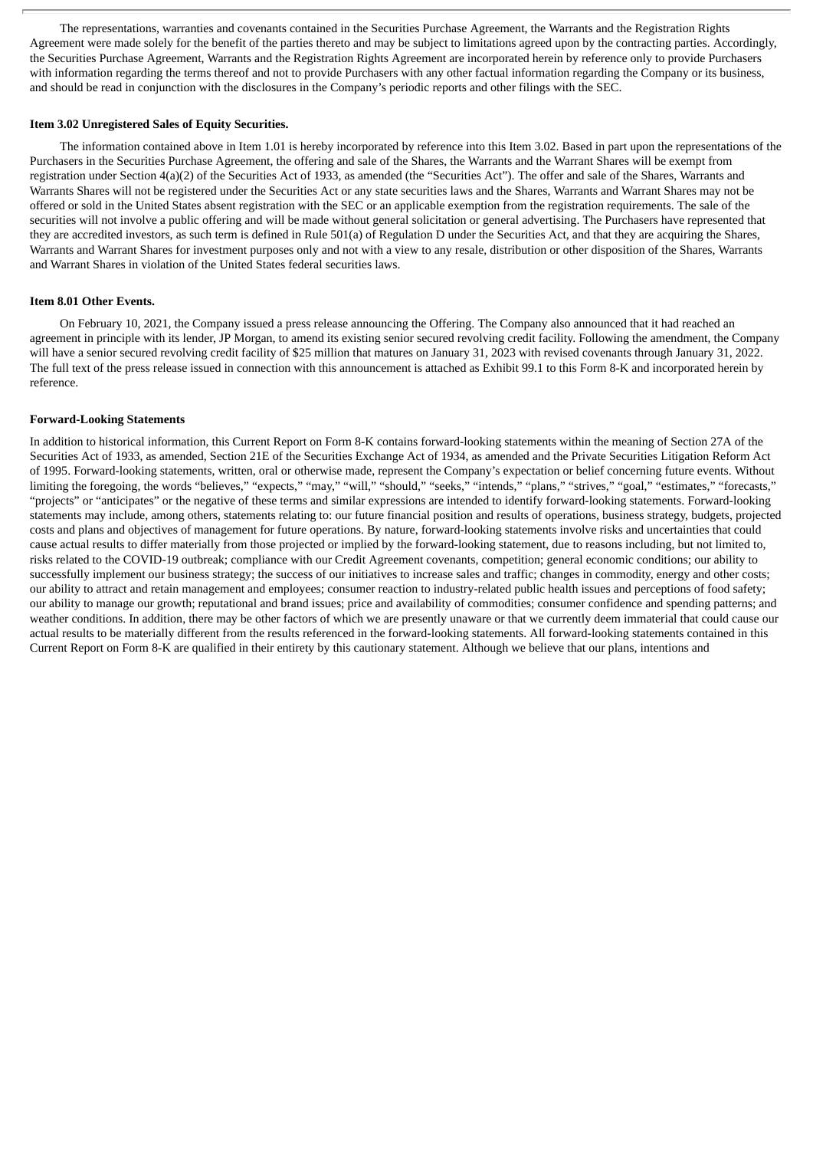The representations, warranties and covenants contained in the Securities Purchase Agreement, the Warrants and the Registration Rights Agreement were made solely for the benefit of the parties thereto and may be subject to limitations agreed upon by the contracting parties. Accordingly, the Securities Purchase Agreement, Warrants and the Registration Rights Agreement are incorporated herein by reference only to provide Purchasers with information regarding the terms thereof and not to provide Purchasers with any other factual information regarding the Company or its business, and should be read in conjunction with the disclosures in the Company's periodic reports and other filings with the SEC.

# **Item 3.02 Unregistered Sales of Equity Securities.**

The information contained above in Item 1.01 is hereby incorporated by reference into this Item 3.02. Based in part upon the representations of the Purchasers in the Securities Purchase Agreement, the offering and sale of the Shares, the Warrants and the Warrant Shares will be exempt from registration under Section 4(a)(2) of the Securities Act of 1933, as amended (the "Securities Act"). The offer and sale of the Shares, Warrants and Warrants Shares will not be registered under the Securities Act or any state securities laws and the Shares, Warrants and Warrant Shares may not be offered or sold in the United States absent registration with the SEC or an applicable exemption from the registration requirements. The sale of the securities will not involve a public offering and will be made without general solicitation or general advertising. The Purchasers have represented that they are accredited investors, as such term is defined in Rule 501(a) of Regulation D under the Securities Act, and that they are acquiring the Shares, Warrants and Warrant Shares for investment purposes only and not with a view to any resale, distribution or other disposition of the Shares, Warrants and Warrant Shares in violation of the United States federal securities laws.

# **Item 8.01 Other Events.**

On February 10, 2021, the Company issued a press release announcing the Offering. The Company also announced that it had reached an agreement in principle with its lender, JP Morgan, to amend its existing senior secured revolving credit facility. Following the amendment, the Company will have a senior secured revolving credit facility of \$25 million that matures on January 31, 2023 with revised covenants through January 31, 2022. The full text of the press release issued in connection with this announcement is attached as Exhibit 99.1 to this Form 8-K and incorporated herein by reference.

#### **Forward-Looking Statements**

In addition to historical information, this Current Report on Form 8-K contains forward-looking statements within the meaning of Section 27A of the Securities Act of 1933, as amended, Section 21E of the Securities Exchange Act of 1934, as amended and the Private Securities Litigation Reform Act of 1995. Forward-looking statements, written, oral or otherwise made, represent the Company's expectation or belief concerning future events. Without limiting the foregoing, the words "believes," "expects," "may," "will," "should," "seeks," "intends," "plans," "strives," "goal," "estimates," "forecasts," "projects" or "anticipates" or the negative of these terms and similar expressions are intended to identify forward-looking statements. Forward-looking statements may include, among others, statements relating to: our future financial position and results of operations, business strategy, budgets, projected costs and plans and objectives of management for future operations. By nature, forward-looking statements involve risks and uncertainties that could cause actual results to differ materially from those projected or implied by the forward-looking statement, due to reasons including, but not limited to, risks related to the COVID-19 outbreak; compliance with our Credit Agreement covenants, competition; general economic conditions; our ability to successfully implement our business strategy; the success of our initiatives to increase sales and traffic; changes in commodity, energy and other costs; our ability to attract and retain management and employees; consumer reaction to industry-related public health issues and perceptions of food safety; our ability to manage our growth; reputational and brand issues; price and availability of commodities; consumer confidence and spending patterns; and weather conditions. In addition, there may be other factors of which we are presently unaware or that we currently deem immaterial that could cause our actual results to be materially different from the results referenced in the forward-looking statements. All forward-looking statements contained in this Current Report on Form 8-K are qualified in their entirety by this cautionary statement. Although we believe that our plans, intentions and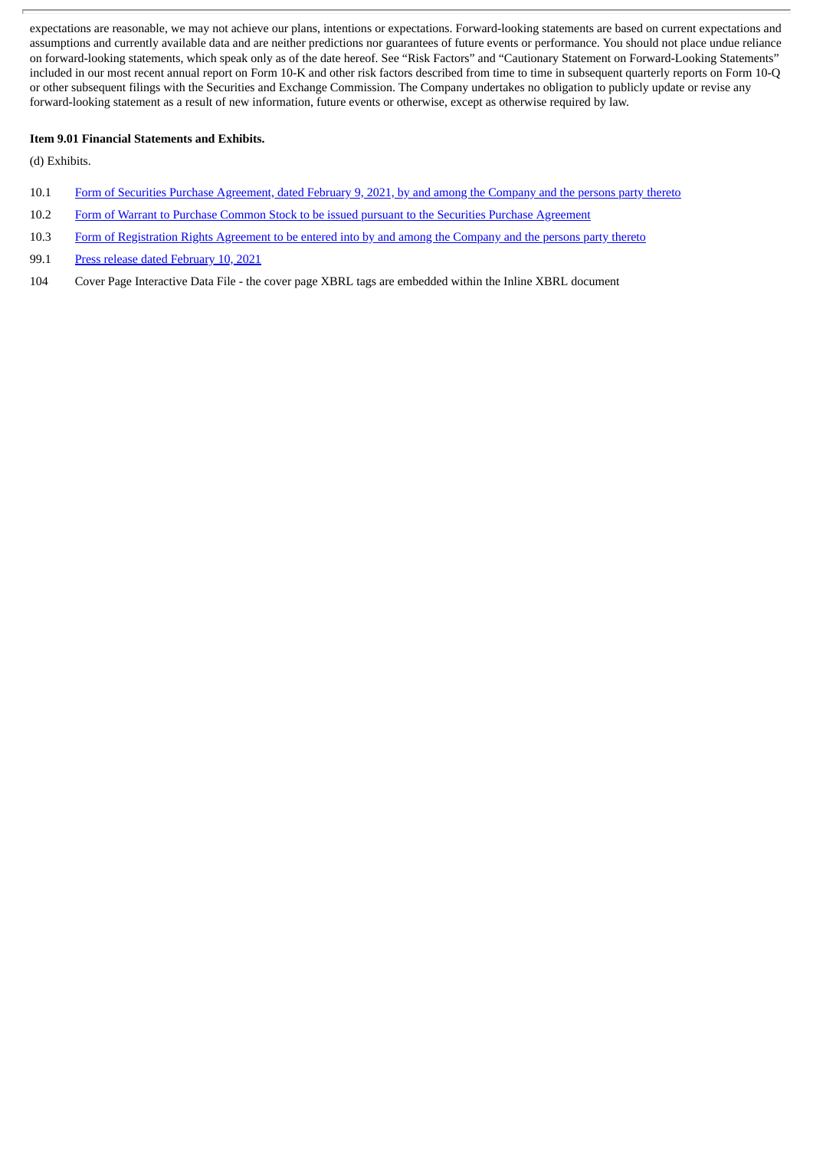expectations are reasonable, we may not achieve our plans, intentions or expectations. Forward-looking statements are based on current expectations and assumptions and currently available data and are neither predictions nor guarantees of future events or performance. You should not place undue reliance on forward-looking statements, which speak only as of the date hereof. See "Risk Factors" and "Cautionary Statement on Forward-Looking Statements" included in our most recent annual report on Form 10-K and other risk factors described from time to time in subsequent quarterly reports on Form 10-Q or other subsequent filings with the Securities and Exchange Commission. The Company undertakes no obligation to publicly update or revise any forward-looking statement as a result of new information, future events or otherwise, except as otherwise required by law.

# **Item 9.01 Financial Statements and Exhibits.**

(d) Exhibits.

- 10.1 Form of Securities Purchase [Agreement,](#page-5-0) dated February 9, 2021, by and among the Company and the persons party thereto
- 10.2 Form of Warrant to Purchase Common Stock to be issued pursuant to the Securities Purchase [Agreement](#page-41-0)
- 10.3 Form of [Registration](#page-60-0) Rights Agreement to be entered into by and among the Company and the persons party thereto
- 99.1 Press release dated [February](#page-87-0) 10, 2021
- 104 Cover Page Interactive Data File the cover page XBRL tags are embedded within the Inline XBRL document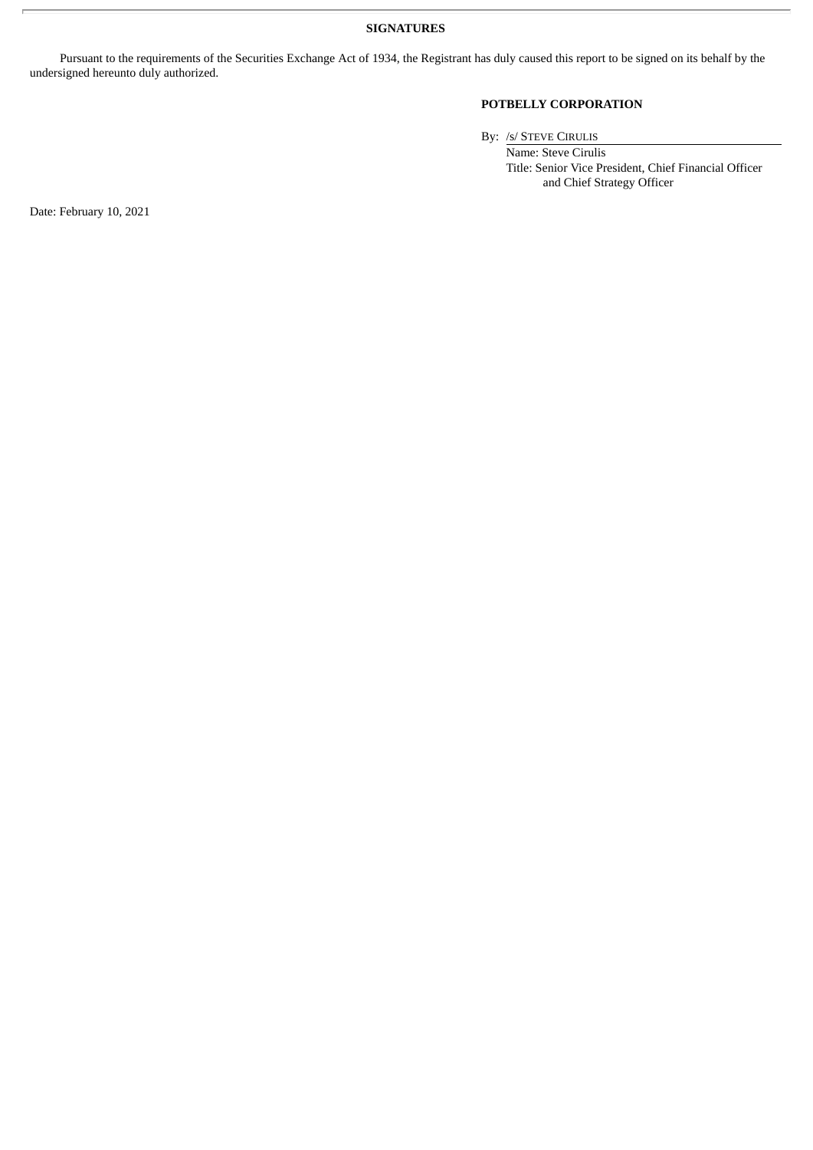**SIGNATURES**

Pursuant to the requirements of the Securities Exchange Act of 1934, the Registrant has duly caused this report to be signed on its behalf by the undersigned hereunto duly authorized.

# **POTBELLY CORPORATION**

By: /s/ STEVE CIRULIS

Name: Steve Cirulis Title: Senior Vice President, Chief Financial Officer and Chief Strategy Officer

Date: February 10, 2021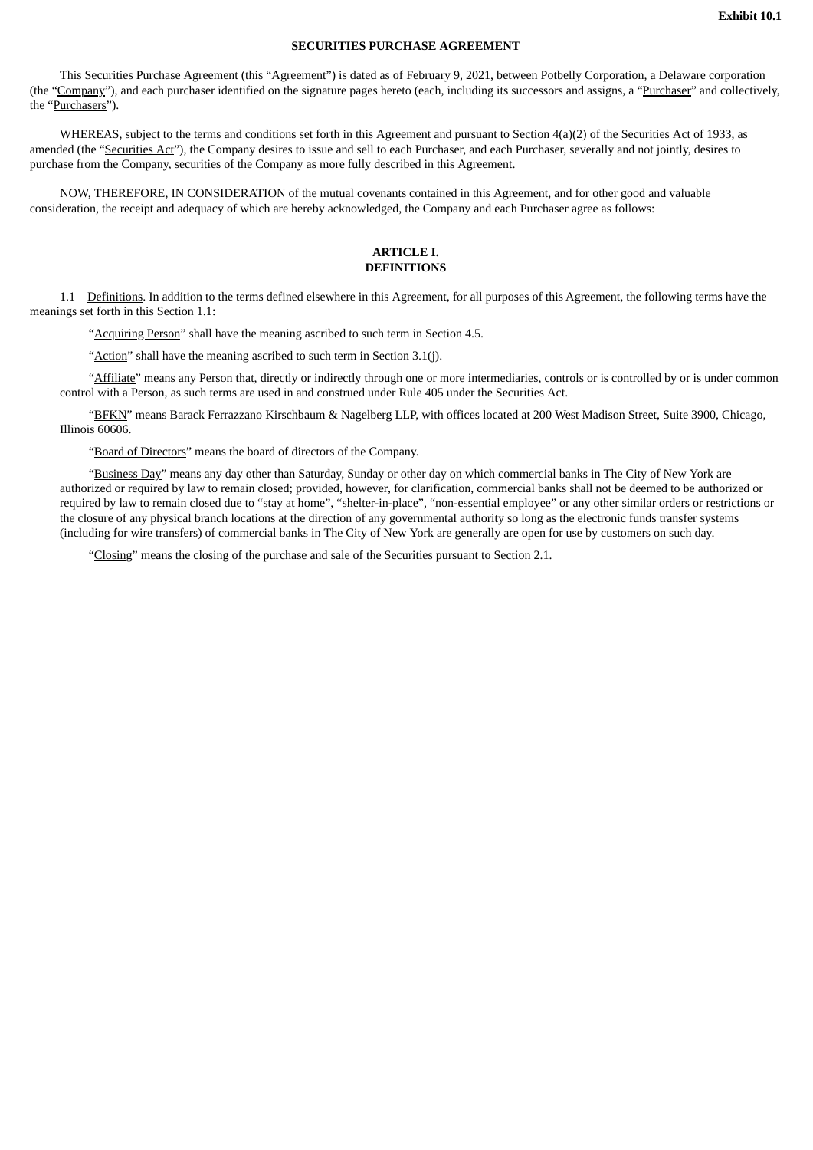# **SECURITIES PURCHASE AGREEMENT**

<span id="page-5-0"></span>This Securities Purchase Agreement (this "Agreement") is dated as of February 9, 2021, between Potbelly Corporation, a Delaware corporation (the "Company"), and each purchaser identified on the signature pages hereto (each, including its successors and assigns, a "Purchaser" and collectively, the "Purchasers").

WHEREAS, subject to the terms and conditions set forth in this Agreement and pursuant to Section 4(a)(2) of the Securities Act of 1933, as amended (the "Securities Act"), the Company desires to issue and sell to each Purchaser, and each Purchaser, severally and not jointly, desires to purchase from the Company, securities of the Company as more fully described in this Agreement.

NOW, THEREFORE, IN CONSIDERATION of the mutual covenants contained in this Agreement, and for other good and valuable consideration, the receipt and adequacy of which are hereby acknowledged, the Company and each Purchaser agree as follows:

# **ARTICLE I. DEFINITIONS**

1.1 Definitions. In addition to the terms defined elsewhere in this Agreement, for all purposes of this Agreement, the following terms have the meanings set forth in this Section 1.1:

"Acquiring Person" shall have the meaning ascribed to such term in Section 4.5.

"Action" shall have the meaning ascribed to such term in Section 3.1(j).

"Affiliate" means any Person that, directly or indirectly through one or more intermediaries, controls or is controlled by or is under common control with a Person, as such terms are used in and construed under Rule 405 under the Securities Act.

"BFKN" means Barack Ferrazzano Kirschbaum & Nagelberg LLP, with offices located at 200 West Madison Street, Suite 3900, Chicago, Illinois 60606.

"Board of Directors" means the board of directors of the Company.

"Business Day" means any day other than Saturday, Sunday or other day on which commercial banks in The City of New York are authorized or required by law to remain closed; provided, however, for clarification, commercial banks shall not be deemed to be authorized or required by law to remain closed due to "stay at home", "shelter-in-place", "non-essential employee" or any other similar orders or restrictions or the closure of any physical branch locations at the direction of any governmental authority so long as the electronic funds transfer systems (including for wire transfers) of commercial banks in The City of New York are generally are open for use by customers on such day.

"Closing" means the closing of the purchase and sale of the Securities pursuant to Section 2.1.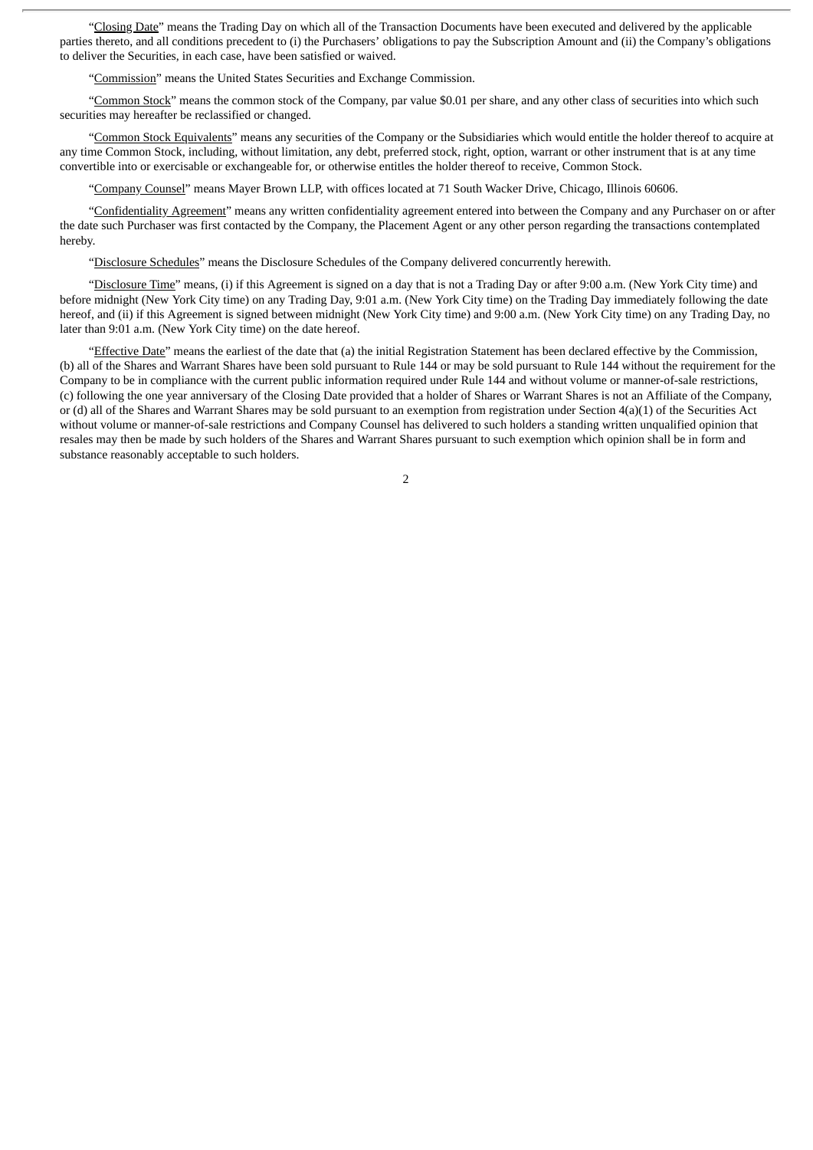"Closing Date" means the Trading Day on which all of the Transaction Documents have been executed and delivered by the applicable parties thereto, and all conditions precedent to (i) the Purchasers' obligations to pay the Subscription Amount and (ii) the Company's obligations to deliver the Securities, in each case, have been satisfied or waived.

"Commission" means the United States Securities and Exchange Commission.

"Common Stock" means the common stock of the Company, par value \$0.01 per share, and any other class of securities into which such securities may hereafter be reclassified or changed.

"Common Stock Equivalents" means any securities of the Company or the Subsidiaries which would entitle the holder thereof to acquire at any time Common Stock, including, without limitation, any debt, preferred stock, right, option, warrant or other instrument that is at any time convertible into or exercisable or exchangeable for, or otherwise entitles the holder thereof to receive, Common Stock.

"Company Counsel" means Mayer Brown LLP, with offices located at 71 South Wacker Drive, Chicago, Illinois 60606.

"Confidentiality Agreement" means any written confidentiality agreement entered into between the Company and any Purchaser on or after the date such Purchaser was first contacted by the Company, the Placement Agent or any other person regarding the transactions contemplated hereby.

"Disclosure Schedules" means the Disclosure Schedules of the Company delivered concurrently herewith.

"Disclosure Time" means, (i) if this Agreement is signed on a day that is not a Trading Day or after 9:00 a.m. (New York City time) and before midnight (New York City time) on any Trading Day, 9:01 a.m. (New York City time) on the Trading Day immediately following the date hereof, and (ii) if this Agreement is signed between midnight (New York City time) and 9:00 a.m. (New York City time) on any Trading Day, no later than 9:01 a.m. (New York City time) on the date hereof.

"Effective Date" means the earliest of the date that (a) the initial Registration Statement has been declared effective by the Commission, (b) all of the Shares and Warrant Shares have been sold pursuant to Rule 144 or may be sold pursuant to Rule 144 without the requirement for the Company to be in compliance with the current public information required under Rule 144 and without volume or manner-of-sale restrictions, (c) following the one year anniversary of the Closing Date provided that a holder of Shares or Warrant Shares is not an Affiliate of the Company, or (d) all of the Shares and Warrant Shares may be sold pursuant to an exemption from registration under Section 4(a)(1) of the Securities Act without volume or manner-of-sale restrictions and Company Counsel has delivered to such holders a standing written unqualified opinion that resales may then be made by such holders of the Shares and Warrant Shares pursuant to such exemption which opinion shall be in form and substance reasonably acceptable to such holders.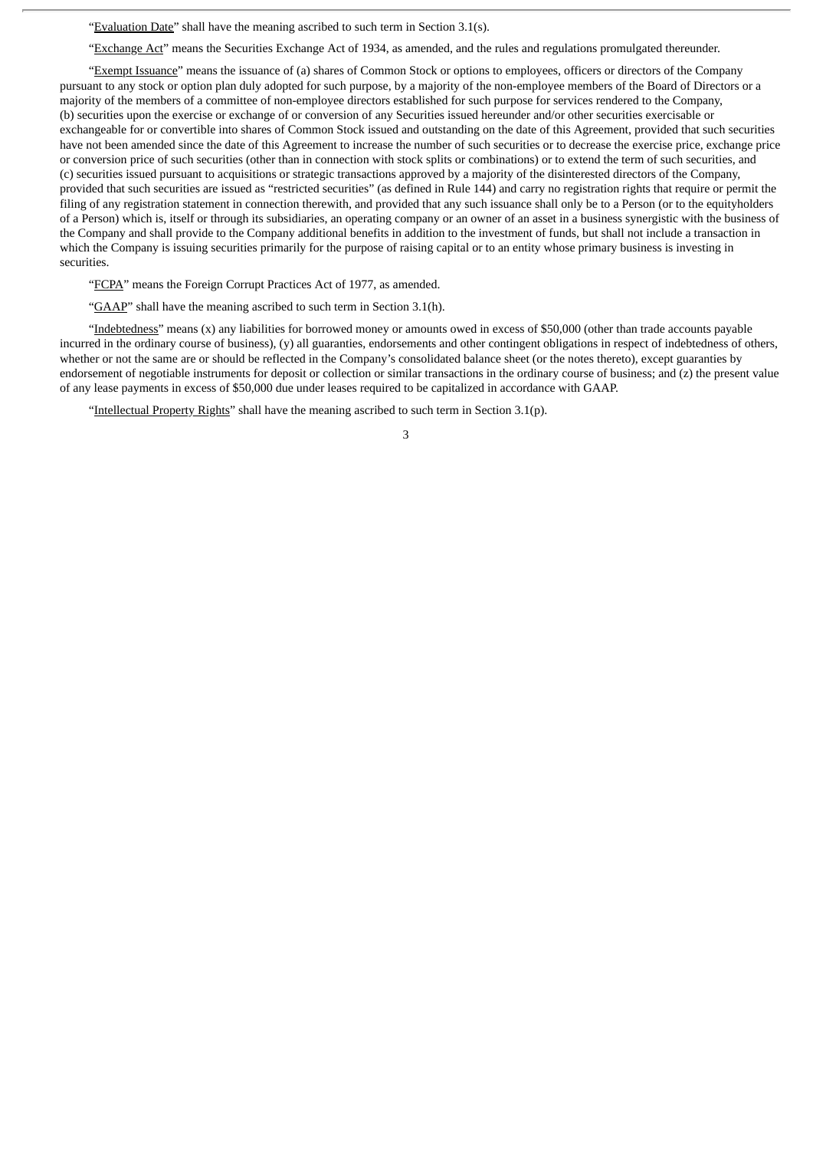"Evaluation Date" shall have the meaning ascribed to such term in Section 3.1(s).

"Exchange Act" means the Securities Exchange Act of 1934, as amended, and the rules and regulations promulgated thereunder.

"Exempt Issuance" means the issuance of (a) shares of Common Stock or options to employees, officers or directors of the Company pursuant to any stock or option plan duly adopted for such purpose, by a majority of the non-employee members of the Board of Directors or a majority of the members of a committee of non-employee directors established for such purpose for services rendered to the Company, (b) securities upon the exercise or exchange of or conversion of any Securities issued hereunder and/or other securities exercisable or exchangeable for or convertible into shares of Common Stock issued and outstanding on the date of this Agreement, provided that such securities have not been amended since the date of this Agreement to increase the number of such securities or to decrease the exercise price, exchange price or conversion price of such securities (other than in connection with stock splits or combinations) or to extend the term of such securities, and (c) securities issued pursuant to acquisitions or strategic transactions approved by a majority of the disinterested directors of the Company, provided that such securities are issued as "restricted securities" (as defined in Rule 144) and carry no registration rights that require or permit the filing of any registration statement in connection therewith, and provided that any such issuance shall only be to a Person (or to the equityholders of a Person) which is, itself or through its subsidiaries, an operating company or an owner of an asset in a business synergistic with the business of the Company and shall provide to the Company additional benefits in addition to the investment of funds, but shall not include a transaction in which the Company is issuing securities primarily for the purpose of raising capital or to an entity whose primary business is investing in securities.

"FCPA" means the Foreign Corrupt Practices Act of 1977, as amended.

"GAAP" shall have the meaning ascribed to such term in Section 3.1(h).

"Indebtedness" means (x) any liabilities for borrowed money or amounts owed in excess of \$50,000 (other than trade accounts payable incurred in the ordinary course of business), (y) all guaranties, endorsements and other contingent obligations in respect of indebtedness of others, whether or not the same are or should be reflected in the Company's consolidated balance sheet (or the notes thereto), except guaranties by endorsement of negotiable instruments for deposit or collection or similar transactions in the ordinary course of business; and (z) the present value of any lease payments in excess of \$50,000 due under leases required to be capitalized in accordance with GAAP.

"Intellectual Property Rights" shall have the meaning ascribed to such term in Section 3.1(p).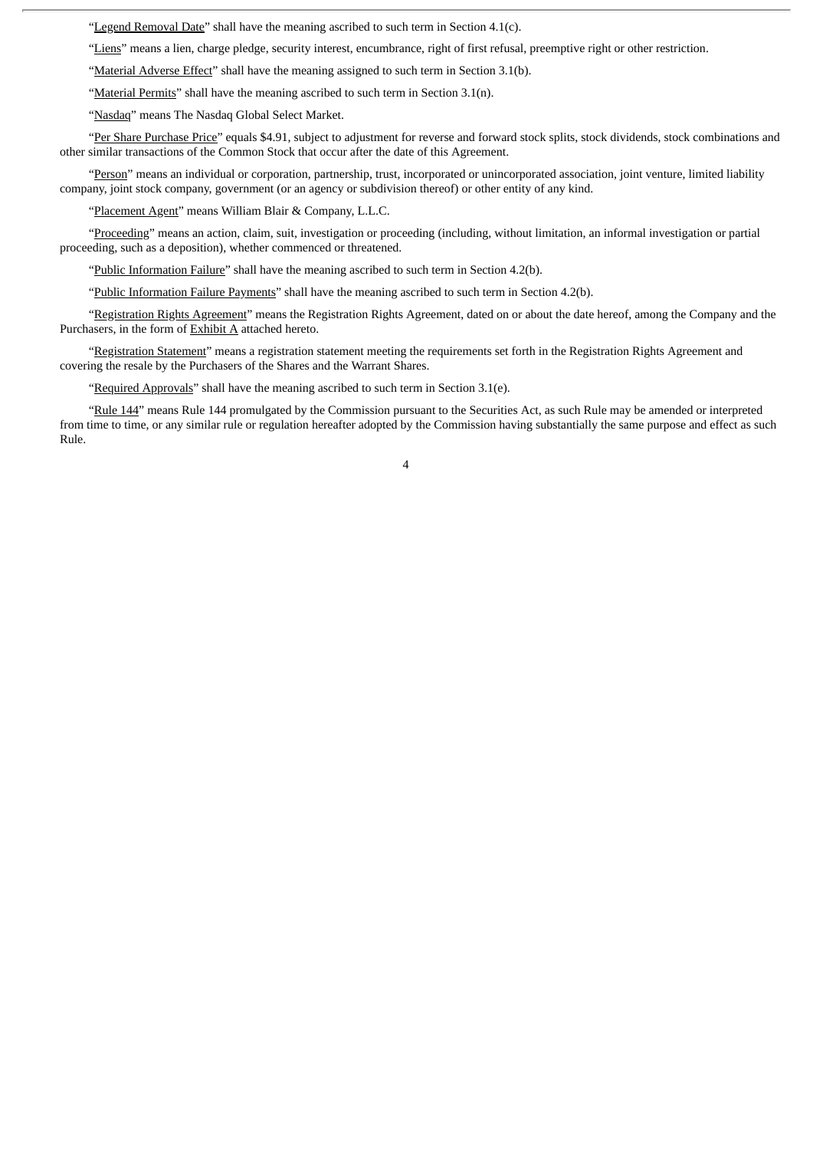"Legend Removal Date" shall have the meaning ascribed to such term in Section 4.1(c).

"Liens" means a lien, charge pledge, security interest, encumbrance, right of first refusal, preemptive right or other restriction.

"Material Adverse Effect" shall have the meaning assigned to such term in Section 3.1(b).

"Material Permits" shall have the meaning ascribed to such term in Section 3.1(n).

"Nasdaq" means The Nasdaq Global Select Market.

"Per Share Purchase Price" equals \$4.91, subject to adjustment for reverse and forward stock splits, stock dividends, stock combinations and other similar transactions of the Common Stock that occur after the date of this Agreement.

"Person" means an individual or corporation, partnership, trust, incorporated or unincorporated association, joint venture, limited liability company, joint stock company, government (or an agency or subdivision thereof) or other entity of any kind.

"Placement Agent" means William Blair & Company, L.L.C.

"Proceeding" means an action, claim, suit, investigation or proceeding (including, without limitation, an informal investigation or partial proceeding, such as a deposition), whether commenced or threatened.

"Public Information Failure" shall have the meaning ascribed to such term in Section 4.2(b).

"Public Information Failure Payments" shall have the meaning ascribed to such term in Section 4.2(b).

"Registration Rights Agreement" means the Registration Rights Agreement, dated on or about the date hereof, among the Company and the Purchasers, in the form of Exhibit A attached hereto.

"Registration Statement" means a registration statement meeting the requirements set forth in the Registration Rights Agreement and covering the resale by the Purchasers of the Shares and the Warrant Shares.

"Required Approvals" shall have the meaning ascribed to such term in Section 3.1(e).

"Rule 144" means Rule 144 promulgated by the Commission pursuant to the Securities Act, as such Rule may be amended or interpreted from time to time, or any similar rule or regulation hereafter adopted by the Commission having substantially the same purpose and effect as such Rule.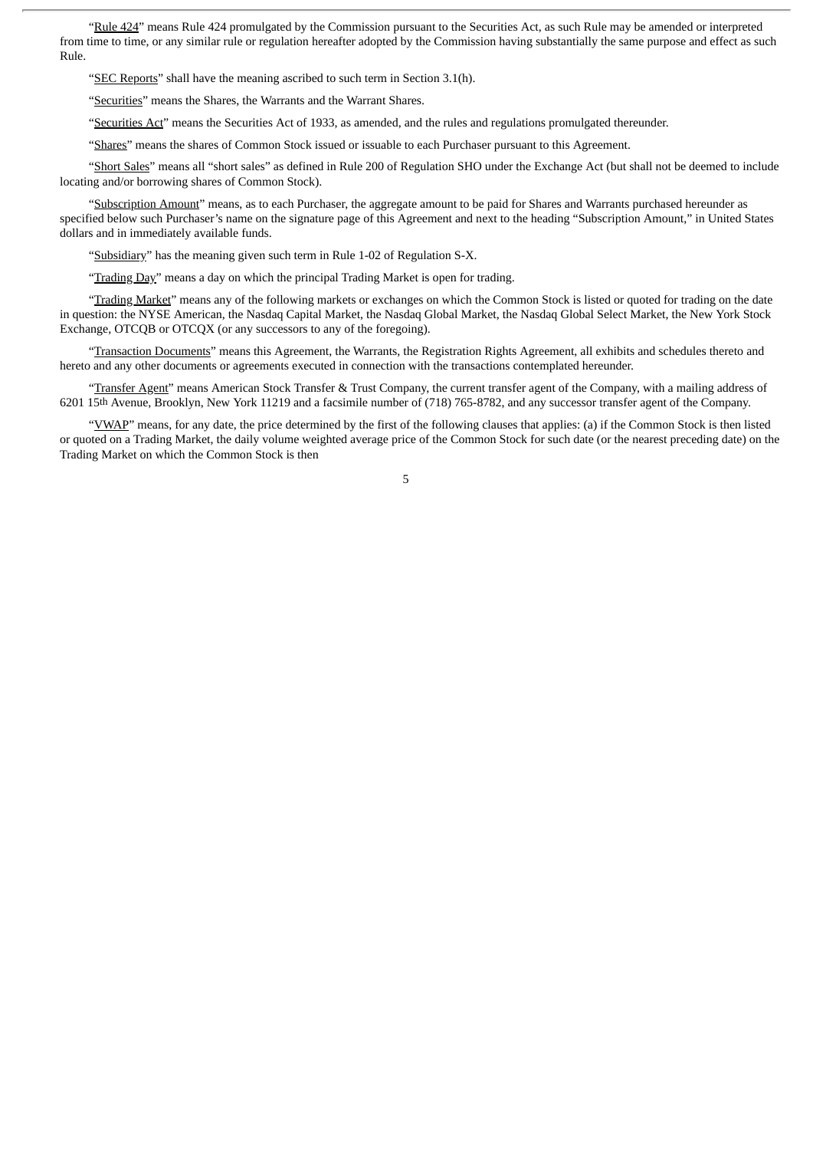"Rule 424" means Rule 424 promulgated by the Commission pursuant to the Securities Act, as such Rule may be amended or interpreted from time to time, or any similar rule or regulation hereafter adopted by the Commission having substantially the same purpose and effect as such Rule.

"SEC Reports" shall have the meaning ascribed to such term in Section 3.1(h).

"Securities" means the Shares, the Warrants and the Warrant Shares.

"Securities Act" means the Securities Act of 1933, as amended, and the rules and regulations promulgated thereunder.

"Shares" means the shares of Common Stock issued or issuable to each Purchaser pursuant to this Agreement.

"Short Sales" means all "short sales" as defined in Rule 200 of Regulation SHO under the Exchange Act (but shall not be deemed to include locating and/or borrowing shares of Common Stock).

"Subscription Amount" means, as to each Purchaser, the aggregate amount to be paid for Shares and Warrants purchased hereunder as specified below such Purchaser's name on the signature page of this Agreement and next to the heading "Subscription Amount," in United States dollars and in immediately available funds.

"Subsidiary" has the meaning given such term in Rule 1-02 of Regulation S-X.

"Trading Day" means a day on which the principal Trading Market is open for trading.

"Trading Market" means any of the following markets or exchanges on which the Common Stock is listed or quoted for trading on the date in question: the NYSE American, the Nasdaq Capital Market, the Nasdaq Global Market, the Nasdaq Global Select Market, the New York Stock Exchange, OTCQB or OTCQX (or any successors to any of the foregoing).

"Transaction Documents" means this Agreement, the Warrants, the Registration Rights Agreement, all exhibits and schedules thereto and hereto and any other documents or agreements executed in connection with the transactions contemplated hereunder.

"Transfer Agent" means American Stock Transfer & Trust Company, the current transfer agent of the Company, with a mailing address of 6201 15th Avenue, Brooklyn, New York 11219 and a facsimile number of (718) 765-8782, and any successor transfer agent of the Company.

"VWAP" means, for any date, the price determined by the first of the following clauses that applies: (a) if the Common Stock is then listed or quoted on a Trading Market, the daily volume weighted average price of the Common Stock for such date (or the nearest preceding date) on the Trading Market on which the Common Stock is then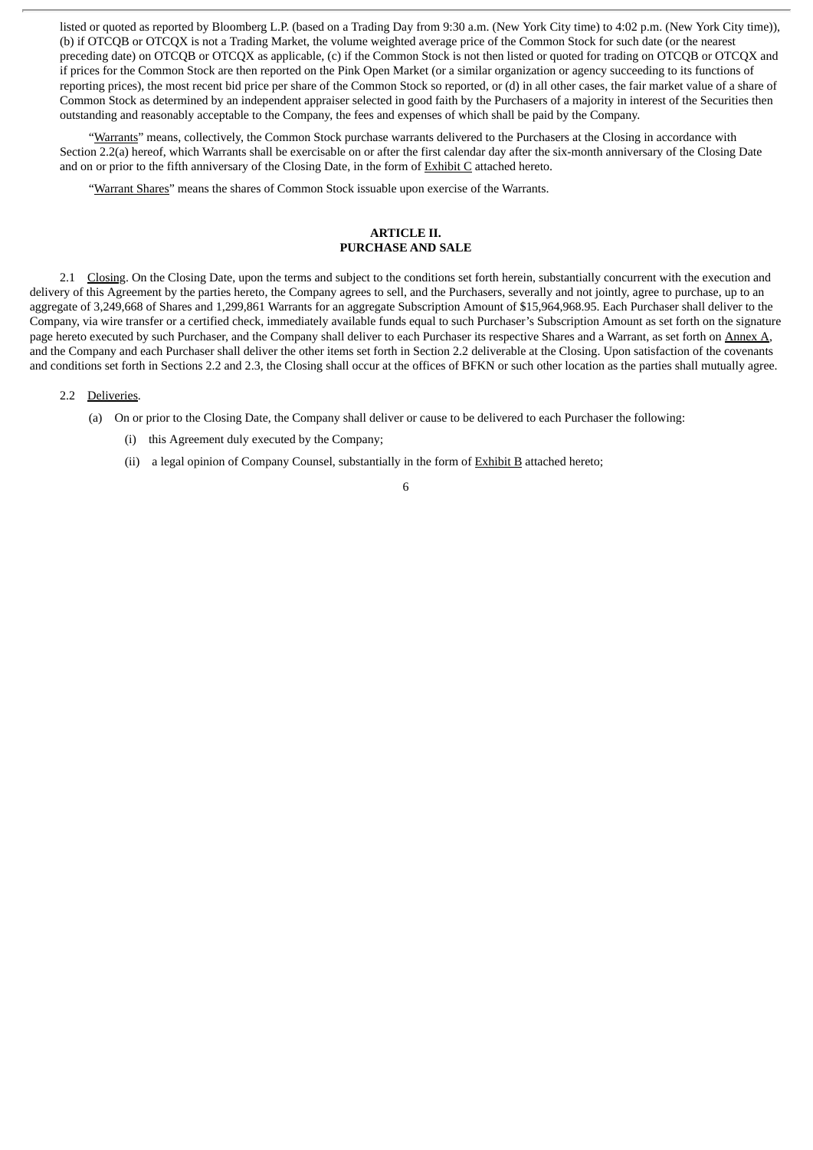listed or quoted as reported by Bloomberg L.P. (based on a Trading Day from 9:30 a.m. (New York City time) to 4:02 p.m. (New York City time)), (b) if OTCQB or OTCQX is not a Trading Market, the volume weighted average price of the Common Stock for such date (or the nearest preceding date) on OTCQB or OTCQX as applicable, (c) if the Common Stock is not then listed or quoted for trading on OTCQB or OTCQX and if prices for the Common Stock are then reported on the Pink Open Market (or a similar organization or agency succeeding to its functions of reporting prices), the most recent bid price per share of the Common Stock so reported, or (d) in all other cases, the fair market value of a share of Common Stock as determined by an independent appraiser selected in good faith by the Purchasers of a majority in interest of the Securities then outstanding and reasonably acceptable to the Company, the fees and expenses of which shall be paid by the Company.

"Warrants" means, collectively, the Common Stock purchase warrants delivered to the Purchasers at the Closing in accordance with Section 2.2(a) hereof, which Warrants shall be exercisable on or after the first calendar day after the six-month anniversary of the Closing Date and on or prior to the fifth anniversary of the Closing Date, in the form of Exhibit C attached hereto.

"Warrant Shares" means the shares of Common Stock issuable upon exercise of the Warrants.

# **ARTICLE II. PURCHASE AND SALE**

2.1 Closing. On the Closing Date, upon the terms and subject to the conditions set forth herein, substantially concurrent with the execution and delivery of this Agreement by the parties hereto, the Company agrees to sell, and the Purchasers, severally and not jointly, agree to purchase, up to an aggregate of 3,249,668 of Shares and 1,299,861 Warrants for an aggregate Subscription Amount of \$15,964,968.95. Each Purchaser shall deliver to the Company, via wire transfer or a certified check, immediately available funds equal to such Purchaser's Subscription Amount as set forth on the signature page hereto executed by such Purchaser, and the Company shall deliver to each Purchaser its respective Shares and a Warrant, as set forth on Annex A, and the Company and each Purchaser shall deliver the other items set forth in Section 2.2 deliverable at the Closing. Upon satisfaction of the covenants and conditions set forth in Sections 2.2 and 2.3, the Closing shall occur at the offices of BFKN or such other location as the parties shall mutually agree.

#### 2.2 Deliveries.

- (a) On or prior to the Closing Date, the Company shall deliver or cause to be delivered to each Purchaser the following:
	- (i) this Agreement duly executed by the Company;
	- (ii) a legal opinion of Company Counsel, substantially in the form of Exhibit B attached hereto;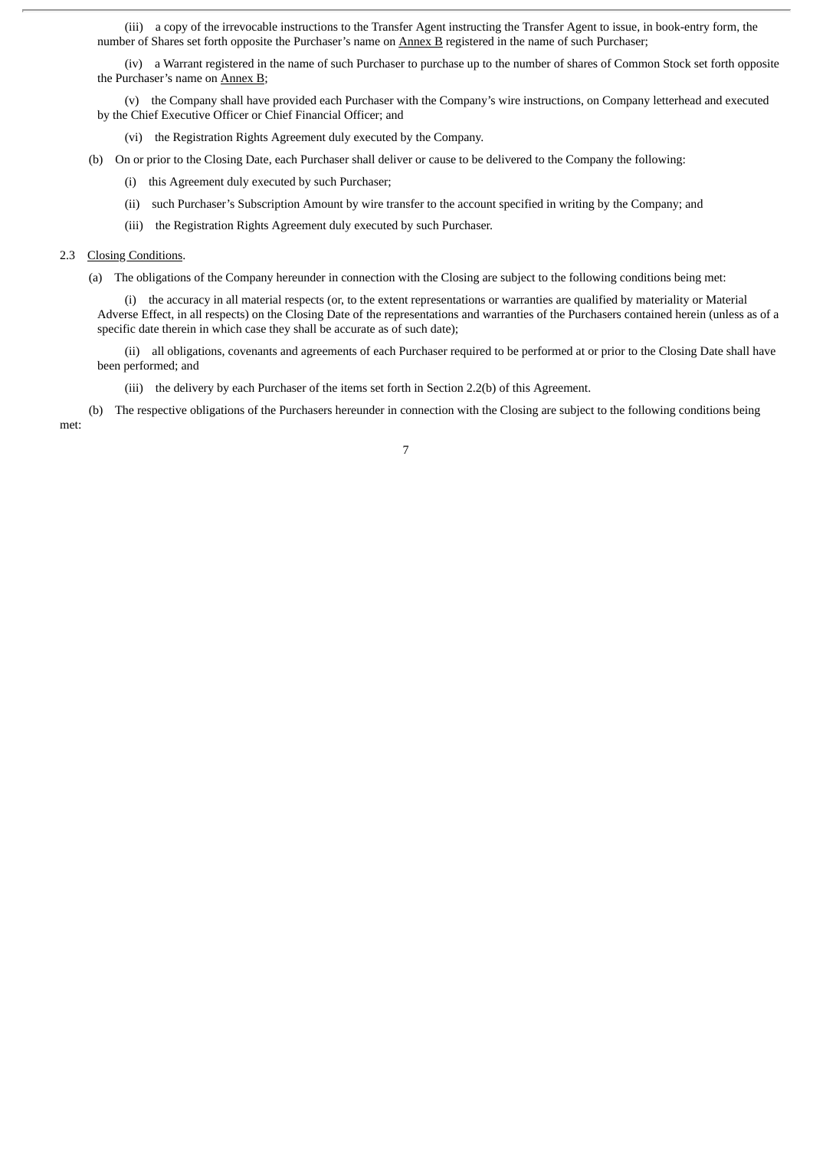(iii) a copy of the irrevocable instructions to the Transfer Agent instructing the Transfer Agent to issue, in book-entry form, the number of Shares set forth opposite the Purchaser's name on Annex B registered in the name of such Purchaser;

(iv) a Warrant registered in the name of such Purchaser to purchase up to the number of shares of Common Stock set forth opposite the Purchaser's name on Annex B;

(v) the Company shall have provided each Purchaser with the Company's wire instructions, on Company letterhead and executed by the Chief Executive Officer or Chief Financial Officer; and

(vi) the Registration Rights Agreement duly executed by the Company.

(b) On or prior to the Closing Date, each Purchaser shall deliver or cause to be delivered to the Company the following:

- (i) this Agreement duly executed by such Purchaser;
- (ii) such Purchaser's Subscription Amount by wire transfer to the account specified in writing by the Company; and
- (iii) the Registration Rights Agreement duly executed by such Purchaser.

#### 2.3 Closing Conditions.

(a) The obligations of the Company hereunder in connection with the Closing are subject to the following conditions being met:

(i) the accuracy in all material respects (or, to the extent representations or warranties are qualified by materiality or Material Adverse Effect, in all respects) on the Closing Date of the representations and warranties of the Purchasers contained herein (unless as of a specific date therein in which case they shall be accurate as of such date);

(ii) all obligations, covenants and agreements of each Purchaser required to be performed at or prior to the Closing Date shall have been performed; and

(iii) the delivery by each Purchaser of the items set forth in Section 2.2(b) of this Agreement.

(b) The respective obligations of the Purchasers hereunder in connection with the Closing are subject to the following conditions being met: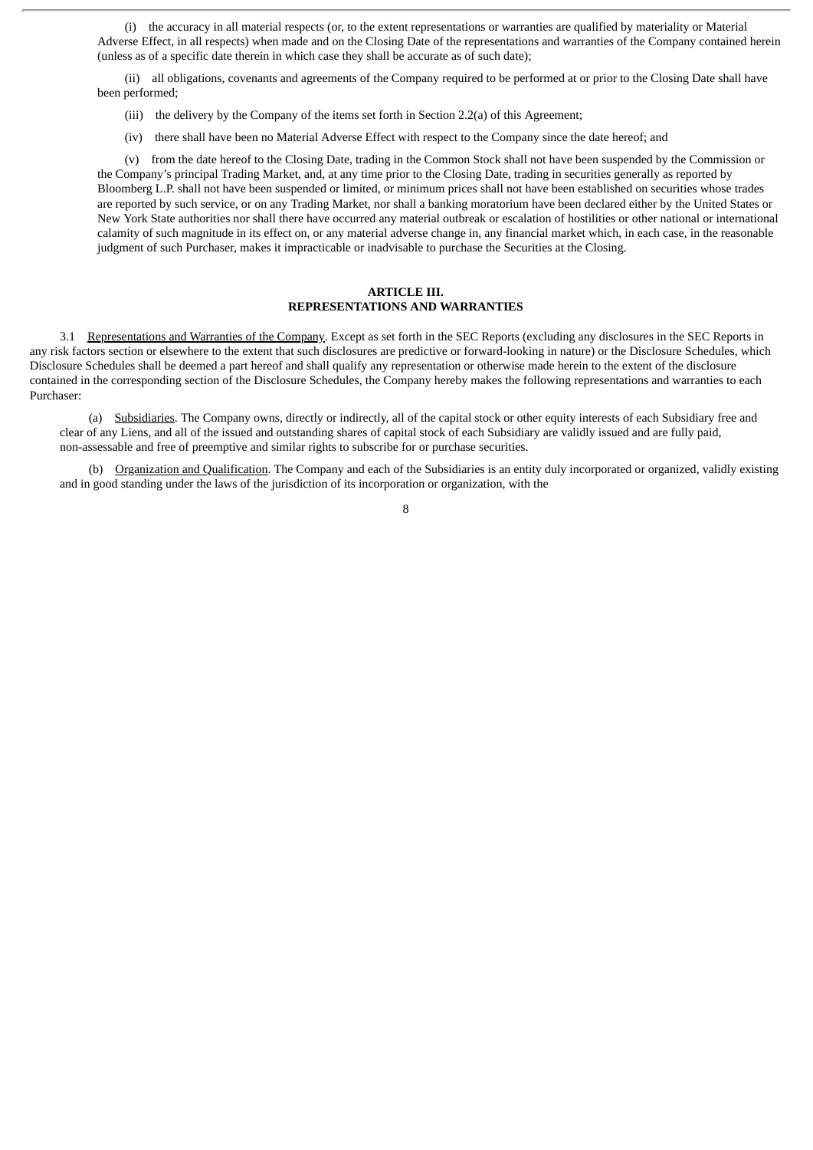(i) the accuracy in all material respects (or, to the extent representations or warranties are qualified by materiality or Material Adverse Effect, in all respects) when made and on the Closing Date of the representations and warranties of the Company contained herein (unless as of a specific date therein in which case they shall be accurate as of such date);

(ii) all obligations, covenants and agreements of the Company required to be performed at or prior to the Closing Date shall have been performed;

- (iii) the delivery by the Company of the items set forth in Section 2.2(a) of this Agreement;
- (iv) there shall have been no Material Adverse Effect with respect to the Company since the date hereof; and

(v) from the date hereof to the Closing Date, trading in the Common Stock shall not have been suspended by the Commission or the Company's principal Trading Market, and, at any time prior to the Closing Date, trading in securities generally as reported by Bloomberg L.P. shall not have been suspended or limited, or minimum prices shall not have been established on securities whose trades are reported by such service, or on any Trading Market, nor shall a banking moratorium have been declared either by the United States or New York State authorities nor shall there have occurred any material outbreak or escalation of hostilities or other national or international calamity of such magnitude in its effect on, or any material adverse change in, any financial market which, in each case, in the reasonable judgment of such Purchaser, makes it impracticable or inadvisable to purchase the Securities at the Closing.

# **ARTICLE III. REPRESENTATIONS AND WARRANTIES**

3.1 Representations and Warranties of the Company. Except as set forth in the SEC Reports (excluding any disclosures in the SEC Reports in any risk factors section or elsewhere to the extent that such disclosures are predictive or forward-looking in nature) or the Disclosure Schedules, which Disclosure Schedules shall be deemed a part hereof and shall qualify any representation or otherwise made herein to the extent of the disclosure contained in the corresponding section of the Disclosure Schedules, the Company hereby makes the following representations and warranties to each Purchaser:

(a) Subsidiaries. The Company owns, directly or indirectly, all of the capital stock or other equity interests of each Subsidiary free and clear of any Liens, and all of the issued and outstanding shares of capital stock of each Subsidiary are validly issued and are fully paid, non-assessable and free of preemptive and similar rights to subscribe for or purchase securities.

(b) Organization and Qualification. The Company and each of the Subsidiaries is an entity duly incorporated or organized, validly existing and in good standing under the laws of the jurisdiction of its incorporation or organization, with the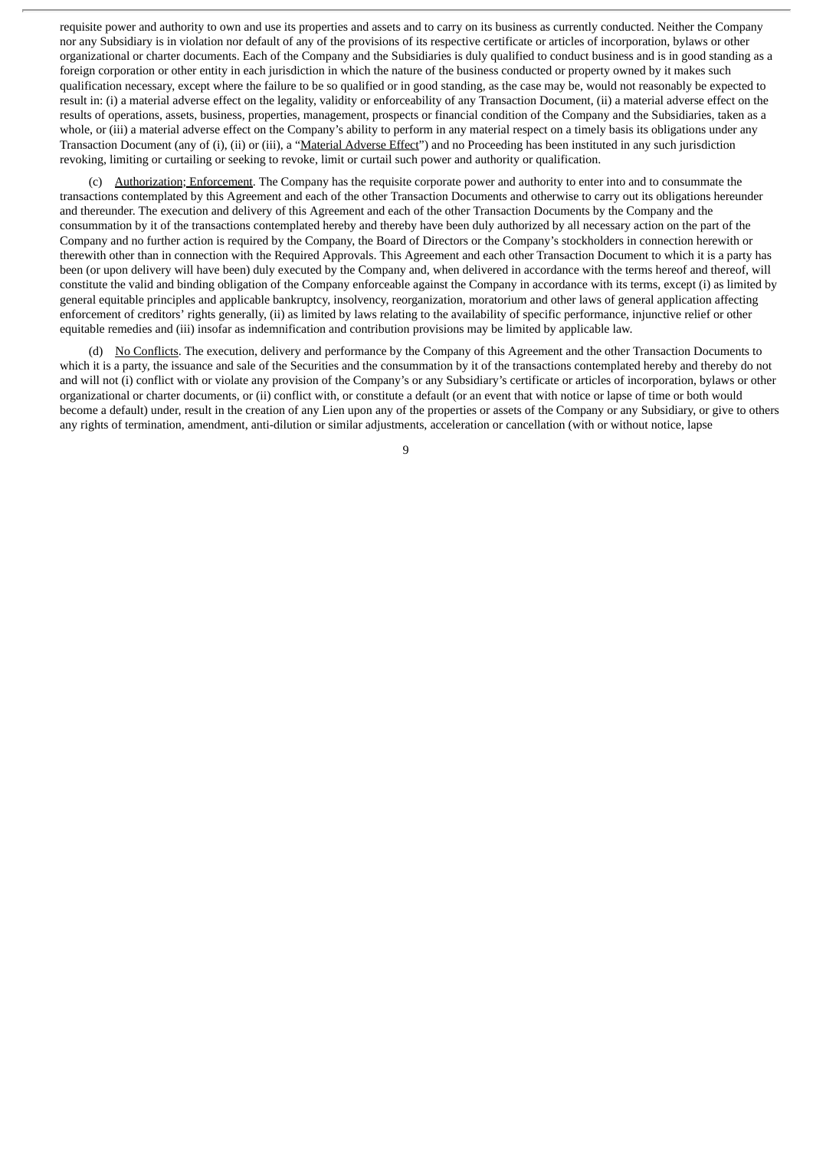requisite power and authority to own and use its properties and assets and to carry on its business as currently conducted. Neither the Company nor any Subsidiary is in violation nor default of any of the provisions of its respective certificate or articles of incorporation, bylaws or other organizational or charter documents. Each of the Company and the Subsidiaries is duly qualified to conduct business and is in good standing as a foreign corporation or other entity in each jurisdiction in which the nature of the business conducted or property owned by it makes such qualification necessary, except where the failure to be so qualified or in good standing, as the case may be, would not reasonably be expected to result in: (i) a material adverse effect on the legality, validity or enforceability of any Transaction Document, (ii) a material adverse effect on the results of operations, assets, business, properties, management, prospects or financial condition of the Company and the Subsidiaries, taken as a whole, or (iii) a material adverse effect on the Company's ability to perform in any material respect on a timely basis its obligations under any Transaction Document (any of (i), (ii) or (iii), a "Material Adverse Effect") and no Proceeding has been instituted in any such jurisdiction revoking, limiting or curtailing or seeking to revoke, limit or curtail such power and authority or qualification.

(c) Authorization; Enforcement. The Company has the requisite corporate power and authority to enter into and to consummate the transactions contemplated by this Agreement and each of the other Transaction Documents and otherwise to carry out its obligations hereunder and thereunder. The execution and delivery of this Agreement and each of the other Transaction Documents by the Company and the consummation by it of the transactions contemplated hereby and thereby have been duly authorized by all necessary action on the part of the Company and no further action is required by the Company, the Board of Directors or the Company's stockholders in connection herewith or therewith other than in connection with the Required Approvals. This Agreement and each other Transaction Document to which it is a party has been (or upon delivery will have been) duly executed by the Company and, when delivered in accordance with the terms hereof and thereof, will constitute the valid and binding obligation of the Company enforceable against the Company in accordance with its terms, except (i) as limited by general equitable principles and applicable bankruptcy, insolvency, reorganization, moratorium and other laws of general application affecting enforcement of creditors' rights generally, (ii) as limited by laws relating to the availability of specific performance, injunctive relief or other equitable remedies and (iii) insofar as indemnification and contribution provisions may be limited by applicable law.

(d) No Conflicts. The execution, delivery and performance by the Company of this Agreement and the other Transaction Documents to which it is a party, the issuance and sale of the Securities and the consummation by it of the transactions contemplated hereby and thereby do not and will not (i) conflict with or violate any provision of the Company's or any Subsidiary's certificate or articles of incorporation, bylaws or other organizational or charter documents, or (ii) conflict with, or constitute a default (or an event that with notice or lapse of time or both would become a default) under, result in the creation of any Lien upon any of the properties or assets of the Company or any Subsidiary, or give to others any rights of termination, amendment, anti-dilution or similar adjustments, acceleration or cancellation (with or without notice, lapse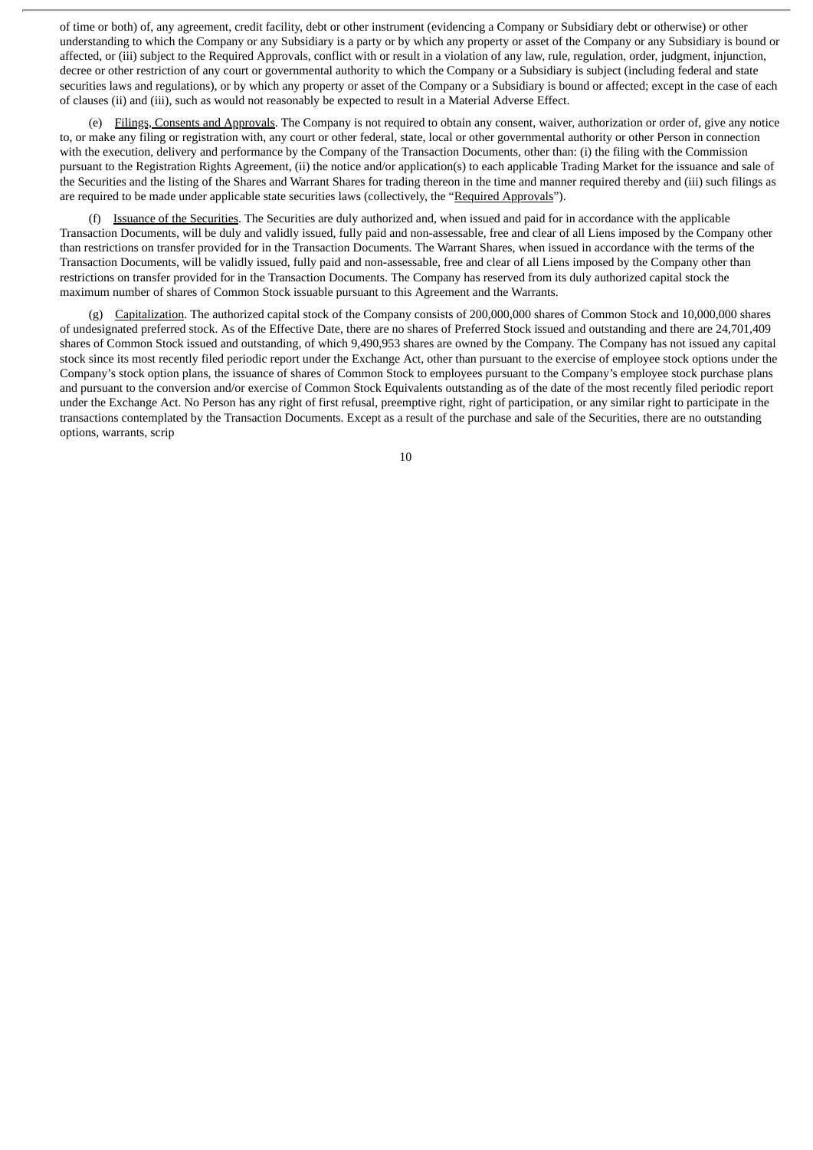of time or both) of, any agreement, credit facility, debt or other instrument (evidencing a Company or Subsidiary debt or otherwise) or other understanding to which the Company or any Subsidiary is a party or by which any property or asset of the Company or any Subsidiary is bound or affected, or (iii) subject to the Required Approvals, conflict with or result in a violation of any law, rule, regulation, order, judgment, injunction, decree or other restriction of any court or governmental authority to which the Company or a Subsidiary is subject (including federal and state securities laws and regulations), or by which any property or asset of the Company or a Subsidiary is bound or affected; except in the case of each of clauses (ii) and (iii), such as would not reasonably be expected to result in a Material Adverse Effect.

(e) Filings, Consents and Approvals. The Company is not required to obtain any consent, waiver, authorization or order of, give any notice to, or make any filing or registration with, any court or other federal, state, local or other governmental authority or other Person in connection with the execution, delivery and performance by the Company of the Transaction Documents, other than: (i) the filing with the Commission pursuant to the Registration Rights Agreement, (ii) the notice and/or application(s) to each applicable Trading Market for the issuance and sale of the Securities and the listing of the Shares and Warrant Shares for trading thereon in the time and manner required thereby and (iii) such filings as are required to be made under applicable state securities laws (collectively, the "Required Approvals").

(f) Issuance of the Securities. The Securities are duly authorized and, when issued and paid for in accordance with the applicable Transaction Documents, will be duly and validly issued, fully paid and non-assessable, free and clear of all Liens imposed by the Company other than restrictions on transfer provided for in the Transaction Documents. The Warrant Shares, when issued in accordance with the terms of the Transaction Documents, will be validly issued, fully paid and non-assessable, free and clear of all Liens imposed by the Company other than restrictions on transfer provided for in the Transaction Documents. The Company has reserved from its duly authorized capital stock the maximum number of shares of Common Stock issuable pursuant to this Agreement and the Warrants.

(g) Capitalization. The authorized capital stock of the Company consists of 200,000,000 shares of Common Stock and 10,000,000 shares of undesignated preferred stock. As of the Effective Date, there are no shares of Preferred Stock issued and outstanding and there are 24,701,409 shares of Common Stock issued and outstanding, of which 9,490,953 shares are owned by the Company. The Company has not issued any capital stock since its most recently filed periodic report under the Exchange Act, other than pursuant to the exercise of employee stock options under the Company's stock option plans, the issuance of shares of Common Stock to employees pursuant to the Company's employee stock purchase plans and pursuant to the conversion and/or exercise of Common Stock Equivalents outstanding as of the date of the most recently filed periodic report under the Exchange Act. No Person has any right of first refusal, preemptive right, right of participation, or any similar right to participate in the transactions contemplated by the Transaction Documents. Except as a result of the purchase and sale of the Securities, there are no outstanding options, warrants, scrip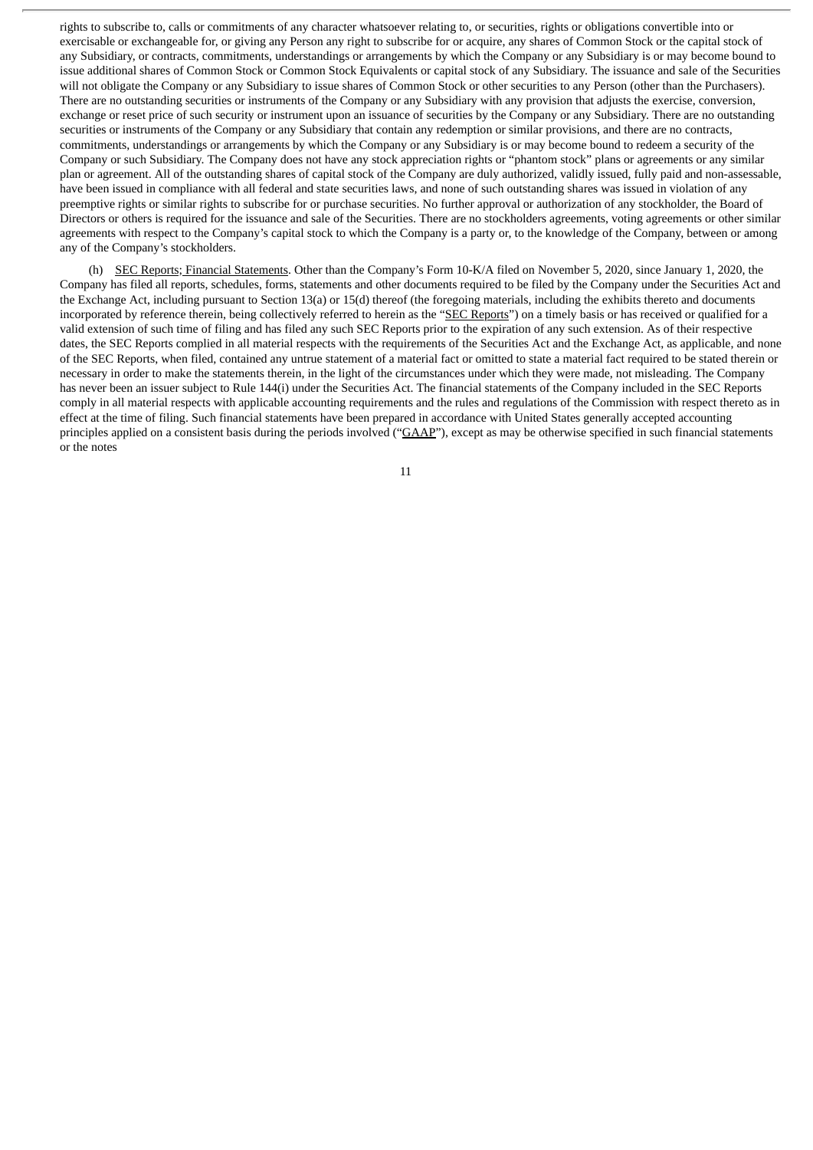rights to subscribe to, calls or commitments of any character whatsoever relating to, or securities, rights or obligations convertible into or exercisable or exchangeable for, or giving any Person any right to subscribe for or acquire, any shares of Common Stock or the capital stock of any Subsidiary, or contracts, commitments, understandings or arrangements by which the Company or any Subsidiary is or may become bound to issue additional shares of Common Stock or Common Stock Equivalents or capital stock of any Subsidiary. The issuance and sale of the Securities will not obligate the Company or any Subsidiary to issue shares of Common Stock or other securities to any Person (other than the Purchasers). There are no outstanding securities or instruments of the Company or any Subsidiary with any provision that adjusts the exercise, conversion, exchange or reset price of such security or instrument upon an issuance of securities by the Company or any Subsidiary. There are no outstanding securities or instruments of the Company or any Subsidiary that contain any redemption or similar provisions, and there are no contracts, commitments, understandings or arrangements by which the Company or any Subsidiary is or may become bound to redeem a security of the Company or such Subsidiary. The Company does not have any stock appreciation rights or "phantom stock" plans or agreements or any similar plan or agreement. All of the outstanding shares of capital stock of the Company are duly authorized, validly issued, fully paid and non-assessable, have been issued in compliance with all federal and state securities laws, and none of such outstanding shares was issued in violation of any preemptive rights or similar rights to subscribe for or purchase securities. No further approval or authorization of any stockholder, the Board of Directors or others is required for the issuance and sale of the Securities. There are no stockholders agreements, voting agreements or other similar agreements with respect to the Company's capital stock to which the Company is a party or, to the knowledge of the Company, between or among any of the Company's stockholders.

(h) SEC Reports; Financial Statements. Other than the Company's Form 10-K/A filed on November 5, 2020, since January 1, 2020, the Company has filed all reports, schedules, forms, statements and other documents required to be filed by the Company under the Securities Act and the Exchange Act, including pursuant to Section 13(a) or 15(d) thereof (the foregoing materials, including the exhibits thereto and documents incorporated by reference therein, being collectively referred to herein as the "SEC Reports") on a timely basis or has received or qualified for a valid extension of such time of filing and has filed any such SEC Reports prior to the expiration of any such extension. As of their respective dates, the SEC Reports complied in all material respects with the requirements of the Securities Act and the Exchange Act, as applicable, and none of the SEC Reports, when filed, contained any untrue statement of a material fact or omitted to state a material fact required to be stated therein or necessary in order to make the statements therein, in the light of the circumstances under which they were made, not misleading. The Company has never been an issuer subject to Rule 144(i) under the Securities Act. The financial statements of the Company included in the SEC Reports comply in all material respects with applicable accounting requirements and the rules and regulations of the Commission with respect thereto as in effect at the time of filing. Such financial statements have been prepared in accordance with United States generally accepted accounting principles applied on a consistent basis during the periods involved ("GAAP"), except as may be otherwise specified in such financial statements or the notes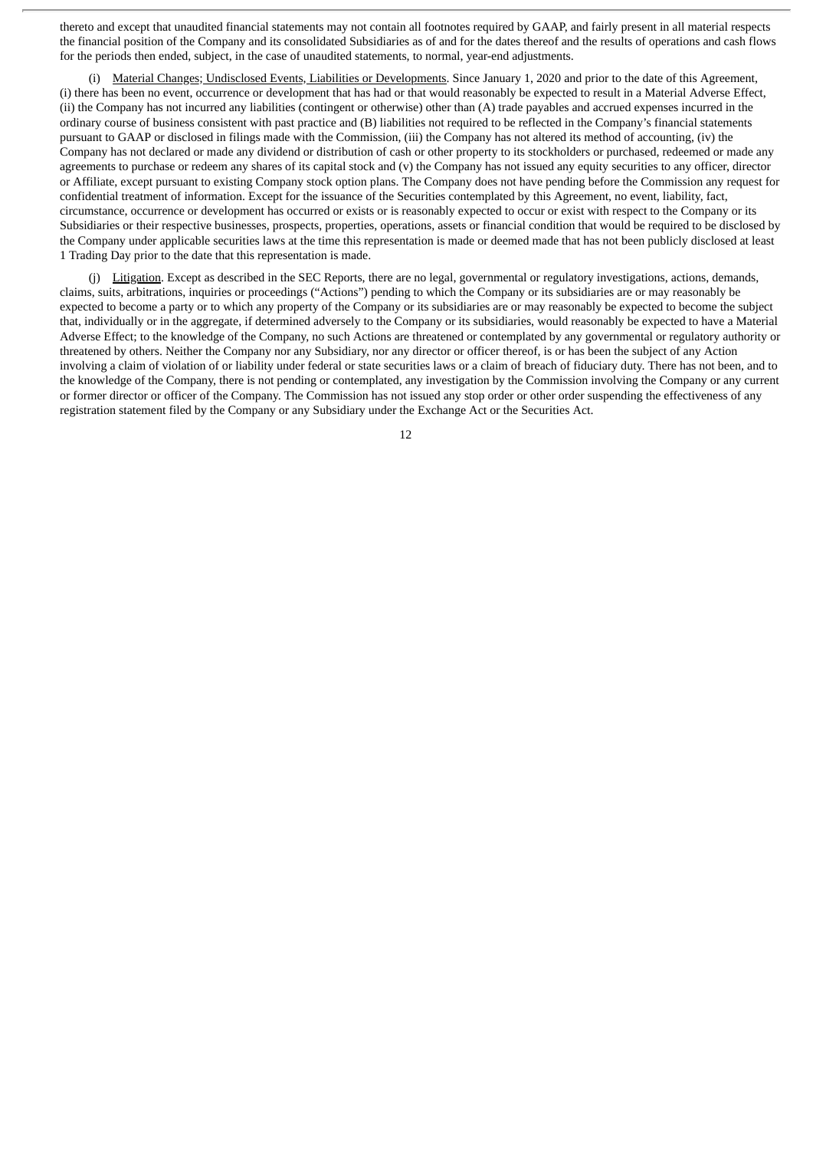thereto and except that unaudited financial statements may not contain all footnotes required by GAAP, and fairly present in all material respects the financial position of the Company and its consolidated Subsidiaries as of and for the dates thereof and the results of operations and cash flows for the periods then ended, subject, in the case of unaudited statements, to normal, year-end adjustments.

(i) Material Changes; Undisclosed Events, Liabilities or Developments. Since January 1, 2020 and prior to the date of this Agreement, (i) there has been no event, occurrence or development that has had or that would reasonably be expected to result in a Material Adverse Effect, (ii) the Company has not incurred any liabilities (contingent or otherwise) other than (A) trade payables and accrued expenses incurred in the ordinary course of business consistent with past practice and (B) liabilities not required to be reflected in the Company's financial statements pursuant to GAAP or disclosed in filings made with the Commission, (iii) the Company has not altered its method of accounting, (iv) the Company has not declared or made any dividend or distribution of cash or other property to its stockholders or purchased, redeemed or made any agreements to purchase or redeem any shares of its capital stock and (v) the Company has not issued any equity securities to any officer, director or Affiliate, except pursuant to existing Company stock option plans. The Company does not have pending before the Commission any request for confidential treatment of information. Except for the issuance of the Securities contemplated by this Agreement, no event, liability, fact, circumstance, occurrence or development has occurred or exists or is reasonably expected to occur or exist with respect to the Company or its Subsidiaries or their respective businesses, prospects, properties, operations, assets or financial condition that would be required to be disclosed by the Company under applicable securities laws at the time this representation is made or deemed made that has not been publicly disclosed at least 1 Trading Day prior to the date that this representation is made.

(j) Litigation. Except as described in the SEC Reports, there are no legal, governmental or regulatory investigations, actions, demands, claims, suits, arbitrations, inquiries or proceedings ("Actions") pending to which the Company or its subsidiaries are or may reasonably be expected to become a party or to which any property of the Company or its subsidiaries are or may reasonably be expected to become the subject that, individually or in the aggregate, if determined adversely to the Company or its subsidiaries, would reasonably be expected to have a Material Adverse Effect; to the knowledge of the Company, no such Actions are threatened or contemplated by any governmental or regulatory authority or threatened by others. Neither the Company nor any Subsidiary, nor any director or officer thereof, is or has been the subject of any Action involving a claim of violation of or liability under federal or state securities laws or a claim of breach of fiduciary duty. There has not been, and to the knowledge of the Company, there is not pending or contemplated, any investigation by the Commission involving the Company or any current or former director or officer of the Company. The Commission has not issued any stop order or other order suspending the effectiveness of any registration statement filed by the Company or any Subsidiary under the Exchange Act or the Securities Act.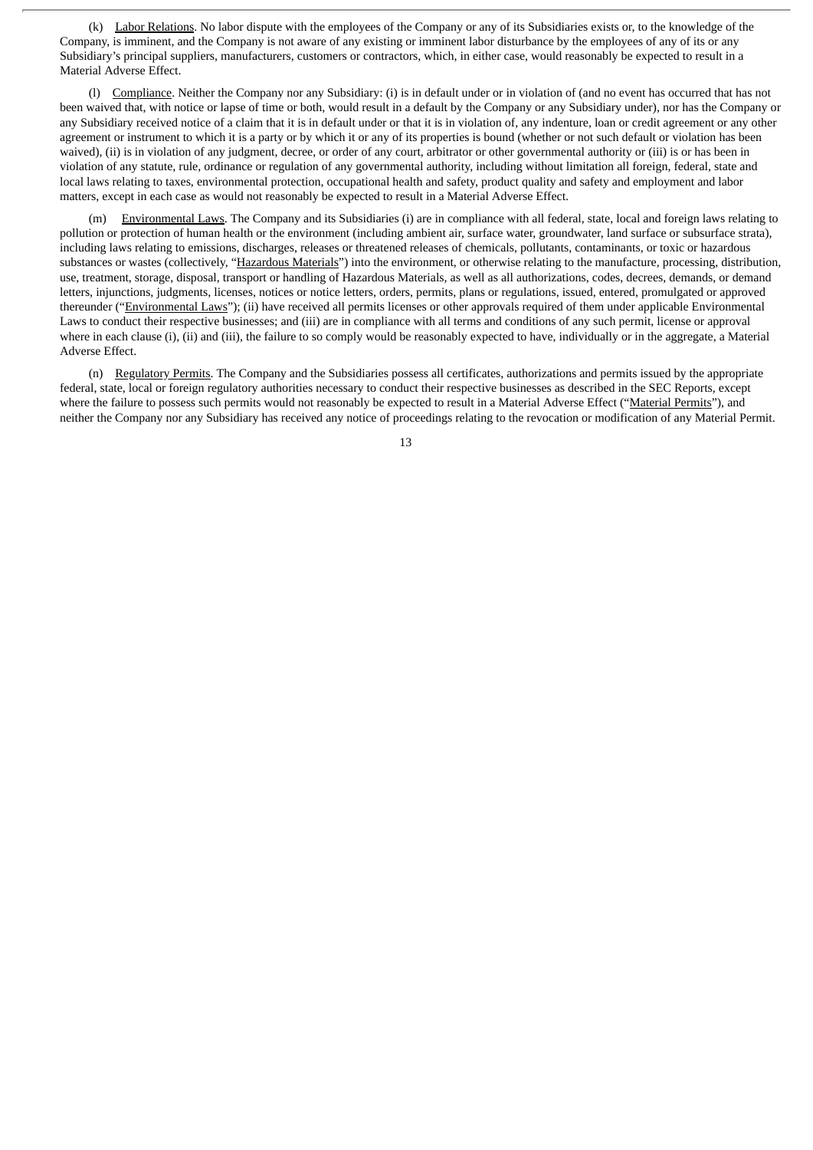(k) Labor Relations. No labor dispute with the employees of the Company or any of its Subsidiaries exists or, to the knowledge of the Company, is imminent, and the Company is not aware of any existing or imminent labor disturbance by the employees of any of its or any Subsidiary's principal suppliers, manufacturers, customers or contractors, which, in either case, would reasonably be expected to result in a Material Adverse Effect.

(l) Compliance. Neither the Company nor any Subsidiary: (i) is in default under or in violation of (and no event has occurred that has not been waived that, with notice or lapse of time or both, would result in a default by the Company or any Subsidiary under), nor has the Company or any Subsidiary received notice of a claim that it is in default under or that it is in violation of, any indenture, loan or credit agreement or any other agreement or instrument to which it is a party or by which it or any of its properties is bound (whether or not such default or violation has been waived), (ii) is in violation of any judgment, decree, or order of any court, arbitrator or other governmental authority or (iii) is or has been in violation of any statute, rule, ordinance or regulation of any governmental authority, including without limitation all foreign, federal, state and local laws relating to taxes, environmental protection, occupational health and safety, product quality and safety and employment and labor matters, except in each case as would not reasonably be expected to result in a Material Adverse Effect.

(m) Environmental Laws. The Company and its Subsidiaries (i) are in compliance with all federal, state, local and foreign laws relating to pollution or protection of human health or the environment (including ambient air, surface water, groundwater, land surface or subsurface strata), including laws relating to emissions, discharges, releases or threatened releases of chemicals, pollutants, contaminants, or toxic or hazardous substances or wastes (collectively, "Hazardous Materials") into the environment, or otherwise relating to the manufacture, processing, distribution, use, treatment, storage, disposal, transport or handling of Hazardous Materials, as well as all authorizations, codes, decrees, demands, or demand letters, injunctions, judgments, licenses, notices or notice letters, orders, permits, plans or regulations, issued, entered, promulgated or approved thereunder ("Environmental Laws"); (ii) have received all permits licenses or other approvals required of them under applicable Environmental Laws to conduct their respective businesses; and (iii) are in compliance with all terms and conditions of any such permit, license or approval where in each clause (i), (ii) and (iii), the failure to so comply would be reasonably expected to have, individually or in the aggregate, a Material Adverse Effect.

(n) Regulatory Permits. The Company and the Subsidiaries possess all certificates, authorizations and permits issued by the appropriate federal, state, local or foreign regulatory authorities necessary to conduct their respective businesses as described in the SEC Reports, except where the failure to possess such permits would not reasonably be expected to result in a Material Adverse Effect ("Material Permits"), and neither the Company nor any Subsidiary has received any notice of proceedings relating to the revocation or modification of any Material Permit.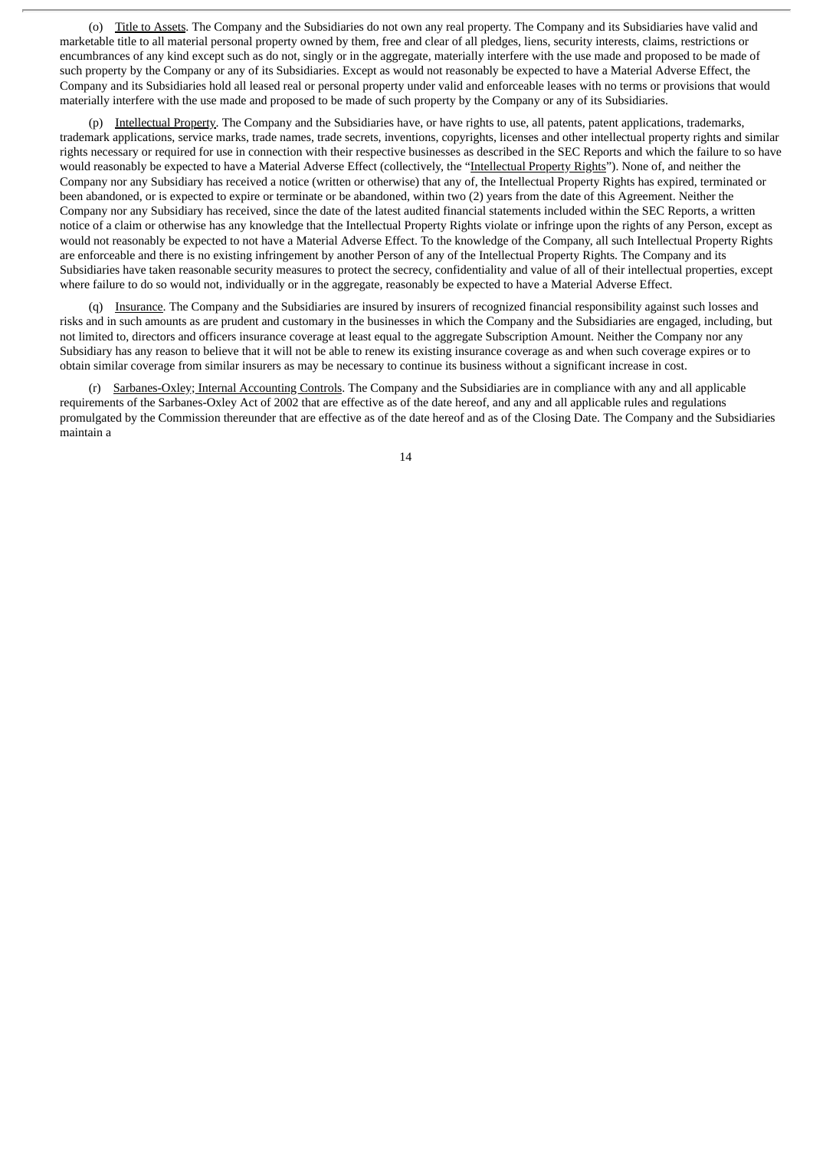(o) Title to Assets. The Company and the Subsidiaries do not own any real property. The Company and its Subsidiaries have valid and marketable title to all material personal property owned by them, free and clear of all pledges, liens, security interests, claims, restrictions or encumbrances of any kind except such as do not, singly or in the aggregate, materially interfere with the use made and proposed to be made of such property by the Company or any of its Subsidiaries. Except as would not reasonably be expected to have a Material Adverse Effect, the Company and its Subsidiaries hold all leased real or personal property under valid and enforceable leases with no terms or provisions that would materially interfere with the use made and proposed to be made of such property by the Company or any of its Subsidiaries.

(p) Intellectual Property. The Company and the Subsidiaries have, or have rights to use, all patents, patent applications, trademarks, trademark applications, service marks, trade names, trade secrets, inventions, copyrights, licenses and other intellectual property rights and similar rights necessary or required for use in connection with their respective businesses as described in the SEC Reports and which the failure to so have would reasonably be expected to have a Material Adverse Effect (collectively, the "Intellectual Property Rights"). None of, and neither the Company nor any Subsidiary has received a notice (written or otherwise) that any of, the Intellectual Property Rights has expired, terminated or been abandoned, or is expected to expire or terminate or be abandoned, within two (2) years from the date of this Agreement. Neither the Company nor any Subsidiary has received, since the date of the latest audited financial statements included within the SEC Reports, a written notice of a claim or otherwise has any knowledge that the Intellectual Property Rights violate or infringe upon the rights of any Person, except as would not reasonably be expected to not have a Material Adverse Effect. To the knowledge of the Company, all such Intellectual Property Rights are enforceable and there is no existing infringement by another Person of any of the Intellectual Property Rights. The Company and its Subsidiaries have taken reasonable security measures to protect the secrecy, confidentiality and value of all of their intellectual properties, except where failure to do so would not, individually or in the aggregate, reasonably be expected to have a Material Adverse Effect.

(q) Insurance. The Company and the Subsidiaries are insured by insurers of recognized financial responsibility against such losses and risks and in such amounts as are prudent and customary in the businesses in which the Company and the Subsidiaries are engaged, including, but not limited to, directors and officers insurance coverage at least equal to the aggregate Subscription Amount. Neither the Company nor any Subsidiary has any reason to believe that it will not be able to renew its existing insurance coverage as and when such coverage expires or to obtain similar coverage from similar insurers as may be necessary to continue its business without a significant increase in cost.

(r) Sarbanes-Oxley; Internal Accounting Controls. The Company and the Subsidiaries are in compliance with any and all applicable requirements of the Sarbanes-Oxley Act of 2002 that are effective as of the date hereof, and any and all applicable rules and regulations promulgated by the Commission thereunder that are effective as of the date hereof and as of the Closing Date. The Company and the Subsidiaries maintain a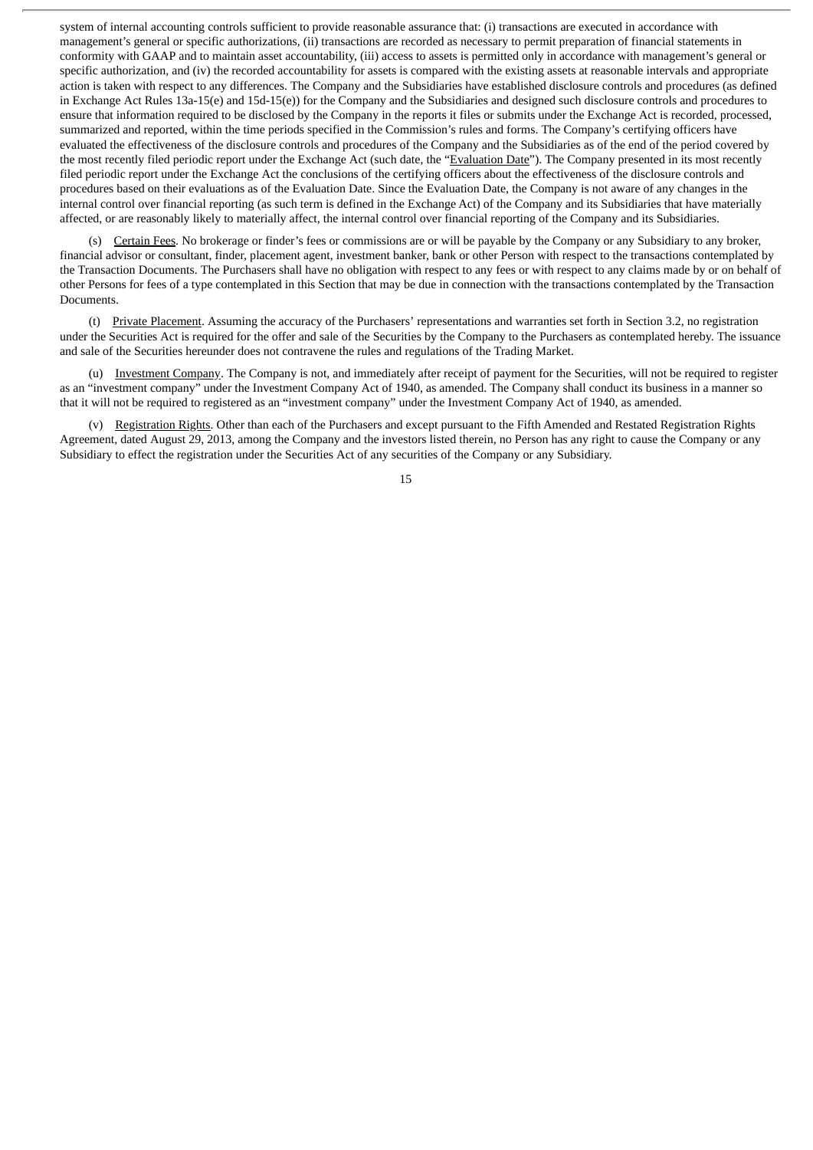system of internal accounting controls sufficient to provide reasonable assurance that: (i) transactions are executed in accordance with management's general or specific authorizations, (ii) transactions are recorded as necessary to permit preparation of financial statements in conformity with GAAP and to maintain asset accountability, (iii) access to assets is permitted only in accordance with management's general or specific authorization, and (iv) the recorded accountability for assets is compared with the existing assets at reasonable intervals and appropriate action is taken with respect to any differences. The Company and the Subsidiaries have established disclosure controls and procedures (as defined in Exchange Act Rules 13a-15(e) and 15d-15(e)) for the Company and the Subsidiaries and designed such disclosure controls and procedures to ensure that information required to be disclosed by the Company in the reports it files or submits under the Exchange Act is recorded, processed, summarized and reported, within the time periods specified in the Commission's rules and forms. The Company's certifying officers have evaluated the effectiveness of the disclosure controls and procedures of the Company and the Subsidiaries as of the end of the period covered by the most recently filed periodic report under the Exchange Act (such date, the "Evaluation Date"). The Company presented in its most recently filed periodic report under the Exchange Act the conclusions of the certifying officers about the effectiveness of the disclosure controls and procedures based on their evaluations as of the Evaluation Date. Since the Evaluation Date, the Company is not aware of any changes in the internal control over financial reporting (as such term is defined in the Exchange Act) of the Company and its Subsidiaries that have materially affected, or are reasonably likely to materially affect, the internal control over financial reporting of the Company and its Subsidiaries.

(s) Certain Fees. No brokerage or finder's fees or commissions are or will be payable by the Company or any Subsidiary to any broker, financial advisor or consultant, finder, placement agent, investment banker, bank or other Person with respect to the transactions contemplated by the Transaction Documents. The Purchasers shall have no obligation with respect to any fees or with respect to any claims made by or on behalf of other Persons for fees of a type contemplated in this Section that may be due in connection with the transactions contemplated by the Transaction Documents.

(t) Private Placement. Assuming the accuracy of the Purchasers' representations and warranties set forth in Section 3.2, no registration under the Securities Act is required for the offer and sale of the Securities by the Company to the Purchasers as contemplated hereby. The issuance and sale of the Securities hereunder does not contravene the rules and regulations of the Trading Market.

(u) Investment Company. The Company is not, and immediately after receipt of payment for the Securities, will not be required to register as an "investment company" under the Investment Company Act of 1940, as amended. The Company shall conduct its business in a manner so that it will not be required to registered as an "investment company" under the Investment Company Act of 1940, as amended.

(v) Registration Rights. Other than each of the Purchasers and except pursuant to the Fifth Amended and Restated Registration Rights Agreement, dated August 29, 2013, among the Company and the investors listed therein, no Person has any right to cause the Company or any Subsidiary to effect the registration under the Securities Act of any securities of the Company or any Subsidiary.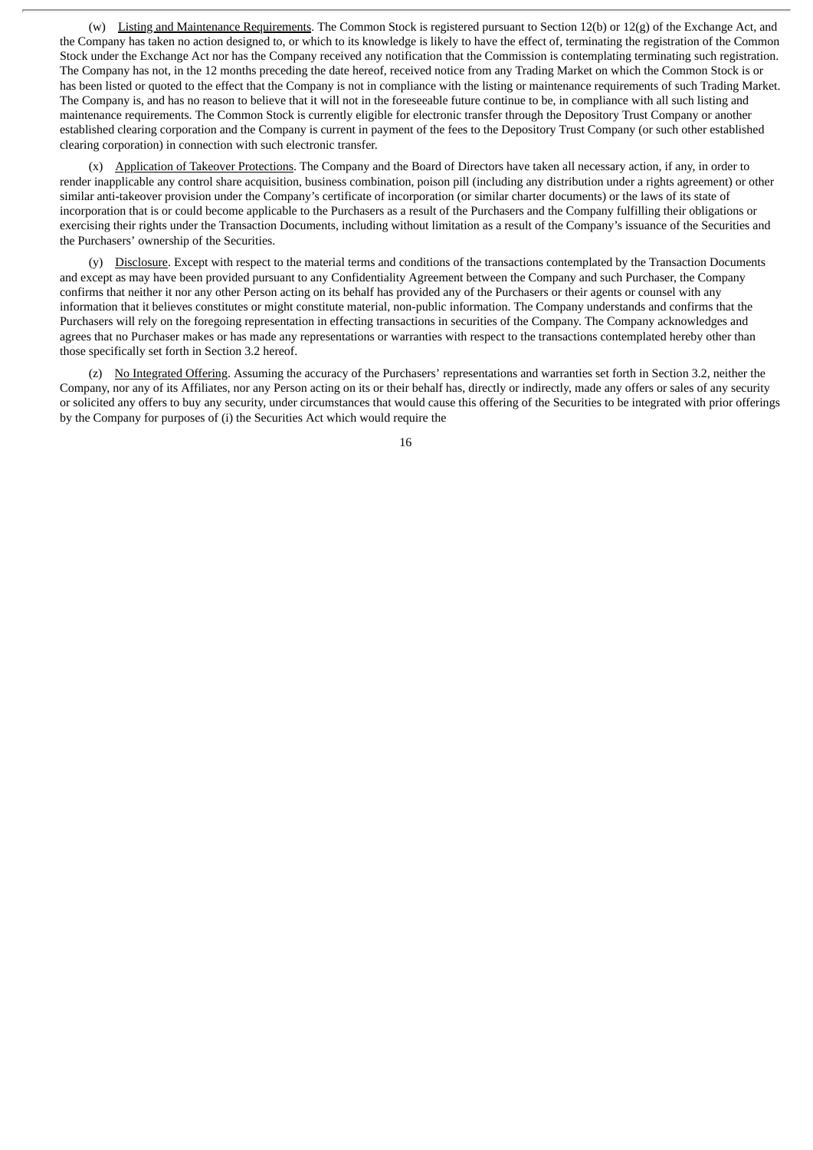(w) Listing and Maintenance Requirements. The Common Stock is registered pursuant to Section 12(b) or 12(g) of the Exchange Act, and the Company has taken no action designed to, or which to its knowledge is likely to have the effect of, terminating the registration of the Common Stock under the Exchange Act nor has the Company received any notification that the Commission is contemplating terminating such registration. The Company has not, in the 12 months preceding the date hereof, received notice from any Trading Market on which the Common Stock is or has been listed or quoted to the effect that the Company is not in compliance with the listing or maintenance requirements of such Trading Market. The Company is, and has no reason to believe that it will not in the foreseeable future continue to be, in compliance with all such listing and maintenance requirements. The Common Stock is currently eligible for electronic transfer through the Depository Trust Company or another established clearing corporation and the Company is current in payment of the fees to the Depository Trust Company (or such other established clearing corporation) in connection with such electronic transfer.

(x) Application of Takeover Protections. The Company and the Board of Directors have taken all necessary action, if any, in order to render inapplicable any control share acquisition, business combination, poison pill (including any distribution under a rights agreement) or other similar anti-takeover provision under the Company's certificate of incorporation (or similar charter documents) or the laws of its state of incorporation that is or could become applicable to the Purchasers as a result of the Purchasers and the Company fulfilling their obligations or exercising their rights under the Transaction Documents, including without limitation as a result of the Company's issuance of the Securities and the Purchasers' ownership of the Securities.

(y) Disclosure. Except with respect to the material terms and conditions of the transactions contemplated by the Transaction Documents and except as may have been provided pursuant to any Confidentiality Agreement between the Company and such Purchaser, the Company confirms that neither it nor any other Person acting on its behalf has provided any of the Purchasers or their agents or counsel with any information that it believes constitutes or might constitute material, non-public information. The Company understands and confirms that the Purchasers will rely on the foregoing representation in effecting transactions in securities of the Company. The Company acknowledges and agrees that no Purchaser makes or has made any representations or warranties with respect to the transactions contemplated hereby other than those specifically set forth in Section 3.2 hereof.

(z) No Integrated Offering. Assuming the accuracy of the Purchasers' representations and warranties set forth in Section 3.2, neither the Company, nor any of its Affiliates, nor any Person acting on its or their behalf has, directly or indirectly, made any offers or sales of any security or solicited any offers to buy any security, under circumstances that would cause this offering of the Securities to be integrated with prior offerings by the Company for purposes of (i) the Securities Act which would require the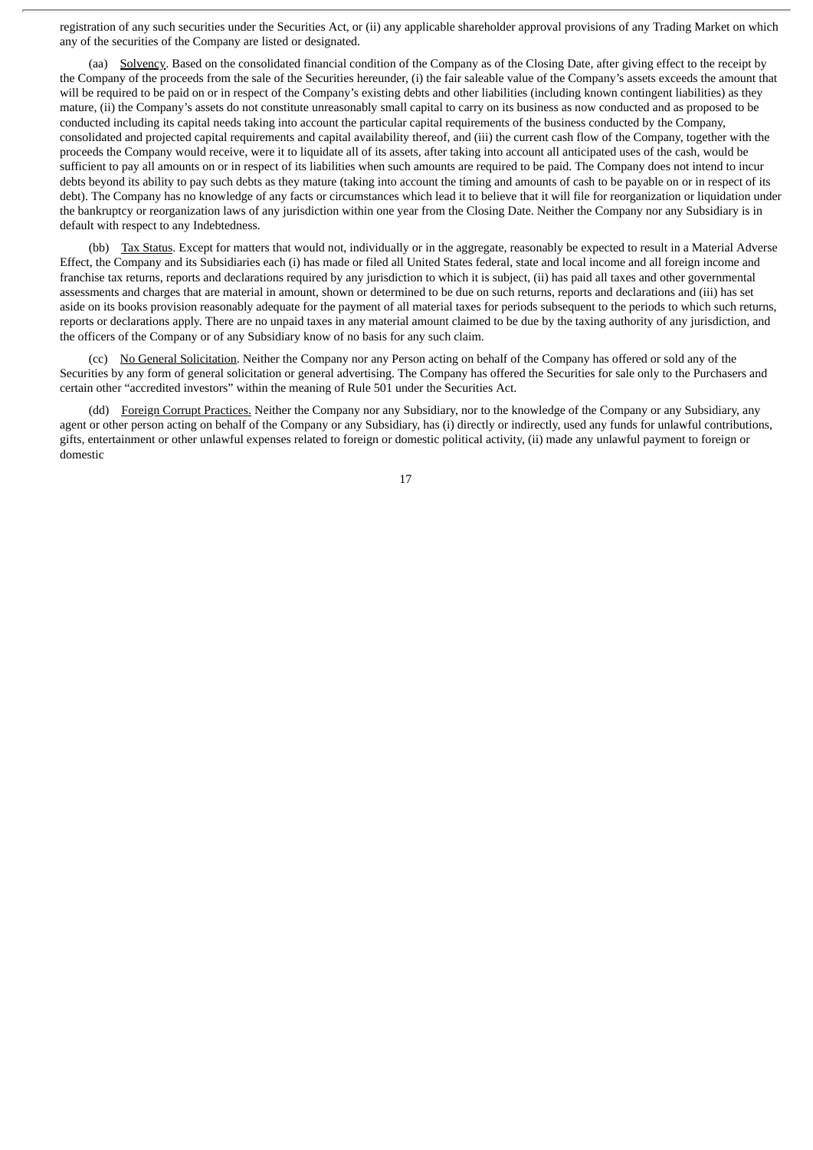registration of any such securities under the Securities Act, or (ii) any applicable shareholder approval provisions of any Trading Market on which any of the securities of the Company are listed or designated.

(aa) Solvency. Based on the consolidated financial condition of the Company as of the Closing Date, after giving effect to the receipt by the Company of the proceeds from the sale of the Securities hereunder, (i) the fair saleable value of the Company's assets exceeds the amount that will be required to be paid on or in respect of the Company's existing debts and other liabilities (including known contingent liabilities) as they mature, (ii) the Company's assets do not constitute unreasonably small capital to carry on its business as now conducted and as proposed to be conducted including its capital needs taking into account the particular capital requirements of the business conducted by the Company, consolidated and projected capital requirements and capital availability thereof, and (iii) the current cash flow of the Company, together with the proceeds the Company would receive, were it to liquidate all of its assets, after taking into account all anticipated uses of the cash, would be sufficient to pay all amounts on or in respect of its liabilities when such amounts are required to be paid. The Company does not intend to incur debts beyond its ability to pay such debts as they mature (taking into account the timing and amounts of cash to be payable on or in respect of its debt). The Company has no knowledge of any facts or circumstances which lead it to believe that it will file for reorganization or liquidation under the bankruptcy or reorganization laws of any jurisdiction within one year from the Closing Date. Neither the Company nor any Subsidiary is in default with respect to any Indebtedness.

(bb) Tax Status. Except for matters that would not, individually or in the aggregate, reasonably be expected to result in a Material Adverse Effect, the Company and its Subsidiaries each (i) has made or filed all United States federal, state and local income and all foreign income and franchise tax returns, reports and declarations required by any jurisdiction to which it is subject, (ii) has paid all taxes and other governmental assessments and charges that are material in amount, shown or determined to be due on such returns, reports and declarations and (iii) has set aside on its books provision reasonably adequate for the payment of all material taxes for periods subsequent to the periods to which such returns, reports or declarations apply. There are no unpaid taxes in any material amount claimed to be due by the taxing authority of any jurisdiction, and the officers of the Company or of any Subsidiary know of no basis for any such claim.

(cc) No General Solicitation. Neither the Company nor any Person acting on behalf of the Company has offered or sold any of the Securities by any form of general solicitation or general advertising. The Company has offered the Securities for sale only to the Purchasers and certain other "accredited investors" within the meaning of Rule 501 under the Securities Act.

(dd) Foreign Corrupt Practices. Neither the Company nor any Subsidiary, nor to the knowledge of the Company or any Subsidiary, any agent or other person acting on behalf of the Company or any Subsidiary, has (i) directly or indirectly, used any funds for unlawful contributions, gifts, entertainment or other unlawful expenses related to foreign or domestic political activity, (ii) made any unlawful payment to foreign or domestic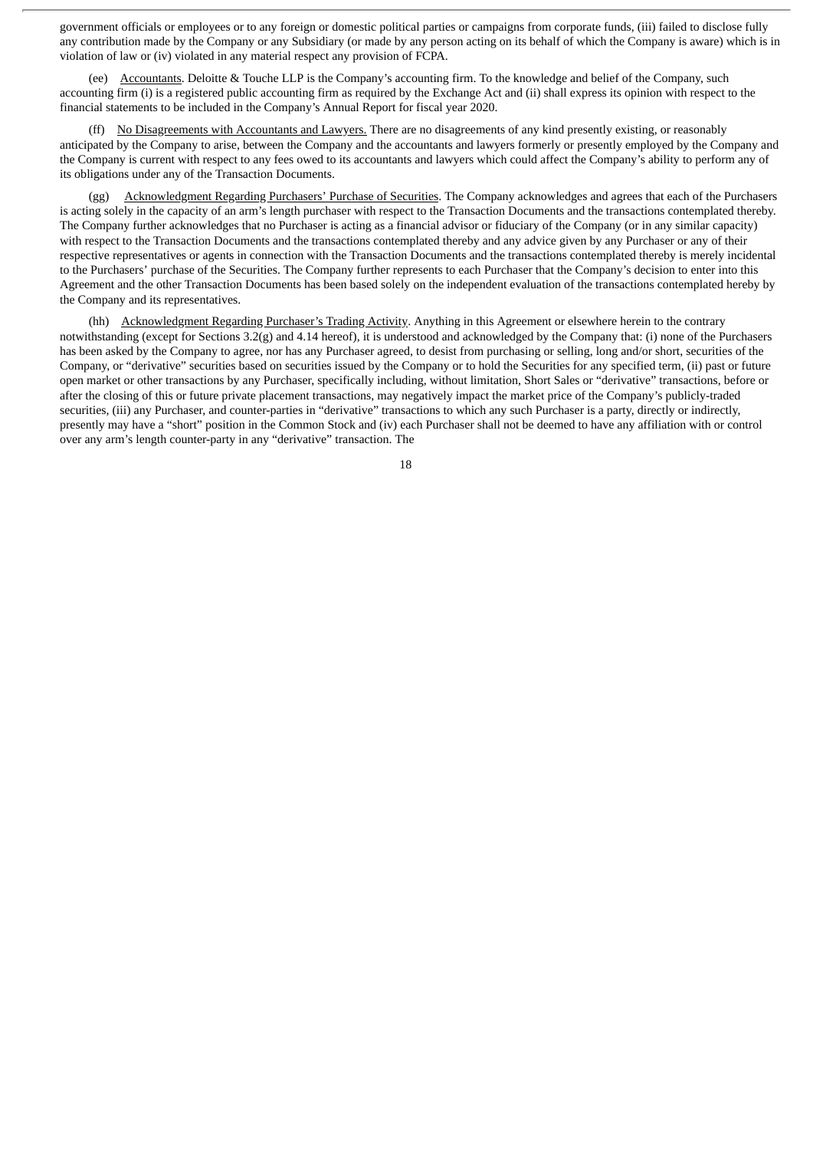government officials or employees or to any foreign or domestic political parties or campaigns from corporate funds, (iii) failed to disclose fully any contribution made by the Company or any Subsidiary (or made by any person acting on its behalf of which the Company is aware) which is in violation of law or (iv) violated in any material respect any provision of FCPA.

(ee) Accountants. Deloitte & Touche LLP is the Company's accounting firm. To the knowledge and belief of the Company, such accounting firm (i) is a registered public accounting firm as required by the Exchange Act and (ii) shall express its opinion with respect to the financial statements to be included in the Company's Annual Report for fiscal year 2020.

(ff) No Disagreements with Accountants and Lawyers. There are no disagreements of any kind presently existing, or reasonably anticipated by the Company to arise, between the Company and the accountants and lawyers formerly or presently employed by the Company and the Company is current with respect to any fees owed to its accountants and lawyers which could affect the Company's ability to perform any of its obligations under any of the Transaction Documents.

(gg) Acknowledgment Regarding Purchasers' Purchase of Securities. The Company acknowledges and agrees that each of the Purchasers is acting solely in the capacity of an arm's length purchaser with respect to the Transaction Documents and the transactions contemplated thereby. The Company further acknowledges that no Purchaser is acting as a financial advisor or fiduciary of the Company (or in any similar capacity) with respect to the Transaction Documents and the transactions contemplated thereby and any advice given by any Purchaser or any of their respective representatives or agents in connection with the Transaction Documents and the transactions contemplated thereby is merely incidental to the Purchasers' purchase of the Securities. The Company further represents to each Purchaser that the Company's decision to enter into this Agreement and the other Transaction Documents has been based solely on the independent evaluation of the transactions contemplated hereby by the Company and its representatives.

(hh) Acknowledgment Regarding Purchaser's Trading Activity. Anything in this Agreement or elsewhere herein to the contrary notwithstanding (except for Sections 3.2(g) and 4.14 hereof), it is understood and acknowledged by the Company that: (i) none of the Purchasers has been asked by the Company to agree, nor has any Purchaser agreed, to desist from purchasing or selling, long and/or short, securities of the Company, or "derivative" securities based on securities issued by the Company or to hold the Securities for any specified term, (ii) past or future open market or other transactions by any Purchaser, specifically including, without limitation, Short Sales or "derivative" transactions, before or after the closing of this or future private placement transactions, may negatively impact the market price of the Company's publicly-traded securities, (iii) any Purchaser, and counter-parties in "derivative" transactions to which any such Purchaser is a party, directly or indirectly, presently may have a "short" position in the Common Stock and (iv) each Purchaser shall not be deemed to have any affiliation with or control over any arm's length counter-party in any "derivative" transaction. The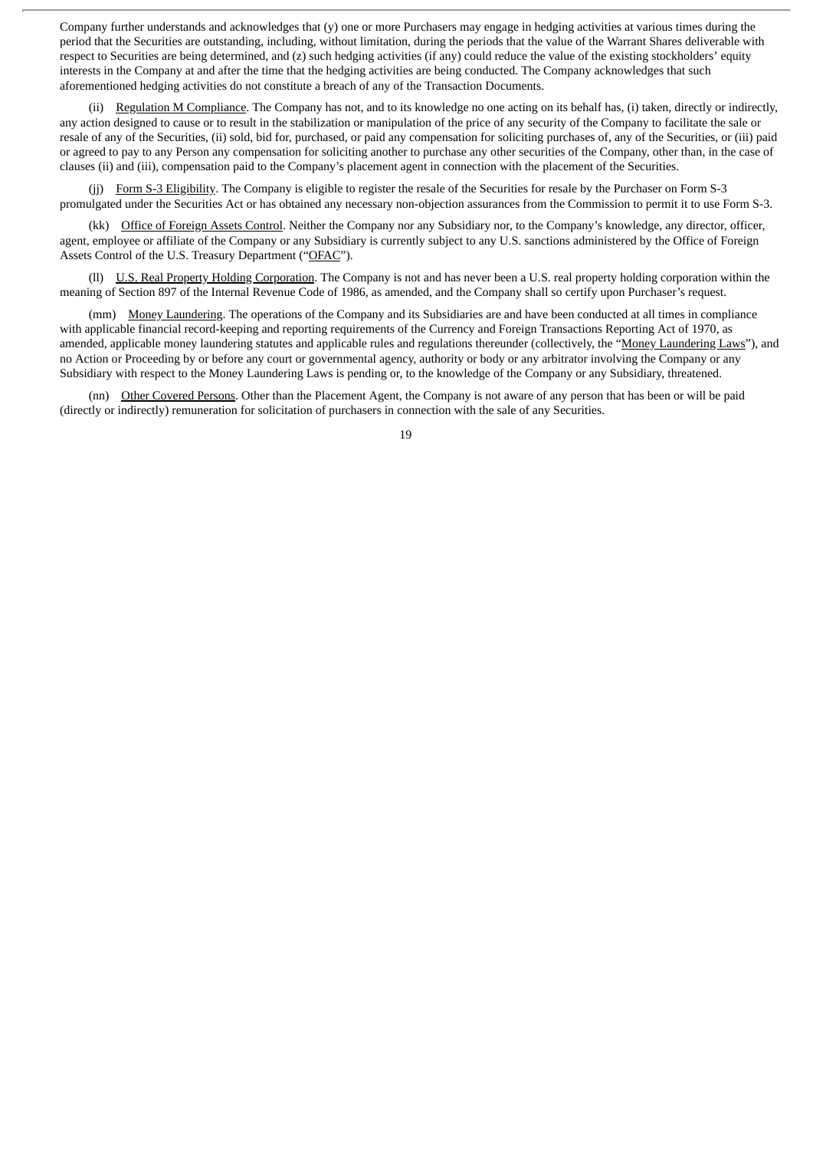Company further understands and acknowledges that (y) one or more Purchasers may engage in hedging activities at various times during the period that the Securities are outstanding, including, without limitation, during the periods that the value of the Warrant Shares deliverable with respect to Securities are being determined, and (z) such hedging activities (if any) could reduce the value of the existing stockholders' equity interests in the Company at and after the time that the hedging activities are being conducted. The Company acknowledges that such aforementioned hedging activities do not constitute a breach of any of the Transaction Documents.

(ii) Regulation M Compliance. The Company has not, and to its knowledge no one acting on its behalf has, (i) taken, directly or indirectly, any action designed to cause or to result in the stabilization or manipulation of the price of any security of the Company to facilitate the sale or resale of any of the Securities, (ii) sold, bid for, purchased, or paid any compensation for soliciting purchases of, any of the Securities, or (iii) paid or agreed to pay to any Person any compensation for soliciting another to purchase any other securities of the Company, other than, in the case of clauses (ii) and (iii), compensation paid to the Company's placement agent in connection with the placement of the Securities.

(jj) Form S-3 Eligibility. The Company is eligible to register the resale of the Securities for resale by the Purchaser on Form S-3 promulgated under the Securities Act or has obtained any necessary non-objection assurances from the Commission to permit it to use Form S-3.

(kk) Office of Foreign Assets Control. Neither the Company nor any Subsidiary nor, to the Company's knowledge, any director, officer, agent, employee or affiliate of the Company or any Subsidiary is currently subject to any U.S. sanctions administered by the Office of Foreign Assets Control of the U.S. Treasury Department ("OFAC").

(ll) U.S. Real Property Holding Corporation. The Company is not and has never been a U.S. real property holding corporation within the meaning of Section 897 of the Internal Revenue Code of 1986, as amended, and the Company shall so certify upon Purchaser's request.

(mm) Money Laundering. The operations of the Company and its Subsidiaries are and have been conducted at all times in compliance with applicable financial record-keeping and reporting requirements of the Currency and Foreign Transactions Reporting Act of 1970, as amended, applicable money laundering statutes and applicable rules and regulations thereunder (collectively, the "Money Laundering Laws"), and no Action or Proceeding by or before any court or governmental agency, authority or body or any arbitrator involving the Company or any Subsidiary with respect to the Money Laundering Laws is pending or, to the knowledge of the Company or any Subsidiary, threatened.

(nn) Other Covered Persons. Other than the Placement Agent, the Company is not aware of any person that has been or will be paid (directly or indirectly) remuneration for solicitation of purchasers in connection with the sale of any Securities.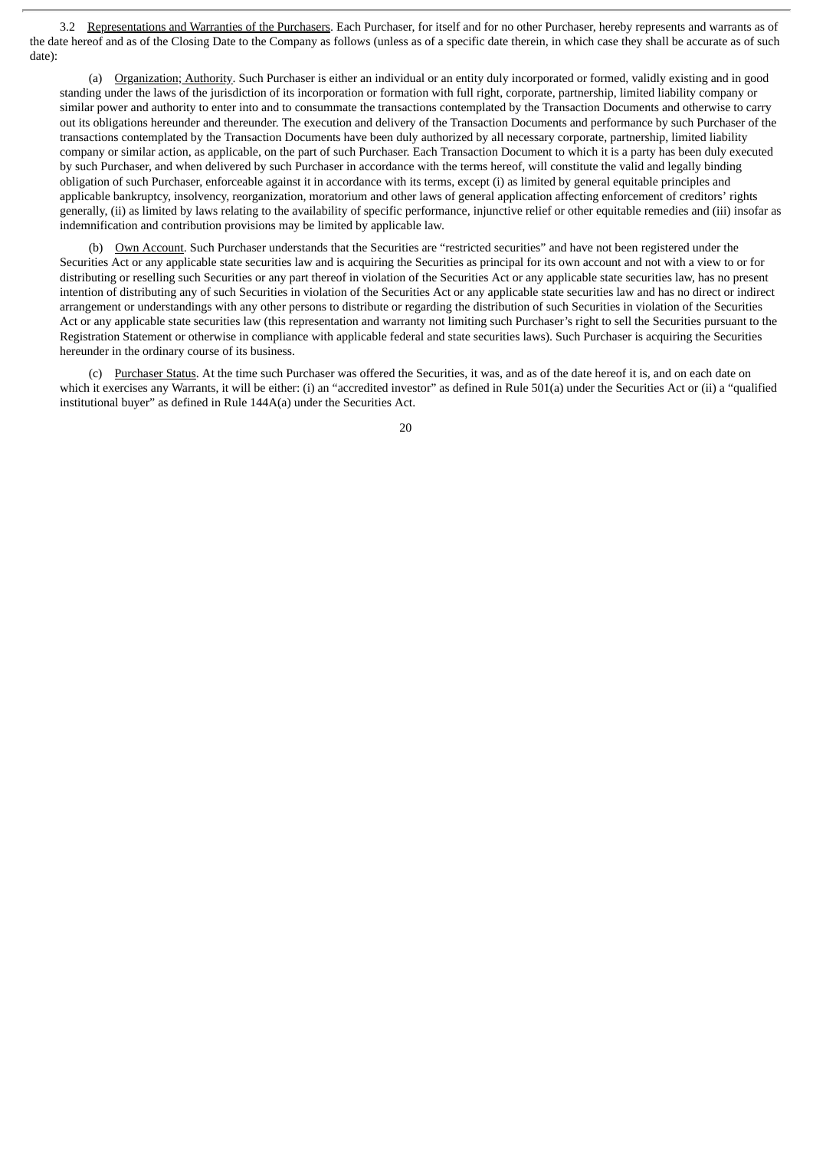3.2 Representations and Warranties of the Purchasers. Each Purchaser, for itself and for no other Purchaser, hereby represents and warrants as of the date hereof and as of the Closing Date to the Company as follows (unless as of a specific date therein, in which case they shall be accurate as of such date):

(a) Organization; Authority. Such Purchaser is either an individual or an entity duly incorporated or formed, validly existing and in good standing under the laws of the jurisdiction of its incorporation or formation with full right, corporate, partnership, limited liability company or similar power and authority to enter into and to consummate the transactions contemplated by the Transaction Documents and otherwise to carry out its obligations hereunder and thereunder. The execution and delivery of the Transaction Documents and performance by such Purchaser of the transactions contemplated by the Transaction Documents have been duly authorized by all necessary corporate, partnership, limited liability company or similar action, as applicable, on the part of such Purchaser. Each Transaction Document to which it is a party has been duly executed by such Purchaser, and when delivered by such Purchaser in accordance with the terms hereof, will constitute the valid and legally binding obligation of such Purchaser, enforceable against it in accordance with its terms, except (i) as limited by general equitable principles and applicable bankruptcy, insolvency, reorganization, moratorium and other laws of general application affecting enforcement of creditors' rights generally, (ii) as limited by laws relating to the availability of specific performance, injunctive relief or other equitable remedies and (iii) insofar as indemnification and contribution provisions may be limited by applicable law.

(b) Own Account. Such Purchaser understands that the Securities are "restricted securities" and have not been registered under the Securities Act or any applicable state securities law and is acquiring the Securities as principal for its own account and not with a view to or for distributing or reselling such Securities or any part thereof in violation of the Securities Act or any applicable state securities law, has no present intention of distributing any of such Securities in violation of the Securities Act or any applicable state securities law and has no direct or indirect arrangement or understandings with any other persons to distribute or regarding the distribution of such Securities in violation of the Securities Act or any applicable state securities law (this representation and warranty not limiting such Purchaser's right to sell the Securities pursuant to the Registration Statement or otherwise in compliance with applicable federal and state securities laws). Such Purchaser is acquiring the Securities hereunder in the ordinary course of its business.

(c) Purchaser Status. At the time such Purchaser was offered the Securities, it was, and as of the date hereof it is, and on each date on which it exercises any Warrants, it will be either: (i) an "accredited investor" as defined in Rule 501(a) under the Securities Act or (ii) a "qualified institutional buyer" as defined in Rule 144A(a) under the Securities Act.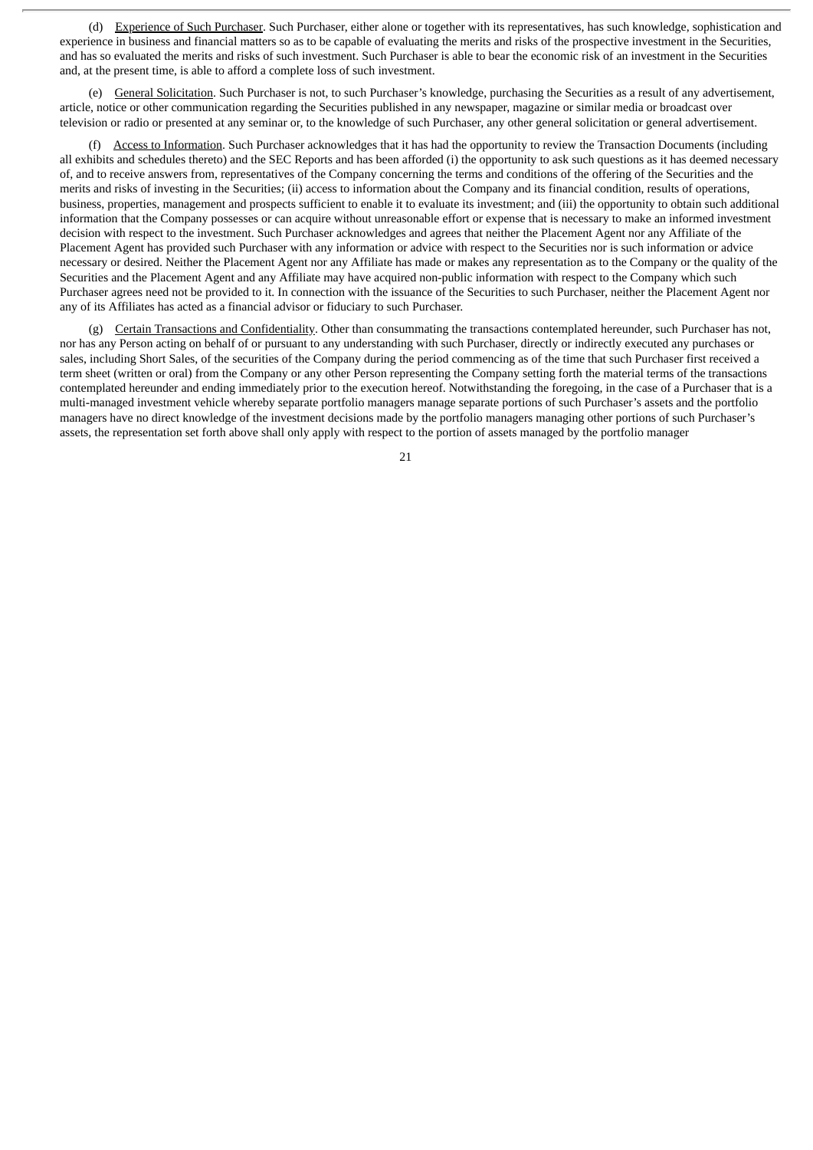(d) Experience of Such Purchaser. Such Purchaser, either alone or together with its representatives, has such knowledge, sophistication and experience in business and financial matters so as to be capable of evaluating the merits and risks of the prospective investment in the Securities, and has so evaluated the merits and risks of such investment. Such Purchaser is able to bear the economic risk of an investment in the Securities and, at the present time, is able to afford a complete loss of such investment.

(e) General Solicitation. Such Purchaser is not, to such Purchaser's knowledge, purchasing the Securities as a result of any advertisement, article, notice or other communication regarding the Securities published in any newspaper, magazine or similar media or broadcast over television or radio or presented at any seminar or, to the knowledge of such Purchaser, any other general solicitation or general advertisement.

(f) Access to Information. Such Purchaser acknowledges that it has had the opportunity to review the Transaction Documents (including all exhibits and schedules thereto) and the SEC Reports and has been afforded (i) the opportunity to ask such questions as it has deemed necessary of, and to receive answers from, representatives of the Company concerning the terms and conditions of the offering of the Securities and the merits and risks of investing in the Securities; (ii) access to information about the Company and its financial condition, results of operations, business, properties, management and prospects sufficient to enable it to evaluate its investment; and (iii) the opportunity to obtain such additional information that the Company possesses or can acquire without unreasonable effort or expense that is necessary to make an informed investment decision with respect to the investment. Such Purchaser acknowledges and agrees that neither the Placement Agent nor any Affiliate of the Placement Agent has provided such Purchaser with any information or advice with respect to the Securities nor is such information or advice necessary or desired. Neither the Placement Agent nor any Affiliate has made or makes any representation as to the Company or the quality of the Securities and the Placement Agent and any Affiliate may have acquired non-public information with respect to the Company which such Purchaser agrees need not be provided to it. In connection with the issuance of the Securities to such Purchaser, neither the Placement Agent nor any of its Affiliates has acted as a financial advisor or fiduciary to such Purchaser.

(g) Certain Transactions and Confidentiality. Other than consummating the transactions contemplated hereunder, such Purchaser has not, nor has any Person acting on behalf of or pursuant to any understanding with such Purchaser, directly or indirectly executed any purchases or sales, including Short Sales, of the securities of the Company during the period commencing as of the time that such Purchaser first received a term sheet (written or oral) from the Company or any other Person representing the Company setting forth the material terms of the transactions contemplated hereunder and ending immediately prior to the execution hereof. Notwithstanding the foregoing, in the case of a Purchaser that is a multi-managed investment vehicle whereby separate portfolio managers manage separate portions of such Purchaser's assets and the portfolio managers have no direct knowledge of the investment decisions made by the portfolio managers managing other portions of such Purchaser's assets, the representation set forth above shall only apply with respect to the portion of assets managed by the portfolio manager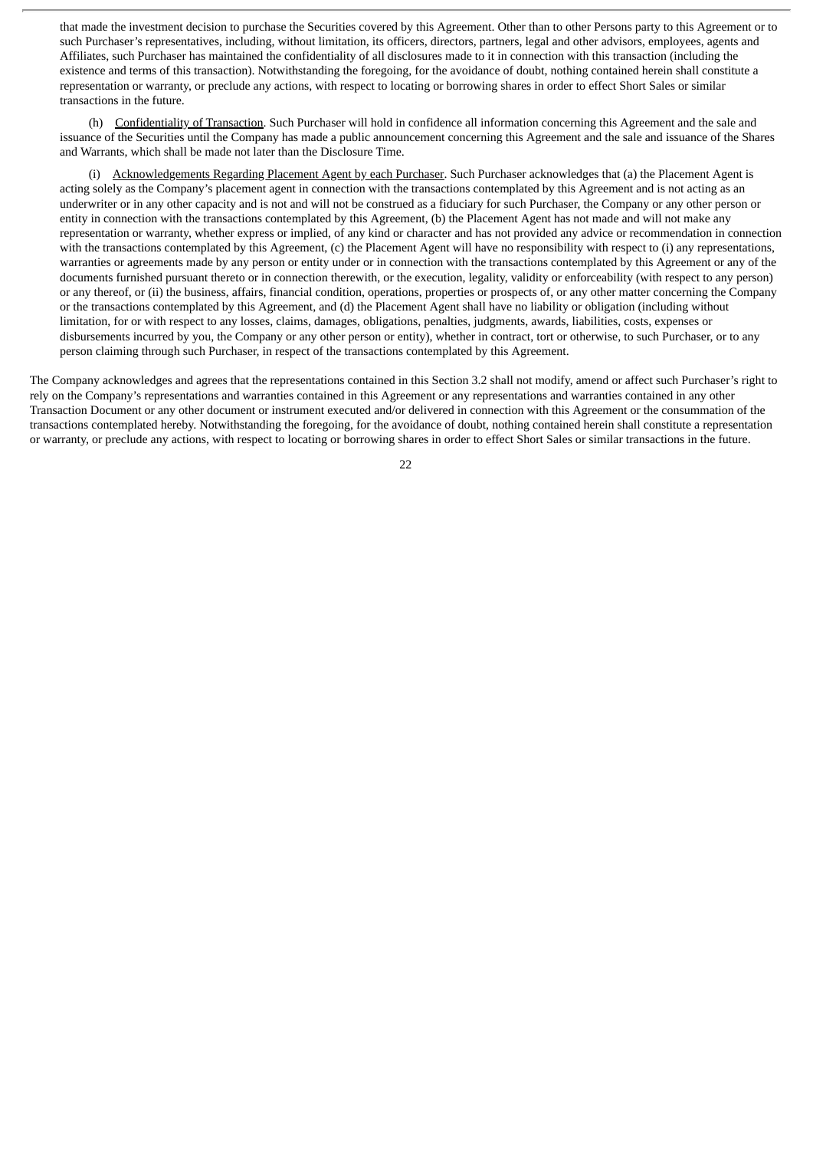that made the investment decision to purchase the Securities covered by this Agreement. Other than to other Persons party to this Agreement or to such Purchaser's representatives, including, without limitation, its officers, directors, partners, legal and other advisors, employees, agents and Affiliates, such Purchaser has maintained the confidentiality of all disclosures made to it in connection with this transaction (including the existence and terms of this transaction). Notwithstanding the foregoing, for the avoidance of doubt, nothing contained herein shall constitute a representation or warranty, or preclude any actions, with respect to locating or borrowing shares in order to effect Short Sales or similar transactions in the future.

(h) Confidentiality of Transaction. Such Purchaser will hold in confidence all information concerning this Agreement and the sale and issuance of the Securities until the Company has made a public announcement concerning this Agreement and the sale and issuance of the Shares and Warrants, which shall be made not later than the Disclosure Time.

(i) Acknowledgements Regarding Placement Agent by each Purchaser. Such Purchaser acknowledges that (a) the Placement Agent is acting solely as the Company's placement agent in connection with the transactions contemplated by this Agreement and is not acting as an underwriter or in any other capacity and is not and will not be construed as a fiduciary for such Purchaser, the Company or any other person or entity in connection with the transactions contemplated by this Agreement, (b) the Placement Agent has not made and will not make any representation or warranty, whether express or implied, of any kind or character and has not provided any advice or recommendation in connection with the transactions contemplated by this Agreement, (c) the Placement Agent will have no responsibility with respect to (i) any representations, warranties or agreements made by any person or entity under or in connection with the transactions contemplated by this Agreement or any of the documents furnished pursuant thereto or in connection therewith, or the execution, legality, validity or enforceability (with respect to any person) or any thereof, or (ii) the business, affairs, financial condition, operations, properties or prospects of, or any other matter concerning the Company or the transactions contemplated by this Agreement, and (d) the Placement Agent shall have no liability or obligation (including without limitation, for or with respect to any losses, claims, damages, obligations, penalties, judgments, awards, liabilities, costs, expenses or disbursements incurred by you, the Company or any other person or entity), whether in contract, tort or otherwise, to such Purchaser, or to any person claiming through such Purchaser, in respect of the transactions contemplated by this Agreement.

The Company acknowledges and agrees that the representations contained in this Section 3.2 shall not modify, amend or affect such Purchaser's right to rely on the Company's representations and warranties contained in this Agreement or any representations and warranties contained in any other Transaction Document or any other document or instrument executed and/or delivered in connection with this Agreement or the consummation of the transactions contemplated hereby. Notwithstanding the foregoing, for the avoidance of doubt, nothing contained herein shall constitute a representation or warranty, or preclude any actions, with respect to locating or borrowing shares in order to effect Short Sales or similar transactions in the future.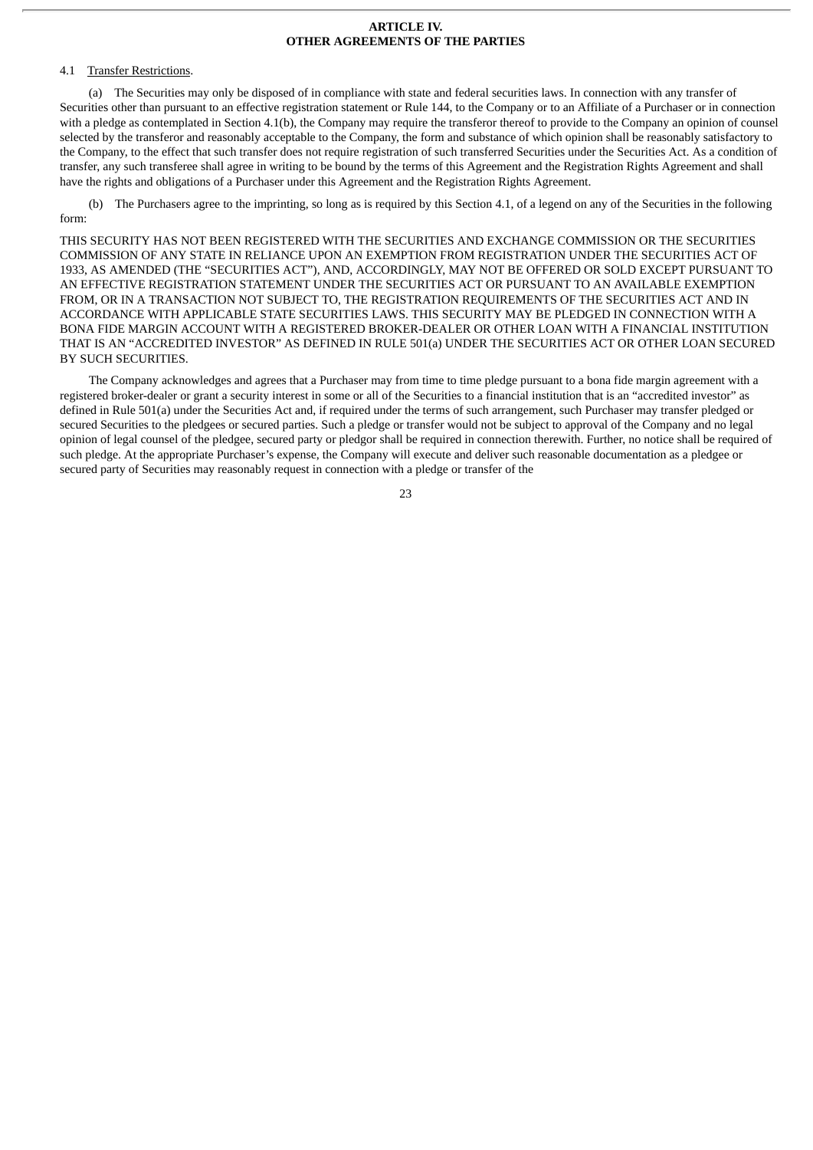## **ARTICLE IV. OTHER AGREEMENTS OF THE PARTIES**

#### 4.1 Transfer Restrictions.

(a) The Securities may only be disposed of in compliance with state and federal securities laws. In connection with any transfer of Securities other than pursuant to an effective registration statement or Rule 144, to the Company or to an Affiliate of a Purchaser or in connection with a pledge as contemplated in Section 4.1(b), the Company may require the transferor thereof to provide to the Company an opinion of counsel selected by the transferor and reasonably acceptable to the Company, the form and substance of which opinion shall be reasonably satisfactory to the Company, to the effect that such transfer does not require registration of such transferred Securities under the Securities Act. As a condition of transfer, any such transferee shall agree in writing to be bound by the terms of this Agreement and the Registration Rights Agreement and shall have the rights and obligations of a Purchaser under this Agreement and the Registration Rights Agreement.

(b) The Purchasers agree to the imprinting, so long as is required by this Section 4.1, of a legend on any of the Securities in the following form:

THIS SECURITY HAS NOT BEEN REGISTERED WITH THE SECURITIES AND EXCHANGE COMMISSION OR THE SECURITIES COMMISSION OF ANY STATE IN RELIANCE UPON AN EXEMPTION FROM REGISTRATION UNDER THE SECURITIES ACT OF 1933, AS AMENDED (THE "SECURITIES ACT"), AND, ACCORDINGLY, MAY NOT BE OFFERED OR SOLD EXCEPT PURSUANT TO AN EFFECTIVE REGISTRATION STATEMENT UNDER THE SECURITIES ACT OR PURSUANT TO AN AVAILABLE EXEMPTION FROM, OR IN A TRANSACTION NOT SUBJECT TO, THE REGISTRATION REQUIREMENTS OF THE SECURITIES ACT AND IN ACCORDANCE WITH APPLICABLE STATE SECURITIES LAWS. THIS SECURITY MAY BE PLEDGED IN CONNECTION WITH A BONA FIDE MARGIN ACCOUNT WITH A REGISTERED BROKER-DEALER OR OTHER LOAN WITH A FINANCIAL INSTITUTION THAT IS AN "ACCREDITED INVESTOR" AS DEFINED IN RULE 501(a) UNDER THE SECURITIES ACT OR OTHER LOAN SECURED BY SUCH SECURITIES.

The Company acknowledges and agrees that a Purchaser may from time to time pledge pursuant to a bona fide margin agreement with a registered broker-dealer or grant a security interest in some or all of the Securities to a financial institution that is an "accredited investor" as defined in Rule 501(a) under the Securities Act and, if required under the terms of such arrangement, such Purchaser may transfer pledged or secured Securities to the pledgees or secured parties. Such a pledge or transfer would not be subject to approval of the Company and no legal opinion of legal counsel of the pledgee, secured party or pledgor shall be required in connection therewith. Further, no notice shall be required of such pledge. At the appropriate Purchaser's expense, the Company will execute and deliver such reasonable documentation as a pledgee or secured party of Securities may reasonably request in connection with a pledge or transfer of the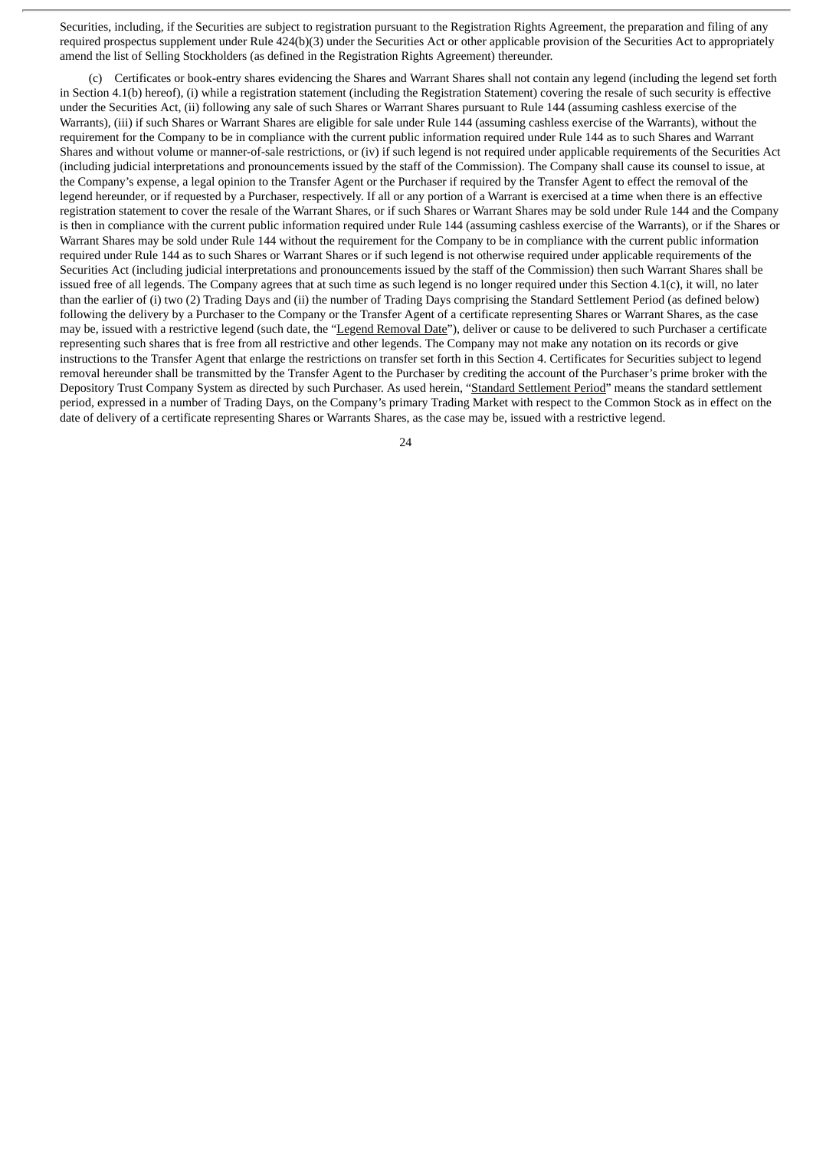Securities, including, if the Securities are subject to registration pursuant to the Registration Rights Agreement, the preparation and filing of any required prospectus supplement under Rule 424(b)(3) under the Securities Act or other applicable provision of the Securities Act to appropriately amend the list of Selling Stockholders (as defined in the Registration Rights Agreement) thereunder.

(c) Certificates or book-entry shares evidencing the Shares and Warrant Shares shall not contain any legend (including the legend set forth in Section 4.1(b) hereof), (i) while a registration statement (including the Registration Statement) covering the resale of such security is effective under the Securities Act, (ii) following any sale of such Shares or Warrant Shares pursuant to Rule 144 (assuming cashless exercise of the Warrants), (iii) if such Shares or Warrant Shares are eligible for sale under Rule 144 (assuming cashless exercise of the Warrants), without the requirement for the Company to be in compliance with the current public information required under Rule 144 as to such Shares and Warrant Shares and without volume or manner-of-sale restrictions, or (iv) if such legend is not required under applicable requirements of the Securities Act (including judicial interpretations and pronouncements issued by the staff of the Commission). The Company shall cause its counsel to issue, at the Company's expense, a legal opinion to the Transfer Agent or the Purchaser if required by the Transfer Agent to effect the removal of the legend hereunder, or if requested by a Purchaser, respectively. If all or any portion of a Warrant is exercised at a time when there is an effective registration statement to cover the resale of the Warrant Shares, or if such Shares or Warrant Shares may be sold under Rule 144 and the Company is then in compliance with the current public information required under Rule 144 (assuming cashless exercise of the Warrants), or if the Shares or Warrant Shares may be sold under Rule 144 without the requirement for the Company to be in compliance with the current public information required under Rule 144 as to such Shares or Warrant Shares or if such legend is not otherwise required under applicable requirements of the Securities Act (including judicial interpretations and pronouncements issued by the staff of the Commission) then such Warrant Shares shall be issued free of all legends. The Company agrees that at such time as such legend is no longer required under this Section 4.1(c), it will, no later than the earlier of (i) two (2) Trading Days and (ii) the number of Trading Days comprising the Standard Settlement Period (as defined below) following the delivery by a Purchaser to the Company or the Transfer Agent of a certificate representing Shares or Warrant Shares, as the case may be, issued with a restrictive legend (such date, the "Legend Removal Date"), deliver or cause to be delivered to such Purchaser a certificate representing such shares that is free from all restrictive and other legends. The Company may not make any notation on its records or give instructions to the Transfer Agent that enlarge the restrictions on transfer set forth in this Section 4. Certificates for Securities subject to legend removal hereunder shall be transmitted by the Transfer Agent to the Purchaser by crediting the account of the Purchaser's prime broker with the Depository Trust Company System as directed by such Purchaser. As used herein, "Standard Settlement Period" means the standard settlement period, expressed in a number of Trading Days, on the Company's primary Trading Market with respect to the Common Stock as in effect on the date of delivery of a certificate representing Shares or Warrants Shares, as the case may be, issued with a restrictive legend.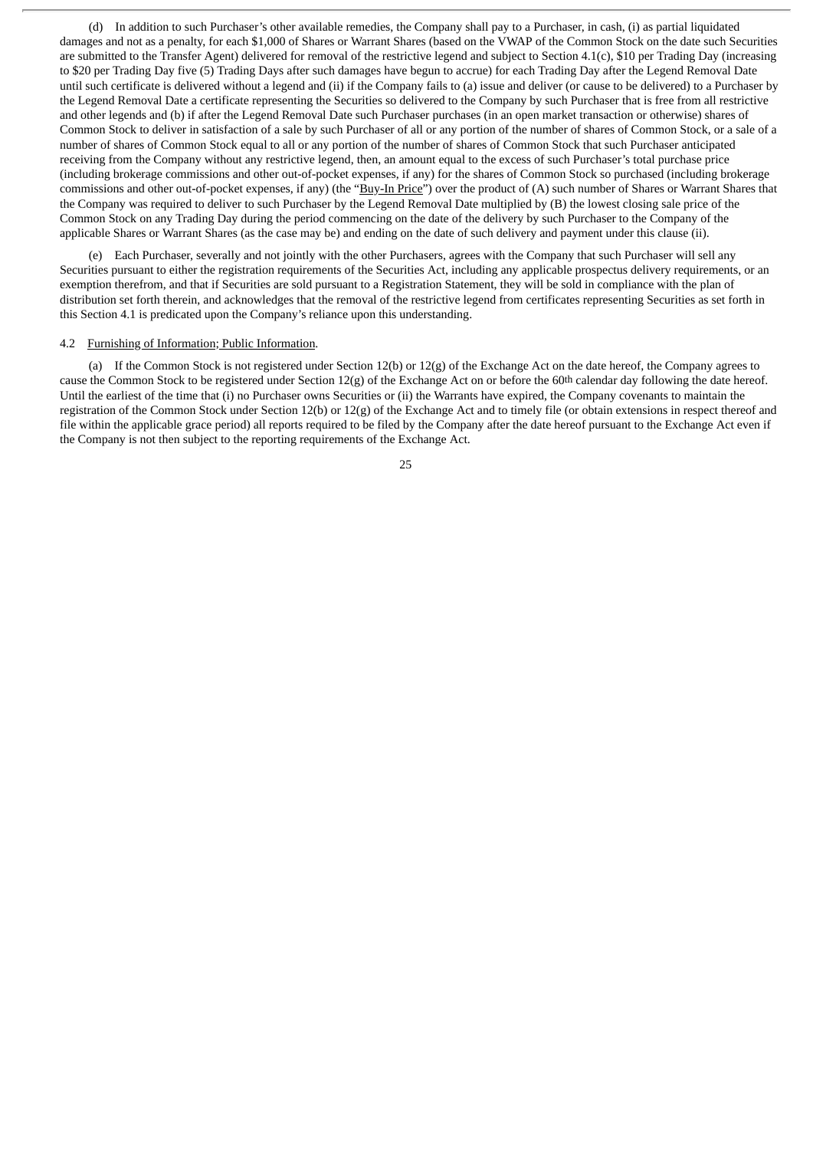(d) In addition to such Purchaser's other available remedies, the Company shall pay to a Purchaser, in cash, (i) as partial liquidated damages and not as a penalty, for each \$1,000 of Shares or Warrant Shares (based on the VWAP of the Common Stock on the date such Securities are submitted to the Transfer Agent) delivered for removal of the restrictive legend and subject to Section 4.1(c), \$10 per Trading Day (increasing to \$20 per Trading Day five (5) Trading Days after such damages have begun to accrue) for each Trading Day after the Legend Removal Date until such certificate is delivered without a legend and (ii) if the Company fails to (a) issue and deliver (or cause to be delivered) to a Purchaser by the Legend Removal Date a certificate representing the Securities so delivered to the Company by such Purchaser that is free from all restrictive and other legends and (b) if after the Legend Removal Date such Purchaser purchases (in an open market transaction or otherwise) shares of Common Stock to deliver in satisfaction of a sale by such Purchaser of all or any portion of the number of shares of Common Stock, or a sale of a number of shares of Common Stock equal to all or any portion of the number of shares of Common Stock that such Purchaser anticipated receiving from the Company without any restrictive legend, then, an amount equal to the excess of such Purchaser's total purchase price (including brokerage commissions and other out-of-pocket expenses, if any) for the shares of Common Stock so purchased (including brokerage commissions and other out-of-pocket expenses, if any) (the "Buy-In Price") over the product of (A) such number of Shares or Warrant Shares that the Company was required to deliver to such Purchaser by the Legend Removal Date multiplied by (B) the lowest closing sale price of the Common Stock on any Trading Day during the period commencing on the date of the delivery by such Purchaser to the Company of the applicable Shares or Warrant Shares (as the case may be) and ending on the date of such delivery and payment under this clause (ii).

(e) Each Purchaser, severally and not jointly with the other Purchasers, agrees with the Company that such Purchaser will sell any Securities pursuant to either the registration requirements of the Securities Act, including any applicable prospectus delivery requirements, or an exemption therefrom, and that if Securities are sold pursuant to a Registration Statement, they will be sold in compliance with the plan of distribution set forth therein, and acknowledges that the removal of the restrictive legend from certificates representing Securities as set forth in this Section 4.1 is predicated upon the Company's reliance upon this understanding.

#### 4.2 Furnishing of Information; Public Information.

(a) If the Common Stock is not registered under Section 12(b) or 12(g) of the Exchange Act on the date hereof, the Company agrees to cause the Common Stock to be registered under Section 12(g) of the Exchange Act on or before the 60th calendar day following the date hereof. Until the earliest of the time that (i) no Purchaser owns Securities or (ii) the Warrants have expired, the Company covenants to maintain the registration of the Common Stock under Section 12(b) or 12(g) of the Exchange Act and to timely file (or obtain extensions in respect thereof and file within the applicable grace period) all reports required to be filed by the Company after the date hereof pursuant to the Exchange Act even if the Company is not then subject to the reporting requirements of the Exchange Act.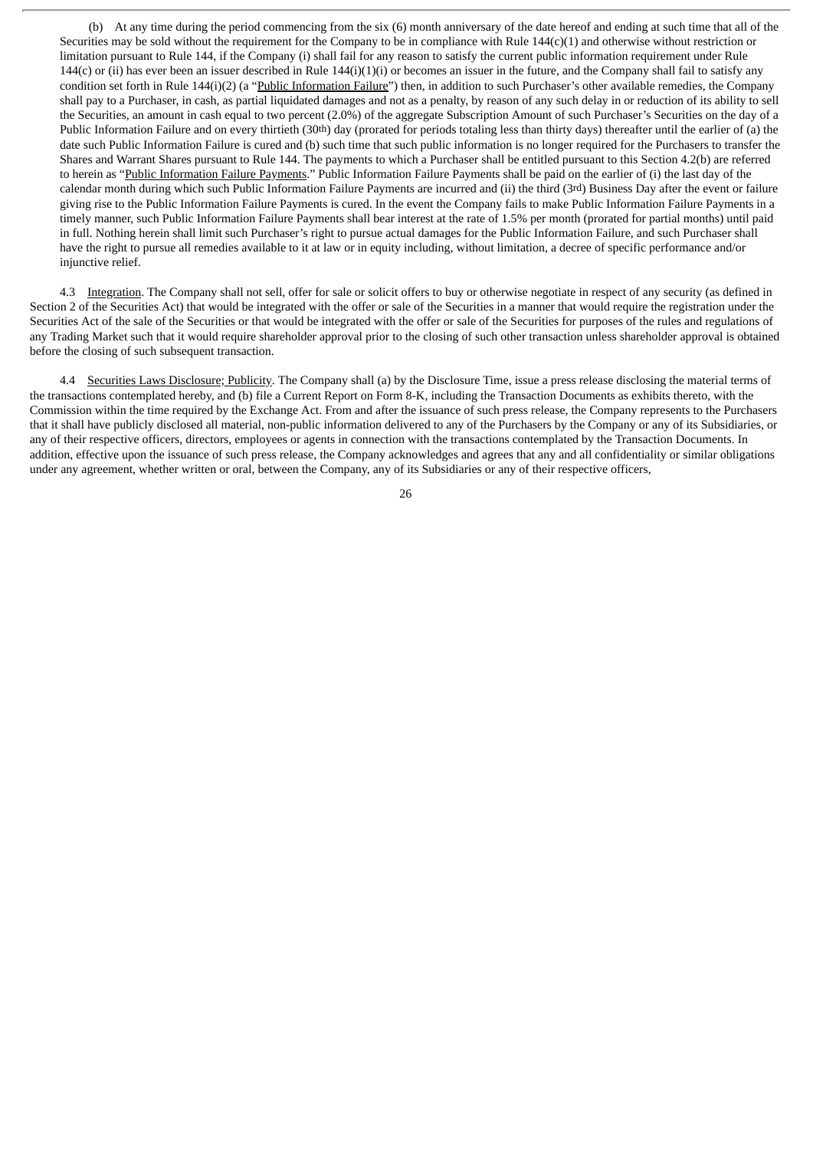(b) At any time during the period commencing from the six (6) month anniversary of the date hereof and ending at such time that all of the Securities may be sold without the requirement for the Company to be in compliance with Rule 144(c)(1) and otherwise without restriction or limitation pursuant to Rule 144, if the Company (i) shall fail for any reason to satisfy the current public information requirement under Rule 144(c) or (ii) has ever been an issuer described in Rule 144(i)(1)(i) or becomes an issuer in the future, and the Company shall fail to satisfy any condition set forth in Rule 144(i)(2) (a "Public Information Failure") then, in addition to such Purchaser's other available remedies, the Company shall pay to a Purchaser, in cash, as partial liquidated damages and not as a penalty, by reason of any such delay in or reduction of its ability to sell the Securities, an amount in cash equal to two percent (2.0%) of the aggregate Subscription Amount of such Purchaser's Securities on the day of a Public Information Failure and on every thirtieth (30<sup>th</sup>) day (prorated for periods totaling less than thirty days) thereafter until the earlier of (a) the date such Public Information Failure is cured and (b) such time that such public information is no longer required for the Purchasers to transfer the Shares and Warrant Shares pursuant to Rule 144. The payments to which a Purchaser shall be entitled pursuant to this Section 4.2(b) are referred to herein as "Public Information Failure Payments." Public Information Failure Payments shall be paid on the earlier of (i) the last day of the calendar month during which such Public Information Failure Payments are incurred and (ii) the third (3rd) Business Day after the event or failure giving rise to the Public Information Failure Payments is cured. In the event the Company fails to make Public Information Failure Payments in a timely manner, such Public Information Failure Payments shall bear interest at the rate of 1.5% per month (prorated for partial months) until paid in full. Nothing herein shall limit such Purchaser's right to pursue actual damages for the Public Information Failure, and such Purchaser shall have the right to pursue all remedies available to it at law or in equity including, without limitation, a decree of specific performance and/or injunctive relief.

4.3 Integration. The Company shall not sell, offer for sale or solicit offers to buy or otherwise negotiate in respect of any security (as defined in Section 2 of the Securities Act) that would be integrated with the offer or sale of the Securities in a manner that would require the registration under the Securities Act of the sale of the Securities or that would be integrated with the offer or sale of the Securities for purposes of the rules and regulations of any Trading Market such that it would require shareholder approval prior to the closing of such other transaction unless shareholder approval is obtained before the closing of such subsequent transaction.

4.4 Securities Laws Disclosure; Publicity. The Company shall (a) by the Disclosure Time, issue a press release disclosing the material terms of the transactions contemplated hereby, and (b) file a Current Report on Form 8-K, including the Transaction Documents as exhibits thereto, with the Commission within the time required by the Exchange Act. From and after the issuance of such press release, the Company represents to the Purchasers that it shall have publicly disclosed all material, non-public information delivered to any of the Purchasers by the Company or any of its Subsidiaries, or any of their respective officers, directors, employees or agents in connection with the transactions contemplated by the Transaction Documents. In addition, effective upon the issuance of such press release, the Company acknowledges and agrees that any and all confidentiality or similar obligations under any agreement, whether written or oral, between the Company, any of its Subsidiaries or any of their respective officers,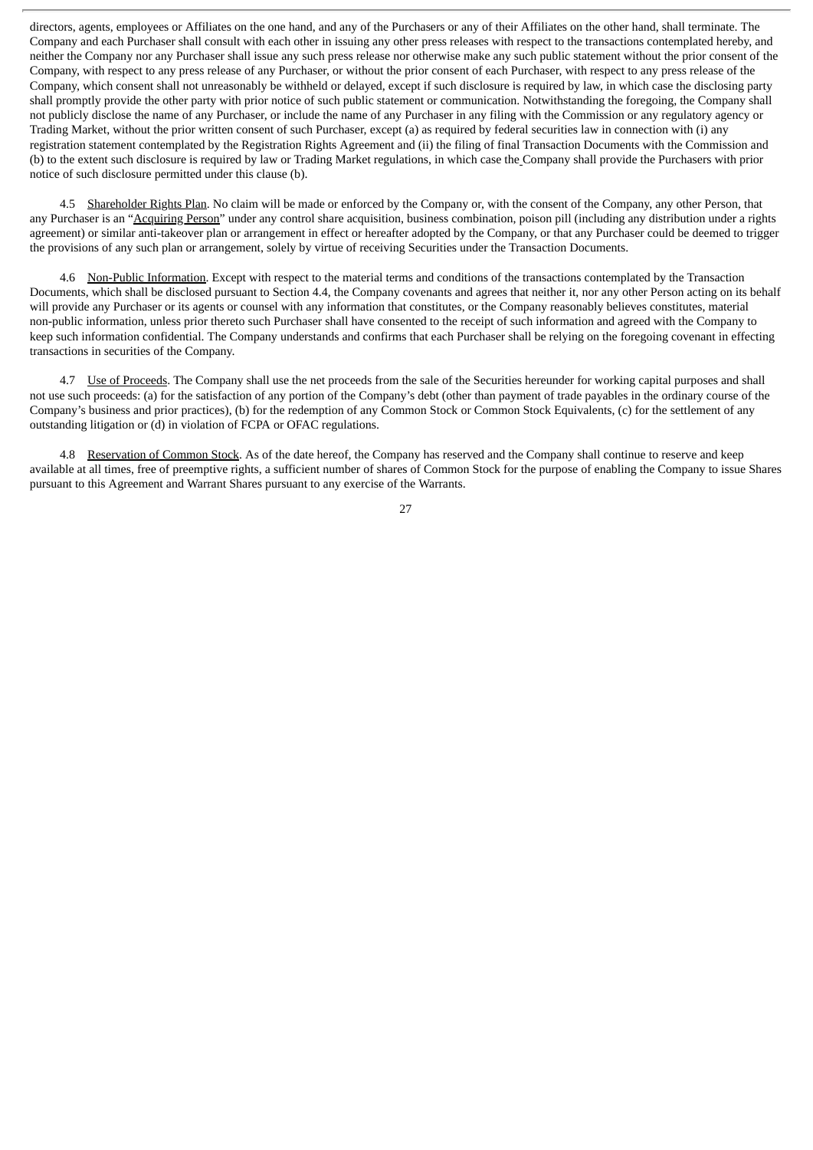directors, agents, employees or Affiliates on the one hand, and any of the Purchasers or any of their Affiliates on the other hand, shall terminate. The Company and each Purchaser shall consult with each other in issuing any other press releases with respect to the transactions contemplated hereby, and neither the Company nor any Purchaser shall issue any such press release nor otherwise make any such public statement without the prior consent of the Company, with respect to any press release of any Purchaser, or without the prior consent of each Purchaser, with respect to any press release of the Company, which consent shall not unreasonably be withheld or delayed, except if such disclosure is required by law, in which case the disclosing party shall promptly provide the other party with prior notice of such public statement or communication. Notwithstanding the foregoing, the Company shall not publicly disclose the name of any Purchaser, or include the name of any Purchaser in any filing with the Commission or any regulatory agency or Trading Market, without the prior written consent of such Purchaser, except (a) as required by federal securities law in connection with (i) any registration statement contemplated by the Registration Rights Agreement and (ii) the filing of final Transaction Documents with the Commission and (b) to the extent such disclosure is required by law or Trading Market regulations, in which case the Company shall provide the Purchasers with prior notice of such disclosure permitted under this clause (b).

4.5 Shareholder Rights Plan. No claim will be made or enforced by the Company or, with the consent of the Company, any other Person. that any Purchaser is an "Acquiring Person" under any control share acquisition, business combination, poison pill (including any distribution under a rights agreement) or similar anti-takeover plan or arrangement in effect or hereafter adopted by the Company, or that any Purchaser could be deemed to trigger the provisions of any such plan or arrangement, solely by virtue of receiving Securities under the Transaction Documents.

4.6 Non-Public Information. Except with respect to the material terms and conditions of the transactions contemplated by the Transaction Documents, which shall be disclosed pursuant to Section 4.4, the Company covenants and agrees that neither it, nor any other Person acting on its behalf will provide any Purchaser or its agents or counsel with any information that constitutes, or the Company reasonably believes constitutes, material non-public information, unless prior thereto such Purchaser shall have consented to the receipt of such information and agreed with the Company to keep such information confidential. The Company understands and confirms that each Purchaser shall be relying on the foregoing covenant in effecting transactions in securities of the Company.

4.7 Use of Proceeds. The Company shall use the net proceeds from the sale of the Securities hereunder for working capital purposes and shall not use such proceeds: (a) for the satisfaction of any portion of the Company's debt (other than payment of trade payables in the ordinary course of the Company's business and prior practices), (b) for the redemption of any Common Stock or Common Stock Equivalents, (c) for the settlement of any outstanding litigation or (d) in violation of FCPA or OFAC regulations.

4.8 Reservation of Common Stock. As of the date hereof, the Company has reserved and the Company shall continue to reserve and keep available at all times, free of preemptive rights, a sufficient number of shares of Common Stock for the purpose of enabling the Company to issue Shares pursuant to this Agreement and Warrant Shares pursuant to any exercise of the Warrants.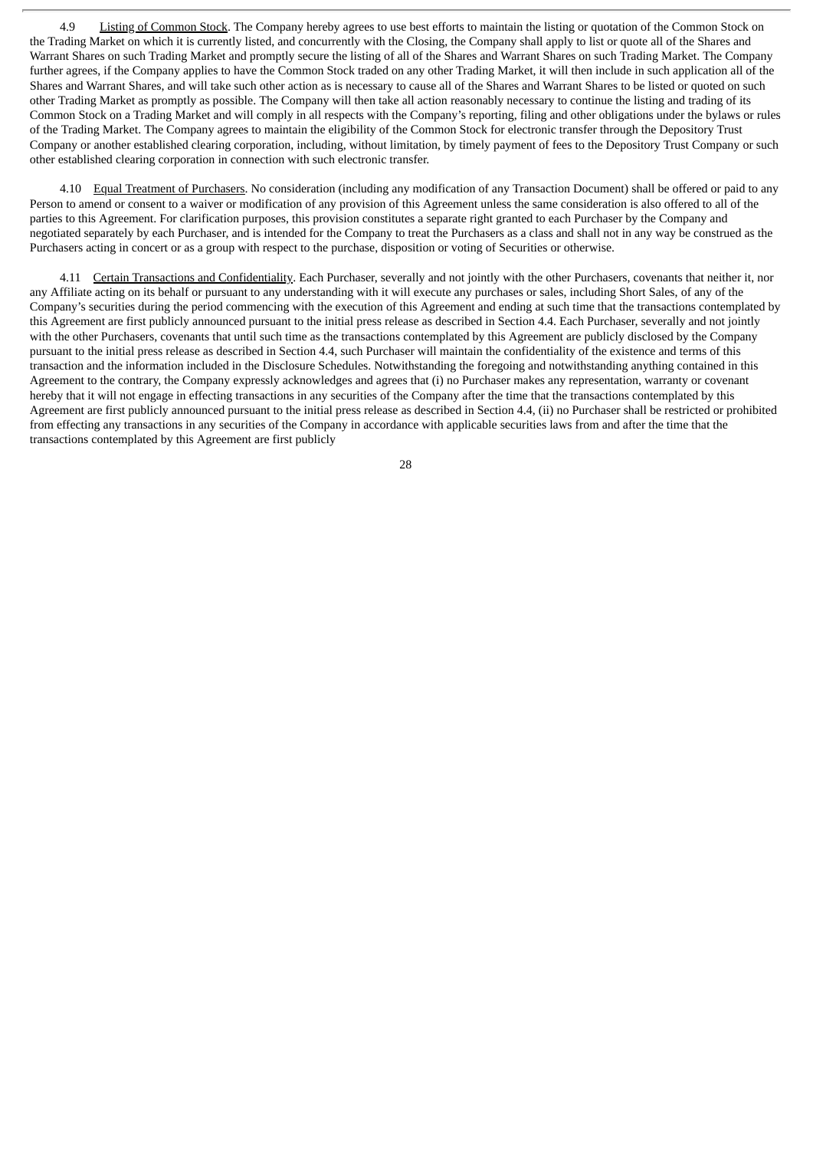4.9 Listing of Common Stock. The Company hereby agrees to use best efforts to maintain the listing or quotation of the Common Stock on the Trading Market on which it is currently listed, and concurrently with the Closing, the Company shall apply to list or quote all of the Shares and Warrant Shares on such Trading Market and promptly secure the listing of all of the Shares and Warrant Shares on such Trading Market. The Company further agrees, if the Company applies to have the Common Stock traded on any other Trading Market, it will then include in such application all of the Shares and Warrant Shares, and will take such other action as is necessary to cause all of the Shares and Warrant Shares to be listed or quoted on such other Trading Market as promptly as possible. The Company will then take all action reasonably necessary to continue the listing and trading of its Common Stock on a Trading Market and will comply in all respects with the Company's reporting, filing and other obligations under the bylaws or rules of the Trading Market. The Company agrees to maintain the eligibility of the Common Stock for electronic transfer through the Depository Trust Company or another established clearing corporation, including, without limitation, by timely payment of fees to the Depository Trust Company or such other established clearing corporation in connection with such electronic transfer.

4.10 Equal Treatment of Purchasers. No consideration (including any modification of any Transaction Document) shall be offered or paid to any Person to amend or consent to a waiver or modification of any provision of this Agreement unless the same consideration is also offered to all of the parties to this Agreement. For clarification purposes, this provision constitutes a separate right granted to each Purchaser by the Company and negotiated separately by each Purchaser, and is intended for the Company to treat the Purchasers as a class and shall not in any way be construed as the Purchasers acting in concert or as a group with respect to the purchase, disposition or voting of Securities or otherwise.

4.11 Certain Transactions and Confidentiality. Each Purchaser, severally and not jointly with the other Purchasers, covenants that neither it, nor any Affiliate acting on its behalf or pursuant to any understanding with it will execute any purchases or sales, including Short Sales, of any of the Company's securities during the period commencing with the execution of this Agreement and ending at such time that the transactions contemplated by this Agreement are first publicly announced pursuant to the initial press release as described in Section 4.4. Each Purchaser, severally and not jointly with the other Purchasers, covenants that until such time as the transactions contemplated by this Agreement are publicly disclosed by the Company pursuant to the initial press release as described in Section 4.4, such Purchaser will maintain the confidentiality of the existence and terms of this transaction and the information included in the Disclosure Schedules. Notwithstanding the foregoing and notwithstanding anything contained in this Agreement to the contrary, the Company expressly acknowledges and agrees that (i) no Purchaser makes any representation, warranty or covenant hereby that it will not engage in effecting transactions in any securities of the Company after the time that the transactions contemplated by this Agreement are first publicly announced pursuant to the initial press release as described in Section 4.4, (ii) no Purchaser shall be restricted or prohibited from effecting any transactions in any securities of the Company in accordance with applicable securities laws from and after the time that the transactions contemplated by this Agreement are first publicly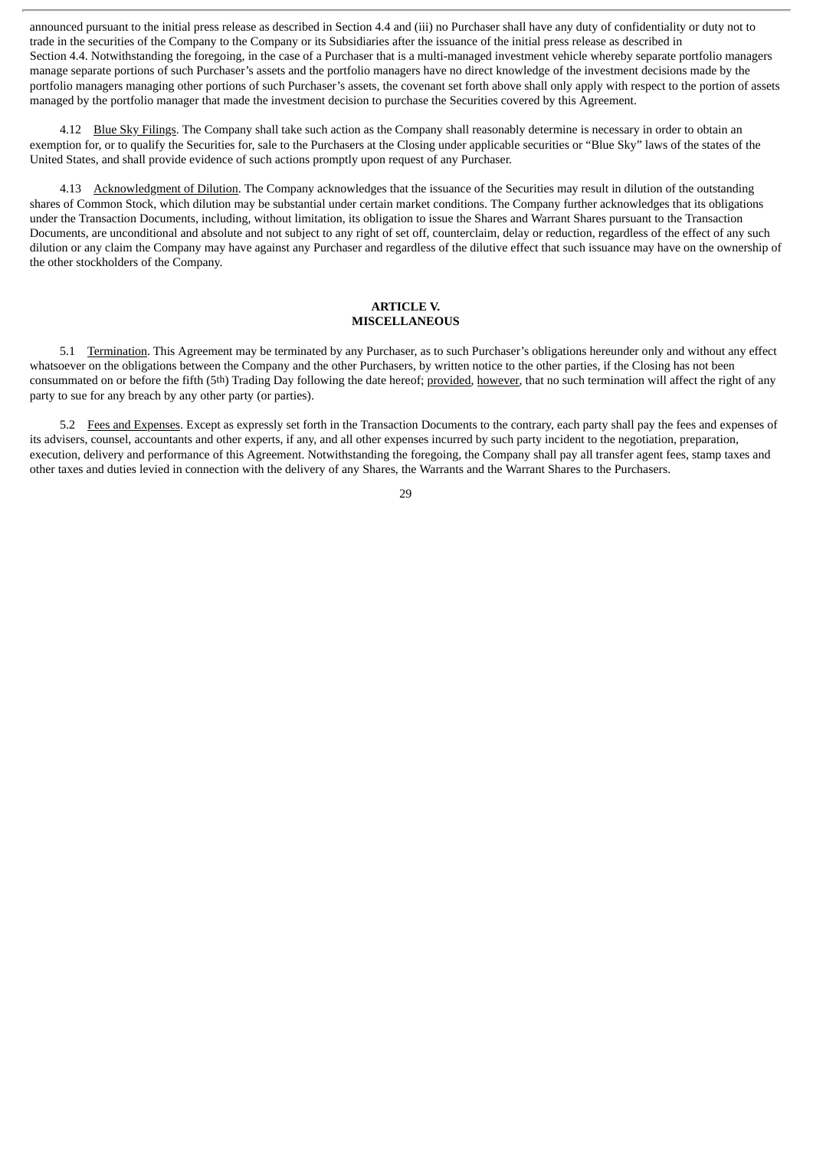announced pursuant to the initial press release as described in Section 4.4 and (iii) no Purchaser shall have any duty of confidentiality or duty not to trade in the securities of the Company to the Company or its Subsidiaries after the issuance of the initial press release as described in Section 4.4. Notwithstanding the foregoing, in the case of a Purchaser that is a multi-managed investment vehicle whereby separate portfolio managers manage separate portions of such Purchaser's assets and the portfolio managers have no direct knowledge of the investment decisions made by the portfolio managers managing other portions of such Purchaser's assets, the covenant set forth above shall only apply with respect to the portion of assets managed by the portfolio manager that made the investment decision to purchase the Securities covered by this Agreement.

4.12 Blue Sky Filings. The Company shall take such action as the Company shall reasonably determine is necessary in order to obtain an exemption for, or to qualify the Securities for, sale to the Purchasers at the Closing under applicable securities or "Blue Sky" laws of the states of the United States, and shall provide evidence of such actions promptly upon request of any Purchaser.

4.13 Acknowledgment of Dilution. The Company acknowledges that the issuance of the Securities may result in dilution of the outstanding shares of Common Stock, which dilution may be substantial under certain market conditions. The Company further acknowledges that its obligations under the Transaction Documents, including, without limitation, its obligation to issue the Shares and Warrant Shares pursuant to the Transaction Documents, are unconditional and absolute and not subject to any right of set off, counterclaim, delay or reduction, regardless of the effect of any such dilution or any claim the Company may have against any Purchaser and regardless of the dilutive effect that such issuance may have on the ownership of the other stockholders of the Company.

## **ARTICLE V. MISCELLANEOUS**

5.1 Termination. This Agreement may be terminated by any Purchaser, as to such Purchaser's obligations hereunder only and without any effect whatsoever on the obligations between the Company and the other Purchasers, by written notice to the other parties, if the Closing has not been consummated on or before the fifth (5<sup>th</sup>) Trading Day following the date hereof; provided, however, that no such termination will affect the right of any party to sue for any breach by any other party (or parties).

5.2 Fees and Expenses. Except as expressly set forth in the Transaction Documents to the contrary, each party shall pay the fees and expenses of its advisers, counsel, accountants and other experts, if any, and all other expenses incurred by such party incident to the negotiation, preparation, execution, delivery and performance of this Agreement. Notwithstanding the foregoing, the Company shall pay all transfer agent fees, stamp taxes and other taxes and duties levied in connection with the delivery of any Shares, the Warrants and the Warrant Shares to the Purchasers.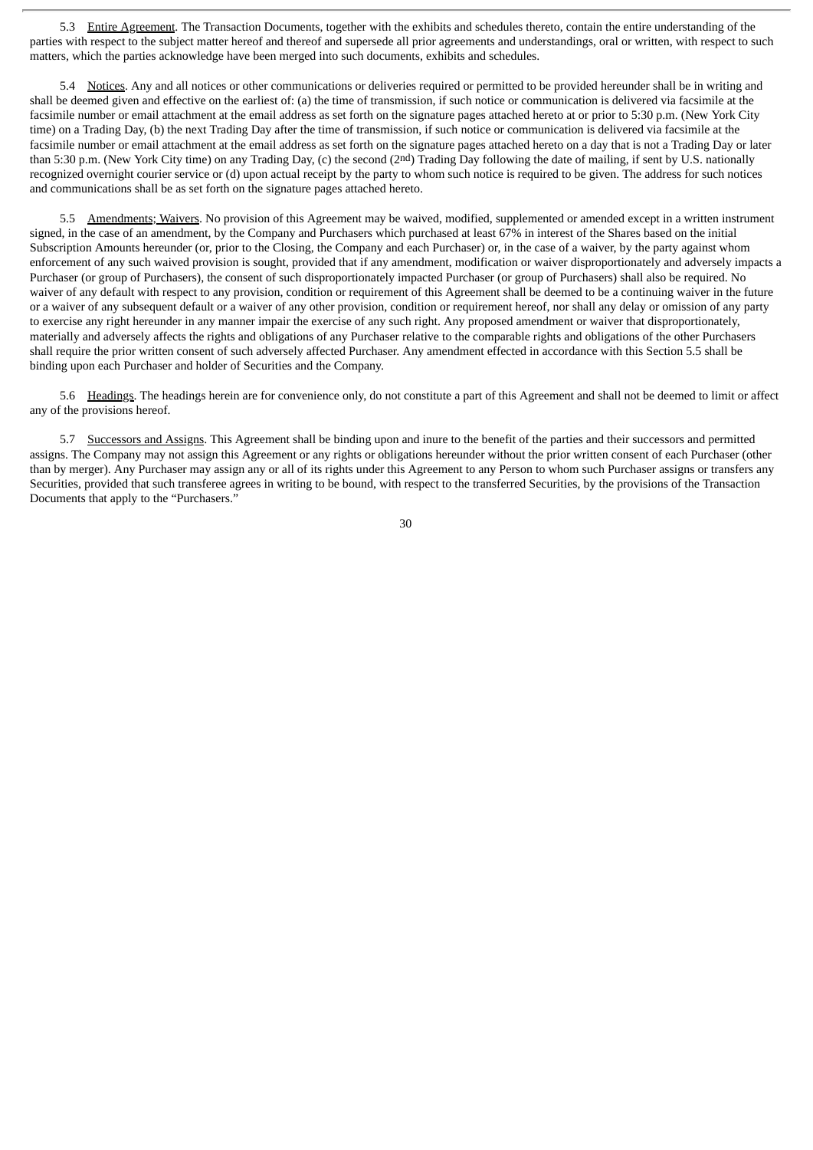5.3 Entire Agreement. The Transaction Documents, together with the exhibits and schedules thereto, contain the entire understanding of the parties with respect to the subject matter hereof and thereof and supersede all prior agreements and understandings, oral or written, with respect to such matters, which the parties acknowledge have been merged into such documents, exhibits and schedules.

5.4 Notices. Any and all notices or other communications or deliveries required or permitted to be provided hereunder shall be in writing and shall be deemed given and effective on the earliest of: (a) the time of transmission, if such notice or communication is delivered via facsimile at the facsimile number or email attachment at the email address as set forth on the signature pages attached hereto at or prior to 5:30 p.m. (New York City time) on a Trading Day, (b) the next Trading Day after the time of transmission, if such notice or communication is delivered via facsimile at the facsimile number or email attachment at the email address as set forth on the signature pages attached hereto on a day that is not a Trading Day or later than 5:30 p.m. (New York City time) on any Trading Day, (c) the second (2nd) Trading Day following the date of mailing, if sent by U.S. nationally recognized overnight courier service or (d) upon actual receipt by the party to whom such notice is required to be given. The address for such notices and communications shall be as set forth on the signature pages attached hereto.

5.5 Amendments; Waivers. No provision of this Agreement may be waived, modified, supplemented or amended except in a written instrument signed, in the case of an amendment, by the Company and Purchasers which purchased at least 67% in interest of the Shares based on the initial Subscription Amounts hereunder (or, prior to the Closing, the Company and each Purchaser) or, in the case of a waiver, by the party against whom enforcement of any such waived provision is sought, provided that if any amendment, modification or waiver disproportionately and adversely impacts a Purchaser (or group of Purchasers), the consent of such disproportionately impacted Purchaser (or group of Purchasers) shall also be required. No waiver of any default with respect to any provision, condition or requirement of this Agreement shall be deemed to be a continuing waiver in the future or a waiver of any subsequent default or a waiver of any other provision, condition or requirement hereof, nor shall any delay or omission of any party to exercise any right hereunder in any manner impair the exercise of any such right. Any proposed amendment or waiver that disproportionately, materially and adversely affects the rights and obligations of any Purchaser relative to the comparable rights and obligations of the other Purchasers shall require the prior written consent of such adversely affected Purchaser. Any amendment effected in accordance with this Section 5.5 shall be binding upon each Purchaser and holder of Securities and the Company.

5.6 Headings. The headings herein are for convenience only, do not constitute a part of this Agreement and shall not be deemed to limit or affect any of the provisions hereof.

5.7 Successors and Assigns. This Agreement shall be binding upon and inure to the benefit of the parties and their successors and permitted assigns. The Company may not assign this Agreement or any rights or obligations hereunder without the prior written consent of each Purchaser (other than by merger). Any Purchaser may assign any or all of its rights under this Agreement to any Person to whom such Purchaser assigns or transfers any Securities, provided that such transferee agrees in writing to be bound, with respect to the transferred Securities, by the provisions of the Transaction Documents that apply to the "Purchasers."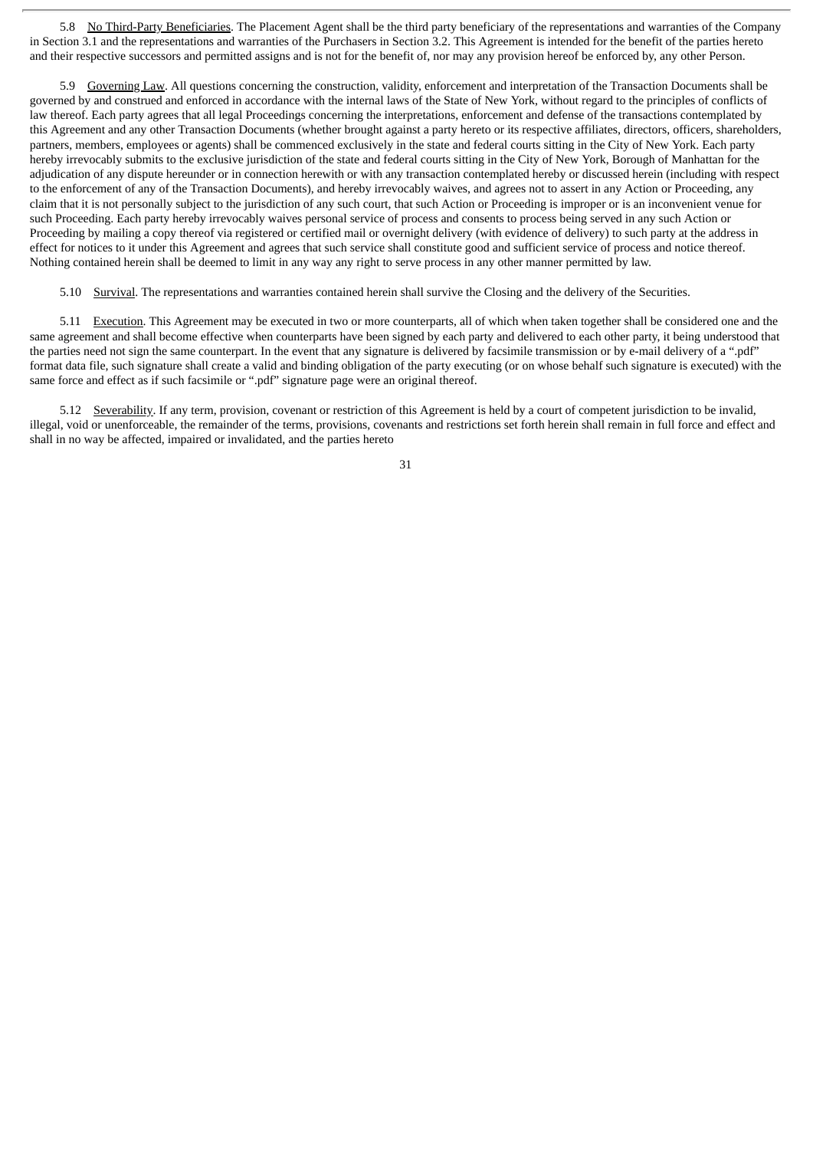5.8 No Third-Party Beneficiaries. The Placement Agent shall be the third party beneficiary of the representations and warranties of the Company in Section 3.1 and the representations and warranties of the Purchasers in Section 3.2. This Agreement is intended for the benefit of the parties hereto and their respective successors and permitted assigns and is not for the benefit of, nor may any provision hereof be enforced by, any other Person.

5.9 Governing Law. All questions concerning the construction, validity, enforcement and interpretation of the Transaction Documents shall be governed by and construed and enforced in accordance with the internal laws of the State of New York, without regard to the principles of conflicts of law thereof. Each party agrees that all legal Proceedings concerning the interpretations, enforcement and defense of the transactions contemplated by this Agreement and any other Transaction Documents (whether brought against a party hereto or its respective affiliates, directors, officers, shareholders, partners, members, employees or agents) shall be commenced exclusively in the state and federal courts sitting in the City of New York. Each party hereby irrevocably submits to the exclusive jurisdiction of the state and federal courts sitting in the City of New York, Borough of Manhattan for the adjudication of any dispute hereunder or in connection herewith or with any transaction contemplated hereby or discussed herein (including with respect to the enforcement of any of the Transaction Documents), and hereby irrevocably waives, and agrees not to assert in any Action or Proceeding, any claim that it is not personally subject to the jurisdiction of any such court, that such Action or Proceeding is improper or is an inconvenient venue for such Proceeding. Each party hereby irrevocably waives personal service of process and consents to process being served in any such Action or Proceeding by mailing a copy thereof via registered or certified mail or overnight delivery (with evidence of delivery) to such party at the address in effect for notices to it under this Agreement and agrees that such service shall constitute good and sufficient service of process and notice thereof. Nothing contained herein shall be deemed to limit in any way any right to serve process in any other manner permitted by law.

5.10 Survival. The representations and warranties contained herein shall survive the Closing and the delivery of the Securities.

5.11 Execution. This Agreement may be executed in two or more counterparts, all of which when taken together shall be considered one and the same agreement and shall become effective when counterparts have been signed by each party and delivered to each other party, it being understood that the parties need not sign the same counterpart. In the event that any signature is delivered by facsimile transmission or by e-mail delivery of a ".pdf" format data file, such signature shall create a valid and binding obligation of the party executing (or on whose behalf such signature is executed) with the same force and effect as if such facsimile or ".pdf" signature page were an original thereof.

5.12 Severability. If any term, provision, covenant or restriction of this Agreement is held by a court of competent jurisdiction to be invalid, illegal, void or unenforceable, the remainder of the terms, provisions, covenants and restrictions set forth herein shall remain in full force and effect and shall in no way be affected, impaired or invalidated, and the parties hereto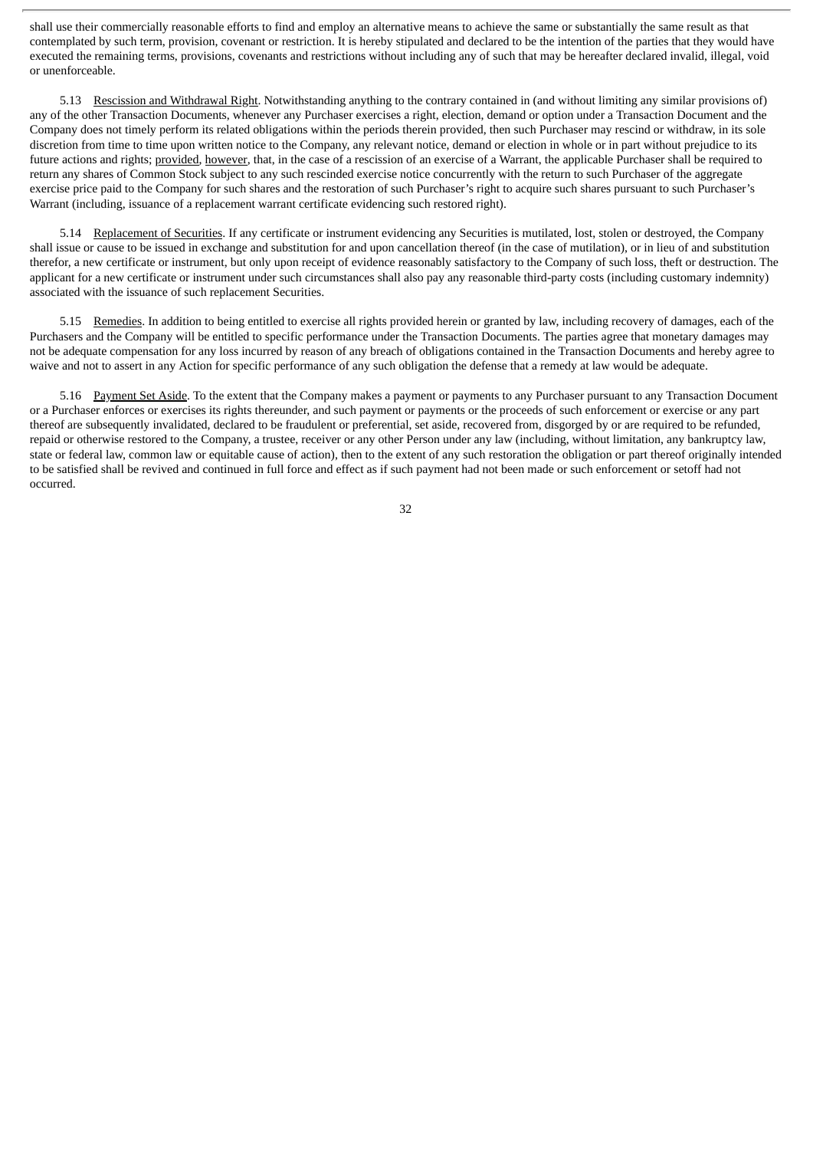shall use their commercially reasonable efforts to find and employ an alternative means to achieve the same or substantially the same result as that contemplated by such term, provision, covenant or restriction. It is hereby stipulated and declared to be the intention of the parties that they would have executed the remaining terms, provisions, covenants and restrictions without including any of such that may be hereafter declared invalid, illegal, void or unenforceable.

5.13 Rescission and Withdrawal Right. Notwithstanding anything to the contrary contained in (and without limiting any similar provisions of) any of the other Transaction Documents, whenever any Purchaser exercises a right, election, demand or option under a Transaction Document and the Company does not timely perform its related obligations within the periods therein provided, then such Purchaser may rescind or withdraw, in its sole discretion from time to time upon written notice to the Company, any relevant notice, demand or election in whole or in part without prejudice to its future actions and rights; provided, however, that, in the case of a rescission of an exercise of a Warrant, the applicable Purchaser shall be required to return any shares of Common Stock subject to any such rescinded exercise notice concurrently with the return to such Purchaser of the aggregate exercise price paid to the Company for such shares and the restoration of such Purchaser's right to acquire such shares pursuant to such Purchaser's Warrant (including, issuance of a replacement warrant certificate evidencing such restored right).

5.14 Replacement of Securities. If any certificate or instrument evidencing any Securities is mutilated, lost, stolen or destroyed, the Company shall issue or cause to be issued in exchange and substitution for and upon cancellation thereof (in the case of mutilation), or in lieu of and substitution therefor, a new certificate or instrument, but only upon receipt of evidence reasonably satisfactory to the Company of such loss, theft or destruction. The applicant for a new certificate or instrument under such circumstances shall also pay any reasonable third-party costs (including customary indemnity) associated with the issuance of such replacement Securities.

5.15 Remedies. In addition to being entitled to exercise all rights provided herein or granted by law, including recovery of damages, each of the Purchasers and the Company will be entitled to specific performance under the Transaction Documents. The parties agree that monetary damages may not be adequate compensation for any loss incurred by reason of any breach of obligations contained in the Transaction Documents and hereby agree to waive and not to assert in any Action for specific performance of any such obligation the defense that a remedy at law would be adequate.

5.16 Payment Set Aside. To the extent that the Company makes a payment or payments to any Purchaser pursuant to any Transaction Document or a Purchaser enforces or exercises its rights thereunder, and such payment or payments or the proceeds of such enforcement or exercise or any part thereof are subsequently invalidated, declared to be fraudulent or preferential, set aside, recovered from, disgorged by or are required to be refunded, repaid or otherwise restored to the Company, a trustee, receiver or any other Person under any law (including, without limitation, any bankruptcy law, state or federal law, common law or equitable cause of action), then to the extent of any such restoration the obligation or part thereof originally intended to be satisfied shall be revived and continued in full force and effect as if such payment had not been made or such enforcement or setoff had not occurred.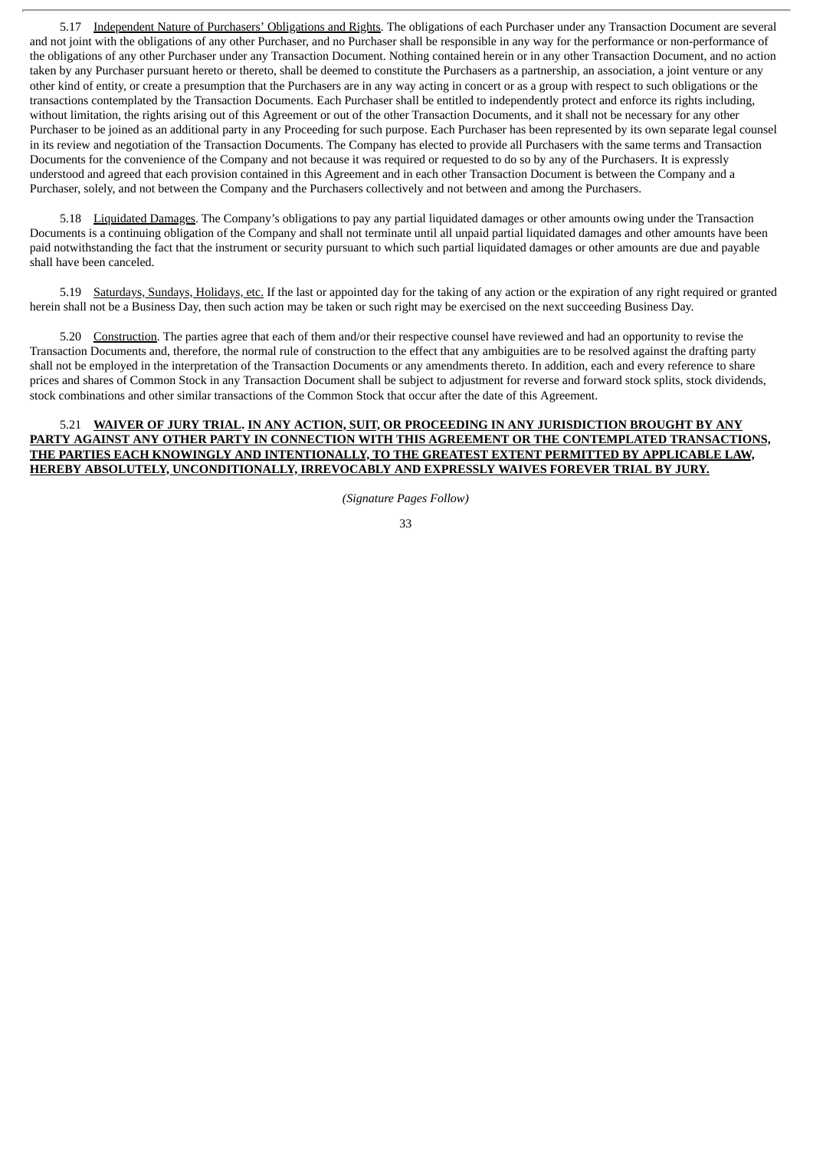5.17 Independent Nature of Purchasers' Obligations and Rights. The obligations of each Purchaser under any Transaction Document are several and not joint with the obligations of any other Purchaser, and no Purchaser shall be responsible in any way for the performance or non-performance of the obligations of any other Purchaser under any Transaction Document. Nothing contained herein or in any other Transaction Document, and no action taken by any Purchaser pursuant hereto or thereto, shall be deemed to constitute the Purchasers as a partnership, an association, a joint venture or any other kind of entity, or create a presumption that the Purchasers are in any way acting in concert or as a group with respect to such obligations or the transactions contemplated by the Transaction Documents. Each Purchaser shall be entitled to independently protect and enforce its rights including, without limitation, the rights arising out of this Agreement or out of the other Transaction Documents, and it shall not be necessary for any other Purchaser to be joined as an additional party in any Proceeding for such purpose. Each Purchaser has been represented by its own separate legal counsel in its review and negotiation of the Transaction Documents. The Company has elected to provide all Purchasers with the same terms and Transaction Documents for the convenience of the Company and not because it was required or requested to do so by any of the Purchasers. It is expressly understood and agreed that each provision contained in this Agreement and in each other Transaction Document is between the Company and a Purchaser, solely, and not between the Company and the Purchasers collectively and not between and among the Purchasers.

5.18 Liquidated Damages. The Company's obligations to pay any partial liquidated damages or other amounts owing under the Transaction Documents is a continuing obligation of the Company and shall not terminate until all unpaid partial liquidated damages and other amounts have been paid notwithstanding the fact that the instrument or security pursuant to which such partial liquidated damages or other amounts are due and payable shall have been canceled.

5.19 Saturdays, Sundays, Holidays, etc. If the last or appointed day for the taking of any action or the expiration of any right required or granted herein shall not be a Business Day, then such action may be taken or such right may be exercised on the next succeeding Business Day.

5.20 Construction. The parties agree that each of them and/or their respective counsel have reviewed and had an opportunity to revise the Transaction Documents and, therefore, the normal rule of construction to the effect that any ambiguities are to be resolved against the drafting party shall not be employed in the interpretation of the Transaction Documents or any amendments thereto. In addition, each and every reference to share prices and shares of Common Stock in any Transaction Document shall be subject to adjustment for reverse and forward stock splits, stock dividends, stock combinations and other similar transactions of the Common Stock that occur after the date of this Agreement.

## 5.21 **WAIVER OF JURY TRIAL. IN ANY ACTION, SUIT, OR PROCEEDING IN ANY JURISDICTION BROUGHT BY ANY PARTY AGAINST ANY OTHER PARTY IN CONNECTION WITH THIS AGREEMENT OR THE CONTEMPLATED TRANSACTIONS, THE PARTIES EACH KNOWINGLY AND INTENTIONALLY, TO THE GREATEST EXTENT PERMITTED BY APPLICABLE LAW, HEREBY ABSOLUTELY, UNCONDITIONALLY, IRREVOCABLY AND EXPRESSLY WAIVES FOREVER TRIAL BY JURY.**

*(Signature Pages Follow)*

<sup>33</sup>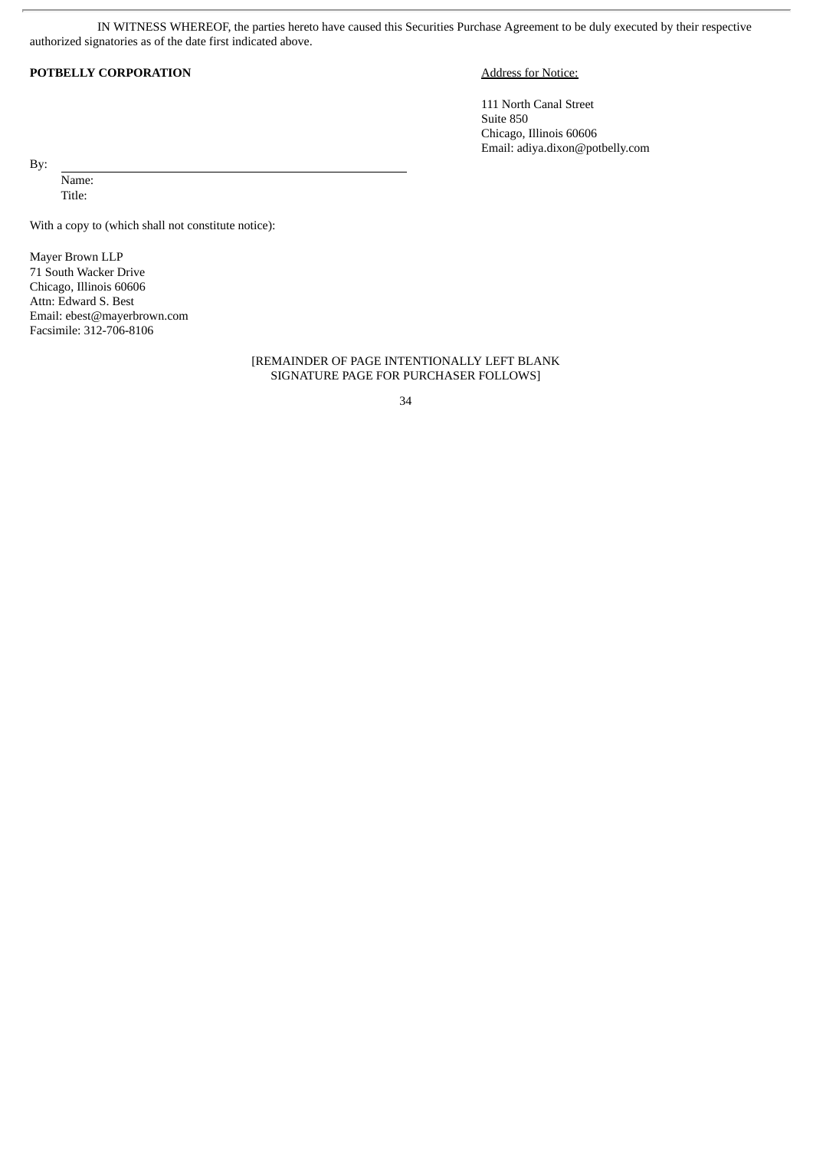IN WITNESS WHEREOF, the parties hereto have caused this Securities Purchase Agreement to be duly executed by their respective authorized signatories as of the date first indicated above.

# **POTBELLY CORPORATION** Address for Notice:

111 North Canal Street Suite 850 Chicago, Illinois 60606 Email: adiya.dixon@potbelly.com

By:

Name: Title:

With a copy to (which shall not constitute notice):

Mayer Brown LLP 71 South Wacker Drive Chicago, Illinois 60606 Attn: Edward S. Best Email: ebest@mayerbrown.com Facsimile: 312-706-8106

## [REMAINDER OF PAGE INTENTIONALLY LEFT BLANK SIGNATURE PAGE FOR PURCHASER FOLLOWS]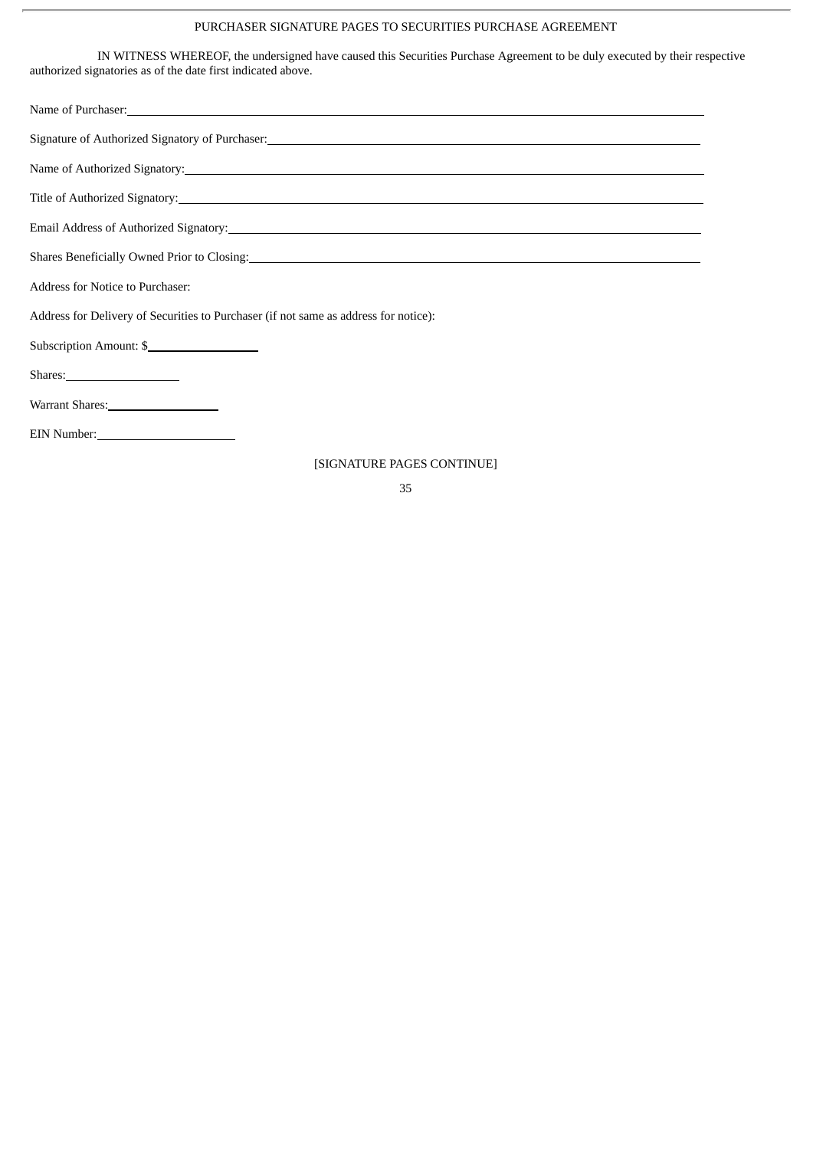# PURCHASER SIGNATURE PAGES TO SECURITIES PURCHASE AGREEMENT

IN WITNESS WHEREOF, the undersigned have caused this Securities Purchase Agreement to be duly executed by their respective authorized signatories as of the date first indicated above. Name of Purchaser: Signature of Authorized Signatory of Purchaser:

Name of Authorized Signatory:

Title of Authorized Signatory: **Authorized Signatory: Authorized Signatory: Authorized Signatory:** 

Email Address of Authorized Signatory:

Shares Beneficially Owned Prior to Closing:

Address for Notice to Purchaser:

Address for Delivery of Securities to Purchaser (if not same as address for notice):

Subscription Amount: \$

Shares:

Warrant Shares: 1988

EIN Number:

#### [SIGNATURE PAGES CONTINUE]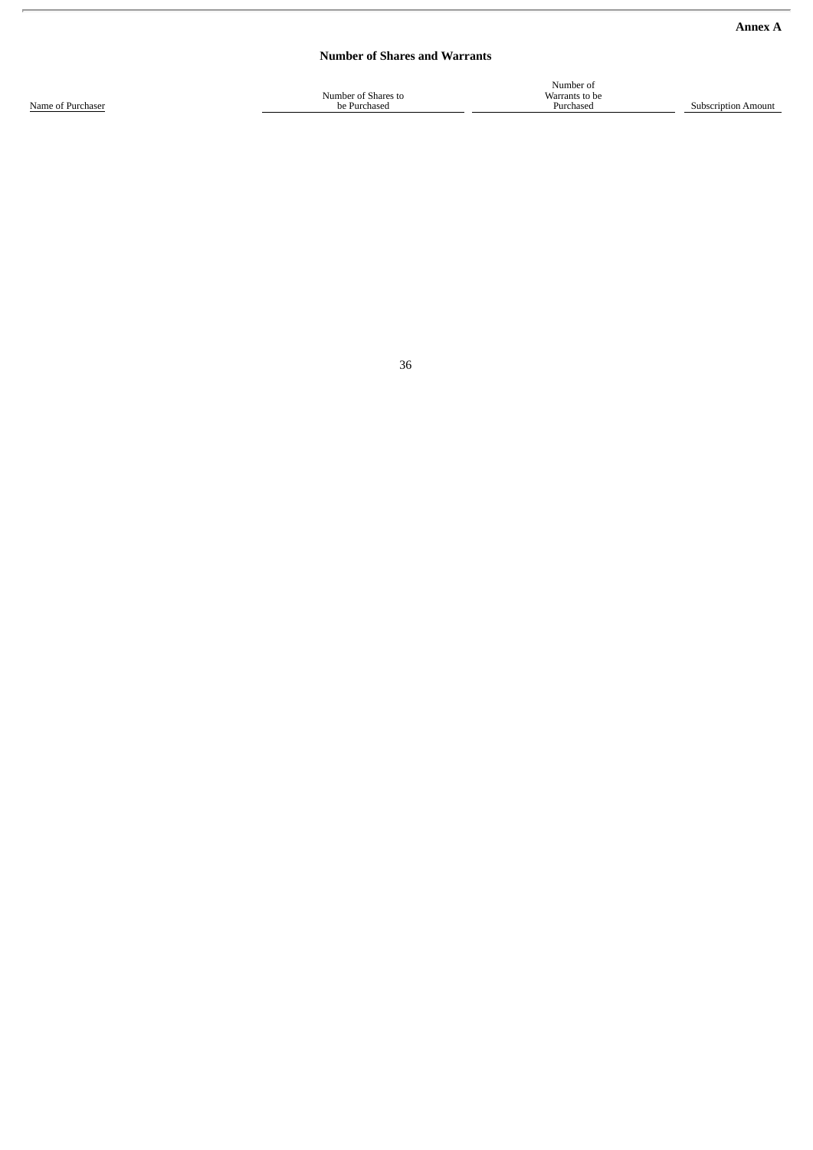# **Number of Shares and Warrants**

Name of Purchaser

Number of Shares to be Purchased

Number of Warrants to be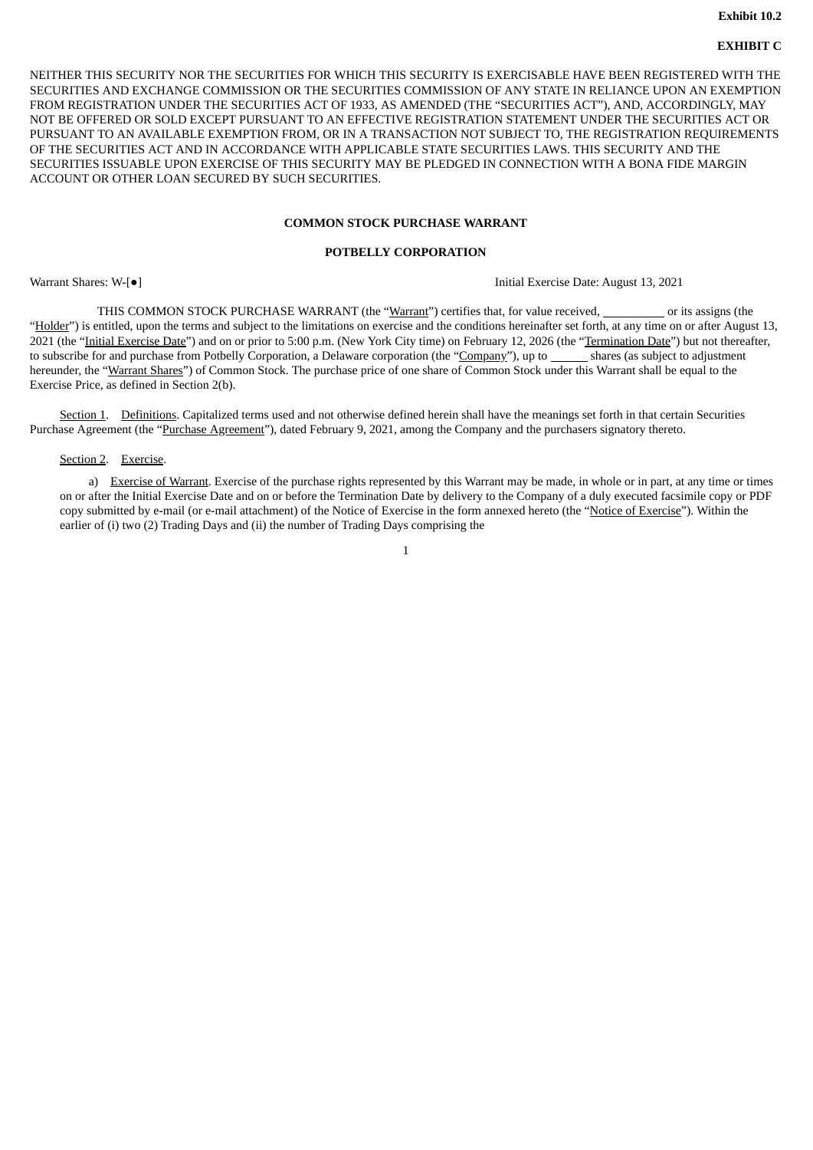## **EXHIBIT C**

NEITHER THIS SECURITY NOR THE SECURITIES FOR WHICH THIS SECURITY IS EXERCISABLE HAVE BEEN REGISTERED WITH THE SECURITIES AND EXCHANGE COMMISSION OR THE SECURITIES COMMISSION OF ANY STATE IN RELIANCE UPON AN EXEMPTION FROM REGISTRATION UNDER THE SECURITIES ACT OF 1933, AS AMENDED (THE "SECURITIES ACT"), AND, ACCORDINGLY, MAY NOT BE OFFERED OR SOLD EXCEPT PURSUANT TO AN EFFECTIVE REGISTRATION STATEMENT UNDER THE SECURITIES ACT OR PURSUANT TO AN AVAILABLE EXEMPTION FROM, OR IN A TRANSACTION NOT SUBJECT TO, THE REGISTRATION REQUIREMENTS OF THE SECURITIES ACT AND IN ACCORDANCE WITH APPLICABLE STATE SECURITIES LAWS. THIS SECURITY AND THE SECURITIES ISSUABLE UPON EXERCISE OF THIS SECURITY MAY BE PLEDGED IN CONNECTION WITH A BONA FIDE MARGIN ACCOUNT OR OTHER LOAN SECURED BY SUCH SECURITIES.

## **COMMON STOCK PURCHASE WARRANT**

#### **POTBELLY CORPORATION**

Warrant Shares: W-[●] Initial Exercise Date: August 13, 2021

THIS COMMON STOCK PURCHASE WARRANT (the "Warrant") certifies that, for value received, \_\_\_\_\_\_\_\_\_\_\_ or its assigns (the "Holder") is entitled, upon the terms and subject to the limitations on exercise and the conditions hereinafter set forth, at any time on or after August 13, 2021 (the "Initial Exercise Date") and on or prior to 5:00 p.m. (New York City time) on February 12, 2026 (the "Termination Date") but not thereafter, to subscribe for and purchase from Potbelly Corporation, a Delaware corporation (the "Company"), up to shares (as subject to adjustment hereunder, the "Warrant Shares") of Common Stock. The purchase price of one share of Common Stock under this Warrant shall be equal to the Exercise Price, as defined in Section 2(b).

Section 1. Definitions. Capitalized terms used and not otherwise defined herein shall have the meanings set forth in that certain Securities Purchase Agreement (the "Purchase Agreement"), dated February 9, 2021, among the Company and the purchasers signatory thereto.

#### Section 2. Exercise.

a) Exercise of Warrant. Exercise of the purchase rights represented by this Warrant may be made, in whole or in part, at any time or times on or after the Initial Exercise Date and on or before the Termination Date by delivery to the Company of a duly executed facsimile copy or PDF copy submitted by e-mail (or e-mail attachment) of the Notice of Exercise in the form annexed hereto (the "Notice of Exercise"). Within the earlier of (i) two (2) Trading Days and (ii) the number of Trading Days comprising the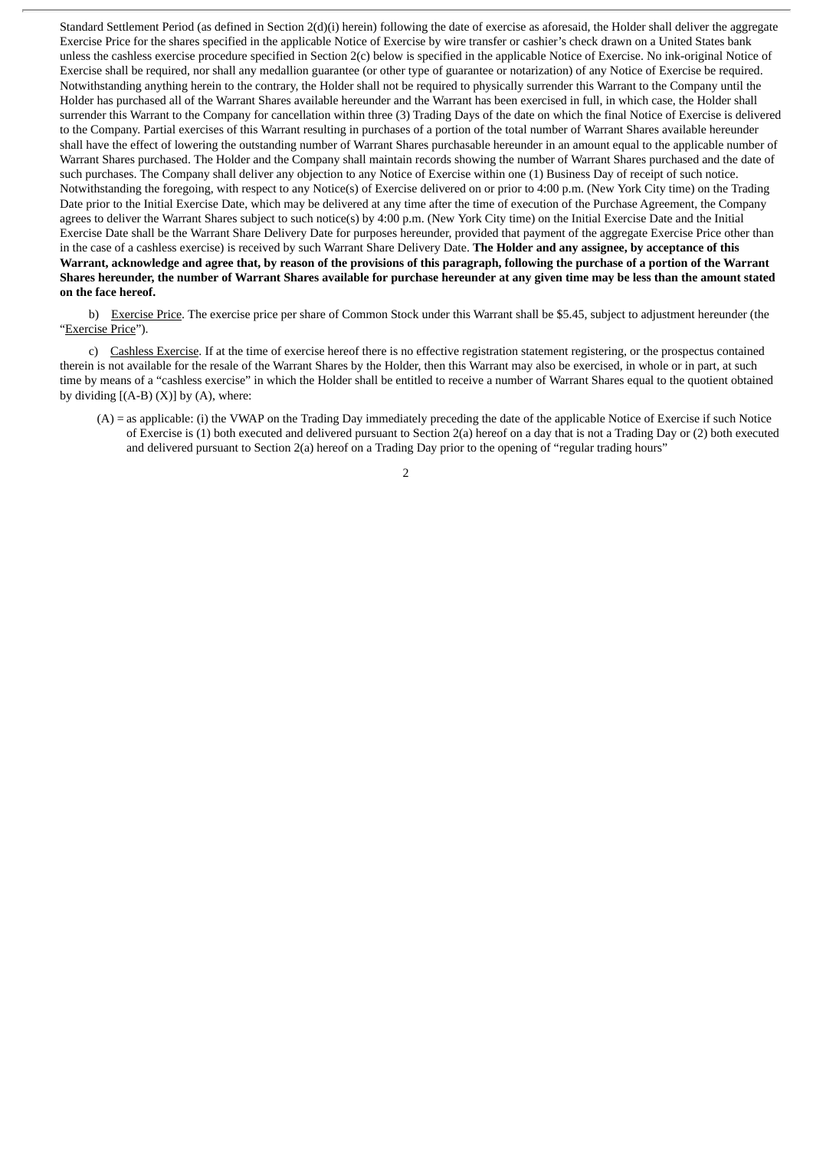Standard Settlement Period (as defined in Section 2(d)(i) herein) following the date of exercise as aforesaid, the Holder shall deliver the aggregate Exercise Price for the shares specified in the applicable Notice of Exercise by wire transfer or cashier's check drawn on a United States bank unless the cashless exercise procedure specified in Section 2(c) below is specified in the applicable Notice of Exercise. No ink-original Notice of Exercise shall be required, nor shall any medallion guarantee (or other type of guarantee or notarization) of any Notice of Exercise be required. Notwithstanding anything herein to the contrary, the Holder shall not be required to physically surrender this Warrant to the Company until the Holder has purchased all of the Warrant Shares available hereunder and the Warrant has been exercised in full, in which case, the Holder shall surrender this Warrant to the Company for cancellation within three (3) Trading Days of the date on which the final Notice of Exercise is delivered to the Company. Partial exercises of this Warrant resulting in purchases of a portion of the total number of Warrant Shares available hereunder shall have the effect of lowering the outstanding number of Warrant Shares purchasable hereunder in an amount equal to the applicable number of Warrant Shares purchased. The Holder and the Company shall maintain records showing the number of Warrant Shares purchased and the date of such purchases. The Company shall deliver any objection to any Notice of Exercise within one (1) Business Day of receipt of such notice. Notwithstanding the foregoing, with respect to any Notice(s) of Exercise delivered on or prior to 4:00 p.m. (New York City time) on the Trading Date prior to the Initial Exercise Date, which may be delivered at any time after the time of execution of the Purchase Agreement, the Company agrees to deliver the Warrant Shares subject to such notice(s) by 4:00 p.m. (New York City time) on the Initial Exercise Date and the Initial Exercise Date shall be the Warrant Share Delivery Date for purposes hereunder, provided that payment of the aggregate Exercise Price other than in the case of a cashless exercise) is received by such Warrant Share Delivery Date. **The Holder and any assignee, by acceptance of this** Warrant, acknowledge and agree that, by reason of the provisions of this paragraph, following the purchase of a portion of the Warrant Shares hereunder, the number of Warrant Shares available for purchase hereunder at any given time may be less than the amount stated **on the face hereof.**

b) Exercise Price. The exercise price per share of Common Stock under this Warrant shall be \$5.45, subject to adjustment hereunder (the "Exercise Price").

c) Cashless Exercise. If at the time of exercise hereof there is no effective registration statement registering, or the prospectus contained therein is not available for the resale of the Warrant Shares by the Holder, then this Warrant may also be exercised, in whole or in part, at such time by means of a "cashless exercise" in which the Holder shall be entitled to receive a number of Warrant Shares equal to the quotient obtained by dividing  $[(A-B) (X)]$  by  $(A)$ , where:

(A) = as applicable: (i) the VWAP on the Trading Day immediately preceding the date of the applicable Notice of Exercise if such Notice of Exercise is (1) both executed and delivered pursuant to Section 2(a) hereof on a day that is not a Trading Day or (2) both executed and delivered pursuant to Section 2(a) hereof on a Trading Day prior to the opening of "regular trading hours"

 $\overline{2}$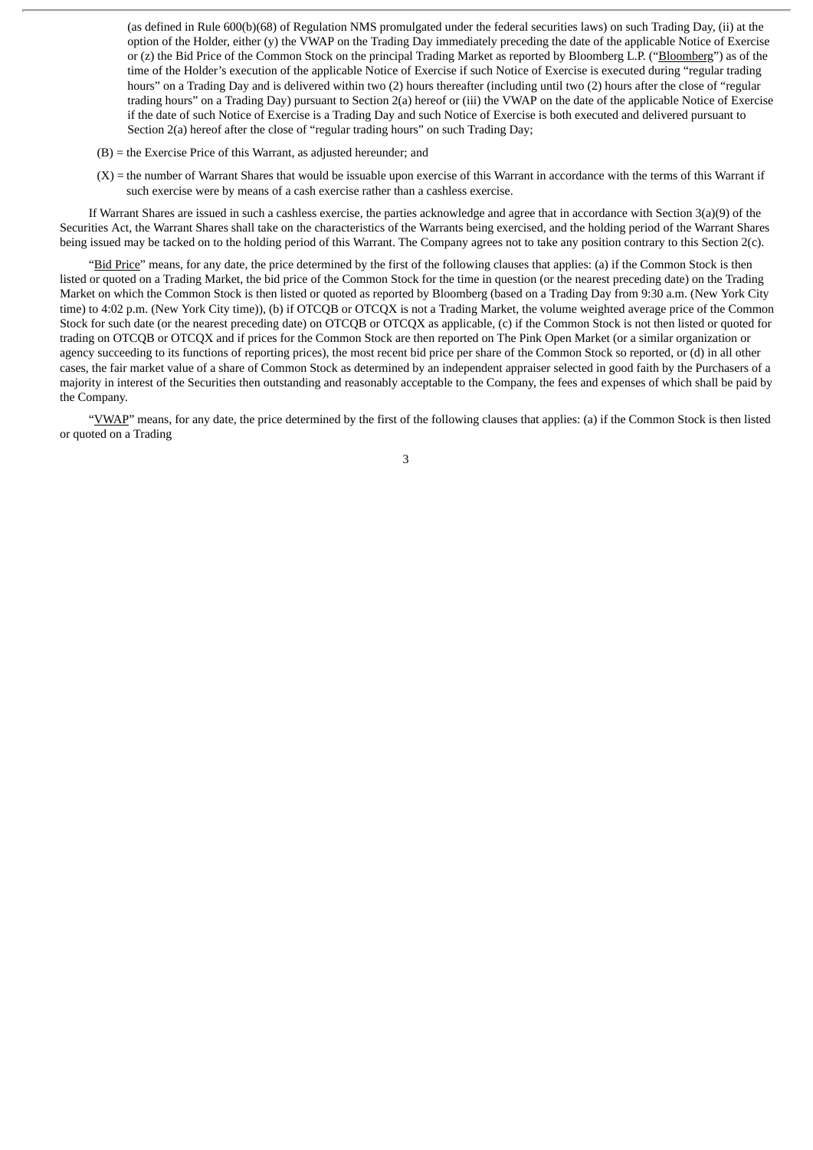(as defined in Rule 600(b)(68) of Regulation NMS promulgated under the federal securities laws) on such Trading Day, (ii) at the option of the Holder, either (y) the VWAP on the Trading Day immediately preceding the date of the applicable Notice of Exercise or (z) the Bid Price of the Common Stock on the principal Trading Market as reported by Bloomberg L.P. ("Bloomberg") as of the time of the Holder's execution of the applicable Notice of Exercise if such Notice of Exercise is executed during "regular trading hours" on a Trading Day and is delivered within two (2) hours thereafter (including until two (2) hours after the close of "regular trading hours" on a Trading Day) pursuant to Section 2(a) hereof or (iii) the VWAP on the date of the applicable Notice of Exercise if the date of such Notice of Exercise is a Trading Day and such Notice of Exercise is both executed and delivered pursuant to Section 2(a) hereof after the close of "regular trading hours" on such Trading Day;

- (B) = the Exercise Price of this Warrant, as adjusted hereunder; and
- (X) = the number of Warrant Shares that would be issuable upon exercise of this Warrant in accordance with the terms of this Warrant if such exercise were by means of a cash exercise rather than a cashless exercise.

If Warrant Shares are issued in such a cashless exercise, the parties acknowledge and agree that in accordance with Section 3(a)(9) of the Securities Act, the Warrant Shares shall take on the characteristics of the Warrants being exercised, and the holding period of the Warrant Shares being issued may be tacked on to the holding period of this Warrant. The Company agrees not to take any position contrary to this Section 2(c).

"Bid Price" means, for any date, the price determined by the first of the following clauses that applies: (a) if the Common Stock is then listed or quoted on a Trading Market, the bid price of the Common Stock for the time in question (or the nearest preceding date) on the Trading Market on which the Common Stock is then listed or quoted as reported by Bloomberg (based on a Trading Day from 9:30 a.m. (New York City time) to 4:02 p.m. (New York City time)), (b) if OTCQB or OTCQX is not a Trading Market, the volume weighted average price of the Common Stock for such date (or the nearest preceding date) on OTCQB or OTCQX as applicable, (c) if the Common Stock is not then listed or quoted for trading on OTCQB or OTCQX and if prices for the Common Stock are then reported on The Pink Open Market (or a similar organization or agency succeeding to its functions of reporting prices), the most recent bid price per share of the Common Stock so reported, or (d) in all other cases, the fair market value of a share of Common Stock as determined by an independent appraiser selected in good faith by the Purchasers of a majority in interest of the Securities then outstanding and reasonably acceptable to the Company, the fees and expenses of which shall be paid by the Company.

"VWAP" means, for any date, the price determined by the first of the following clauses that applies: (a) if the Common Stock is then listed or quoted on a Trading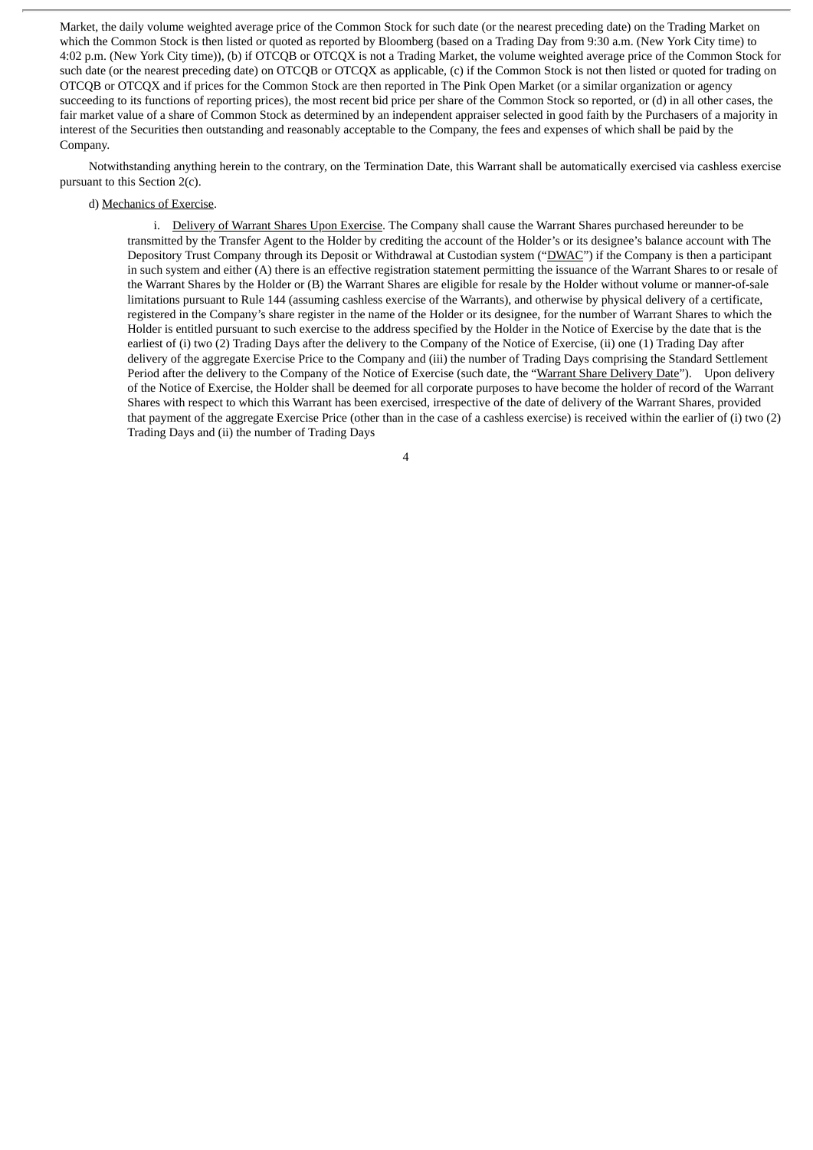Market, the daily volume weighted average price of the Common Stock for such date (or the nearest preceding date) on the Trading Market on which the Common Stock is then listed or quoted as reported by Bloomberg (based on a Trading Day from 9:30 a.m. (New York City time) to 4:02 p.m. (New York City time)), (b) if OTCQB or OTCQX is not a Trading Market, the volume weighted average price of the Common Stock for such date (or the nearest preceding date) on OTCQB or OTCQX as applicable, (c) if the Common Stock is not then listed or quoted for trading on OTCQB or OTCQX and if prices for the Common Stock are then reported in The Pink Open Market (or a similar organization or agency succeeding to its functions of reporting prices), the most recent bid price per share of the Common Stock so reported, or (d) in all other cases, the fair market value of a share of Common Stock as determined by an independent appraiser selected in good faith by the Purchasers of a majority in interest of the Securities then outstanding and reasonably acceptable to the Company, the fees and expenses of which shall be paid by the Company.

Notwithstanding anything herein to the contrary, on the Termination Date, this Warrant shall be automatically exercised via cashless exercise pursuant to this Section 2(c).

## d) Mechanics of Exercise.

i. Delivery of Warrant Shares Upon Exercise. The Company shall cause the Warrant Shares purchased hereunder to be transmitted by the Transfer Agent to the Holder by crediting the account of the Holder's or its designee's balance account with The Depository Trust Company through its Deposit or Withdrawal at Custodian system ("DWAC") if the Company is then a participant in such system and either (A) there is an effective registration statement permitting the issuance of the Warrant Shares to or resale of the Warrant Shares by the Holder or (B) the Warrant Shares are eligible for resale by the Holder without volume or manner-of-sale limitations pursuant to Rule 144 (assuming cashless exercise of the Warrants), and otherwise by physical delivery of a certificate, registered in the Company's share register in the name of the Holder or its designee, for the number of Warrant Shares to which the Holder is entitled pursuant to such exercise to the address specified by the Holder in the Notice of Exercise by the date that is the earliest of (i) two (2) Trading Days after the delivery to the Company of the Notice of Exercise, (ii) one (1) Trading Day after delivery of the aggregate Exercise Price to the Company and (iii) the number of Trading Days comprising the Standard Settlement Period after the delivery to the Company of the Notice of Exercise (such date, the "Warrant Share Delivery Date"). Upon delivery of the Notice of Exercise, the Holder shall be deemed for all corporate purposes to have become the holder of record of the Warrant Shares with respect to which this Warrant has been exercised, irrespective of the date of delivery of the Warrant Shares, provided that payment of the aggregate Exercise Price (other than in the case of a cashless exercise) is received within the earlier of (i) two (2) Trading Days and (ii) the number of Trading Days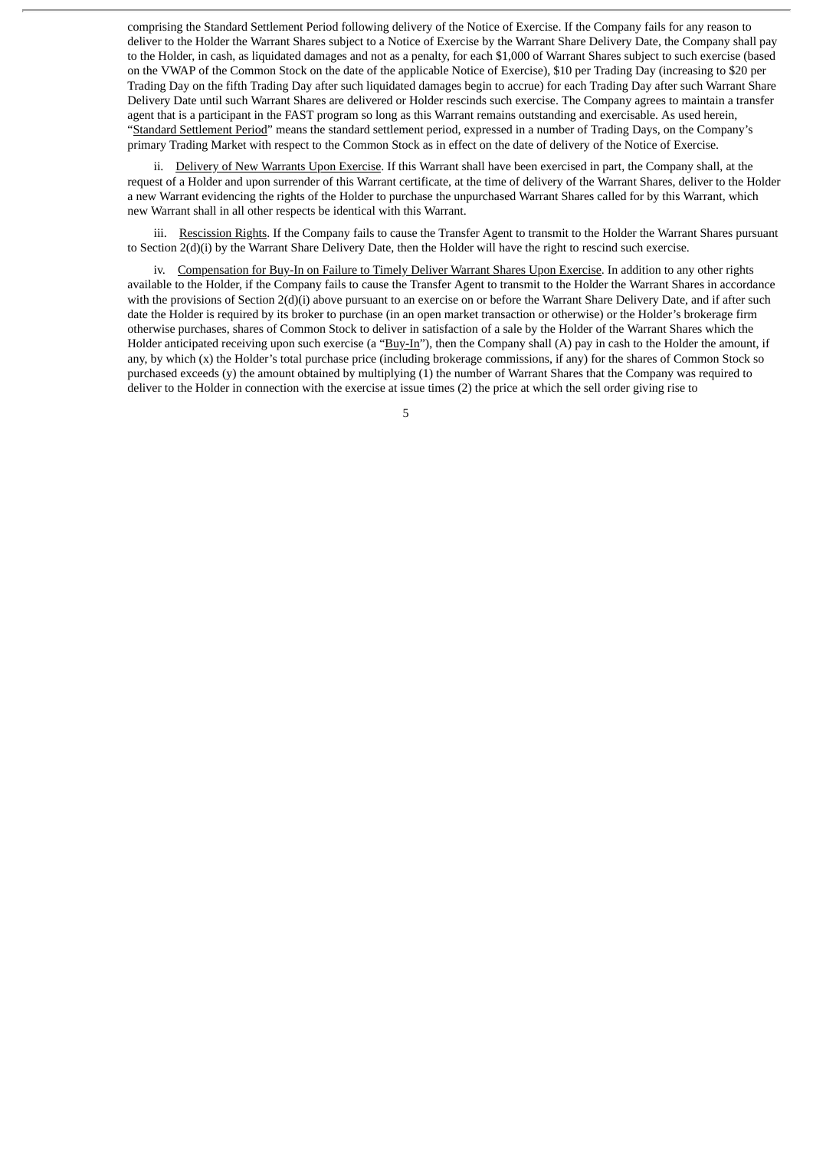comprising the Standard Settlement Period following delivery of the Notice of Exercise. If the Company fails for any reason to deliver to the Holder the Warrant Shares subject to a Notice of Exercise by the Warrant Share Delivery Date, the Company shall pay to the Holder, in cash, as liquidated damages and not as a penalty, for each \$1,000 of Warrant Shares subject to such exercise (based on the VWAP of the Common Stock on the date of the applicable Notice of Exercise), \$10 per Trading Day (increasing to \$20 per Trading Day on the fifth Trading Day after such liquidated damages begin to accrue) for each Trading Day after such Warrant Share Delivery Date until such Warrant Shares are delivered or Holder rescinds such exercise. The Company agrees to maintain a transfer agent that is a participant in the FAST program so long as this Warrant remains outstanding and exercisable. As used herein, "Standard Settlement Period" means the standard settlement period, expressed in a number of Trading Days, on the Company's primary Trading Market with respect to the Common Stock as in effect on the date of delivery of the Notice of Exercise.

ii. Delivery of New Warrants Upon Exercise. If this Warrant shall have been exercised in part, the Company shall, at the request of a Holder and upon surrender of this Warrant certificate, at the time of delivery of the Warrant Shares, deliver to the Holder a new Warrant evidencing the rights of the Holder to purchase the unpurchased Warrant Shares called for by this Warrant, which new Warrant shall in all other respects be identical with this Warrant.

iii. Rescission Rights. If the Company fails to cause the Transfer Agent to transmit to the Holder the Warrant Shares pursuant to Section 2(d)(i) by the Warrant Share Delivery Date, then the Holder will have the right to rescind such exercise.

iv. Compensation for Buy-In on Failure to Timely Deliver Warrant Shares Upon Exercise. In addition to any other rights available to the Holder, if the Company fails to cause the Transfer Agent to transmit to the Holder the Warrant Shares in accordance with the provisions of Section 2(d)(i) above pursuant to an exercise on or before the Warrant Share Delivery Date, and if after such date the Holder is required by its broker to purchase (in an open market transaction or otherwise) or the Holder's brokerage firm otherwise purchases, shares of Common Stock to deliver in satisfaction of a sale by the Holder of the Warrant Shares which the Holder anticipated receiving upon such exercise (a "Buy-In"), then the Company shall (A) pay in cash to the Holder the amount, if any, by which (x) the Holder's total purchase price (including brokerage commissions, if any) for the shares of Common Stock so purchased exceeds (y) the amount obtained by multiplying (1) the number of Warrant Shares that the Company was required to deliver to the Holder in connection with the exercise at issue times (2) the price at which the sell order giving rise to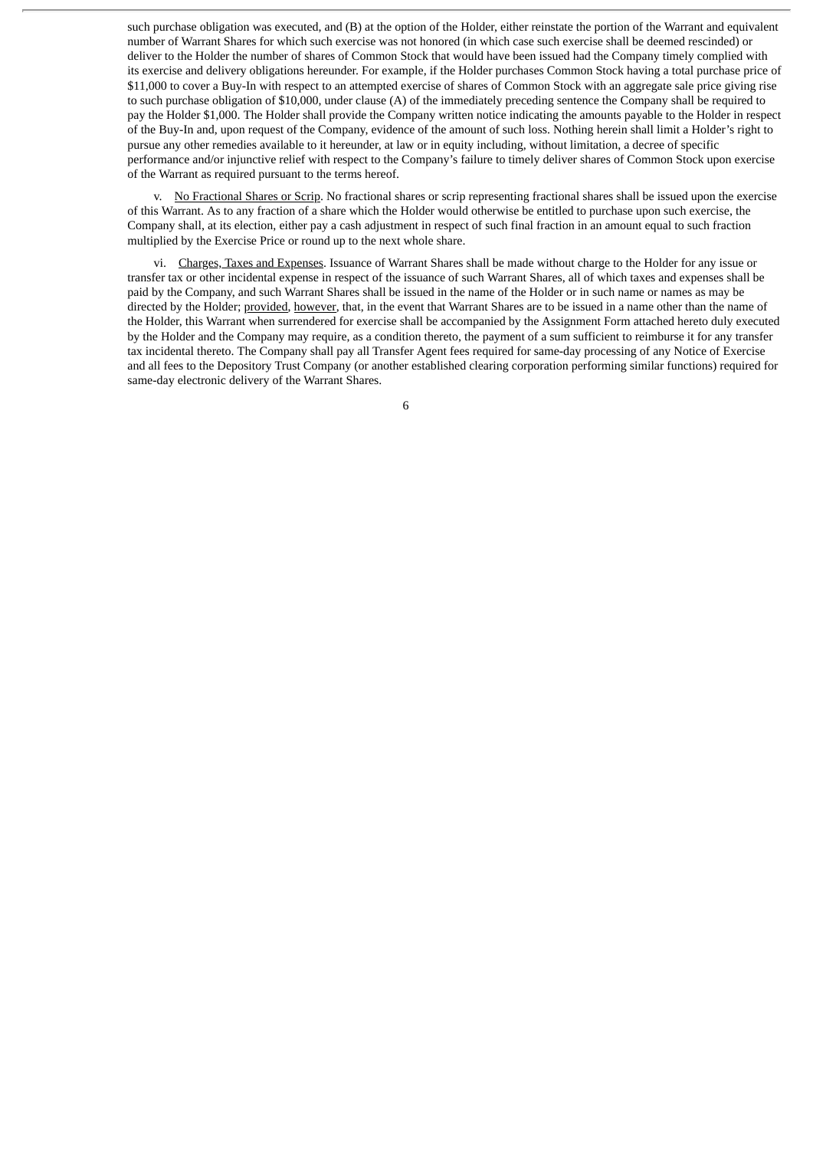such purchase obligation was executed, and (B) at the option of the Holder, either reinstate the portion of the Warrant and equivalent number of Warrant Shares for which such exercise was not honored (in which case such exercise shall be deemed rescinded) or deliver to the Holder the number of shares of Common Stock that would have been issued had the Company timely complied with its exercise and delivery obligations hereunder. For example, if the Holder purchases Common Stock having a total purchase price of \$11,000 to cover a Buy-In with respect to an attempted exercise of shares of Common Stock with an aggregate sale price giving rise to such purchase obligation of \$10,000, under clause (A) of the immediately preceding sentence the Company shall be required to pay the Holder \$1,000. The Holder shall provide the Company written notice indicating the amounts payable to the Holder in respect of the Buy-In and, upon request of the Company, evidence of the amount of such loss. Nothing herein shall limit a Holder's right to pursue any other remedies available to it hereunder, at law or in equity including, without limitation, a decree of specific performance and/or injunctive relief with respect to the Company's failure to timely deliver shares of Common Stock upon exercise of the Warrant as required pursuant to the terms hereof.

v. No Fractional Shares or Scrip. No fractional shares or scrip representing fractional shares shall be issued upon the exercise of this Warrant. As to any fraction of a share which the Holder would otherwise be entitled to purchase upon such exercise, the Company shall, at its election, either pay a cash adjustment in respect of such final fraction in an amount equal to such fraction multiplied by the Exercise Price or round up to the next whole share.

vi. Charges, Taxes and Expenses. Issuance of Warrant Shares shall be made without charge to the Holder for any issue or transfer tax or other incidental expense in respect of the issuance of such Warrant Shares, all of which taxes and expenses shall be paid by the Company, and such Warrant Shares shall be issued in the name of the Holder or in such name or names as may be directed by the Holder; provided, however, that, in the event that Warrant Shares are to be issued in a name other than the name of the Holder, this Warrant when surrendered for exercise shall be accompanied by the Assignment Form attached hereto duly executed by the Holder and the Company may require, as a condition thereto, the payment of a sum sufficient to reimburse it for any transfer tax incidental thereto. The Company shall pay all Transfer Agent fees required for same-day processing of any Notice of Exercise and all fees to the Depository Trust Company (or another established clearing corporation performing similar functions) required for same-day electronic delivery of the Warrant Shares.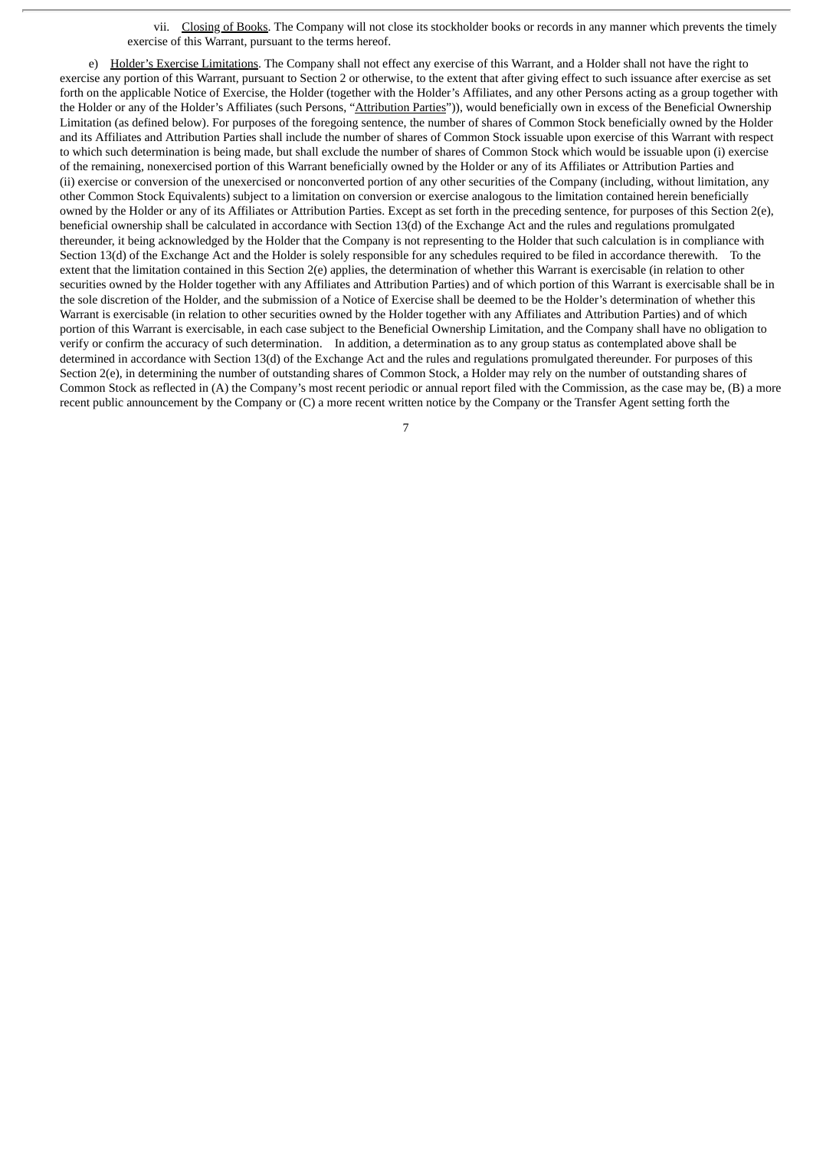vii. Closing of Books. The Company will not close its stockholder books or records in any manner which prevents the timely exercise of this Warrant, pursuant to the terms hereof.

e) Holder's Exercise Limitations. The Company shall not effect any exercise of this Warrant, and a Holder shall not have the right to exercise any portion of this Warrant, pursuant to Section 2 or otherwise, to the extent that after giving effect to such issuance after exercise as set forth on the applicable Notice of Exercise, the Holder (together with the Holder's Affiliates, and any other Persons acting as a group together with the Holder or any of the Holder's Affiliates (such Persons, "Attribution Parties")), would beneficially own in excess of the Beneficial Ownership Limitation (as defined below). For purposes of the foregoing sentence, the number of shares of Common Stock beneficially owned by the Holder and its Affiliates and Attribution Parties shall include the number of shares of Common Stock issuable upon exercise of this Warrant with respect to which such determination is being made, but shall exclude the number of shares of Common Stock which would be issuable upon (i) exercise of the remaining, nonexercised portion of this Warrant beneficially owned by the Holder or any of its Affiliates or Attribution Parties and (ii) exercise or conversion of the unexercised or nonconverted portion of any other securities of the Company (including, without limitation, any other Common Stock Equivalents) subject to a limitation on conversion or exercise analogous to the limitation contained herein beneficially owned by the Holder or any of its Affiliates or Attribution Parties. Except as set forth in the preceding sentence, for purposes of this Section 2(e), beneficial ownership shall be calculated in accordance with Section 13(d) of the Exchange Act and the rules and regulations promulgated thereunder, it being acknowledged by the Holder that the Company is not representing to the Holder that such calculation is in compliance with Section 13(d) of the Exchange Act and the Holder is solely responsible for any schedules required to be filed in accordance therewith. To the extent that the limitation contained in this Section 2(e) applies, the determination of whether this Warrant is exercisable (in relation to other securities owned by the Holder together with any Affiliates and Attribution Parties) and of which portion of this Warrant is exercisable shall be in the sole discretion of the Holder, and the submission of a Notice of Exercise shall be deemed to be the Holder's determination of whether this Warrant is exercisable (in relation to other securities owned by the Holder together with any Affiliates and Attribution Parties) and of which portion of this Warrant is exercisable, in each case subject to the Beneficial Ownership Limitation, and the Company shall have no obligation to verify or confirm the accuracy of such determination. In addition, a determination as to any group status as contemplated above shall be determined in accordance with Section 13(d) of the Exchange Act and the rules and regulations promulgated thereunder. For purposes of this Section 2(e), in determining the number of outstanding shares of Common Stock, a Holder may rely on the number of outstanding shares of Common Stock as reflected in (A) the Company's most recent periodic or annual report filed with the Commission, as the case may be, (B) a more recent public announcement by the Company or (C) a more recent written notice by the Company or the Transfer Agent setting forth the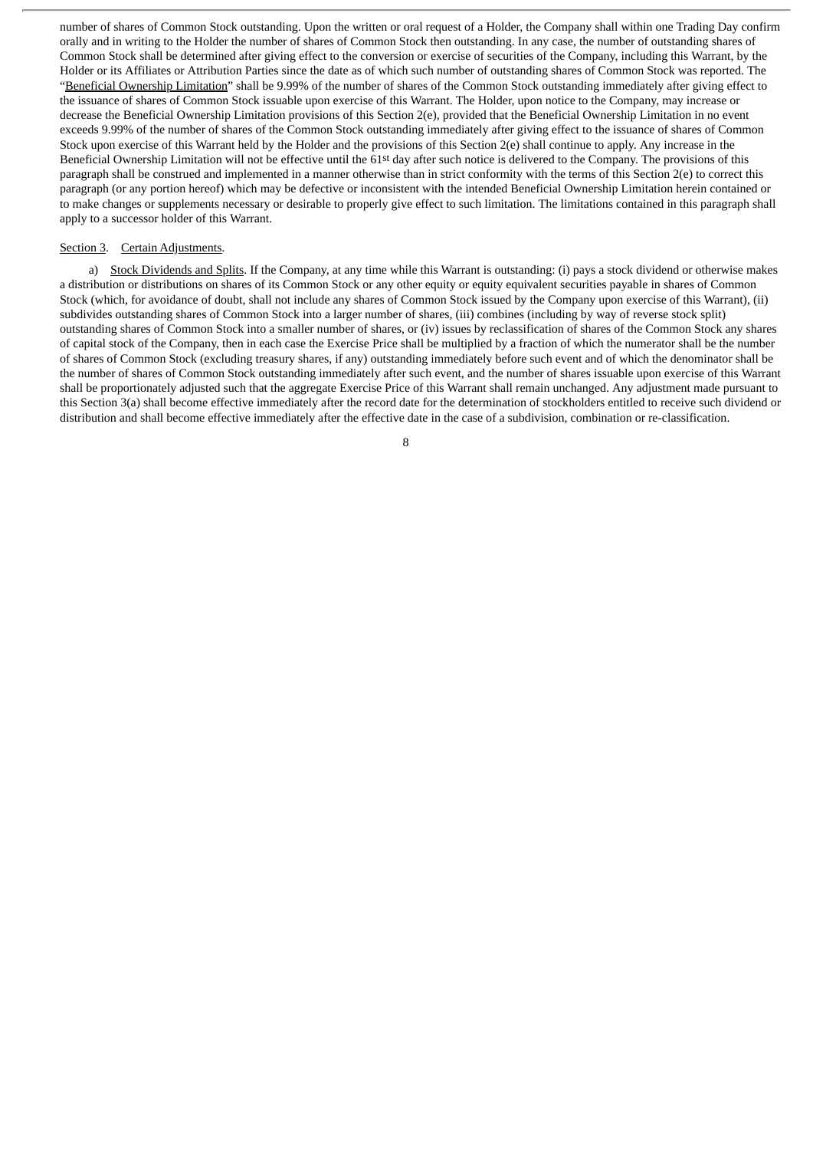number of shares of Common Stock outstanding. Upon the written or oral request of a Holder, the Company shall within one Trading Day confirm orally and in writing to the Holder the number of shares of Common Stock then outstanding. In any case, the number of outstanding shares of Common Stock shall be determined after giving effect to the conversion or exercise of securities of the Company, including this Warrant, by the Holder or its Affiliates or Attribution Parties since the date as of which such number of outstanding shares of Common Stock was reported. The "Beneficial Ownership Limitation" shall be 9.99% of the number of shares of the Common Stock outstanding immediately after giving effect to the issuance of shares of Common Stock issuable upon exercise of this Warrant. The Holder, upon notice to the Company, may increase or decrease the Beneficial Ownership Limitation provisions of this Section 2(e), provided that the Beneficial Ownership Limitation in no event exceeds 9.99% of the number of shares of the Common Stock outstanding immediately after giving effect to the issuance of shares of Common Stock upon exercise of this Warrant held by the Holder and the provisions of this Section 2(e) shall continue to apply. Any increase in the Beneficial Ownership Limitation will not be effective until the 61st day after such notice is delivered to the Company. The provisions of this paragraph shall be construed and implemented in a manner otherwise than in strict conformity with the terms of this Section 2(e) to correct this paragraph (or any portion hereof) which may be defective or inconsistent with the intended Beneficial Ownership Limitation herein contained or to make changes or supplements necessary or desirable to properly give effect to such limitation. The limitations contained in this paragraph shall apply to a successor holder of this Warrant.

#### Section 3. Certain Adjustments.

a) Stock Dividends and Splits. If the Company, at any time while this Warrant is outstanding: (i) pays a stock dividend or otherwise makes a distribution or distributions on shares of its Common Stock or any other equity or equity equivalent securities payable in shares of Common Stock (which, for avoidance of doubt, shall not include any shares of Common Stock issued by the Company upon exercise of this Warrant), (ii) subdivides outstanding shares of Common Stock into a larger number of shares, (iii) combines (including by way of reverse stock split) outstanding shares of Common Stock into a smaller number of shares, or (iv) issues by reclassification of shares of the Common Stock any shares of capital stock of the Company, then in each case the Exercise Price shall be multiplied by a fraction of which the numerator shall be the number of shares of Common Stock (excluding treasury shares, if any) outstanding immediately before such event and of which the denominator shall be the number of shares of Common Stock outstanding immediately after such event, and the number of shares issuable upon exercise of this Warrant shall be proportionately adjusted such that the aggregate Exercise Price of this Warrant shall remain unchanged. Any adjustment made pursuant to this Section 3(a) shall become effective immediately after the record date for the determination of stockholders entitled to receive such dividend or distribution and shall become effective immediately after the effective date in the case of a subdivision, combination or re-classification.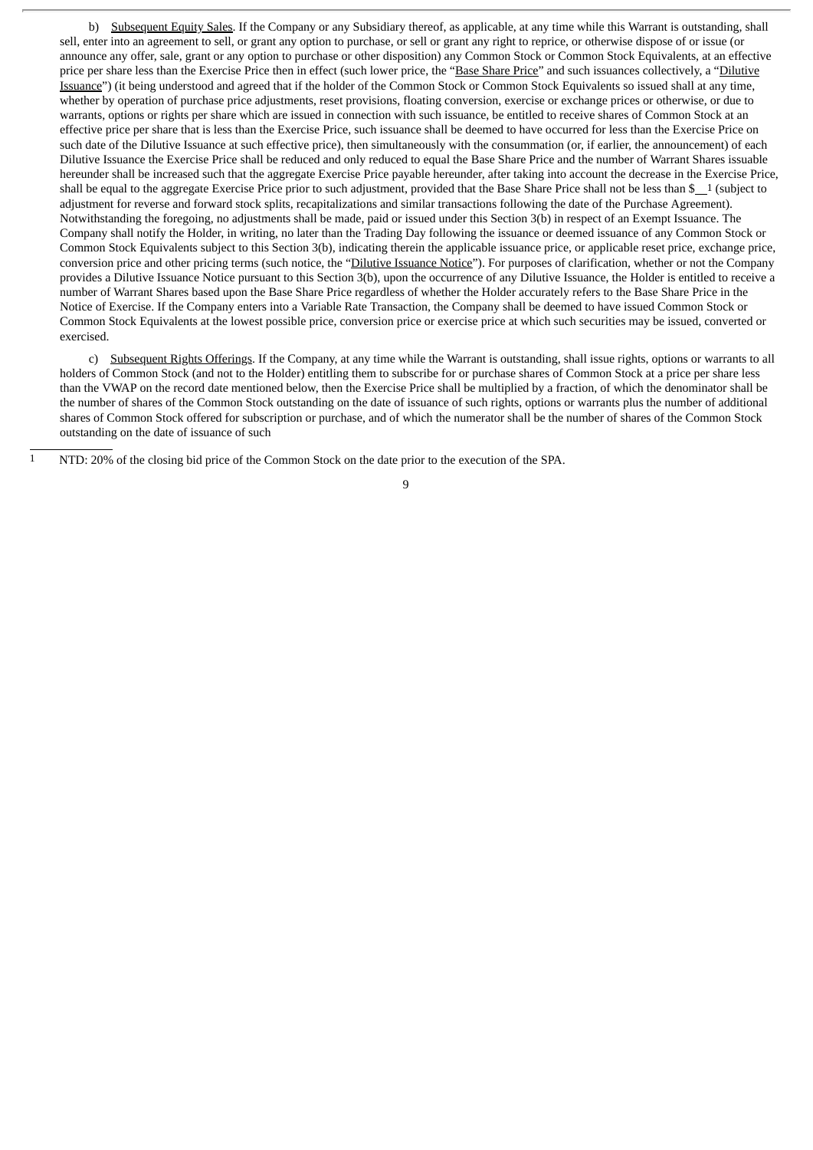b) Subsequent Equity Sales. If the Company or any Subsidiary thereof, as applicable, at any time while this Warrant is outstanding, shall sell, enter into an agreement to sell, or grant any option to purchase, or sell or grant any right to reprice, or otherwise dispose of or issue (or announce any offer, sale, grant or any option to purchase or other disposition) any Common Stock or Common Stock Equivalents, at an effective price per share less than the Exercise Price then in effect (such lower price, the "Base Share Price" and such issuances collectively, a "Dilutive Issuance") (it being understood and agreed that if the holder of the Common Stock or Common Stock Equivalents so issued shall at any time, whether by operation of purchase price adjustments, reset provisions, floating conversion, exercise or exchange prices or otherwise, or due to warrants, options or rights per share which are issued in connection with such issuance, be entitled to receive shares of Common Stock at an effective price per share that is less than the Exercise Price, such issuance shall be deemed to have occurred for less than the Exercise Price on such date of the Dilutive Issuance at such effective price), then simultaneously with the consummation (or, if earlier, the announcement) of each Dilutive Issuance the Exercise Price shall be reduced and only reduced to equal the Base Share Price and the number of Warrant Shares issuable hereunder shall be increased such that the aggregate Exercise Price payable hereunder, after taking into account the decrease in the Exercise Price, shall be equal to the aggregate Exercise Price prior to such adjustment, provided that the Base Share Price shall not be less than \$ 1 (subject to adjustment for reverse and forward stock splits, recapitalizations and similar transactions following the date of the Purchase Agreement). Notwithstanding the foregoing, no adjustments shall be made, paid or issued under this Section 3(b) in respect of an Exempt Issuance. The Company shall notify the Holder, in writing, no later than the Trading Day following the issuance or deemed issuance of any Common Stock or Common Stock Equivalents subject to this Section 3(b), indicating therein the applicable issuance price, or applicable reset price, exchange price, conversion price and other pricing terms (such notice, the "Dilutive Issuance Notice"). For purposes of clarification, whether or not the Company provides a Dilutive Issuance Notice pursuant to this Section 3(b), upon the occurrence of any Dilutive Issuance, the Holder is entitled to receive a number of Warrant Shares based upon the Base Share Price regardless of whether the Holder accurately refers to the Base Share Price in the Notice of Exercise. If the Company enters into a Variable Rate Transaction, the Company shall be deemed to have issued Common Stock or Common Stock Equivalents at the lowest possible price, conversion price or exercise price at which such securities may be issued, converted or exercised.

c) Subsequent Rights Offerings. If the Company, at any time while the Warrant is outstanding, shall issue rights, options or warrants to all holders of Common Stock (and not to the Holder) entitling them to subscribe for or purchase shares of Common Stock at a price per share less than the VWAP on the record date mentioned below, then the Exercise Price shall be multiplied by a fraction, of which the denominator shall be the number of shares of the Common Stock outstanding on the date of issuance of such rights, options or warrants plus the number of additional shares of Common Stock offered for subscription or purchase, and of which the numerator shall be the number of shares of the Common Stock outstanding on the date of issuance of such

1 NTD: 20% of the closing bid price of the Common Stock on the date prior to the execution of the SPA.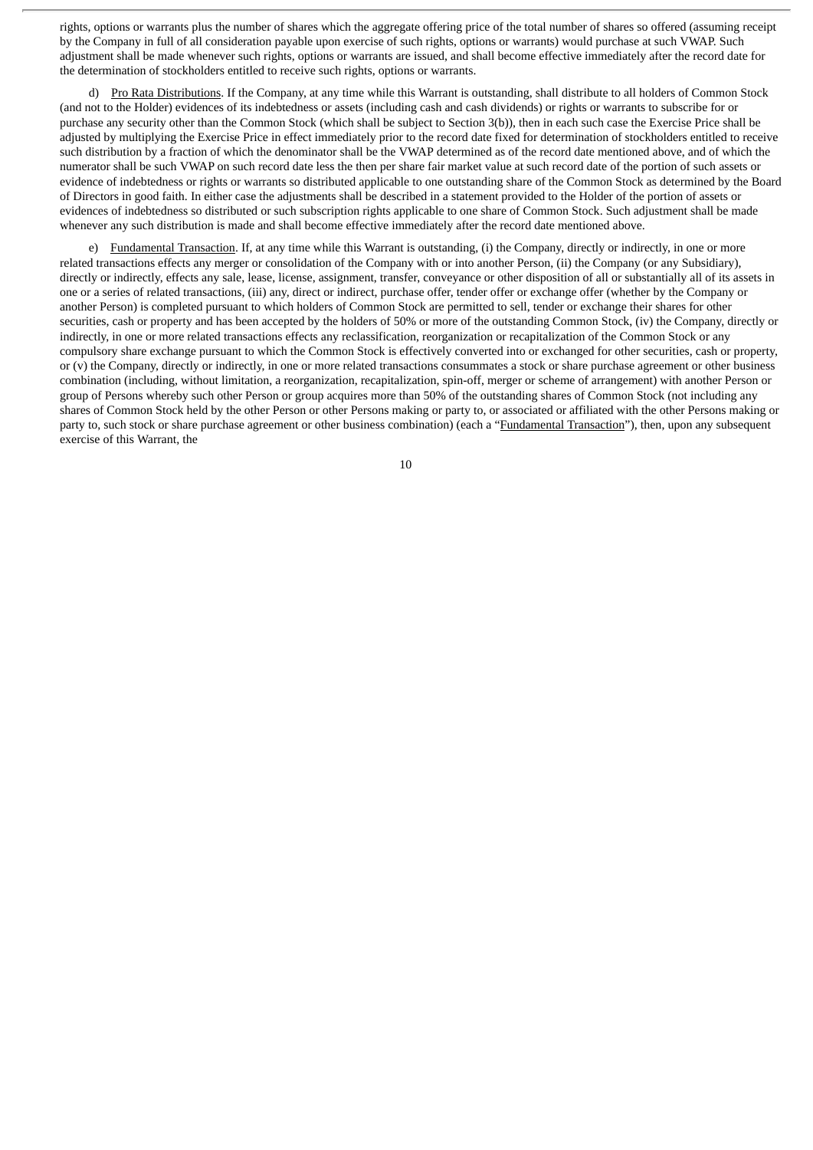rights, options or warrants plus the number of shares which the aggregate offering price of the total number of shares so offered (assuming receipt by the Company in full of all consideration payable upon exercise of such rights, options or warrants) would purchase at such VWAP. Such adjustment shall be made whenever such rights, options or warrants are issued, and shall become effective immediately after the record date for the determination of stockholders entitled to receive such rights, options or warrants.

d) Pro Rata Distributions. If the Company, at any time while this Warrant is outstanding, shall distribute to all holders of Common Stock (and not to the Holder) evidences of its indebtedness or assets (including cash and cash dividends) or rights or warrants to subscribe for or purchase any security other than the Common Stock (which shall be subject to Section 3(b)), then in each such case the Exercise Price shall be adjusted by multiplying the Exercise Price in effect immediately prior to the record date fixed for determination of stockholders entitled to receive such distribution by a fraction of which the denominator shall be the VWAP determined as of the record date mentioned above, and of which the numerator shall be such VWAP on such record date less the then per share fair market value at such record date of the portion of such assets or evidence of indebtedness or rights or warrants so distributed applicable to one outstanding share of the Common Stock as determined by the Board of Directors in good faith. In either case the adjustments shall be described in a statement provided to the Holder of the portion of assets or evidences of indebtedness so distributed or such subscription rights applicable to one share of Common Stock. Such adjustment shall be made whenever any such distribution is made and shall become effective immediately after the record date mentioned above.

e) Fundamental Transaction. If, at any time while this Warrant is outstanding, (i) the Company, directly or indirectly, in one or more related transactions effects any merger or consolidation of the Company with or into another Person, (ii) the Company (or any Subsidiary), directly or indirectly, effects any sale, lease, license, assignment, transfer, conveyance or other disposition of all or substantially all of its assets in one or a series of related transactions, (iii) any, direct or indirect, purchase offer, tender offer or exchange offer (whether by the Company or another Person) is completed pursuant to which holders of Common Stock are permitted to sell, tender or exchange their shares for other securities, cash or property and has been accepted by the holders of 50% or more of the outstanding Common Stock, (iv) the Company, directly or indirectly, in one or more related transactions effects any reclassification, reorganization or recapitalization of the Common Stock or any compulsory share exchange pursuant to which the Common Stock is effectively converted into or exchanged for other securities, cash or property, or (v) the Company, directly or indirectly, in one or more related transactions consummates a stock or share purchase agreement or other business combination (including, without limitation, a reorganization, recapitalization, spin-off, merger or scheme of arrangement) with another Person or group of Persons whereby such other Person or group acquires more than 50% of the outstanding shares of Common Stock (not including any shares of Common Stock held by the other Person or other Persons making or party to, or associated or affiliated with the other Persons making or party to, such stock or share purchase agreement or other business combination) (each a "Fundamental Transaction"), then, upon any subsequent exercise of this Warrant, the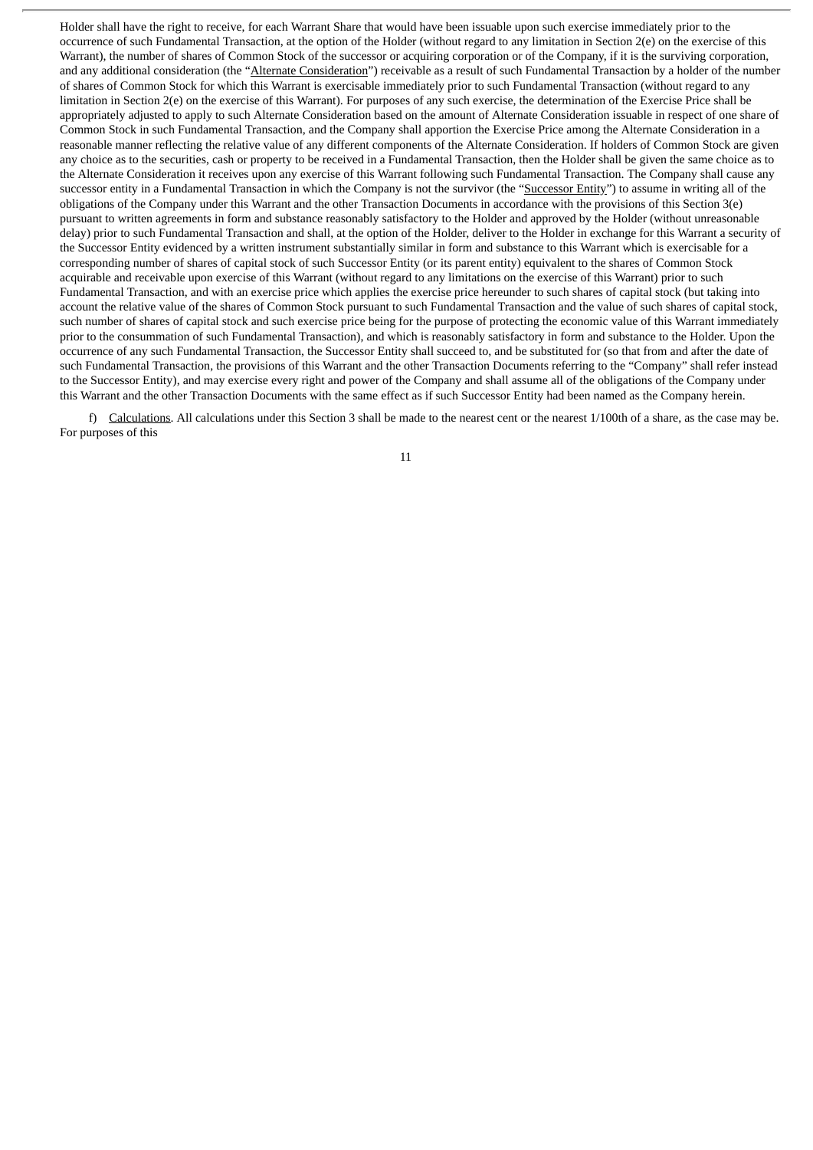Holder shall have the right to receive, for each Warrant Share that would have been issuable upon such exercise immediately prior to the occurrence of such Fundamental Transaction, at the option of the Holder (without regard to any limitation in Section 2(e) on the exercise of this Warrant), the number of shares of Common Stock of the successor or acquiring corporation or of the Company, if it is the surviving corporation, and any additional consideration (the "Alternate Consideration") receivable as a result of such Fundamental Transaction by a holder of the number of shares of Common Stock for which this Warrant is exercisable immediately prior to such Fundamental Transaction (without regard to any limitation in Section 2(e) on the exercise of this Warrant). For purposes of any such exercise, the determination of the Exercise Price shall be appropriately adjusted to apply to such Alternate Consideration based on the amount of Alternate Consideration issuable in respect of one share of Common Stock in such Fundamental Transaction, and the Company shall apportion the Exercise Price among the Alternate Consideration in a reasonable manner reflecting the relative value of any different components of the Alternate Consideration. If holders of Common Stock are given any choice as to the securities, cash or property to be received in a Fundamental Transaction, then the Holder shall be given the same choice as to the Alternate Consideration it receives upon any exercise of this Warrant following such Fundamental Transaction. The Company shall cause any successor entity in a Fundamental Transaction in which the Company is not the survivor (the "Successor Entity") to assume in writing all of the obligations of the Company under this Warrant and the other Transaction Documents in accordance with the provisions of this Section 3(e) pursuant to written agreements in form and substance reasonably satisfactory to the Holder and approved by the Holder (without unreasonable delay) prior to such Fundamental Transaction and shall, at the option of the Holder, deliver to the Holder in exchange for this Warrant a security of the Successor Entity evidenced by a written instrument substantially similar in form and substance to this Warrant which is exercisable for a corresponding number of shares of capital stock of such Successor Entity (or its parent entity) equivalent to the shares of Common Stock acquirable and receivable upon exercise of this Warrant (without regard to any limitations on the exercise of this Warrant) prior to such Fundamental Transaction, and with an exercise price which applies the exercise price hereunder to such shares of capital stock (but taking into account the relative value of the shares of Common Stock pursuant to such Fundamental Transaction and the value of such shares of capital stock, such number of shares of capital stock and such exercise price being for the purpose of protecting the economic value of this Warrant immediately prior to the consummation of such Fundamental Transaction), and which is reasonably satisfactory in form and substance to the Holder. Upon the occurrence of any such Fundamental Transaction, the Successor Entity shall succeed to, and be substituted for (so that from and after the date of such Fundamental Transaction, the provisions of this Warrant and the other Transaction Documents referring to the "Company" shall refer instead to the Successor Entity), and may exercise every right and power of the Company and shall assume all of the obligations of the Company under this Warrant and the other Transaction Documents with the same effect as if such Successor Entity had been named as the Company herein.

f) Calculations. All calculations under this Section 3 shall be made to the nearest cent or the nearest 1/100th of a share, as the case may be. For purposes of this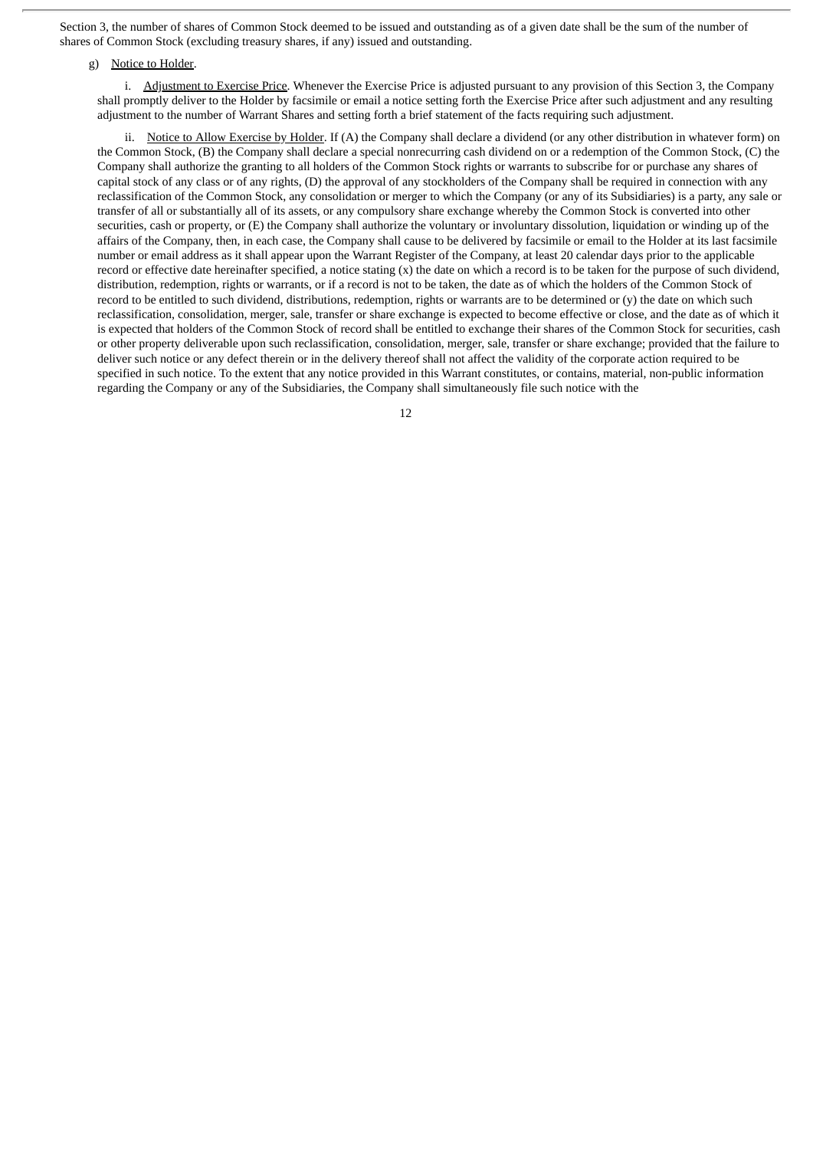Section 3, the number of shares of Common Stock deemed to be issued and outstanding as of a given date shall be the sum of the number of shares of Common Stock (excluding treasury shares, if any) issued and outstanding.

#### g) Notice to Holder.

i. Adjustment to Exercise Price. Whenever the Exercise Price is adjusted pursuant to any provision of this Section 3, the Company shall promptly deliver to the Holder by facsimile or email a notice setting forth the Exercise Price after such adjustment and any resulting adjustment to the number of Warrant Shares and setting forth a brief statement of the facts requiring such adjustment.

Notice to Allow Exercise by Holder. If (A) the Company shall declare a dividend (or any other distribution in whatever form) on the Common Stock, (B) the Company shall declare a special nonrecurring cash dividend on or a redemption of the Common Stock, (C) the Company shall authorize the granting to all holders of the Common Stock rights or warrants to subscribe for or purchase any shares of capital stock of any class or of any rights, (D) the approval of any stockholders of the Company shall be required in connection with any reclassification of the Common Stock, any consolidation or merger to which the Company (or any of its Subsidiaries) is a party, any sale or transfer of all or substantially all of its assets, or any compulsory share exchange whereby the Common Stock is converted into other securities, cash or property, or (E) the Company shall authorize the voluntary or involuntary dissolution, liquidation or winding up of the affairs of the Company, then, in each case, the Company shall cause to be delivered by facsimile or email to the Holder at its last facsimile number or email address as it shall appear upon the Warrant Register of the Company, at least 20 calendar days prior to the applicable record or effective date hereinafter specified, a notice stating (x) the date on which a record is to be taken for the purpose of such dividend, distribution, redemption, rights or warrants, or if a record is not to be taken, the date as of which the holders of the Common Stock of record to be entitled to such dividend, distributions, redemption, rights or warrants are to be determined or  $(y)$  the date on which such reclassification, consolidation, merger, sale, transfer or share exchange is expected to become effective or close, and the date as of which it is expected that holders of the Common Stock of record shall be entitled to exchange their shares of the Common Stock for securities, cash or other property deliverable upon such reclassification, consolidation, merger, sale, transfer or share exchange; provided that the failure to deliver such notice or any defect therein or in the delivery thereof shall not affect the validity of the corporate action required to be specified in such notice. To the extent that any notice provided in this Warrant constitutes, or contains, material, non-public information regarding the Company or any of the Subsidiaries, the Company shall simultaneously file such notice with the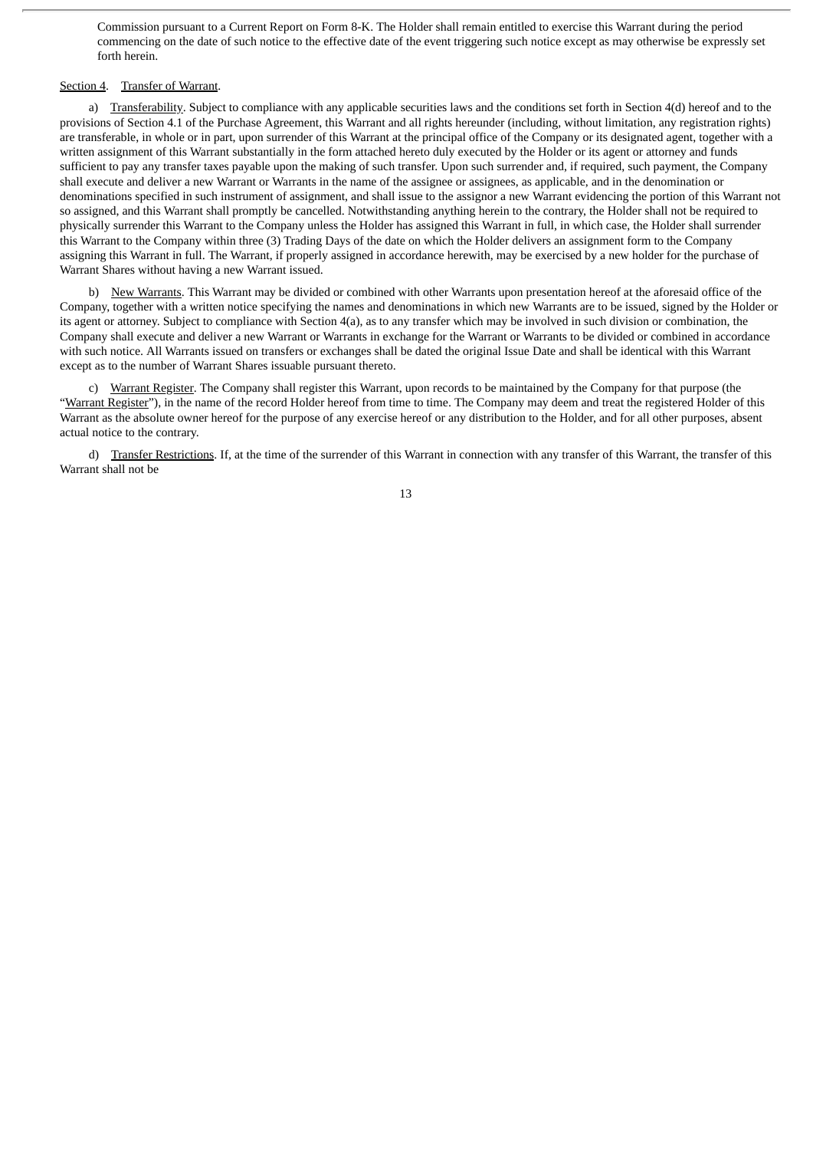Commission pursuant to a Current Report on Form 8-K. The Holder shall remain entitled to exercise this Warrant during the period commencing on the date of such notice to the effective date of the event triggering such notice except as may otherwise be expressly set forth herein.

#### Section 4. Transfer of Warrant.

a) Transferability. Subject to compliance with any applicable securities laws and the conditions set forth in Section 4(d) hereof and to the provisions of Section 4.1 of the Purchase Agreement, this Warrant and all rights hereunder (including, without limitation, any registration rights) are transferable, in whole or in part, upon surrender of this Warrant at the principal office of the Company or its designated agent, together with a written assignment of this Warrant substantially in the form attached hereto duly executed by the Holder or its agent or attorney and funds sufficient to pay any transfer taxes payable upon the making of such transfer. Upon such surrender and, if required, such payment, the Company shall execute and deliver a new Warrant or Warrants in the name of the assignee or assignees, as applicable, and in the denomination or denominations specified in such instrument of assignment, and shall issue to the assignor a new Warrant evidencing the portion of this Warrant not so assigned, and this Warrant shall promptly be cancelled. Notwithstanding anything herein to the contrary, the Holder shall not be required to physically surrender this Warrant to the Company unless the Holder has assigned this Warrant in full, in which case, the Holder shall surrender this Warrant to the Company within three (3) Trading Days of the date on which the Holder delivers an assignment form to the Company assigning this Warrant in full. The Warrant, if properly assigned in accordance herewith, may be exercised by a new holder for the purchase of Warrant Shares without having a new Warrant issued.

b) New Warrants. This Warrant may be divided or combined with other Warrants upon presentation hereof at the aforesaid office of the Company, together with a written notice specifying the names and denominations in which new Warrants are to be issued, signed by the Holder or its agent or attorney. Subject to compliance with Section 4(a), as to any transfer which may be involved in such division or combination, the Company shall execute and deliver a new Warrant or Warrants in exchange for the Warrant or Warrants to be divided or combined in accordance with such notice. All Warrants issued on transfers or exchanges shall be dated the original Issue Date and shall be identical with this Warrant except as to the number of Warrant Shares issuable pursuant thereto.

c) Warrant Register. The Company shall register this Warrant, upon records to be maintained by the Company for that purpose (the "Warrant Register"), in the name of the record Holder hereof from time to time. The Company may deem and treat the registered Holder of this Warrant as the absolute owner hereof for the purpose of any exercise hereof or any distribution to the Holder, and for all other purposes, absent actual notice to the contrary.

d) Transfer Restrictions. If, at the time of the surrender of this Warrant in connection with any transfer of this Warrant, the transfer of this Warrant shall not be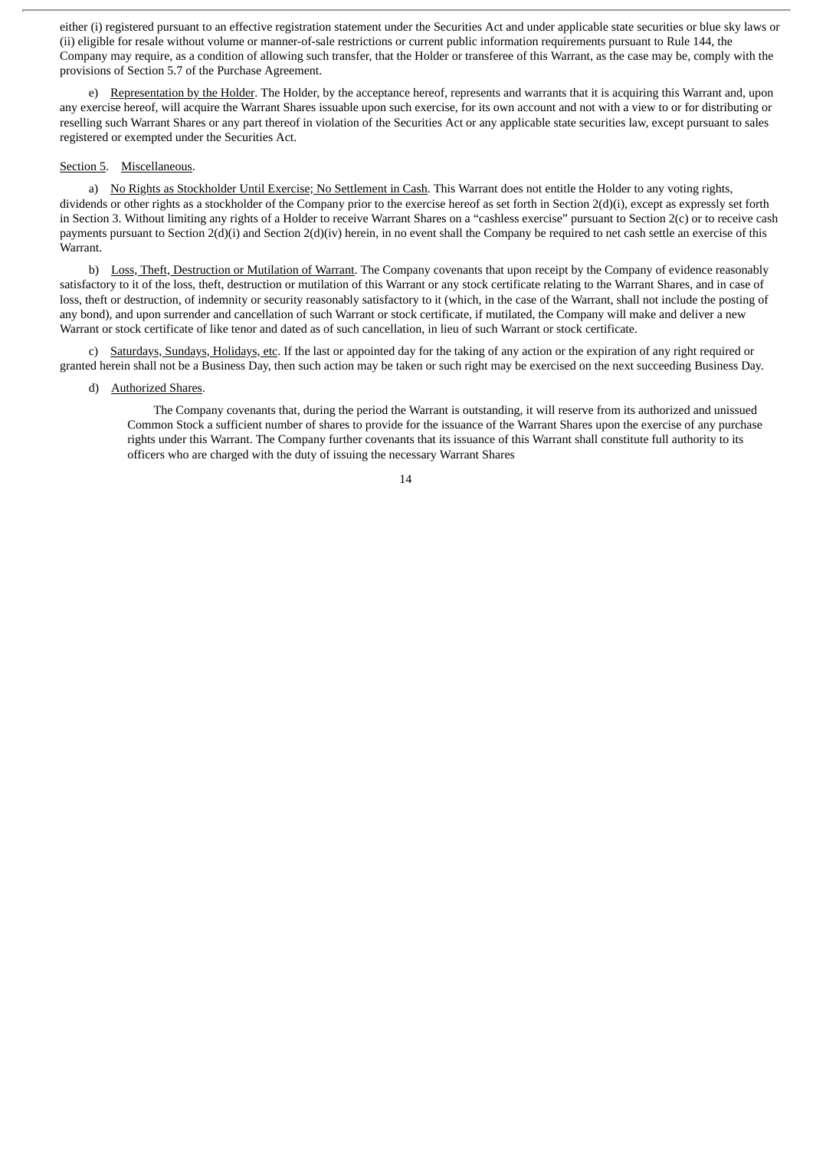either (i) registered pursuant to an effective registration statement under the Securities Act and under applicable state securities or blue sky laws or (ii) eligible for resale without volume or manner-of-sale restrictions or current public information requirements pursuant to Rule 144, the Company may require, as a condition of allowing such transfer, that the Holder or transferee of this Warrant, as the case may be, comply with the provisions of Section 5.7 of the Purchase Agreement.

e) Representation by the Holder. The Holder, by the acceptance hereof, represents and warrants that it is acquiring this Warrant and, upon any exercise hereof, will acquire the Warrant Shares issuable upon such exercise, for its own account and not with a view to or for distributing or reselling such Warrant Shares or any part thereof in violation of the Securities Act or any applicable state securities law, except pursuant to sales registered or exempted under the Securities Act.

#### Section 5. Miscellaneous.

a) No Rights as Stockholder Until Exercise; No Settlement in Cash. This Warrant does not entitle the Holder to any voting rights, dividends or other rights as a stockholder of the Company prior to the exercise hereof as set forth in Section 2(d)(i), except as expressly set forth in Section 3. Without limiting any rights of a Holder to receive Warrant Shares on a "cashless exercise" pursuant to Section 2(c) or to receive cash payments pursuant to Section 2(d)(i) and Section 2(d)(iv) herein, in no event shall the Company be required to net cash settle an exercise of this Warrant.

b) Loss, Theft, Destruction or Mutilation of Warrant. The Company covenants that upon receipt by the Company of evidence reasonably satisfactory to it of the loss, theft, destruction or mutilation of this Warrant or any stock certificate relating to the Warrant Shares, and in case of loss, theft or destruction, of indemnity or security reasonably satisfactory to it (which, in the case of the Warrant, shall not include the posting of any bond), and upon surrender and cancellation of such Warrant or stock certificate, if mutilated, the Company will make and deliver a new Warrant or stock certificate of like tenor and dated as of such cancellation, in lieu of such Warrant or stock certificate.

c) Saturdays, Sundays, Holidays, etc. If the last or appointed day for the taking of any action or the expiration of any right required or granted herein shall not be a Business Day, then such action may be taken or such right may be exercised on the next succeeding Business Day.

#### d) Authorized Shares.

The Company covenants that, during the period the Warrant is outstanding, it will reserve from its authorized and unissued Common Stock a sufficient number of shares to provide for the issuance of the Warrant Shares upon the exercise of any purchase rights under this Warrant. The Company further covenants that its issuance of this Warrant shall constitute full authority to its officers who are charged with the duty of issuing the necessary Warrant Shares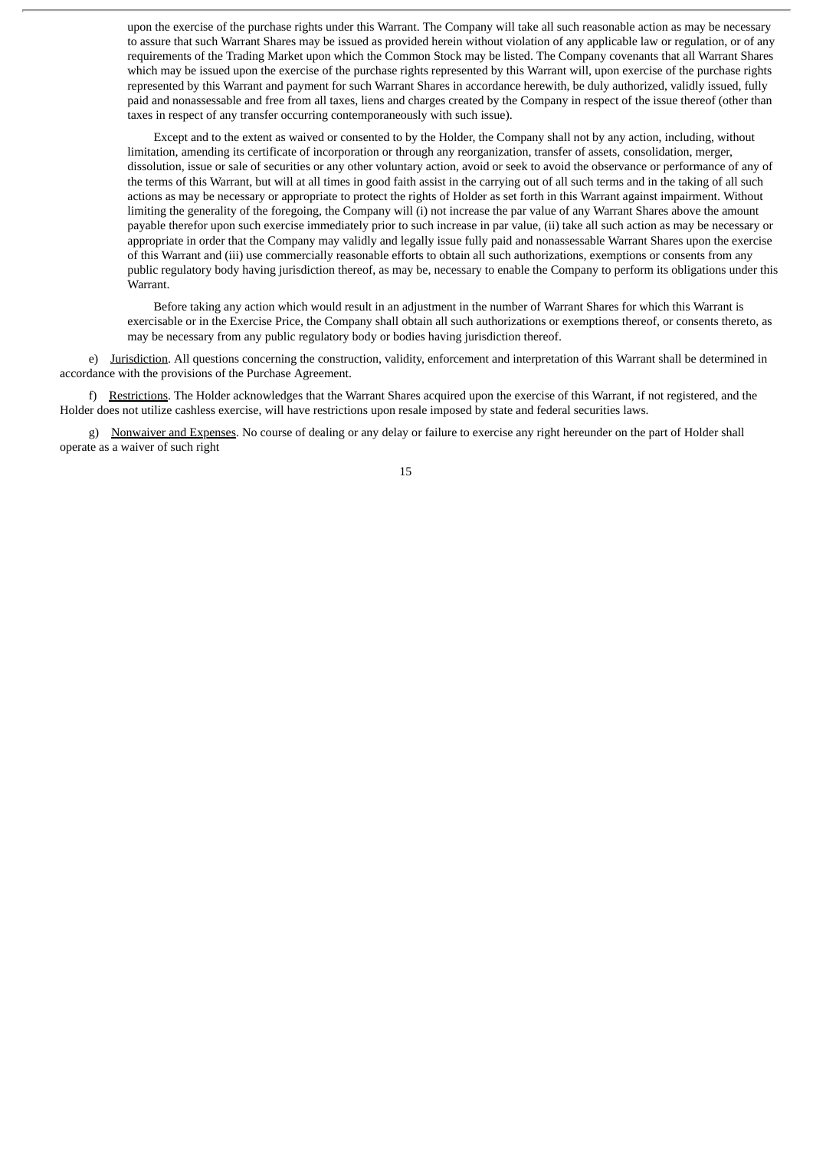upon the exercise of the purchase rights under this Warrant. The Company will take all such reasonable action as may be necessary to assure that such Warrant Shares may be issued as provided herein without violation of any applicable law or regulation, or of any requirements of the Trading Market upon which the Common Stock may be listed. The Company covenants that all Warrant Shares which may be issued upon the exercise of the purchase rights represented by this Warrant will, upon exercise of the purchase rights represented by this Warrant and payment for such Warrant Shares in accordance herewith, be duly authorized, validly issued, fully paid and nonassessable and free from all taxes, liens and charges created by the Company in respect of the issue thereof (other than taxes in respect of any transfer occurring contemporaneously with such issue).

Except and to the extent as waived or consented to by the Holder, the Company shall not by any action, including, without limitation, amending its certificate of incorporation or through any reorganization, transfer of assets, consolidation, merger, dissolution, issue or sale of securities or any other voluntary action, avoid or seek to avoid the observance or performance of any of the terms of this Warrant, but will at all times in good faith assist in the carrying out of all such terms and in the taking of all such actions as may be necessary or appropriate to protect the rights of Holder as set forth in this Warrant against impairment. Without limiting the generality of the foregoing, the Company will (i) not increase the par value of any Warrant Shares above the amount payable therefor upon such exercise immediately prior to such increase in par value, (ii) take all such action as may be necessary or appropriate in order that the Company may validly and legally issue fully paid and nonassessable Warrant Shares upon the exercise of this Warrant and (iii) use commercially reasonable efforts to obtain all such authorizations, exemptions or consents from any public regulatory body having jurisdiction thereof, as may be, necessary to enable the Company to perform its obligations under this Warrant.

Before taking any action which would result in an adjustment in the number of Warrant Shares for which this Warrant is exercisable or in the Exercise Price, the Company shall obtain all such authorizations or exemptions thereof, or consents thereto, as may be necessary from any public regulatory body or bodies having jurisdiction thereof.

e) Jurisdiction. All questions concerning the construction, validity, enforcement and interpretation of this Warrant shall be determined in accordance with the provisions of the Purchase Agreement.

f) Restrictions. The Holder acknowledges that the Warrant Shares acquired upon the exercise of this Warrant, if not registered, and the Holder does not utilize cashless exercise, will have restrictions upon resale imposed by state and federal securities laws.

g) Nonwaiver and Expenses. No course of dealing or any delay or failure to exercise any right hereunder on the part of Holder shall operate as a waiver of such right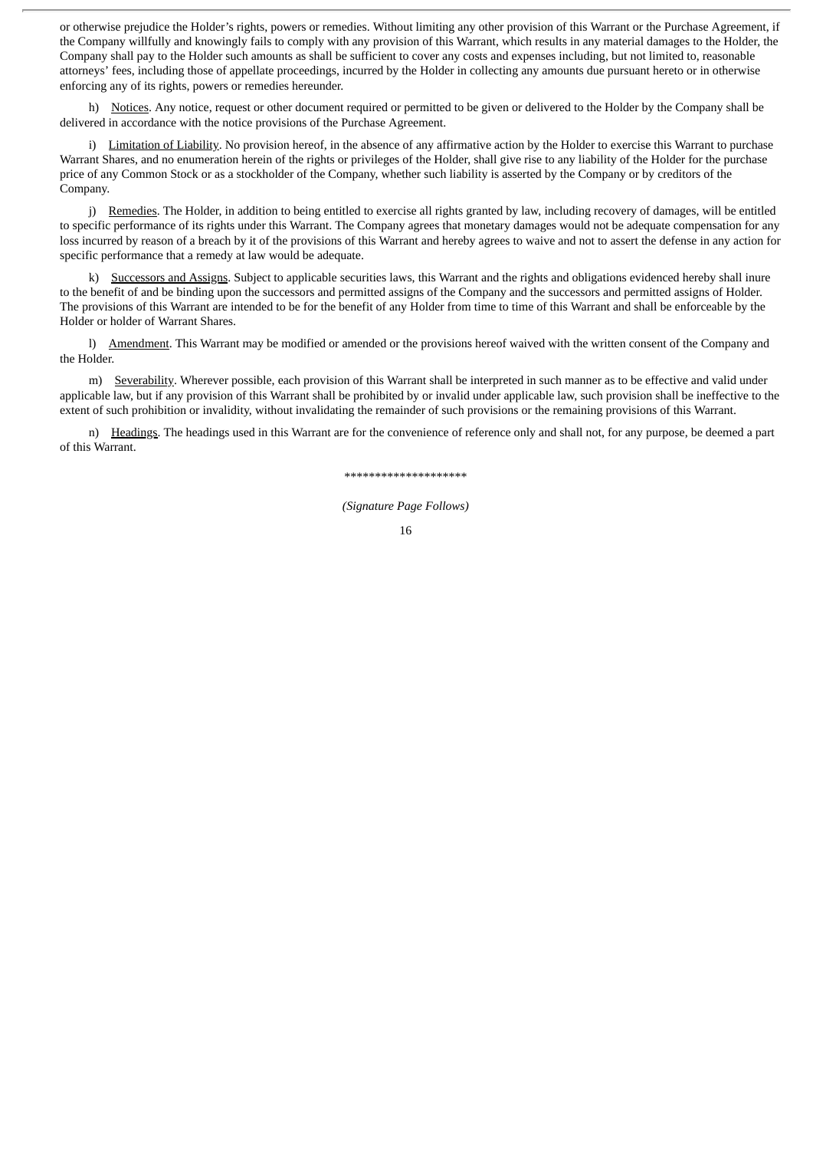or otherwise prejudice the Holder's rights, powers or remedies. Without limiting any other provision of this Warrant or the Purchase Agreement, if the Company willfully and knowingly fails to comply with any provision of this Warrant, which results in any material damages to the Holder, the Company shall pay to the Holder such amounts as shall be sufficient to cover any costs and expenses including, but not limited to, reasonable attorneys' fees, including those of appellate proceedings, incurred by the Holder in collecting any amounts due pursuant hereto or in otherwise enforcing any of its rights, powers or remedies hereunder.

h) Notices. Any notice, request or other document required or permitted to be given or delivered to the Holder by the Company shall be delivered in accordance with the notice provisions of the Purchase Agreement.

i) Limitation of Liability. No provision hereof, in the absence of any affirmative action by the Holder to exercise this Warrant to purchase Warrant Shares, and no enumeration herein of the rights or privileges of the Holder, shall give rise to any liability of the Holder for the purchase price of any Common Stock or as a stockholder of the Company, whether such liability is asserted by the Company or by creditors of the Company.

j) Remedies. The Holder, in addition to being entitled to exercise all rights granted by law, including recovery of damages, will be entitled to specific performance of its rights under this Warrant. The Company agrees that monetary damages would not be adequate compensation for any loss incurred by reason of a breach by it of the provisions of this Warrant and hereby agrees to waive and not to assert the defense in any action for specific performance that a remedy at law would be adequate.

k) Successors and Assigns. Subject to applicable securities laws, this Warrant and the rights and obligations evidenced hereby shall inure to the benefit of and be binding upon the successors and permitted assigns of the Company and the successors and permitted assigns of Holder. The provisions of this Warrant are intended to be for the benefit of any Holder from time to time of this Warrant and shall be enforceable by the Holder or holder of Warrant Shares.

l) Amendment. This Warrant may be modified or amended or the provisions hereof waived with the written consent of the Company and the Holder.

m) Severability. Wherever possible, each provision of this Warrant shall be interpreted in such manner as to be effective and valid under applicable law, but if any provision of this Warrant shall be prohibited by or invalid under applicable law, such provision shall be ineffective to the extent of such prohibition or invalidity, without invalidating the remainder of such provisions or the remaining provisions of this Warrant.

n) Headings. The headings used in this Warrant are for the convenience of reference only and shall not, for any purpose, be deemed a part of this Warrant.

\*\*\*\*\*\*\*\*\*\*\*\*\*\*\*\*\*\*\*\*

*(Signature Page Follows)*

<sup>16</sup>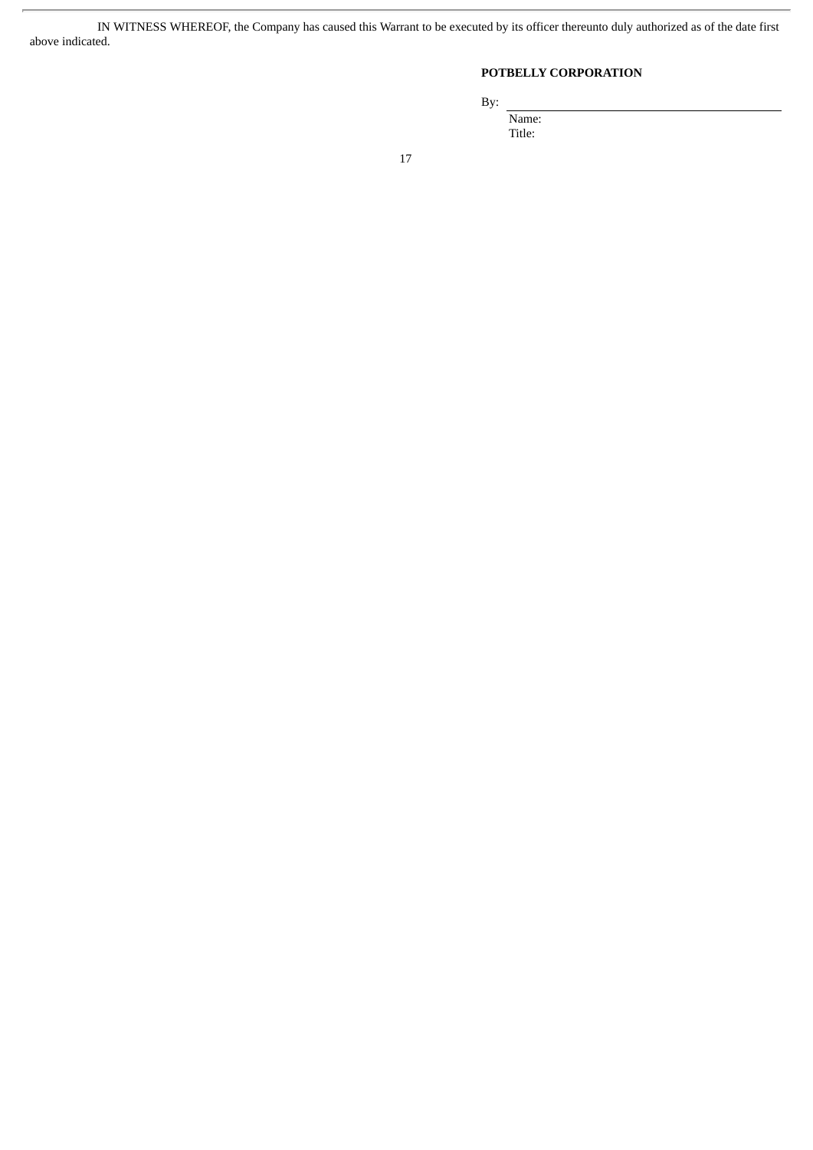IN WITNESS WHEREOF, the Company has caused this Warrant to be executed by its officer thereunto duly authorized as of the date first above indicated.

ŗ.

# **POTBELLY CORPORATION**

By:

Name: Title: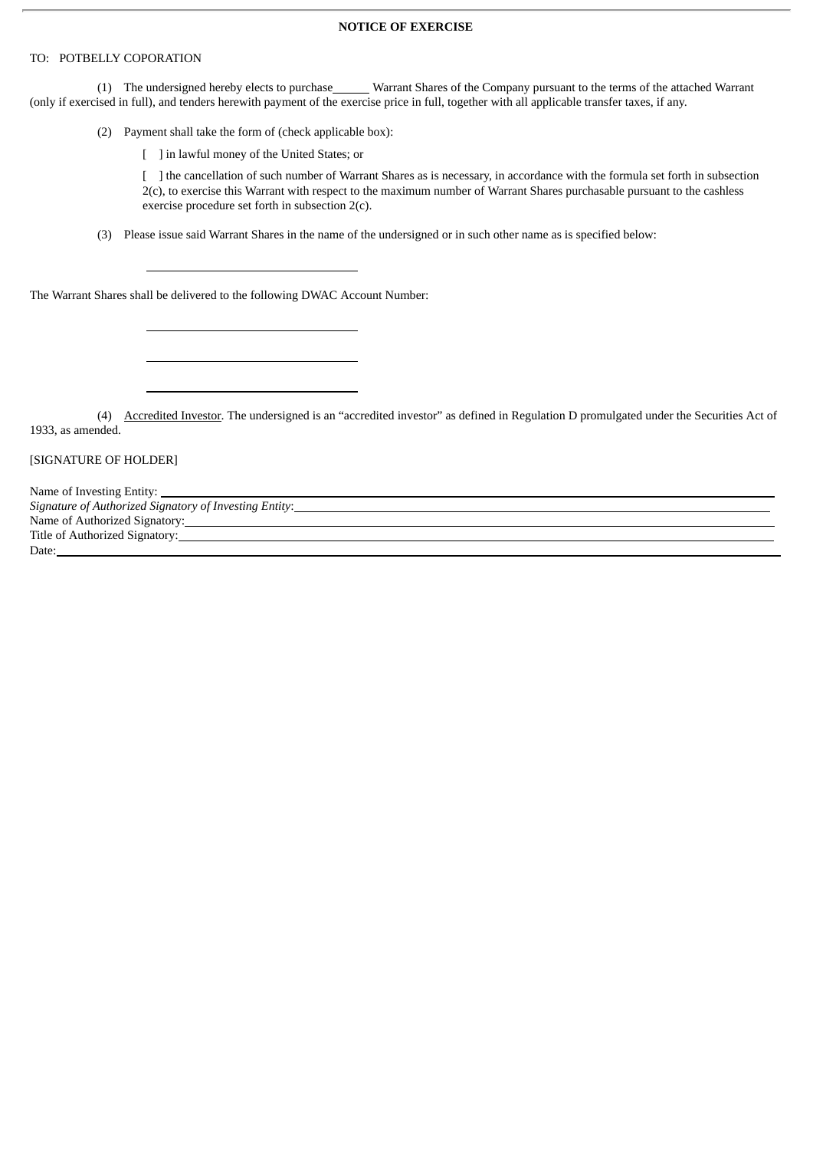## **NOTICE OF EXERCISE**

## TO: POTBELLY COPORATION

(1) The undersigned hereby elects to purchase Warrant Shares of the Company pursuant to the terms of the attached Warrant (only if exercised in full), and tenders herewith payment of the exercise price in full, together with all applicable transfer taxes, if any.

- (2) Payment shall take the form of (check applicable box):
	- [ ] in lawful money of the United States; or

[ ] the cancellation of such number of Warrant Shares as is necessary, in accordance with the formula set forth in subsection 2(c), to exercise this Warrant with respect to the maximum number of Warrant Shares purchasable pursuant to the cashless exercise procedure set forth in subsection 2(c).

(3) Please issue said Warrant Shares in the name of the undersigned or in such other name as is specified below:

The Warrant Shares shall be delivered to the following DWAC Account Number:

(4) Accredited Investor. The undersigned is an "accredited investor" as defined in Regulation D promulgated under the Securities Act of 1933, as amended.

[SIGNATURE OF HOLDER]

Name of Investing Entity: *Signature of Authorized Signatory of Investing Entity*:

Name of Authorized Signatory: Title of Authorized Signatory:

Date: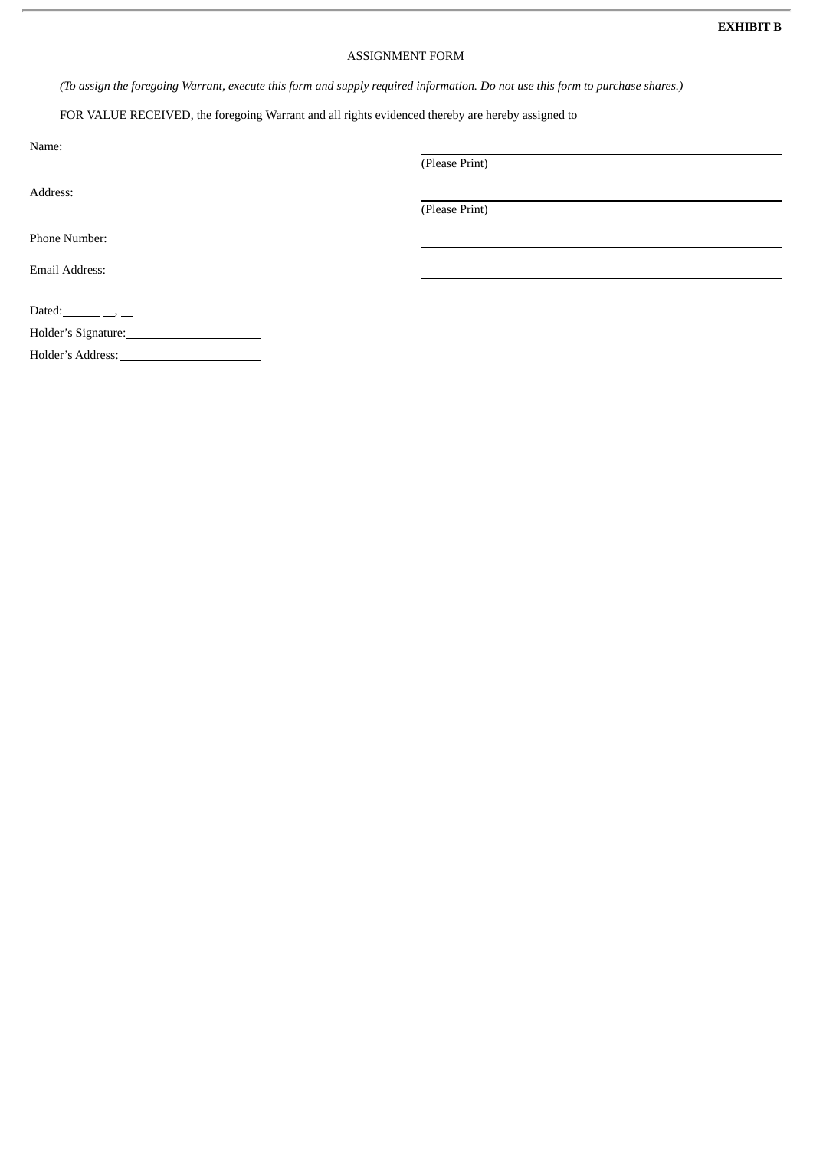# ASSIGNMENT FORM

(To assign the foregoing Warrant, execute this form and supply required information. Do not use this form to purchase shares.)

FOR VALUE RECEIVED, the foregoing Warrant and all rights evidenced thereby are hereby assigned to

Name:

Address:

(Please Print)

(Please Print)

Phone Number:

Email Address:

Dated:  $\qquad \qquad$ .

Holder's Signature: 

Holder's Address: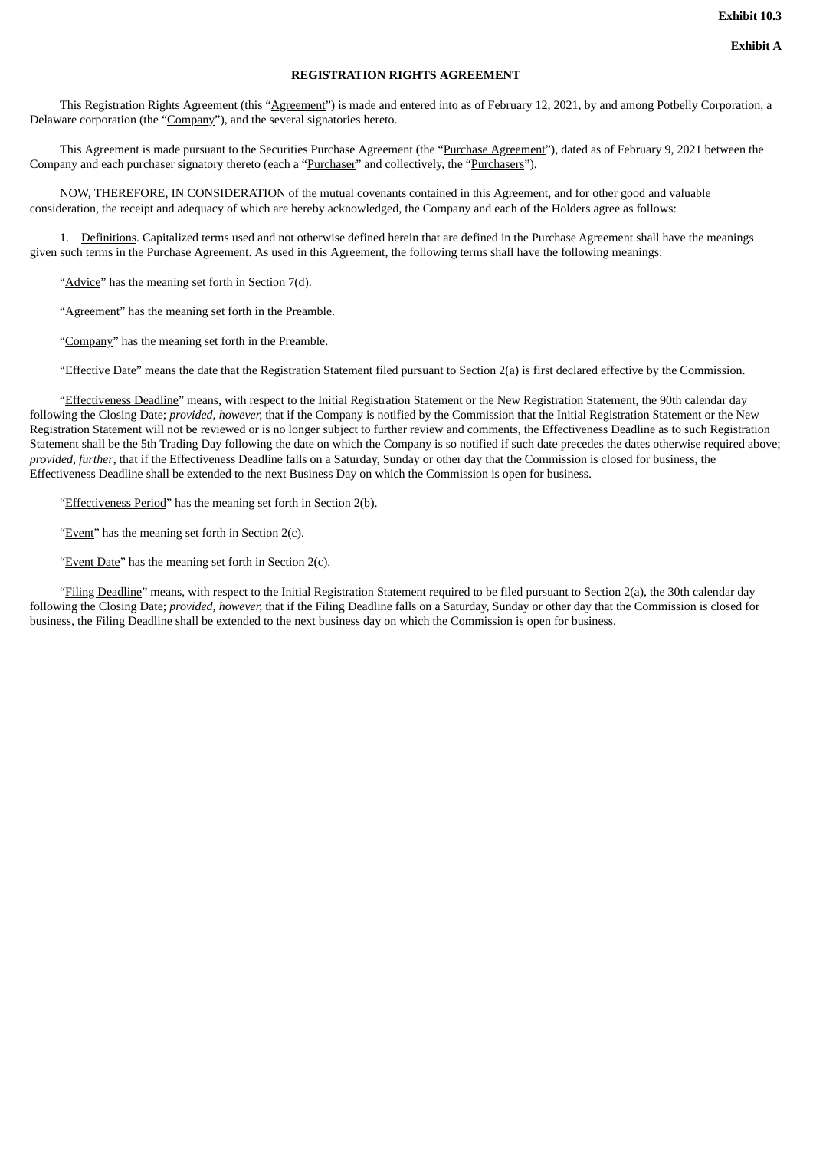#### **REGISTRATION RIGHTS AGREEMENT**

This Registration Rights Agreement (this "Agreement") is made and entered into as of February 12, 2021, by and among Potbelly Corporation, a Delaware corporation (the "Company"), and the several signatories hereto.

This Agreement is made pursuant to the Securities Purchase Agreement (the "Purchase Agreement"), dated as of February 9, 2021 between the Company and each purchaser signatory thereto (each a "Purchaser" and collectively, the "Purchasers").

NOW, THEREFORE, IN CONSIDERATION of the mutual covenants contained in this Agreement, and for other good and valuable consideration, the receipt and adequacy of which are hereby acknowledged, the Company and each of the Holders agree as follows:

1. Definitions. Capitalized terms used and not otherwise defined herein that are defined in the Purchase Agreement shall have the meanings given such terms in the Purchase Agreement. As used in this Agreement, the following terms shall have the following meanings:

"Advice" has the meaning set forth in Section 7(d).

"Agreement" has the meaning set forth in the Preamble.

"Company" has the meaning set forth in the Preamble.

"Effective Date" means the date that the Registration Statement filed pursuant to Section 2(a) is first declared effective by the Commission.

"Effectiveness Deadline" means, with respect to the Initial Registration Statement or the New Registration Statement, the 90th calendar day following the Closing Date; *provided, however,* that if the Company is notified by the Commission that the Initial Registration Statement or the New Registration Statement will not be reviewed or is no longer subject to further review and comments, the Effectiveness Deadline as to such Registration Statement shall be the 5th Trading Day following the date on which the Company is so notified if such date precedes the dates otherwise required above; *provided, further*, that if the Effectiveness Deadline falls on a Saturday, Sunday or other day that the Commission is closed for business, the Effectiveness Deadline shall be extended to the next Business Day on which the Commission is open for business.

"Effectiveness Period" has the meaning set forth in Section 2(b).

"Event" has the meaning set forth in Section 2(c).

"Event Date" has the meaning set forth in Section 2(c).

"Filing Deadline" means, with respect to the Initial Registration Statement required to be filed pursuant to Section 2(a), the 30th calendar day following the Closing Date; *provided, however,* that if the Filing Deadline falls on a Saturday, Sunday or other day that the Commission is closed for business, the Filing Deadline shall be extended to the next business day on which the Commission is open for business.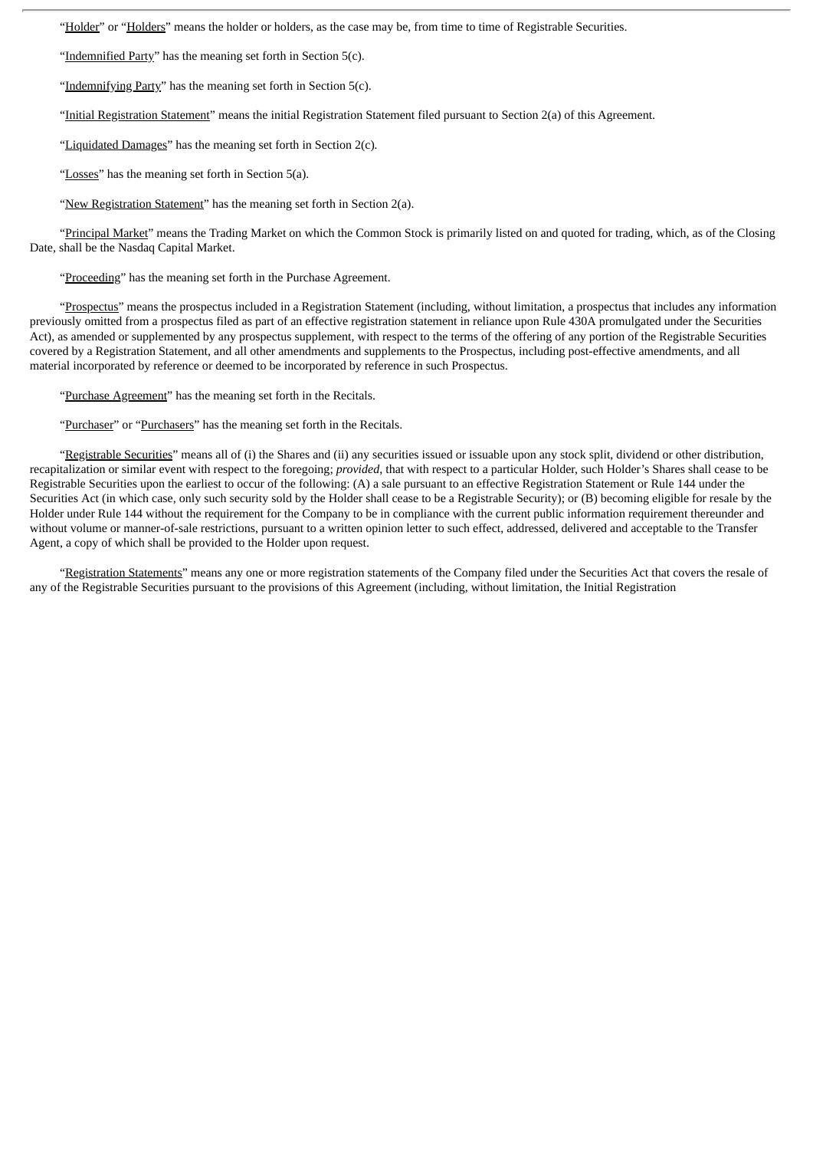"Holder" or "Holders" means the holder or holders, as the case may be, from time to time of Registrable Securities.

"Indemnified Party" has the meaning set forth in Section 5(c).

"Indemnifying Party" has the meaning set forth in Section 5(c).

"Initial Registration Statement" means the initial Registration Statement filed pursuant to Section 2(a) of this Agreement.

"Liquidated Damages" has the meaning set forth in Section 2(c)*.*

"Losses" has the meaning set forth in Section 5(a).

"New Registration Statement" has the meaning set forth in Section 2(a).

"Principal Market" means the Trading Market on which the Common Stock is primarily listed on and quoted for trading, which, as of the Closing Date, shall be the Nasdaq Capital Market.

"Proceeding" has the meaning set forth in the Purchase Agreement.

"Prospectus" means the prospectus included in a Registration Statement (including, without limitation, a prospectus that includes any information previously omitted from a prospectus filed as part of an effective registration statement in reliance upon Rule 430A promulgated under the Securities Act), as amended or supplemented by any prospectus supplement, with respect to the terms of the offering of any portion of the Registrable Securities covered by a Registration Statement, and all other amendments and supplements to the Prospectus, including post-effective amendments, and all material incorporated by reference or deemed to be incorporated by reference in such Prospectus.

"Purchase Agreement" has the meaning set forth in the Recitals.

"Purchaser" or "Purchasers" has the meaning set forth in the Recitals.

"Registrable Securities" means all of (i) the Shares and (ii) any securities issued or issuable upon any stock split, dividend or other distribution, recapitalization or similar event with respect to the foregoing; *provided*, that with respect to a particular Holder, such Holder's Shares shall cease to be Registrable Securities upon the earliest to occur of the following: (A) a sale pursuant to an effective Registration Statement or Rule 144 under the Securities Act (in which case, only such security sold by the Holder shall cease to be a Registrable Security); or (B) becoming eligible for resale by the Holder under Rule 144 without the requirement for the Company to be in compliance with the current public information requirement thereunder and without volume or manner-of-sale restrictions, pursuant to a written opinion letter to such effect, addressed, delivered and acceptable to the Transfer Agent, a copy of which shall be provided to the Holder upon request.

"Registration Statements" means any one or more registration statements of the Company filed under the Securities Act that covers the resale of any of the Registrable Securities pursuant to the provisions of this Agreement (including, without limitation, the Initial Registration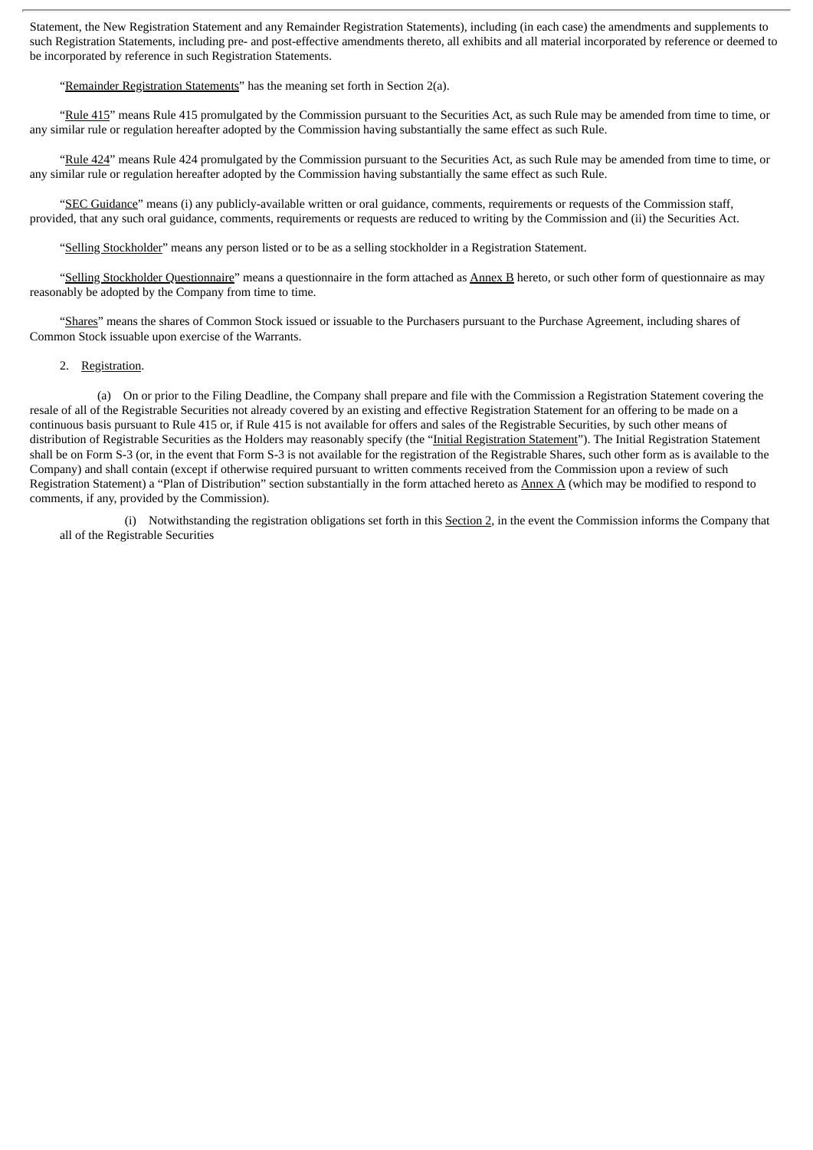Statement, the New Registration Statement and any Remainder Registration Statements), including (in each case) the amendments and supplements to such Registration Statements, including pre- and post-effective amendments thereto, all exhibits and all material incorporated by reference or deemed to be incorporated by reference in such Registration Statements.

"Remainder Registration Statements" has the meaning set forth in Section 2(a).

"Rule 415" means Rule 415 promulgated by the Commission pursuant to the Securities Act, as such Rule may be amended from time to time, or any similar rule or regulation hereafter adopted by the Commission having substantially the same effect as such Rule.

"Rule 424" means Rule 424 promulgated by the Commission pursuant to the Securities Act, as such Rule may be amended from time to time, or any similar rule or regulation hereafter adopted by the Commission having substantially the same effect as such Rule.

"SEC Guidance" means (i) any publicly-available written or oral guidance, comments, requirements or requests of the Commission staff, provided, that any such oral guidance, comments, requirements or requests are reduced to writing by the Commission and (ii) the Securities Act.

"Selling Stockholder" means any person listed or to be as a selling stockholder in a Registration Statement.

"Selling Stockholder Questionnaire" means a questionnaire in the form attached as Annex B hereto, or such other form of questionnaire as may reasonably be adopted by the Company from time to time.

"Shares" means the shares of Common Stock issued or issuable to the Purchasers pursuant to the Purchase Agreement, including shares of Common Stock issuable upon exercise of the Warrants.

#### 2. Registration.

(a) On or prior to the Filing Deadline, the Company shall prepare and file with the Commission a Registration Statement covering the resale of all of the Registrable Securities not already covered by an existing and effective Registration Statement for an offering to be made on a continuous basis pursuant to Rule 415 or, if Rule 415 is not available for offers and sales of the Registrable Securities, by such other means of distribution of Registrable Securities as the Holders may reasonably specify (the "Initial Registration Statement"). The Initial Registration Statement shall be on Form S-3 (or, in the event that Form S-3 is not available for the registration of the Registrable Shares, such other form as is available to the Company) and shall contain (except if otherwise required pursuant to written comments received from the Commission upon a review of such Registration Statement) a "Plan of Distribution" section substantially in the form attached hereto as **Annex A** (which may be modified to respond to comments, if any, provided by the Commission).

(i) Notwithstanding the registration obligations set forth in this Section 2, in the event the Commission informs the Company that all of the Registrable Securities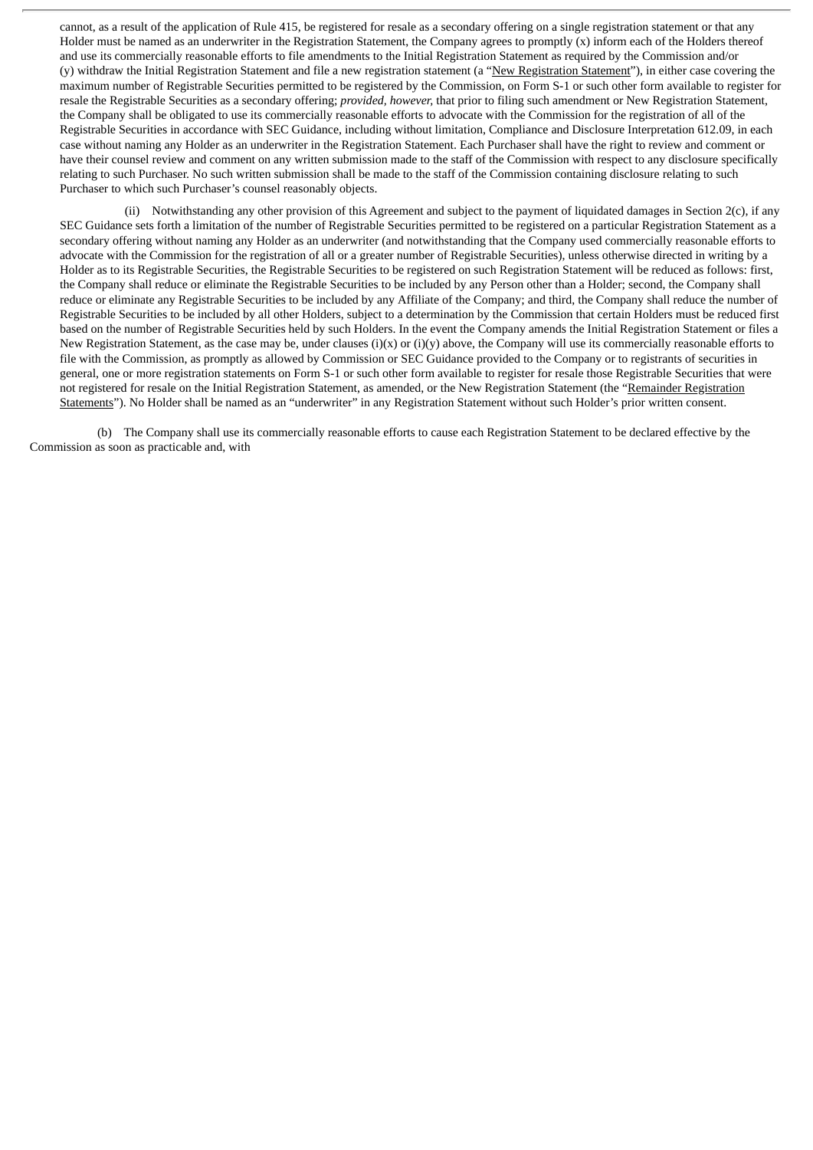cannot, as a result of the application of Rule 415, be registered for resale as a secondary offering on a single registration statement or that any Holder must be named as an underwriter in the Registration Statement, the Company agrees to promptly (x) inform each of the Holders thereof and use its commercially reasonable efforts to file amendments to the Initial Registration Statement as required by the Commission and/or (y) withdraw the Initial Registration Statement and file a new registration statement (a "New Registration Statement"), in either case covering the maximum number of Registrable Securities permitted to be registered by the Commission, on Form S-1 or such other form available to register for resale the Registrable Securities as a secondary offering; *provided, however,* that prior to filing such amendment or New Registration Statement, the Company shall be obligated to use its commercially reasonable efforts to advocate with the Commission for the registration of all of the Registrable Securities in accordance with SEC Guidance, including without limitation, Compliance and Disclosure Interpretation 612.09, in each case without naming any Holder as an underwriter in the Registration Statement. Each Purchaser shall have the right to review and comment or have their counsel review and comment on any written submission made to the staff of the Commission with respect to any disclosure specifically relating to such Purchaser. No such written submission shall be made to the staff of the Commission containing disclosure relating to such Purchaser to which such Purchaser's counsel reasonably objects.

(ii) Notwithstanding any other provision of this Agreement and subject to the payment of liquidated damages in Section 2(c), if any SEC Guidance sets forth a limitation of the number of Registrable Securities permitted to be registered on a particular Registration Statement as a secondary offering without naming any Holder as an underwriter (and notwithstanding that the Company used commercially reasonable efforts to advocate with the Commission for the registration of all or a greater number of Registrable Securities), unless otherwise directed in writing by a Holder as to its Registrable Securities, the Registrable Securities to be registered on such Registration Statement will be reduced as follows: first, the Company shall reduce or eliminate the Registrable Securities to be included by any Person other than a Holder; second, the Company shall reduce or eliminate any Registrable Securities to be included by any Affiliate of the Company; and third, the Company shall reduce the number of Registrable Securities to be included by all other Holders, subject to a determination by the Commission that certain Holders must be reduced first based on the number of Registrable Securities held by such Holders. In the event the Company amends the Initial Registration Statement or files a New Registration Statement, as the case may be, under clauses (i)(x) or (i)(y) above, the Company will use its commercially reasonable efforts to file with the Commission, as promptly as allowed by Commission or SEC Guidance provided to the Company or to registrants of securities in general, one or more registration statements on Form S-1 or such other form available to register for resale those Registrable Securities that were not registered for resale on the Initial Registration Statement, as amended, or the New Registration Statement (the "Remainder Registration Statements"). No Holder shall be named as an "underwriter" in any Registration Statement without such Holder's prior written consent.

(b) The Company shall use its commercially reasonable efforts to cause each Registration Statement to be declared effective by the Commission as soon as practicable and, with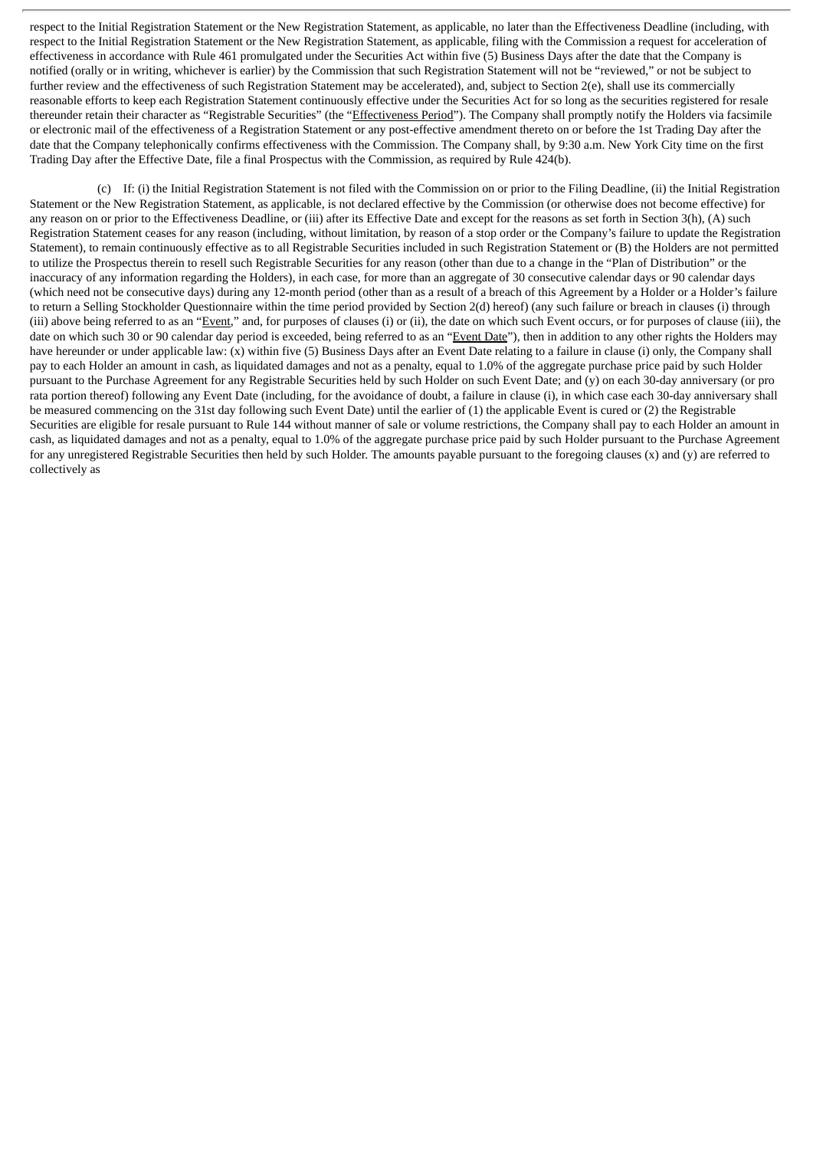respect to the Initial Registration Statement or the New Registration Statement, as applicable, no later than the Effectiveness Deadline (including, with respect to the Initial Registration Statement or the New Registration Statement, as applicable, filing with the Commission a request for acceleration of effectiveness in accordance with Rule 461 promulgated under the Securities Act within five (5) Business Days after the date that the Company is notified (orally or in writing, whichever is earlier) by the Commission that such Registration Statement will not be "reviewed," or not be subject to further review and the effectiveness of such Registration Statement may be accelerated), and, subject to Section 2(e), shall use its commercially reasonable efforts to keep each Registration Statement continuously effective under the Securities Act for so long as the securities registered for resale thereunder retain their character as "Registrable Securities" (the "Effectiveness Period"). The Company shall promptly notify the Holders via facsimile or electronic mail of the effectiveness of a Registration Statement or any post-effective amendment thereto on or before the 1st Trading Day after the date that the Company telephonically confirms effectiveness with the Commission. The Company shall, by 9:30 a.m. New York City time on the first Trading Day after the Effective Date, file a final Prospectus with the Commission, as required by Rule 424(b).

(c) If: (i) the Initial Registration Statement is not filed with the Commission on or prior to the Filing Deadline, (ii) the Initial Registration Statement or the New Registration Statement, as applicable, is not declared effective by the Commission (or otherwise does not become effective) for any reason on or prior to the Effectiveness Deadline, or (iii) after its Effective Date and except for the reasons as set forth in Section 3(h), (A) such Registration Statement ceases for any reason (including, without limitation, by reason of a stop order or the Company's failure to update the Registration Statement), to remain continuously effective as to all Registrable Securities included in such Registration Statement or (B) the Holders are not permitted to utilize the Prospectus therein to resell such Registrable Securities for any reason (other than due to a change in the "Plan of Distribution" or the inaccuracy of any information regarding the Holders), in each case, for more than an aggregate of 30 consecutive calendar days or 90 calendar days (which need not be consecutive days) during any 12-month period (other than as a result of a breach of this Agreement by a Holder or a Holder's failure to return a Selling Stockholder Questionnaire within the time period provided by Section 2(d) hereof) (any such failure or breach in clauses (i) through (iii) above being referred to as an "Event," and, for purposes of clauses (i) or (ii), the date on which such Event occurs, or for purposes of clause (iii), the date on which such 30 or 90 calendar day period is exceeded, being referred to as an "Event Date"), then in addition to any other rights the Holders may have hereunder or under applicable law: (x) within five (5) Business Days after an Event Date relating to a failure in clause (i) only, the Company shall pay to each Holder an amount in cash, as liquidated damages and not as a penalty, equal to 1.0% of the aggregate purchase price paid by such Holder pursuant to the Purchase Agreement for any Registrable Securities held by such Holder on such Event Date; and (y) on each 30-day anniversary (or pro rata portion thereof) following any Event Date (including, for the avoidance of doubt, a failure in clause (i), in which case each 30-day anniversary shall be measured commencing on the 31st day following such Event Date) until the earlier of (1) the applicable Event is cured or (2) the Registrable Securities are eligible for resale pursuant to Rule 144 without manner of sale or volume restrictions, the Company shall pay to each Holder an amount in cash, as liquidated damages and not as a penalty, equal to 1.0% of the aggregate purchase price paid by such Holder pursuant to the Purchase Agreement for any unregistered Registrable Securities then held by such Holder. The amounts payable pursuant to the foregoing clauses (x) and (y) are referred to collectively as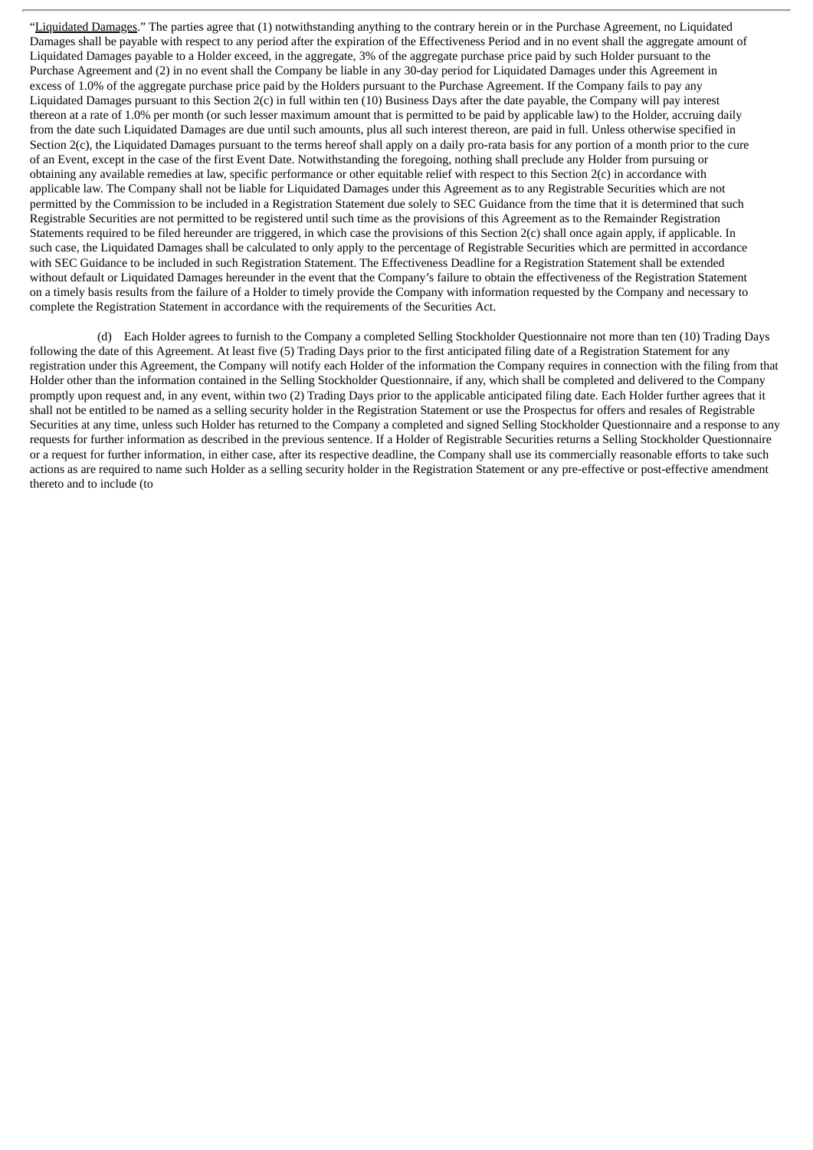"Liquidated Damages." The parties agree that (1) notwithstanding anything to the contrary herein or in the Purchase Agreement, no Liquidated Damages shall be payable with respect to any period after the expiration of the Effectiveness Period and in no event shall the aggregate amount of Liquidated Damages payable to a Holder exceed, in the aggregate, 3% of the aggregate purchase price paid by such Holder pursuant to the Purchase Agreement and (2) in no event shall the Company be liable in any 30-day period for Liquidated Damages under this Agreement in excess of 1.0% of the aggregate purchase price paid by the Holders pursuant to the Purchase Agreement. If the Company fails to pay any Liquidated Damages pursuant to this Section 2(c) in full within ten (10) Business Days after the date payable, the Company will pay interest thereon at a rate of 1.0% per month (or such lesser maximum amount that is permitted to be paid by applicable law) to the Holder, accruing daily from the date such Liquidated Damages are due until such amounts, plus all such interest thereon, are paid in full. Unless otherwise specified in Section 2(c), the Liquidated Damages pursuant to the terms hereof shall apply on a daily pro-rata basis for any portion of a month prior to the cure of an Event, except in the case of the first Event Date. Notwithstanding the foregoing, nothing shall preclude any Holder from pursuing or obtaining any available remedies at law, specific performance or other equitable relief with respect to this Section 2(c) in accordance with applicable law. The Company shall not be liable for Liquidated Damages under this Agreement as to any Registrable Securities which are not permitted by the Commission to be included in a Registration Statement due solely to SEC Guidance from the time that it is determined that such Registrable Securities are not permitted to be registered until such time as the provisions of this Agreement as to the Remainder Registration Statements required to be filed hereunder are triggered, in which case the provisions of this Section 2(c) shall once again apply, if applicable. In such case, the Liquidated Damages shall be calculated to only apply to the percentage of Registrable Securities which are permitted in accordance with SEC Guidance to be included in such Registration Statement. The Effectiveness Deadline for a Registration Statement shall be extended without default or Liquidated Damages hereunder in the event that the Company's failure to obtain the effectiveness of the Registration Statement on a timely basis results from the failure of a Holder to timely provide the Company with information requested by the Company and necessary to complete the Registration Statement in accordance with the requirements of the Securities Act.

(d) Each Holder agrees to furnish to the Company a completed Selling Stockholder Questionnaire not more than ten (10) Trading Days following the date of this Agreement. At least five (5) Trading Days prior to the first anticipated filing date of a Registration Statement for any registration under this Agreement, the Company will notify each Holder of the information the Company requires in connection with the filing from that Holder other than the information contained in the Selling Stockholder Questionnaire, if any, which shall be completed and delivered to the Company promptly upon request and, in any event, within two (2) Trading Days prior to the applicable anticipated filing date. Each Holder further agrees that it shall not be entitled to be named as a selling security holder in the Registration Statement or use the Prospectus for offers and resales of Registrable Securities at any time, unless such Holder has returned to the Company a completed and signed Selling Stockholder Questionnaire and a response to any requests for further information as described in the previous sentence. If a Holder of Registrable Securities returns a Selling Stockholder Questionnaire or a request for further information, in either case, after its respective deadline, the Company shall use its commercially reasonable efforts to take such actions as are required to name such Holder as a selling security holder in the Registration Statement or any pre-effective or post-effective amendment thereto and to include (to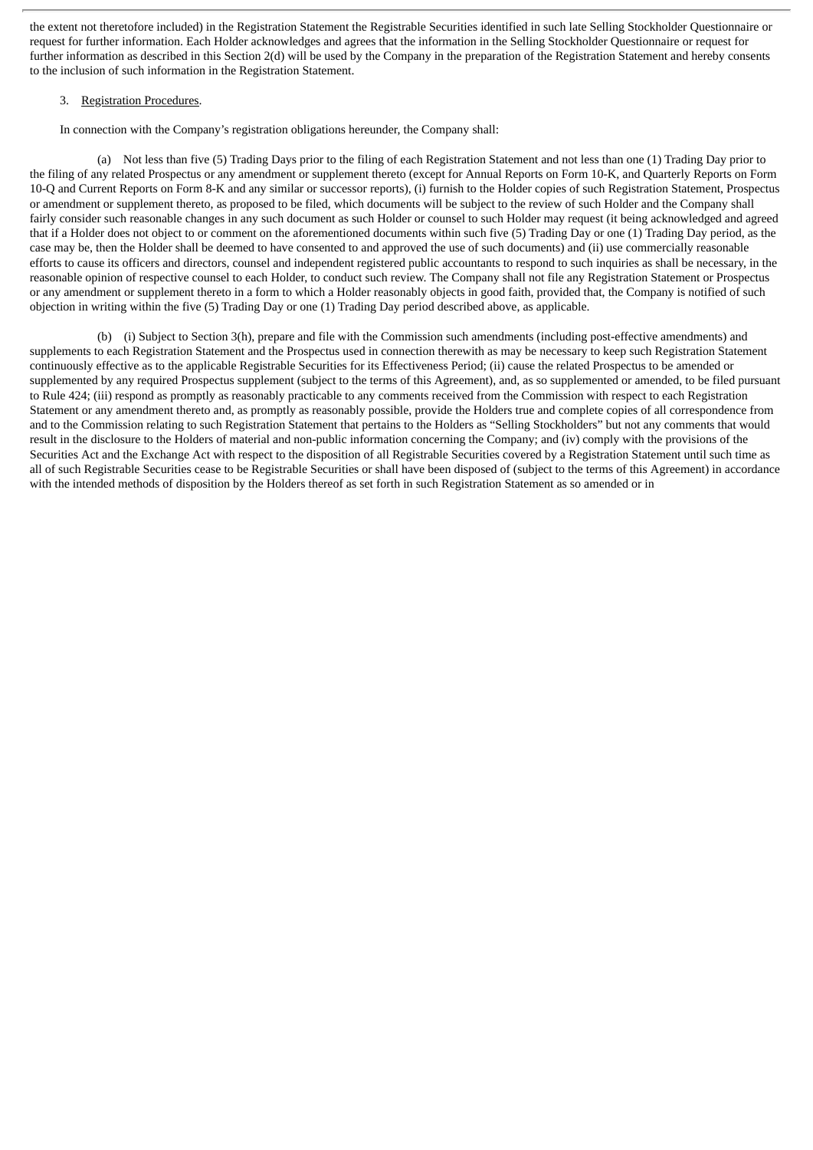the extent not theretofore included) in the Registration Statement the Registrable Securities identified in such late Selling Stockholder Questionnaire or request for further information. Each Holder acknowledges and agrees that the information in the Selling Stockholder Questionnaire or request for further information as described in this Section 2(d) will be used by the Company in the preparation of the Registration Statement and hereby consents to the inclusion of such information in the Registration Statement.

## 3. Registration Procedures.

In connection with the Company's registration obligations hereunder, the Company shall:

(a) Not less than five (5) Trading Days prior to the filing of each Registration Statement and not less than one (1) Trading Day prior to the filing of any related Prospectus or any amendment or supplement thereto (except for Annual Reports on Form 10-K, and Quarterly Reports on Form 10-Q and Current Reports on Form 8-K and any similar or successor reports), (i) furnish to the Holder copies of such Registration Statement, Prospectus or amendment or supplement thereto, as proposed to be filed, which documents will be subject to the review of such Holder and the Company shall fairly consider such reasonable changes in any such document as such Holder or counsel to such Holder may request (it being acknowledged and agreed that if a Holder does not object to or comment on the aforementioned documents within such five (5) Trading Day or one (1) Trading Day period, as the case may be, then the Holder shall be deemed to have consented to and approved the use of such documents) and (ii) use commercially reasonable efforts to cause its officers and directors, counsel and independent registered public accountants to respond to such inquiries as shall be necessary, in the reasonable opinion of respective counsel to each Holder, to conduct such review. The Company shall not file any Registration Statement or Prospectus or any amendment or supplement thereto in a form to which a Holder reasonably objects in good faith, provided that, the Company is notified of such objection in writing within the five (5) Trading Day or one (1) Trading Day period described above, as applicable.

(b) (i) Subject to Section 3(h), prepare and file with the Commission such amendments (including post-effective amendments) and supplements to each Registration Statement and the Prospectus used in connection therewith as may be necessary to keep such Registration Statement continuously effective as to the applicable Registrable Securities for its Effectiveness Period; (ii) cause the related Prospectus to be amended or supplemented by any required Prospectus supplement (subject to the terms of this Agreement), and, as so supplemented or amended, to be filed pursuant to Rule 424; (iii) respond as promptly as reasonably practicable to any comments received from the Commission with respect to each Registration Statement or any amendment thereto and, as promptly as reasonably possible, provide the Holders true and complete copies of all correspondence from and to the Commission relating to such Registration Statement that pertains to the Holders as "Selling Stockholders" but not any comments that would result in the disclosure to the Holders of material and non-public information concerning the Company; and (iv) comply with the provisions of the Securities Act and the Exchange Act with respect to the disposition of all Registrable Securities covered by a Registration Statement until such time as all of such Registrable Securities cease to be Registrable Securities or shall have been disposed of (subject to the terms of this Agreement) in accordance with the intended methods of disposition by the Holders thereof as set forth in such Registration Statement as so amended or in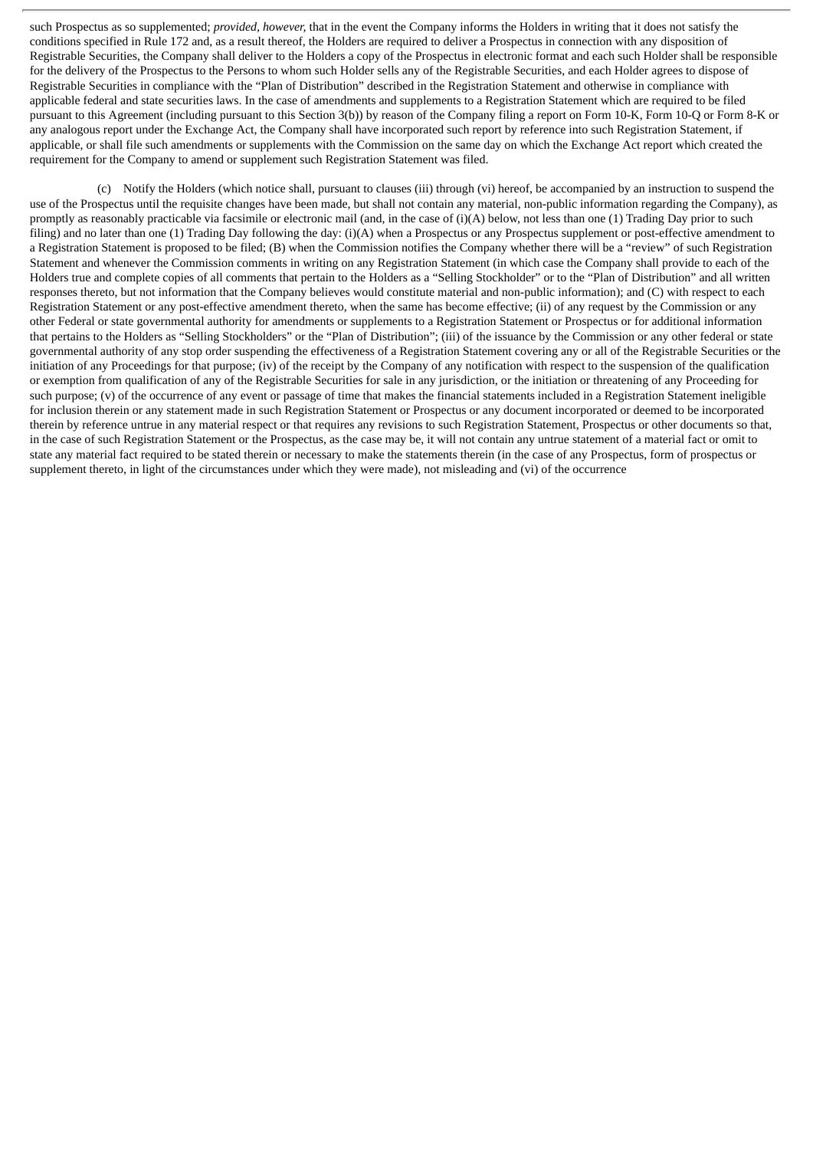such Prospectus as so supplemented; *provided, however,* that in the event the Company informs the Holders in writing that it does not satisfy the conditions specified in Rule 172 and, as a result thereof, the Holders are required to deliver a Prospectus in connection with any disposition of Registrable Securities, the Company shall deliver to the Holders a copy of the Prospectus in electronic format and each such Holder shall be responsible for the delivery of the Prospectus to the Persons to whom such Holder sells any of the Registrable Securities, and each Holder agrees to dispose of Registrable Securities in compliance with the "Plan of Distribution" described in the Registration Statement and otherwise in compliance with applicable federal and state securities laws. In the case of amendments and supplements to a Registration Statement which are required to be filed pursuant to this Agreement (including pursuant to this Section 3(b)) by reason of the Company filing a report on Form 10-K, Form 10-Q or Form 8-K or any analogous report under the Exchange Act, the Company shall have incorporated such report by reference into such Registration Statement, if applicable, or shall file such amendments or supplements with the Commission on the same day on which the Exchange Act report which created the requirement for the Company to amend or supplement such Registration Statement was filed.

(c) Notify the Holders (which notice shall, pursuant to clauses (iii) through (vi) hereof, be accompanied by an instruction to suspend the use of the Prospectus until the requisite changes have been made, but shall not contain any material, non-public information regarding the Company), as promptly as reasonably practicable via facsimile or electronic mail (and, in the case of  $(i)(A)$  below, not less than one (1) Trading Day prior to such filing) and no later than one (1) Trading Day following the day: (i)(A) when a Prospectus or any Prospectus supplement or post-effective amendment to a Registration Statement is proposed to be filed; (B) when the Commission notifies the Company whether there will be a "review" of such Registration Statement and whenever the Commission comments in writing on any Registration Statement (in which case the Company shall provide to each of the Holders true and complete copies of all comments that pertain to the Holders as a "Selling Stockholder" or to the "Plan of Distribution" and all written responses thereto, but not information that the Company believes would constitute material and non-public information); and (C) with respect to each Registration Statement or any post-effective amendment thereto, when the same has become effective; (ii) of any request by the Commission or any other Federal or state governmental authority for amendments or supplements to a Registration Statement or Prospectus or for additional information that pertains to the Holders as "Selling Stockholders" or the "Plan of Distribution"; (iii) of the issuance by the Commission or any other federal or state governmental authority of any stop order suspending the effectiveness of a Registration Statement covering any or all of the Registrable Securities or the initiation of any Proceedings for that purpose; (iv) of the receipt by the Company of any notification with respect to the suspension of the qualification or exemption from qualification of any of the Registrable Securities for sale in any jurisdiction, or the initiation or threatening of any Proceeding for such purpose; (v) of the occurrence of any event or passage of time that makes the financial statements included in a Registration Statement ineligible for inclusion therein or any statement made in such Registration Statement or Prospectus or any document incorporated or deemed to be incorporated therein by reference untrue in any material respect or that requires any revisions to such Registration Statement, Prospectus or other documents so that, in the case of such Registration Statement or the Prospectus, as the case may be, it will not contain any untrue statement of a material fact or omit to state any material fact required to be stated therein or necessary to make the statements therein (in the case of any Prospectus, form of prospectus or supplement thereto, in light of the circumstances under which they were made), not misleading and (vi) of the occurrence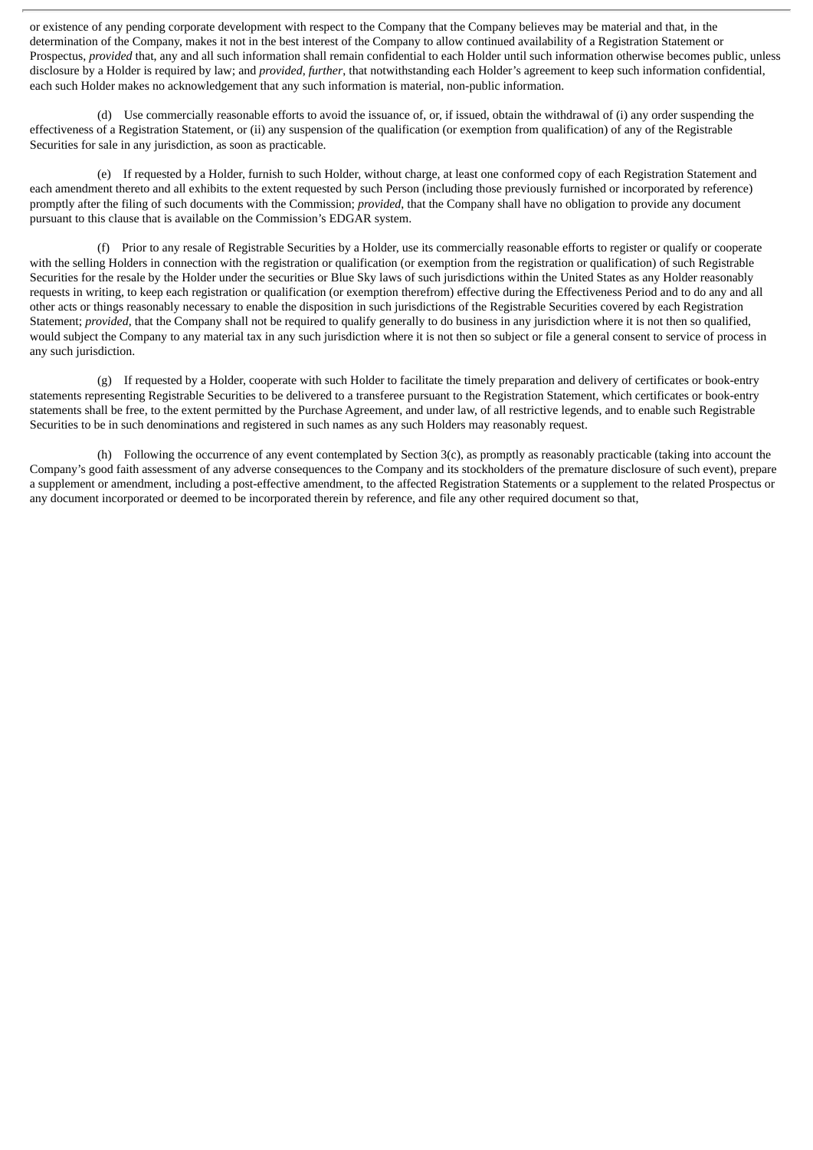or existence of any pending corporate development with respect to the Company that the Company believes may be material and that, in the determination of the Company, makes it not in the best interest of the Company to allow continued availability of a Registration Statement or Prospectus, *provided* that, any and all such information shall remain confidential to each Holder until such information otherwise becomes public, unless disclosure by a Holder is required by law; and *provided*, *further*, that notwithstanding each Holder's agreement to keep such information confidential, each such Holder makes no acknowledgement that any such information is material, non-public information.

(d) Use commercially reasonable efforts to avoid the issuance of, or, if issued, obtain the withdrawal of (i) any order suspending the effectiveness of a Registration Statement, or (ii) any suspension of the qualification (or exemption from qualification) of any of the Registrable Securities for sale in any jurisdiction, as soon as practicable.

(e) If requested by a Holder, furnish to such Holder, without charge, at least one conformed copy of each Registration Statement and each amendment thereto and all exhibits to the extent requested by such Person (including those previously furnished or incorporated by reference) promptly after the filing of such documents with the Commission; *provided*, that the Company shall have no obligation to provide any document pursuant to this clause that is available on the Commission's EDGAR system.

(f) Prior to any resale of Registrable Securities by a Holder, use its commercially reasonable efforts to register or qualify or cooperate with the selling Holders in connection with the registration or qualification (or exemption from the registration or qualification) of such Registrable Securities for the resale by the Holder under the securities or Blue Sky laws of such jurisdictions within the United States as any Holder reasonably requests in writing, to keep each registration or qualification (or exemption therefrom) effective during the Effectiveness Period and to do any and all other acts or things reasonably necessary to enable the disposition in such jurisdictions of the Registrable Securities covered by each Registration Statement; *provided*, that the Company shall not be required to qualify generally to do business in any jurisdiction where it is not then so qualified, would subject the Company to any material tax in any such jurisdiction where it is not then so subject or file a general consent to service of process in any such jurisdiction.

(g) If requested by a Holder, cooperate with such Holder to facilitate the timely preparation and delivery of certificates or book-entry statements representing Registrable Securities to be delivered to a transferee pursuant to the Registration Statement, which certificates or book-entry statements shall be free, to the extent permitted by the Purchase Agreement, and under law, of all restrictive legends, and to enable such Registrable Securities to be in such denominations and registered in such names as any such Holders may reasonably request.

(h) Following the occurrence of any event contemplated by Section 3(c), as promptly as reasonably practicable (taking into account the Company's good faith assessment of any adverse consequences to the Company and its stockholders of the premature disclosure of such event), prepare a supplement or amendment, including a post-effective amendment, to the affected Registration Statements or a supplement to the related Prospectus or any document incorporated or deemed to be incorporated therein by reference, and file any other required document so that,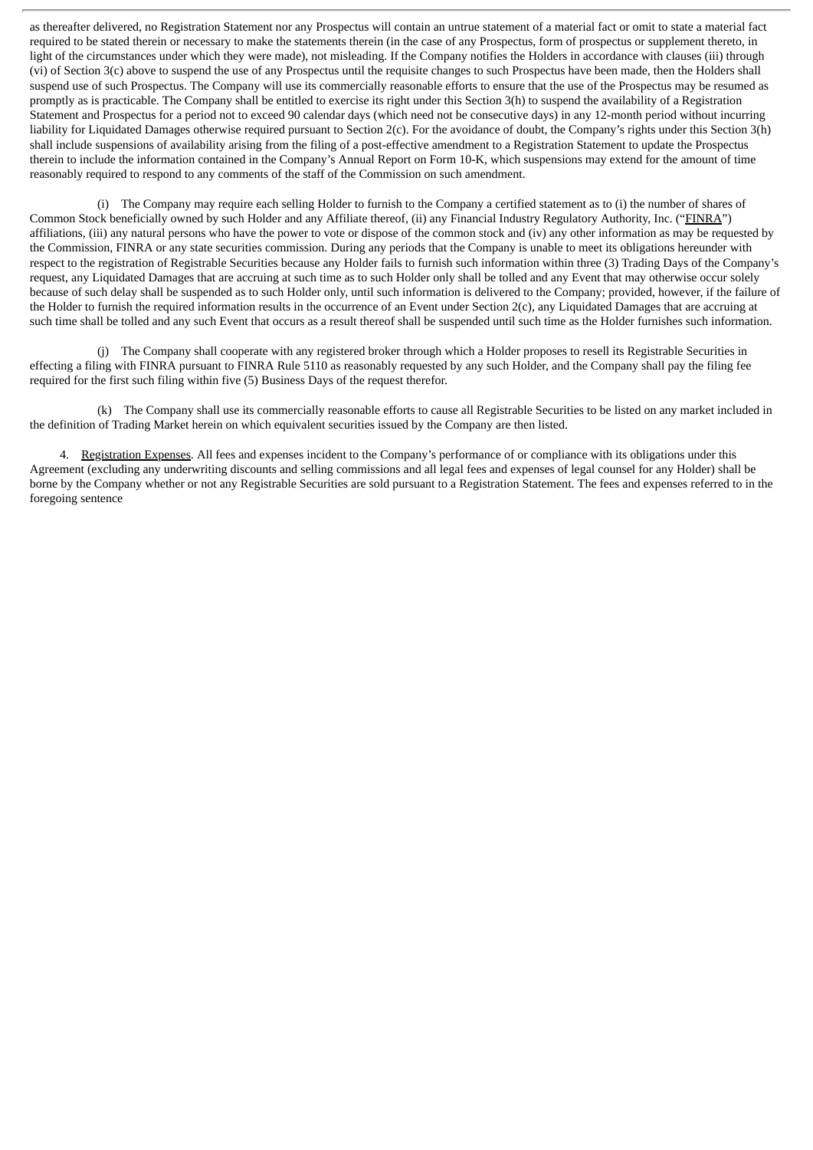as thereafter delivered, no Registration Statement nor any Prospectus will contain an untrue statement of a material fact or omit to state a material fact required to be stated therein or necessary to make the statements therein (in the case of any Prospectus, form of prospectus or supplement thereto, in light of the circumstances under which they were made), not misleading. If the Company notifies the Holders in accordance with clauses (iii) through (vi) of Section 3(c) above to suspend the use of any Prospectus until the requisite changes to such Prospectus have been made, then the Holders shall suspend use of such Prospectus. The Company will use its commercially reasonable efforts to ensure that the use of the Prospectus may be resumed as promptly as is practicable. The Company shall be entitled to exercise its right under this Section 3(h) to suspend the availability of a Registration Statement and Prospectus for a period not to exceed 90 calendar days (which need not be consecutive days) in any 12-month period without incurring liability for Liquidated Damages otherwise required pursuant to Section 2(c). For the avoidance of doubt, the Company's rights under this Section 3(h) shall include suspensions of availability arising from the filing of a post-effective amendment to a Registration Statement to update the Prospectus therein to include the information contained in the Company's Annual Report on Form 10-K, which suspensions may extend for the amount of time reasonably required to respond to any comments of the staff of the Commission on such amendment.

(i) The Company may require each selling Holder to furnish to the Company a certified statement as to (i) the number of shares of Common Stock beneficially owned by such Holder and any Affiliate thereof, (ii) any Financial Industry Regulatory Authority, Inc. ("FINRA") affiliations, (iii) any natural persons who have the power to vote or dispose of the common stock and (iv) any other information as may be requested by the Commission, FINRA or any state securities commission. During any periods that the Company is unable to meet its obligations hereunder with respect to the registration of Registrable Securities because any Holder fails to furnish such information within three (3) Trading Days of the Company's request, any Liquidated Damages that are accruing at such time as to such Holder only shall be tolled and any Event that may otherwise occur solely because of such delay shall be suspended as to such Holder only, until such information is delivered to the Company; provided, however, if the failure of the Holder to furnish the required information results in the occurrence of an Event under Section 2(c), any Liquidated Damages that are accruing at such time shall be tolled and any such Event that occurs as a result thereof shall be suspended until such time as the Holder furnishes such information.

(j) The Company shall cooperate with any registered broker through which a Holder proposes to resell its Registrable Securities in effecting a filing with FINRA pursuant to FINRA Rule 5110 as reasonably requested by any such Holder, and the Company shall pay the filing fee required for the first such filing within five (5) Business Days of the request therefor.

(k) The Company shall use its commercially reasonable efforts to cause all Registrable Securities to be listed on any market included in the definition of Trading Market herein on which equivalent securities issued by the Company are then listed.

4. Registration Expenses. All fees and expenses incident to the Company's performance of or compliance with its obligations under this Agreement (excluding any underwriting discounts and selling commissions and all legal fees and expenses of legal counsel for any Holder) shall be borne by the Company whether or not any Registrable Securities are sold pursuant to a Registration Statement. The fees and expenses referred to in the foregoing sentence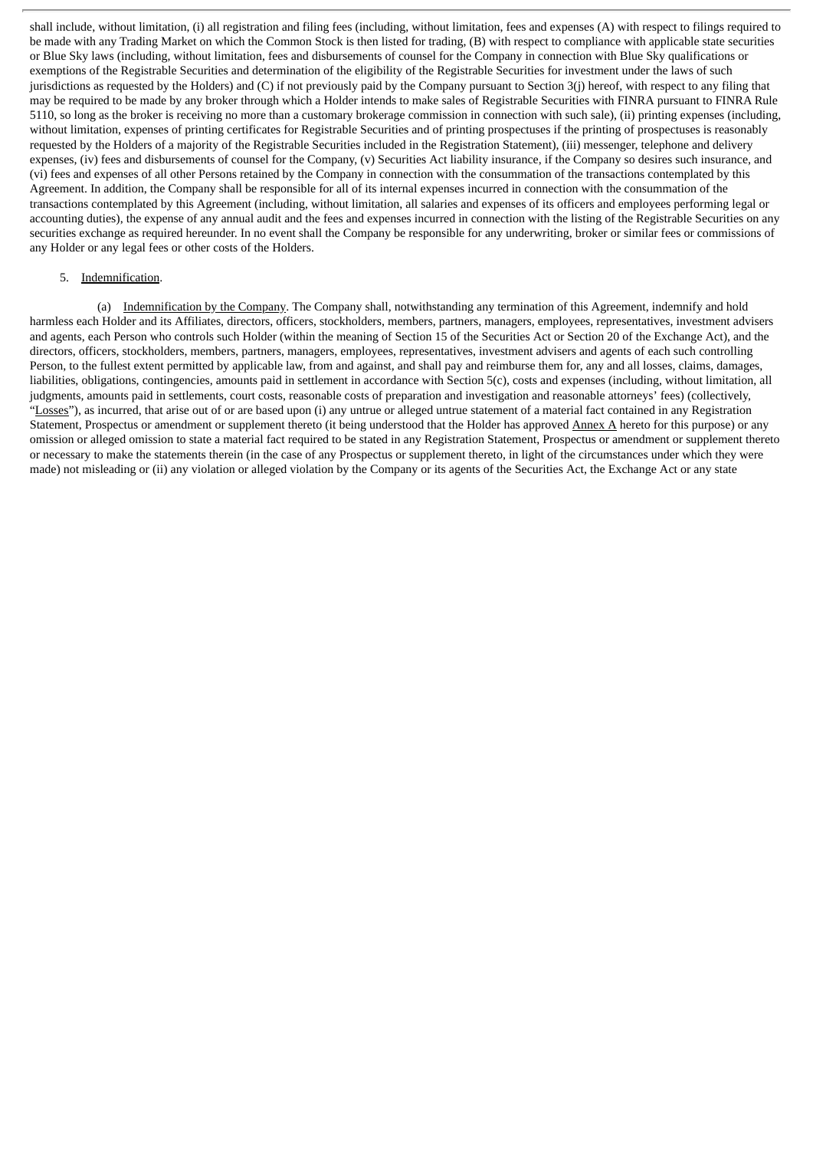shall include, without limitation, (i) all registration and filing fees (including, without limitation, fees and expenses (A) with respect to filings required to be made with any Trading Market on which the Common Stock is then listed for trading, (B) with respect to compliance with applicable state securities or Blue Sky laws (including, without limitation, fees and disbursements of counsel for the Company in connection with Blue Sky qualifications or exemptions of the Registrable Securities and determination of the eligibility of the Registrable Securities for investment under the laws of such jurisdictions as requested by the Holders) and (C) if not previously paid by the Company pursuant to Section 3(j) hereof, with respect to any filing that may be required to be made by any broker through which a Holder intends to make sales of Registrable Securities with FINRA pursuant to FINRA Rule 5110, so long as the broker is receiving no more than a customary brokerage commission in connection with such sale), (ii) printing expenses (including, without limitation, expenses of printing certificates for Registrable Securities and of printing prospectuses if the printing of prospectuses is reasonably requested by the Holders of a majority of the Registrable Securities included in the Registration Statement), (iii) messenger, telephone and delivery expenses, (iv) fees and disbursements of counsel for the Company, (v) Securities Act liability insurance, if the Company so desires such insurance, and (vi) fees and expenses of all other Persons retained by the Company in connection with the consummation of the transactions contemplated by this Agreement. In addition, the Company shall be responsible for all of its internal expenses incurred in connection with the consummation of the transactions contemplated by this Agreement (including, without limitation, all salaries and expenses of its officers and employees performing legal or accounting duties), the expense of any annual audit and the fees and expenses incurred in connection with the listing of the Registrable Securities on any securities exchange as required hereunder. In no event shall the Company be responsible for any underwriting, broker or similar fees or commissions of any Holder or any legal fees or other costs of the Holders.

#### 5. Indemnification.

(a) Indemnification by the Company. The Company shall, notwithstanding any termination of this Agreement, indemnify and hold harmless each Holder and its Affiliates, directors, officers, stockholders, members, partners, managers, employees, representatives, investment advisers and agents, each Person who controls such Holder (within the meaning of Section 15 of the Securities Act or Section 20 of the Exchange Act), and the directors, officers, stockholders, members, partners, managers, employees, representatives, investment advisers and agents of each such controlling Person, to the fullest extent permitted by applicable law, from and against, and shall pay and reimburse them for, any and all losses, claims, damages, liabilities, obligations, contingencies, amounts paid in settlement in accordance with Section 5(c), costs and expenses (including, without limitation, all judgments, amounts paid in settlements, court costs, reasonable costs of preparation and investigation and reasonable attorneys' fees) (collectively, "Losses"), as incurred, that arise out of or are based upon (i) any untrue or alleged untrue statement of a material fact contained in any Registration Statement, Prospectus or amendment or supplement thereto (it being understood that the Holder has approved Annex A hereto for this purpose) or any omission or alleged omission to state a material fact required to be stated in any Registration Statement, Prospectus or amendment or supplement thereto or necessary to make the statements therein (in the case of any Prospectus or supplement thereto, in light of the circumstances under which they were made) not misleading or (ii) any violation or alleged violation by the Company or its agents of the Securities Act, the Exchange Act or any state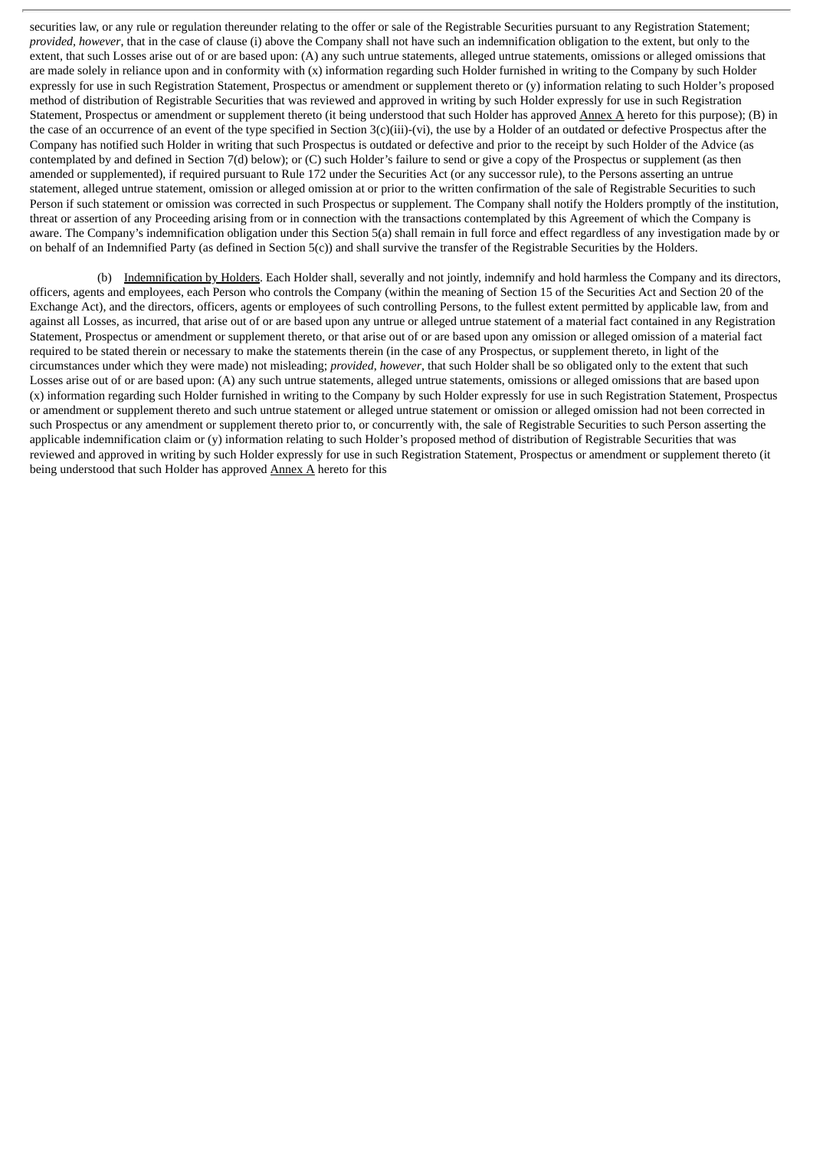securities law, or any rule or regulation thereunder relating to the offer or sale of the Registrable Securities pursuant to any Registration Statement; *provided, however*, that in the case of clause (i) above the Company shall not have such an indemnification obligation to the extent, but only to the extent, that such Losses arise out of or are based upon: (A) any such untrue statements, alleged untrue statements, omissions or alleged omissions that are made solely in reliance upon and in conformity with  $(x)$  information regarding such Holder furnished in writing to the Company by such Holder expressly for use in such Registration Statement, Prospectus or amendment or supplement thereto or (y) information relating to such Holder's proposed method of distribution of Registrable Securities that was reviewed and approved in writing by such Holder expressly for use in such Registration Statement, Prospectus or amendment or supplement thereto (it being understood that such Holder has approved Annex A hereto for this purpose); (B) in the case of an occurrence of an event of the type specified in Section 3(c)(iii)-(vi), the use by a Holder of an outdated or defective Prospectus after the Company has notified such Holder in writing that such Prospectus is outdated or defective and prior to the receipt by such Holder of the Advice (as contemplated by and defined in Section 7(d) below); or (C) such Holder's failure to send or give a copy of the Prospectus or supplement (as then amended or supplemented), if required pursuant to Rule 172 under the Securities Act (or any successor rule), to the Persons asserting an untrue statement, alleged untrue statement, omission or alleged omission at or prior to the written confirmation of the sale of Registrable Securities to such Person if such statement or omission was corrected in such Prospectus or supplement. The Company shall notify the Holders promptly of the institution, threat or assertion of any Proceeding arising from or in connection with the transactions contemplated by this Agreement of which the Company is aware. The Company's indemnification obligation under this Section 5(a) shall remain in full force and effect regardless of any investigation made by or on behalf of an Indemnified Party (as defined in Section 5(c)) and shall survive the transfer of the Registrable Securities by the Holders.

(b) Indemnification by Holders. Each Holder shall, severally and not jointly, indemnify and hold harmless the Company and its directors, officers, agents and employees, each Person who controls the Company (within the meaning of Section 15 of the Securities Act and Section 20 of the Exchange Act), and the directors, officers, agents or employees of such controlling Persons, to the fullest extent permitted by applicable law, from and against all Losses, as incurred, that arise out of or are based upon any untrue or alleged untrue statement of a material fact contained in any Registration Statement, Prospectus or amendment or supplement thereto, or that arise out of or are based upon any omission or alleged omission of a material fact required to be stated therein or necessary to make the statements therein (in the case of any Prospectus, or supplement thereto, in light of the circumstances under which they were made) not misleading; *provided*, *however*, that such Holder shall be so obligated only to the extent that such Losses arise out of or are based upon: (A) any such untrue statements, alleged untrue statements, omissions or alleged omissions that are based upon (x) information regarding such Holder furnished in writing to the Company by such Holder expressly for use in such Registration Statement, Prospectus or amendment or supplement thereto and such untrue statement or alleged untrue statement or omission or alleged omission had not been corrected in such Prospectus or any amendment or supplement thereto prior to, or concurrently with, the sale of Registrable Securities to such Person asserting the applicable indemnification claim or (y) information relating to such Holder's proposed method of distribution of Registrable Securities that was reviewed and approved in writing by such Holder expressly for use in such Registration Statement, Prospectus or amendment or supplement thereto (it being understood that such Holder has approved Annex A hereto for this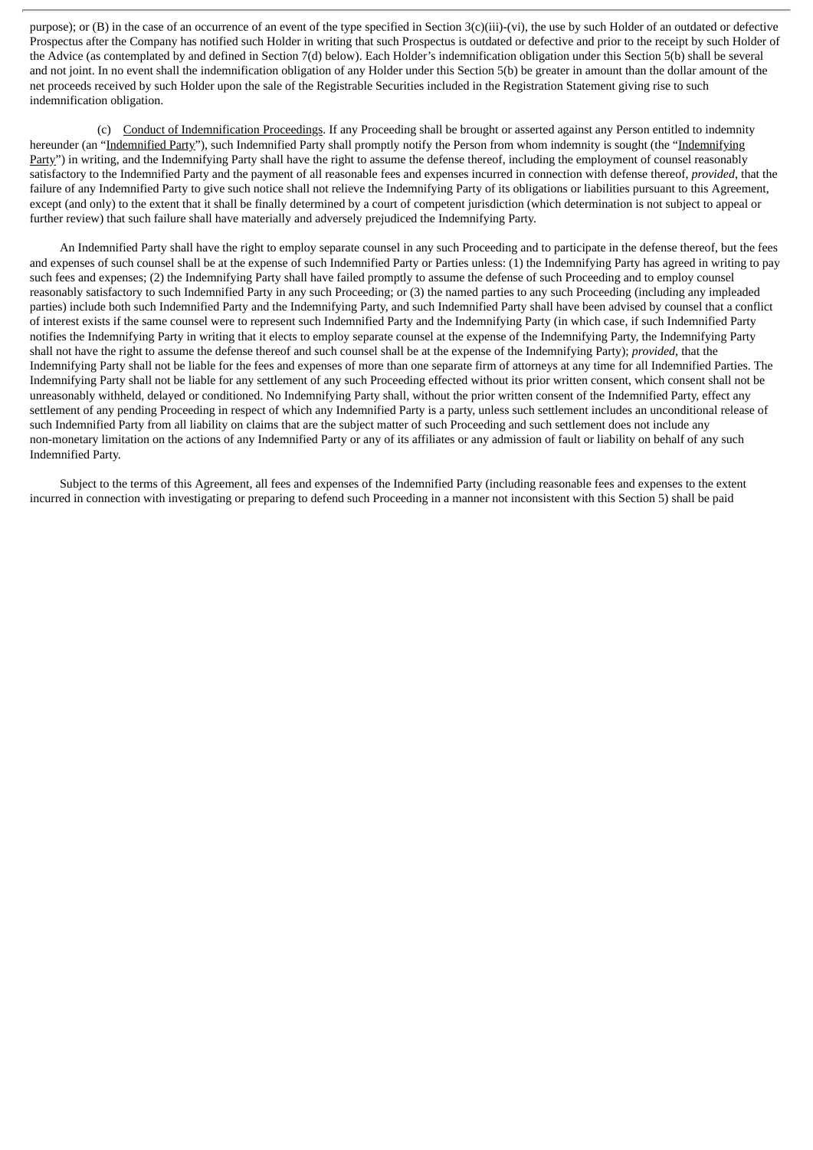purpose); or (B) in the case of an occurrence of an event of the type specified in Section 3(c)(iii)-(vi), the use by such Holder of an outdated or defective Prospectus after the Company has notified such Holder in writing that such Prospectus is outdated or defective and prior to the receipt by such Holder of the Advice (as contemplated by and defined in Section 7(d) below). Each Holder's indemnification obligation under this Section 5(b) shall be several and not joint. In no event shall the indemnification obligation of any Holder under this Section 5(b) be greater in amount than the dollar amount of the net proceeds received by such Holder upon the sale of the Registrable Securities included in the Registration Statement giving rise to such indemnification obligation.

(c) Conduct of Indemnification Proceedings. If any Proceeding shall be brought or asserted against any Person entitled to indemnity hereunder (an "Indemnified Party"), such Indemnified Party shall promptly notify the Person from whom indemnity is sought (the "Indemnifying Party") in writing, and the Indemnifying Party shall have the right to assume the defense thereof, including the employment of counsel reasonably satisfactory to the Indemnified Party and the payment of all reasonable fees and expenses incurred in connection with defense thereof, *provided*, that the failure of any Indemnified Party to give such notice shall not relieve the Indemnifying Party of its obligations or liabilities pursuant to this Agreement, except (and only) to the extent that it shall be finally determined by a court of competent jurisdiction (which determination is not subject to appeal or further review) that such failure shall have materially and adversely prejudiced the Indemnifying Party.

An Indemnified Party shall have the right to employ separate counsel in any such Proceeding and to participate in the defense thereof, but the fees and expenses of such counsel shall be at the expense of such Indemnified Party or Parties unless: (1) the Indemnifying Party has agreed in writing to pay such fees and expenses; (2) the Indemnifying Party shall have failed promptly to assume the defense of such Proceeding and to employ counsel reasonably satisfactory to such Indemnified Party in any such Proceeding; or (3) the named parties to any such Proceeding (including any impleaded parties) include both such Indemnified Party and the Indemnifying Party, and such Indemnified Party shall have been advised by counsel that a conflict of interest exists if the same counsel were to represent such Indemnified Party and the Indemnifying Party (in which case, if such Indemnified Party notifies the Indemnifying Party in writing that it elects to employ separate counsel at the expense of the Indemnifying Party, the Indemnifying Party shall not have the right to assume the defense thereof and such counsel shall be at the expense of the Indemnifying Party); *provided*, that the Indemnifying Party shall not be liable for the fees and expenses of more than one separate firm of attorneys at any time for all Indemnified Parties. The Indemnifying Party shall not be liable for any settlement of any such Proceeding effected without its prior written consent, which consent shall not be unreasonably withheld, delayed or conditioned. No Indemnifying Party shall, without the prior written consent of the Indemnified Party, effect any settlement of any pending Proceeding in respect of which any Indemnified Party is a party, unless such settlement includes an unconditional release of such Indemnified Party from all liability on claims that are the subject matter of such Proceeding and such settlement does not include any non-monetary limitation on the actions of any Indemnified Party or any of its affiliates or any admission of fault or liability on behalf of any such Indemnified Party.

Subject to the terms of this Agreement, all fees and expenses of the Indemnified Party (including reasonable fees and expenses to the extent incurred in connection with investigating or preparing to defend such Proceeding in a manner not inconsistent with this Section 5) shall be paid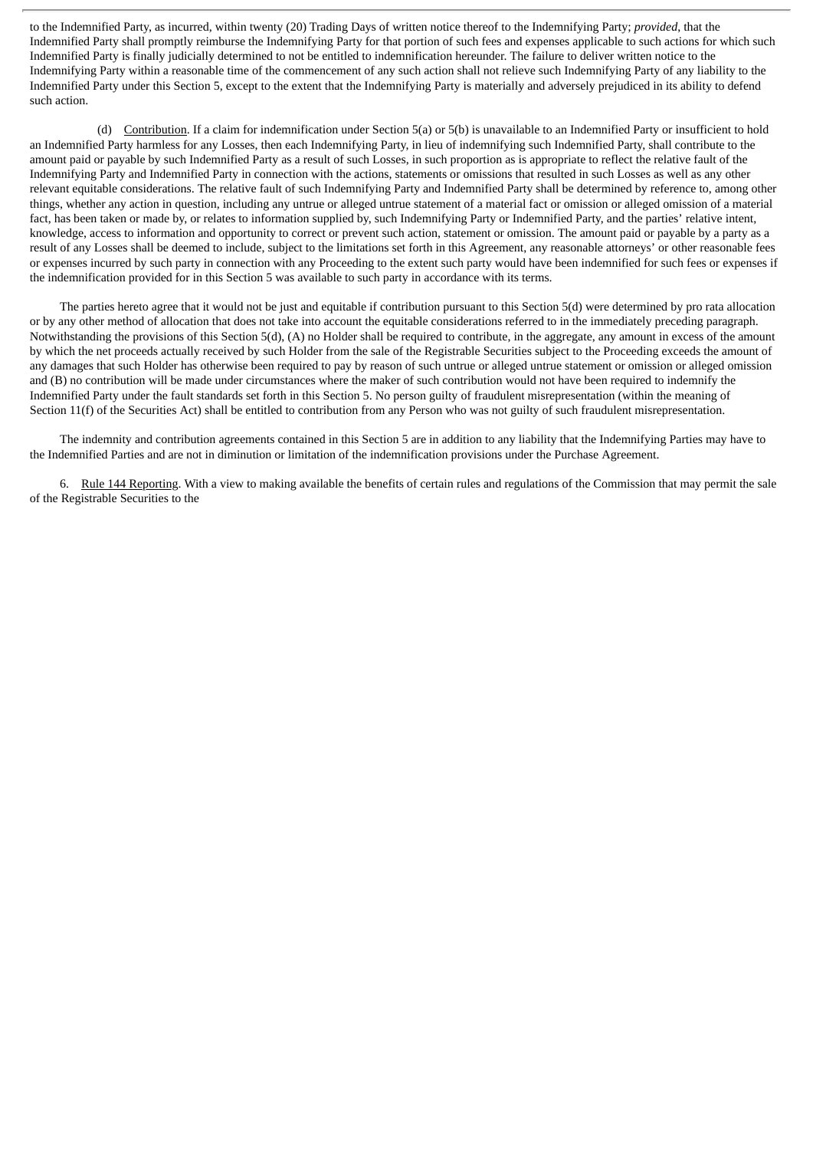to the Indemnified Party, as incurred, within twenty (20) Trading Days of written notice thereof to the Indemnifying Party; *provided*, that the Indemnified Party shall promptly reimburse the Indemnifying Party for that portion of such fees and expenses applicable to such actions for which such Indemnified Party is finally judicially determined to not be entitled to indemnification hereunder. The failure to deliver written notice to the Indemnifying Party within a reasonable time of the commencement of any such action shall not relieve such Indemnifying Party of any liability to the Indemnified Party under this Section 5, except to the extent that the Indemnifying Party is materially and adversely prejudiced in its ability to defend such action.

(d) Contribution. If a claim for indemnification under Section 5(a) or 5(b) is unavailable to an Indemnified Party or insufficient to hold an Indemnified Party harmless for any Losses, then each Indemnifying Party, in lieu of indemnifying such Indemnified Party, shall contribute to the amount paid or payable by such Indemnified Party as a result of such Losses, in such proportion as is appropriate to reflect the relative fault of the Indemnifying Party and Indemnified Party in connection with the actions, statements or omissions that resulted in such Losses as well as any other relevant equitable considerations. The relative fault of such Indemnifying Party and Indemnified Party shall be determined by reference to, among other things, whether any action in question, including any untrue or alleged untrue statement of a material fact or omission or alleged omission of a material fact, has been taken or made by, or relates to information supplied by, such Indemnifying Party or Indemnified Party, and the parties' relative intent, knowledge, access to information and opportunity to correct or prevent such action, statement or omission. The amount paid or payable by a party as a result of any Losses shall be deemed to include, subject to the limitations set forth in this Agreement, any reasonable attorneys' or other reasonable fees or expenses incurred by such party in connection with any Proceeding to the extent such party would have been indemnified for such fees or expenses if the indemnification provided for in this Section 5 was available to such party in accordance with its terms.

The parties hereto agree that it would not be just and equitable if contribution pursuant to this Section 5(d) were determined by pro rata allocation or by any other method of allocation that does not take into account the equitable considerations referred to in the immediately preceding paragraph. Notwithstanding the provisions of this Section 5(d), (A) no Holder shall be required to contribute, in the aggregate, any amount in excess of the amount by which the net proceeds actually received by such Holder from the sale of the Registrable Securities subject to the Proceeding exceeds the amount of any damages that such Holder has otherwise been required to pay by reason of such untrue or alleged untrue statement or omission or alleged omission and (B) no contribution will be made under circumstances where the maker of such contribution would not have been required to indemnify the Indemnified Party under the fault standards set forth in this Section 5. No person guilty of fraudulent misrepresentation (within the meaning of Section 11(f) of the Securities Act) shall be entitled to contribution from any Person who was not guilty of such fraudulent misrepresentation.

The indemnity and contribution agreements contained in this Section 5 are in addition to any liability that the Indemnifying Parties may have to the Indemnified Parties and are not in diminution or limitation of the indemnification provisions under the Purchase Agreement.

6. Rule 144 Reporting. With a view to making available the benefits of certain rules and regulations of the Commission that may permit the sale of the Registrable Securities to the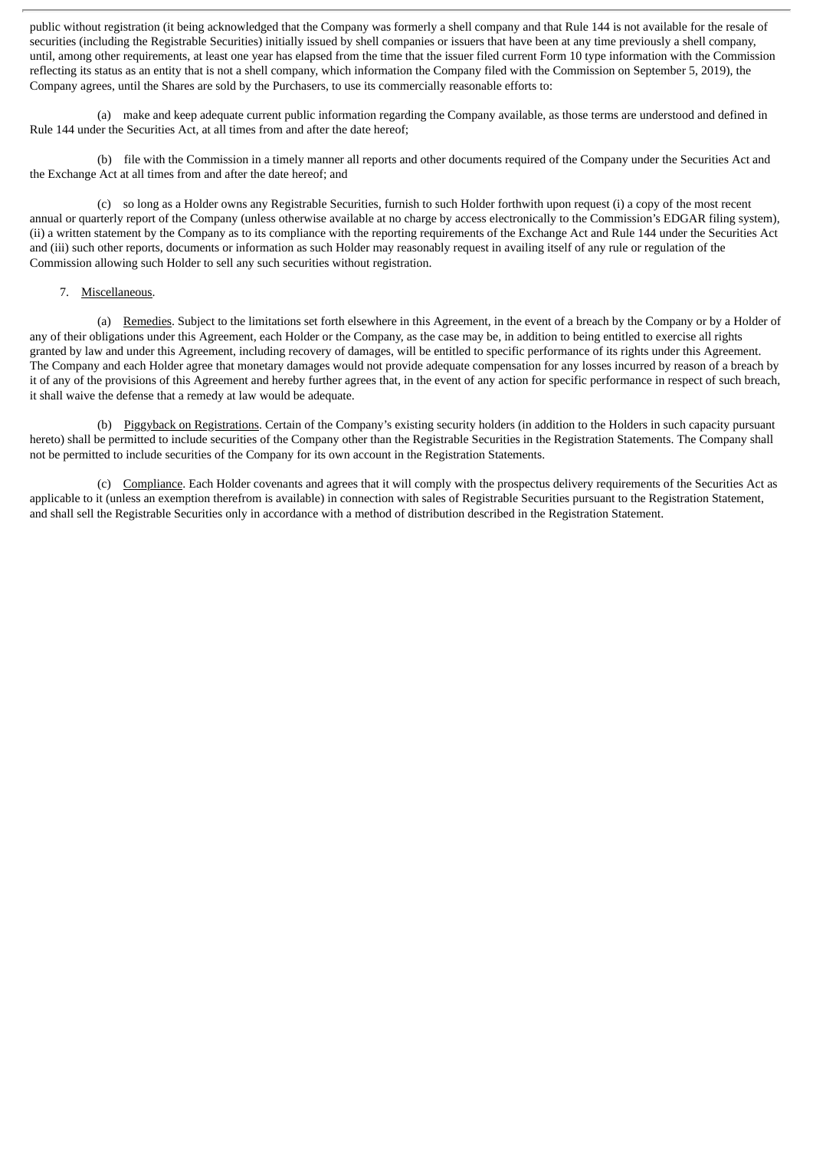public without registration (it being acknowledged that the Company was formerly a shell company and that Rule 144 is not available for the resale of securities (including the Registrable Securities) initially issued by shell companies or issuers that have been at any time previously a shell company, until, among other requirements, at least one year has elapsed from the time that the issuer filed current Form 10 type information with the Commission reflecting its status as an entity that is not a shell company, which information the Company filed with the Commission on September 5, 2019), the Company agrees, until the Shares are sold by the Purchasers, to use its commercially reasonable efforts to:

(a) make and keep adequate current public information regarding the Company available, as those terms are understood and defined in Rule 144 under the Securities Act, at all times from and after the date hereof;

(b) file with the Commission in a timely manner all reports and other documents required of the Company under the Securities Act and the Exchange Act at all times from and after the date hereof; and

(c) so long as a Holder owns any Registrable Securities, furnish to such Holder forthwith upon request (i) a copy of the most recent annual or quarterly report of the Company (unless otherwise available at no charge by access electronically to the Commission's EDGAR filing system), (ii) a written statement by the Company as to its compliance with the reporting requirements of the Exchange Act and Rule 144 under the Securities Act and (iii) such other reports, documents or information as such Holder may reasonably request in availing itself of any rule or regulation of the Commission allowing such Holder to sell any such securities without registration.

## 7. Miscellaneous.

(a) Remedies. Subject to the limitations set forth elsewhere in this Agreement, in the event of a breach by the Company or by a Holder of any of their obligations under this Agreement, each Holder or the Company, as the case may be, in addition to being entitled to exercise all rights granted by law and under this Agreement, including recovery of damages, will be entitled to specific performance of its rights under this Agreement. The Company and each Holder agree that monetary damages would not provide adequate compensation for any losses incurred by reason of a breach by it of any of the provisions of this Agreement and hereby further agrees that, in the event of any action for specific performance in respect of such breach, it shall waive the defense that a remedy at law would be adequate.

(b) Piggyback on Registrations. Certain of the Company's existing security holders (in addition to the Holders in such capacity pursuant hereto) shall be permitted to include securities of the Company other than the Registrable Securities in the Registration Statements. The Company shall not be permitted to include securities of the Company for its own account in the Registration Statements.

(c) Compliance. Each Holder covenants and agrees that it will comply with the prospectus delivery requirements of the Securities Act as applicable to it (unless an exemption therefrom is available) in connection with sales of Registrable Securities pursuant to the Registration Statement, and shall sell the Registrable Securities only in accordance with a method of distribution described in the Registration Statement.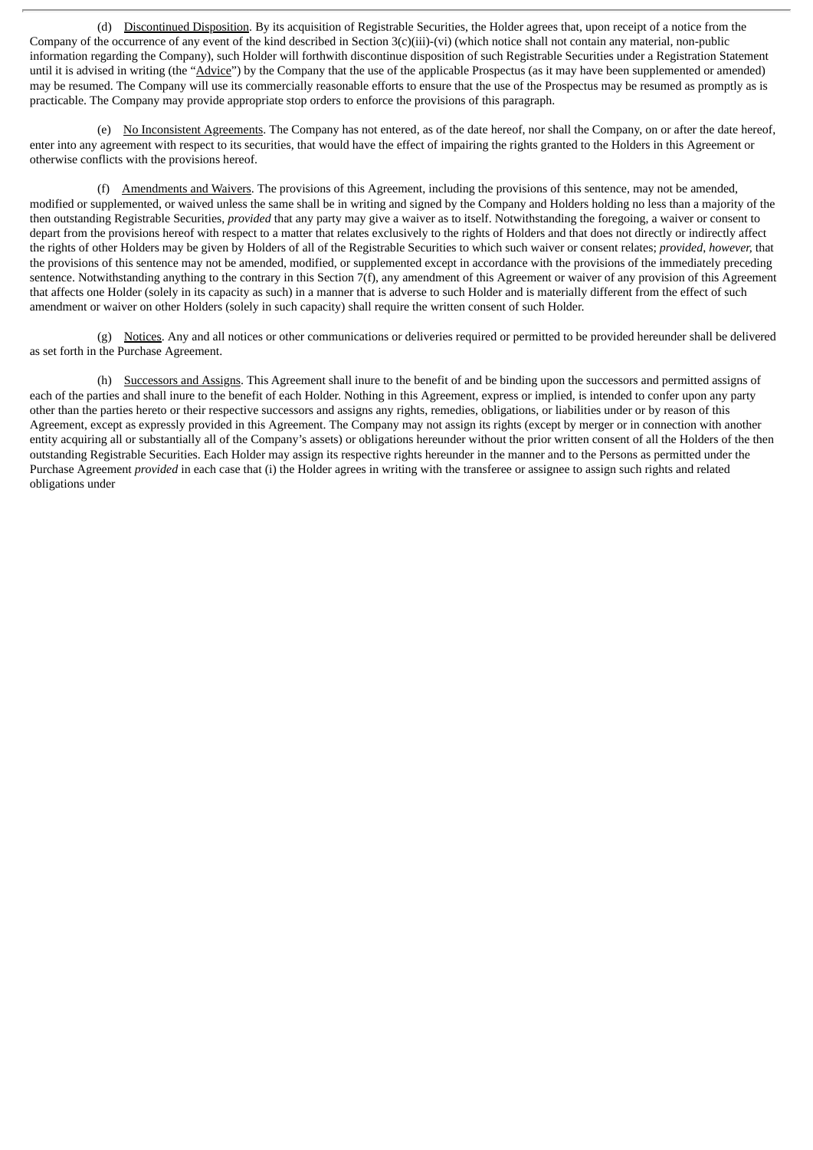(d) Discontinued Disposition. By its acquisition of Registrable Securities, the Holder agrees that, upon receipt of a notice from the Company of the occurrence of any event of the kind described in Section 3(c)(iii)-(vi) (which notice shall not contain any material, non-public information regarding the Company), such Holder will forthwith discontinue disposition of such Registrable Securities under a Registration Statement until it is advised in writing (the "Advice") by the Company that the use of the applicable Prospectus (as it may have been supplemented or amended) may be resumed. The Company will use its commercially reasonable efforts to ensure that the use of the Prospectus may be resumed as promptly as is practicable. The Company may provide appropriate stop orders to enforce the provisions of this paragraph.

(e) No Inconsistent Agreements. The Company has not entered, as of the date hereof, nor shall the Company, on or after the date hereof, enter into any agreement with respect to its securities, that would have the effect of impairing the rights granted to the Holders in this Agreement or otherwise conflicts with the provisions hereof.

(f) Amendments and Waivers. The provisions of this Agreement, including the provisions of this sentence, may not be amended, modified or supplemented, or waived unless the same shall be in writing and signed by the Company and Holders holding no less than a majority of the then outstanding Registrable Securities, *provided* that any party may give a waiver as to itself. Notwithstanding the foregoing, a waiver or consent to depart from the provisions hereof with respect to a matter that relates exclusively to the rights of Holders and that does not directly or indirectly affect the rights of other Holders may be given by Holders of all of the Registrable Securities to which such waiver or consent relates; *provided*, *however,* that the provisions of this sentence may not be amended, modified, or supplemented except in accordance with the provisions of the immediately preceding sentence. Notwithstanding anything to the contrary in this Section 7(f), any amendment of this Agreement or waiver of any provision of this Agreement that affects one Holder (solely in its capacity as such) in a manner that is adverse to such Holder and is materially different from the effect of such amendment or waiver on other Holders (solely in such capacity) shall require the written consent of such Holder.

(g) Notices. Any and all notices or other communications or deliveries required or permitted to be provided hereunder shall be delivered as set forth in the Purchase Agreement.

(h) Successors and Assigns. This Agreement shall inure to the benefit of and be binding upon the successors and permitted assigns of each of the parties and shall inure to the benefit of each Holder. Nothing in this Agreement, express or implied, is intended to confer upon any party other than the parties hereto or their respective successors and assigns any rights, remedies, obligations, or liabilities under or by reason of this Agreement, except as expressly provided in this Agreement. The Company may not assign its rights (except by merger or in connection with another entity acquiring all or substantially all of the Company's assets) or obligations hereunder without the prior written consent of all the Holders of the then outstanding Registrable Securities. Each Holder may assign its respective rights hereunder in the manner and to the Persons as permitted under the Purchase Agreement *provided* in each case that (i) the Holder agrees in writing with the transferee or assignee to assign such rights and related obligations under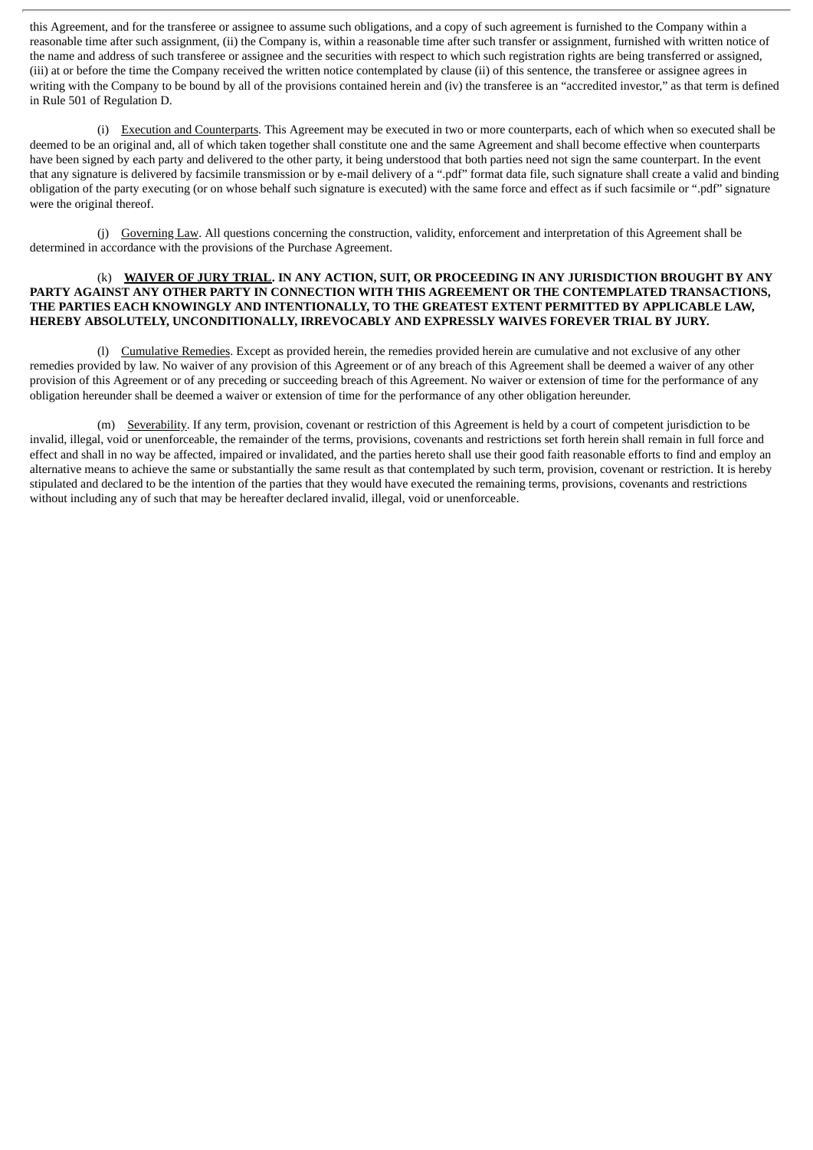this Agreement, and for the transferee or assignee to assume such obligations, and a copy of such agreement is furnished to the Company within a reasonable time after such assignment, (ii) the Company is, within a reasonable time after such transfer or assignment, furnished with written notice of the name and address of such transferee or assignee and the securities with respect to which such registration rights are being transferred or assigned, (iii) at or before the time the Company received the written notice contemplated by clause (ii) of this sentence, the transferee or assignee agrees in writing with the Company to be bound by all of the provisions contained herein and (iv) the transferee is an "accredited investor," as that term is defined in Rule 501 of Regulation D.

(i) Execution and Counterparts. This Agreement may be executed in two or more counterparts, each of which when so executed shall be deemed to be an original and, all of which taken together shall constitute one and the same Agreement and shall become effective when counterparts have been signed by each party and delivered to the other party, it being understood that both parties need not sign the same counterpart. In the event that any signature is delivered by facsimile transmission or by e-mail delivery of a ".pdf" format data file, such signature shall create a valid and binding obligation of the party executing (or on whose behalf such signature is executed) with the same force and effect as if such facsimile or ".pdf" signature were the original thereof.

(j) Governing Law. All questions concerning the construction, validity, enforcement and interpretation of this Agreement shall be determined in accordance with the provisions of the Purchase Agreement.

## (k) **WAIVER OF JURY TRIAL. IN ANY ACTION, SUIT, OR PROCEEDING IN ANY JURISDICTION BROUGHT BY ANY PARTY AGAINST ANY OTHER PARTY IN CONNECTION WITH THIS AGREEMENT OR THE CONTEMPLATED TRANSACTIONS, THE PARTIES EACH KNOWINGLY AND INTENTIONALLY, TO THE GREATEST EXTENT PERMITTED BY APPLICABLE LAW, HEREBY ABSOLUTELY, UNCONDITIONALLY, IRREVOCABLY AND EXPRESSLY WAIVES FOREVER TRIAL BY JURY.**

(l) Cumulative Remedies. Except as provided herein, the remedies provided herein are cumulative and not exclusive of any other remedies provided by law. No waiver of any provision of this Agreement or of any breach of this Agreement shall be deemed a waiver of any other provision of this Agreement or of any preceding or succeeding breach of this Agreement. No waiver or extension of time for the performance of any obligation hereunder shall be deemed a waiver or extension of time for the performance of any other obligation hereunder.

(m) Severability. If any term, provision, covenant or restriction of this Agreement is held by a court of competent jurisdiction to be invalid, illegal, void or unenforceable, the remainder of the terms, provisions, covenants and restrictions set forth herein shall remain in full force and effect and shall in no way be affected, impaired or invalidated, and the parties hereto shall use their good faith reasonable efforts to find and employ an alternative means to achieve the same or substantially the same result as that contemplated by such term, provision, covenant or restriction. It is hereby stipulated and declared to be the intention of the parties that they would have executed the remaining terms, provisions, covenants and restrictions without including any of such that may be hereafter declared invalid, illegal, void or unenforceable.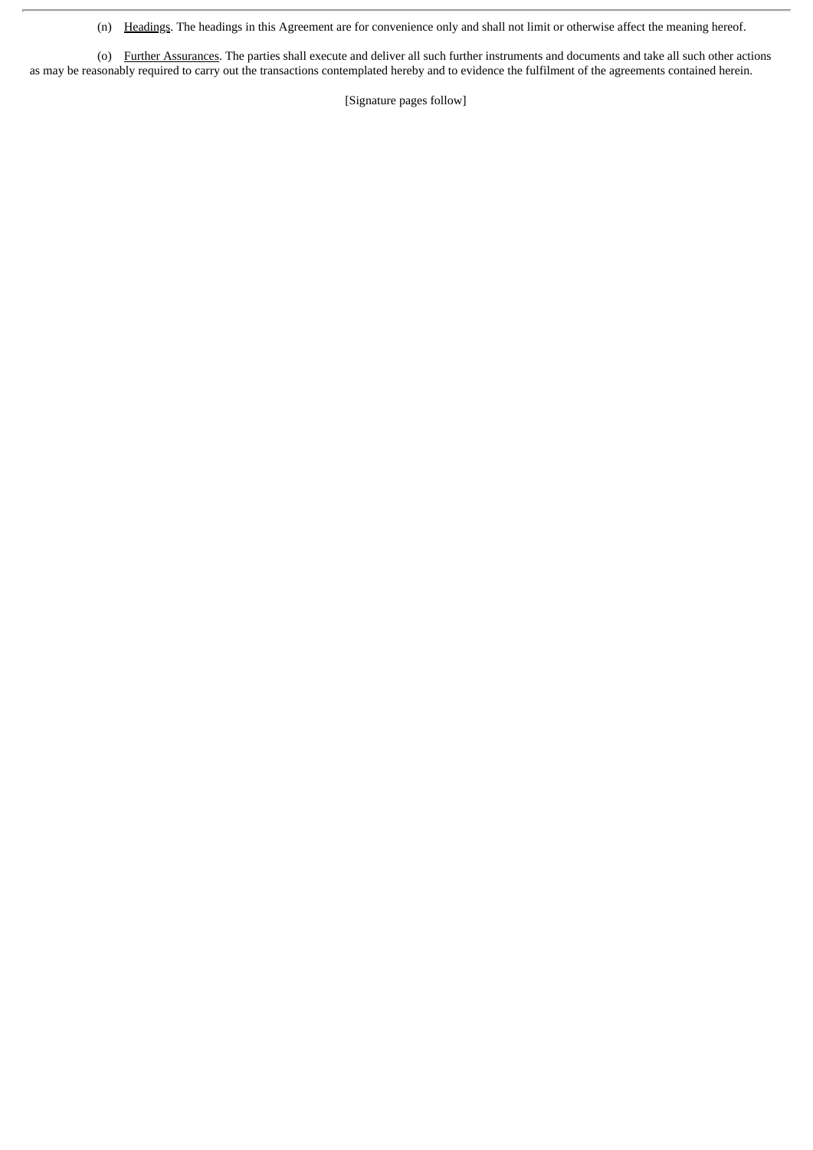(n) Headings. The headings in this Agreement are for convenience only and shall not limit or otherwise affect the meaning hereof.

(o) Further Assurances. The parties shall execute and deliver all such further instruments and documents and take all such other actions as may be reasonably required to carry out the transactions contemplated hereby and to evidence the fulfilment of the agreements contained herein.

[Signature pages follow]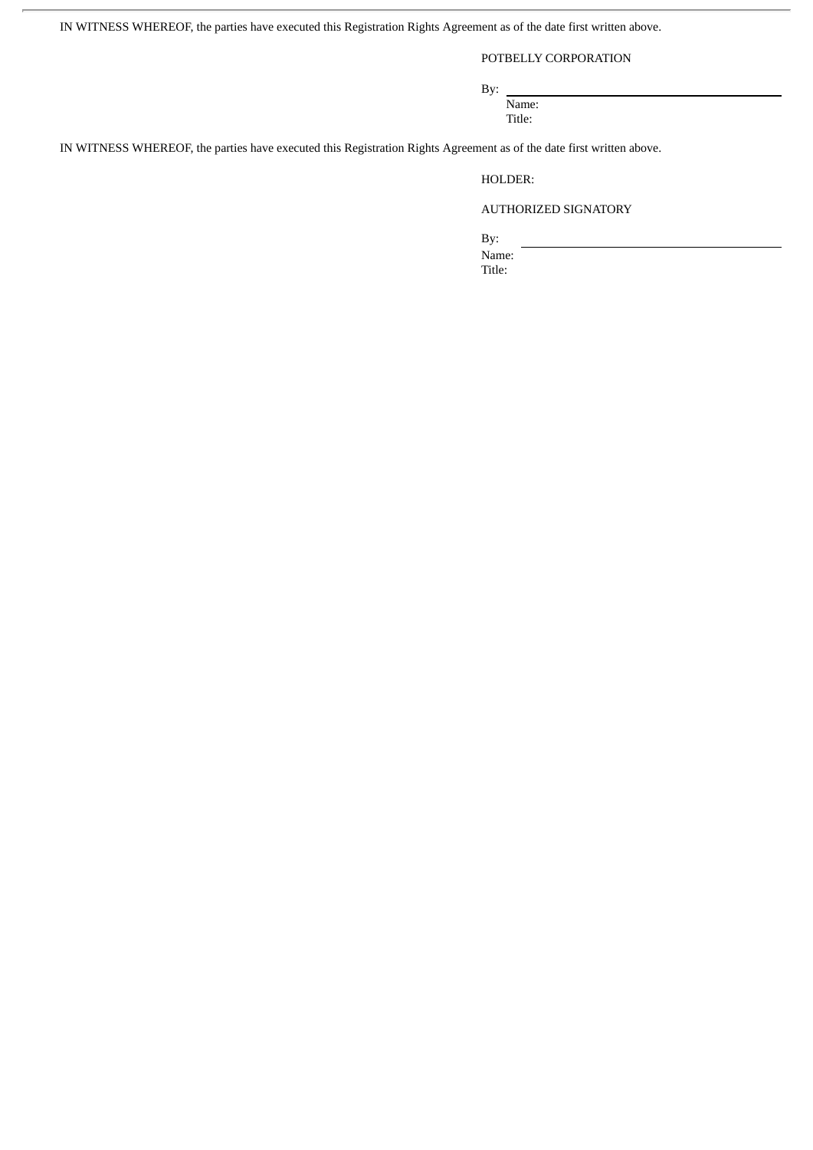IN WITNESS WHEREOF, the parties have executed this Registration Rights Agreement as of the date first written above.

# POTBELLY CORPORATION

By:

Name: Title:

IN WITNESS WHEREOF, the parties have executed this Registration Rights Agreement as of the date first written above.

#### HOLDER:

# AUTHORIZED SIGNATORY

By:

Name: Title: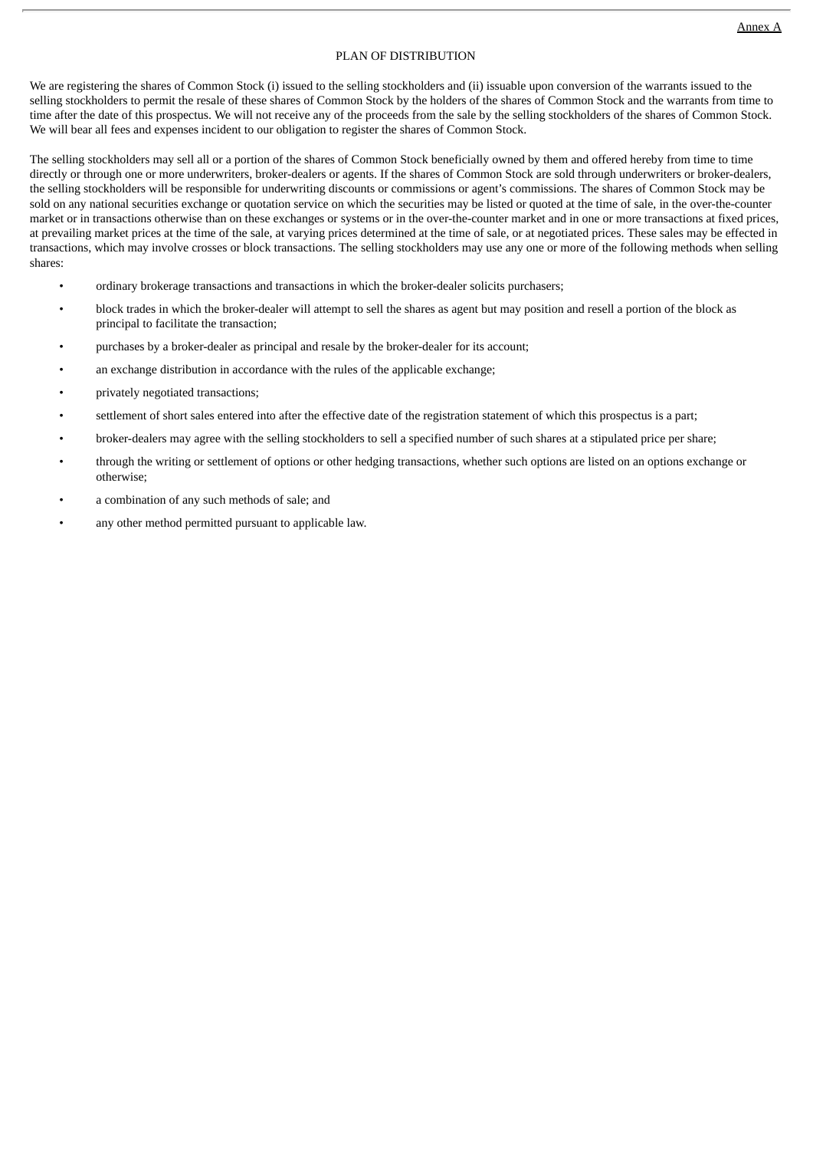## PLAN OF DISTRIBUTION

We are registering the shares of Common Stock (i) issued to the selling stockholders and (ii) issuable upon conversion of the warrants issued to the selling stockholders to permit the resale of these shares of Common Stock by the holders of the shares of Common Stock and the warrants from time to time after the date of this prospectus. We will not receive any of the proceeds from the sale by the selling stockholders of the shares of Common Stock. We will bear all fees and expenses incident to our obligation to register the shares of Common Stock.

The selling stockholders may sell all or a portion of the shares of Common Stock beneficially owned by them and offered hereby from time to time directly or through one or more underwriters, broker-dealers or agents. If the shares of Common Stock are sold through underwriters or broker-dealers, the selling stockholders will be responsible for underwriting discounts or commissions or agent's commissions. The shares of Common Stock may be sold on any national securities exchange or quotation service on which the securities may be listed or quoted at the time of sale, in the over-the-counter market or in transactions otherwise than on these exchanges or systems or in the over-the-counter market and in one or more transactions at fixed prices, at prevailing market prices at the time of the sale, at varying prices determined at the time of sale, or at negotiated prices. These sales may be effected in transactions, which may involve crosses or block transactions. The selling stockholders may use any one or more of the following methods when selling shares:

- ordinary brokerage transactions and transactions in which the broker-dealer solicits purchasers;
- block trades in which the broker-dealer will attempt to sell the shares as agent but may position and resell a portion of the block as principal to facilitate the transaction;
- purchases by a broker-dealer as principal and resale by the broker-dealer for its account;
- an exchange distribution in accordance with the rules of the applicable exchange;
- privately negotiated transactions;
- settlement of short sales entered into after the effective date of the registration statement of which this prospectus is a part;
- broker-dealers may agree with the selling stockholders to sell a specified number of such shares at a stipulated price per share;
- through the writing or settlement of options or other hedging transactions, whether such options are listed on an options exchange or otherwise;
- a combination of any such methods of sale; and
- any other method permitted pursuant to applicable law.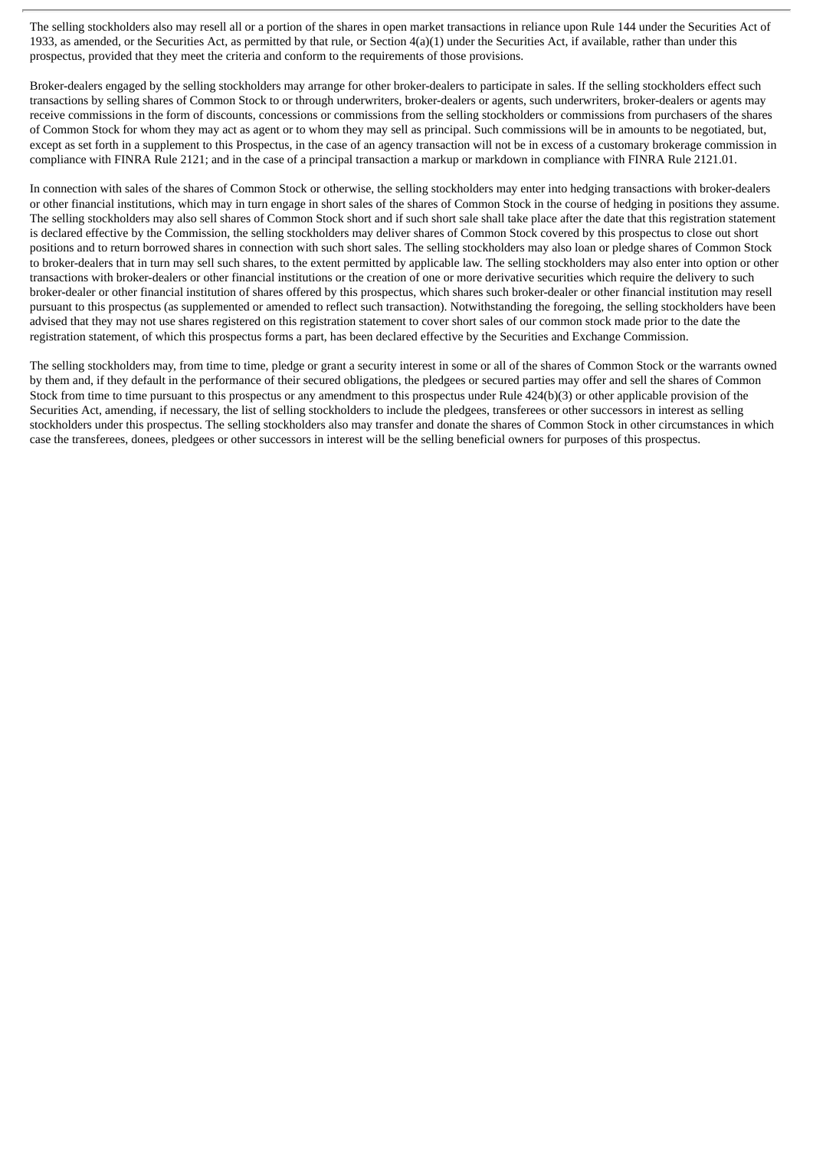The selling stockholders also may resell all or a portion of the shares in open market transactions in reliance upon Rule 144 under the Securities Act of 1933, as amended, or the Securities Act, as permitted by that rule, or Section 4(a)(1) under the Securities Act, if available, rather than under this prospectus, provided that they meet the criteria and conform to the requirements of those provisions.

Broker-dealers engaged by the selling stockholders may arrange for other broker-dealers to participate in sales. If the selling stockholders effect such transactions by selling shares of Common Stock to or through underwriters, broker-dealers or agents, such underwriters, broker-dealers or agents may receive commissions in the form of discounts, concessions or commissions from the selling stockholders or commissions from purchasers of the shares of Common Stock for whom they may act as agent or to whom they may sell as principal. Such commissions will be in amounts to be negotiated, but, except as set forth in a supplement to this Prospectus, in the case of an agency transaction will not be in excess of a customary brokerage commission in compliance with FINRA Rule 2121; and in the case of a principal transaction a markup or markdown in compliance with FINRA Rule 2121.01.

In connection with sales of the shares of Common Stock or otherwise, the selling stockholders may enter into hedging transactions with broker-dealers or other financial institutions, which may in turn engage in short sales of the shares of Common Stock in the course of hedging in positions they assume. The selling stockholders may also sell shares of Common Stock short and if such short sale shall take place after the date that this registration statement is declared effective by the Commission, the selling stockholders may deliver shares of Common Stock covered by this prospectus to close out short positions and to return borrowed shares in connection with such short sales. The selling stockholders may also loan or pledge shares of Common Stock to broker-dealers that in turn may sell such shares, to the extent permitted by applicable law. The selling stockholders may also enter into option or other transactions with broker-dealers or other financial institutions or the creation of one or more derivative securities which require the delivery to such broker-dealer or other financial institution of shares offered by this prospectus, which shares such broker-dealer or other financial institution may resell pursuant to this prospectus (as supplemented or amended to reflect such transaction). Notwithstanding the foregoing, the selling stockholders have been advised that they may not use shares registered on this registration statement to cover short sales of our common stock made prior to the date the registration statement, of which this prospectus forms a part, has been declared effective by the Securities and Exchange Commission.

The selling stockholders may, from time to time, pledge or grant a security interest in some or all of the shares of Common Stock or the warrants owned by them and, if they default in the performance of their secured obligations, the pledgees or secured parties may offer and sell the shares of Common Stock from time to time pursuant to this prospectus or any amendment to this prospectus under Rule 424(b)(3) or other applicable provision of the Securities Act, amending, if necessary, the list of selling stockholders to include the pledgees, transferees or other successors in interest as selling stockholders under this prospectus. The selling stockholders also may transfer and donate the shares of Common Stock in other circumstances in which case the transferees, donees, pledgees or other successors in interest will be the selling beneficial owners for purposes of this prospectus.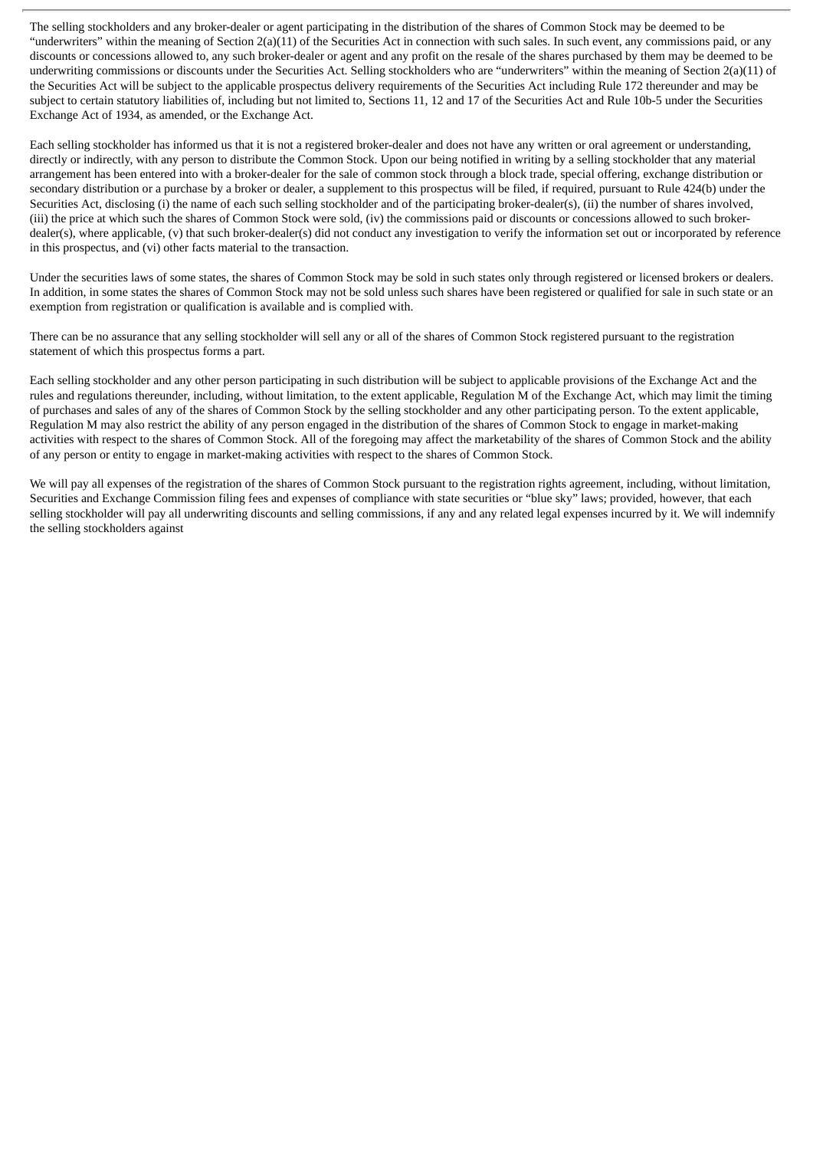The selling stockholders and any broker-dealer or agent participating in the distribution of the shares of Common Stock may be deemed to be "underwriters" within the meaning of Section  $2(a)(11)$  of the Securities Act in connection with such sales. In such event, any commissions paid, or any discounts or concessions allowed to, any such broker-dealer or agent and any profit on the resale of the shares purchased by them may be deemed to be underwriting commissions or discounts under the Securities Act. Selling stockholders who are "underwriters" within the meaning of Section 2(a)(11) of the Securities Act will be subject to the applicable prospectus delivery requirements of the Securities Act including Rule 172 thereunder and may be subject to certain statutory liabilities of, including but not limited to, Sections 11, 12 and 17 of the Securities Act and Rule 10b-5 under the Securities Exchange Act of 1934, as amended, or the Exchange Act.

Each selling stockholder has informed us that it is not a registered broker-dealer and does not have any written or oral agreement or understanding, directly or indirectly, with any person to distribute the Common Stock. Upon our being notified in writing by a selling stockholder that any material arrangement has been entered into with a broker-dealer for the sale of common stock through a block trade, special offering, exchange distribution or secondary distribution or a purchase by a broker or dealer, a supplement to this prospectus will be filed, if required, pursuant to Rule 424(b) under the Securities Act, disclosing (i) the name of each such selling stockholder and of the participating broker-dealer(s), (ii) the number of shares involved, (iii) the price at which such the shares of Common Stock were sold, (iv) the commissions paid or discounts or concessions allowed to such brokerdealer(s), where applicable, (v) that such broker-dealer(s) did not conduct any investigation to verify the information set out or incorporated by reference in this prospectus, and (vi) other facts material to the transaction.

Under the securities laws of some states, the shares of Common Stock may be sold in such states only through registered or licensed brokers or dealers. In addition, in some states the shares of Common Stock may not be sold unless such shares have been registered or qualified for sale in such state or an exemption from registration or qualification is available and is complied with.

There can be no assurance that any selling stockholder will sell any or all of the shares of Common Stock registered pursuant to the registration statement of which this prospectus forms a part.

Each selling stockholder and any other person participating in such distribution will be subject to applicable provisions of the Exchange Act and the rules and regulations thereunder, including, without limitation, to the extent applicable, Regulation  $\dot{M}$  of the Exchange Act, which may limit the timing of purchases and sales of any of the shares of Common Stock by the selling stockholder and any other participating person. To the extent applicable, Regulation M may also restrict the ability of any person engaged in the distribution of the shares of Common Stock to engage in market-making activities with respect to the shares of Common Stock. All of the foregoing may affect the marketability of the shares of Common Stock and the ability of any person or entity to engage in market-making activities with respect to the shares of Common Stock.

We will pay all expenses of the registration of the shares of Common Stock pursuant to the registration rights agreement, including, without limitation, Securities and Exchange Commission filing fees and expenses of compliance with state securities or "blue sky" laws; provided, however, that each selling stockholder will pay all underwriting discounts and selling commissions, if any and any related legal expenses incurred by it. We will indemnify the selling stockholders against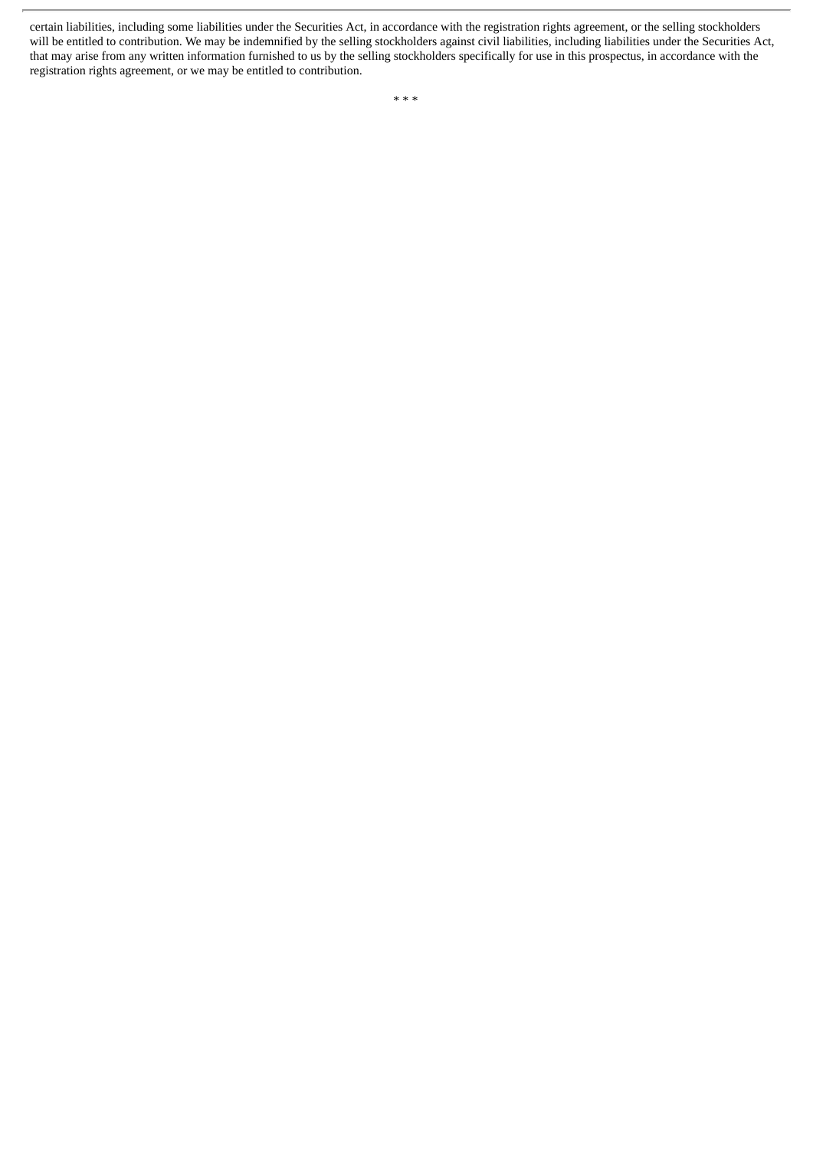certain liabilities, including some liabilities under the Securities Act, in accordance with the registration rights agreement, or the selling stockholders will be entitled to contribution. We may be indemnified by the selling stockholders against civil liabilities, including liabilities under the Securities Act, that may arise from any written information furnished to us by the selling stockholders specifically for use in this prospectus, in accordance with the registration rights agreement, or we may be entitled to contribution.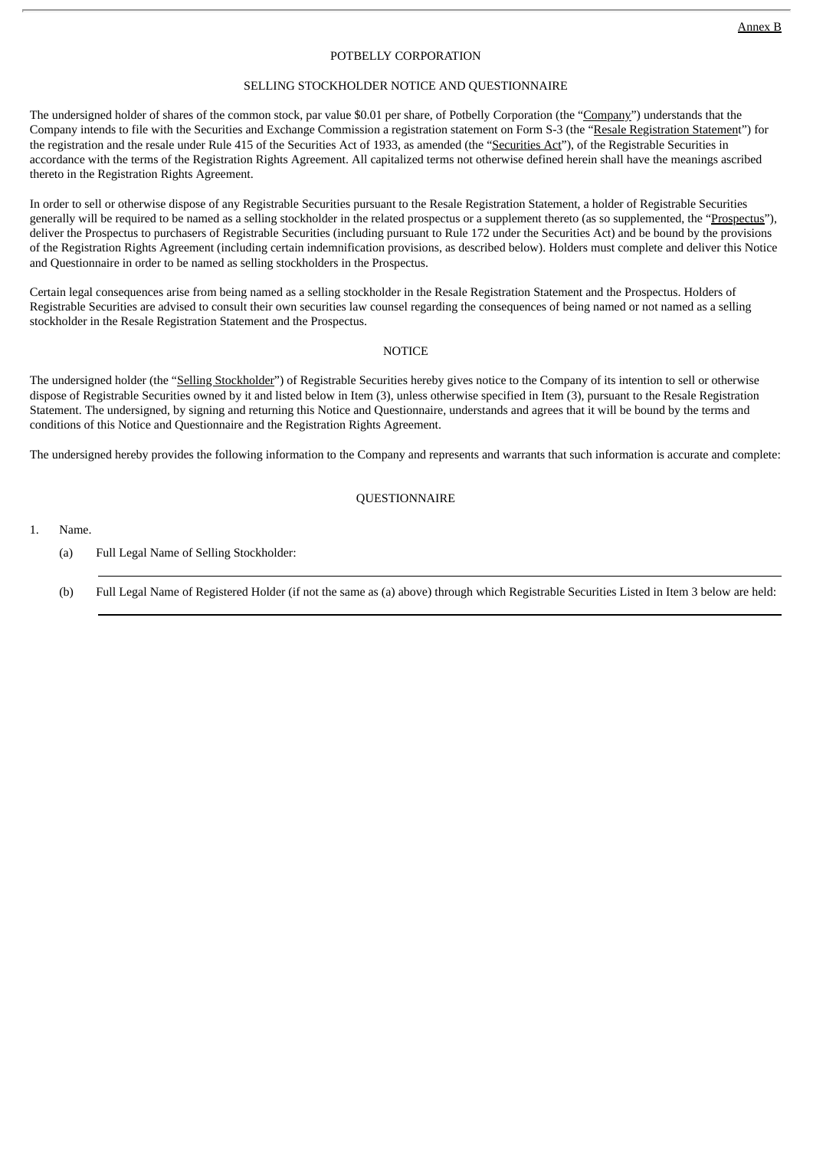#### POTBELLY CORPORATION

#### SELLING STOCKHOLDER NOTICE AND QUESTIONNAIRE

The undersigned holder of shares of the common stock, par value \$0.01 per share, of Potbelly Corporation (the "Company") understands that the Company intends to file with the Securities and Exchange Commission a registration statement on Form S-3 (the "Resale Registration Statement") for the registration and the resale under Rule 415 of the Securities Act of 1933, as amended (the "Securities Act"), of the Registrable Securities in accordance with the terms of the Registration Rights Agreement. All capitalized terms not otherwise defined herein shall have the meanings ascribed thereto in the Registration Rights Agreement.

In order to sell or otherwise dispose of any Registrable Securities pursuant to the Resale Registration Statement, a holder of Registrable Securities generally will be required to be named as a selling stockholder in the related prospectus or a supplement thereto (as so supplemented, the "Prospectus"), deliver the Prospectus to purchasers of Registrable Securities (including pursuant to Rule 172 under the Securities Act) and be bound by the provisions of the Registration Rights Agreement (including certain indemnification provisions, as described below). Holders must complete and deliver this Notice and Questionnaire in order to be named as selling stockholders in the Prospectus.

Certain legal consequences arise from being named as a selling stockholder in the Resale Registration Statement and the Prospectus. Holders of Registrable Securities are advised to consult their own securities law counsel regarding the consequences of being named or not named as a selling stockholder in the Resale Registration Statement and the Prospectus.

#### **NOTICE**

The undersigned holder (the "Selling Stockholder") of Registrable Securities hereby gives notice to the Company of its intention to sell or otherwise dispose of Registrable Securities owned by it and listed below in Item (3), unless otherwise specified in Item (3), pursuant to the Resale Registration Statement. The undersigned, by signing and returning this Notice and Questionnaire, understands and agrees that it will be bound by the terms and conditions of this Notice and Questionnaire and the Registration Rights Agreement.

The undersigned hereby provides the following information to the Company and represents and warrants that such information is accurate and complete:

## **QUESTIONNAIRE**

#### 1. Name.

- (a) Full Legal Name of Selling Stockholder:
- (b) Full Legal Name of Registered Holder (if not the same as (a) above) through which Registrable Securities Listed in Item 3 below are held: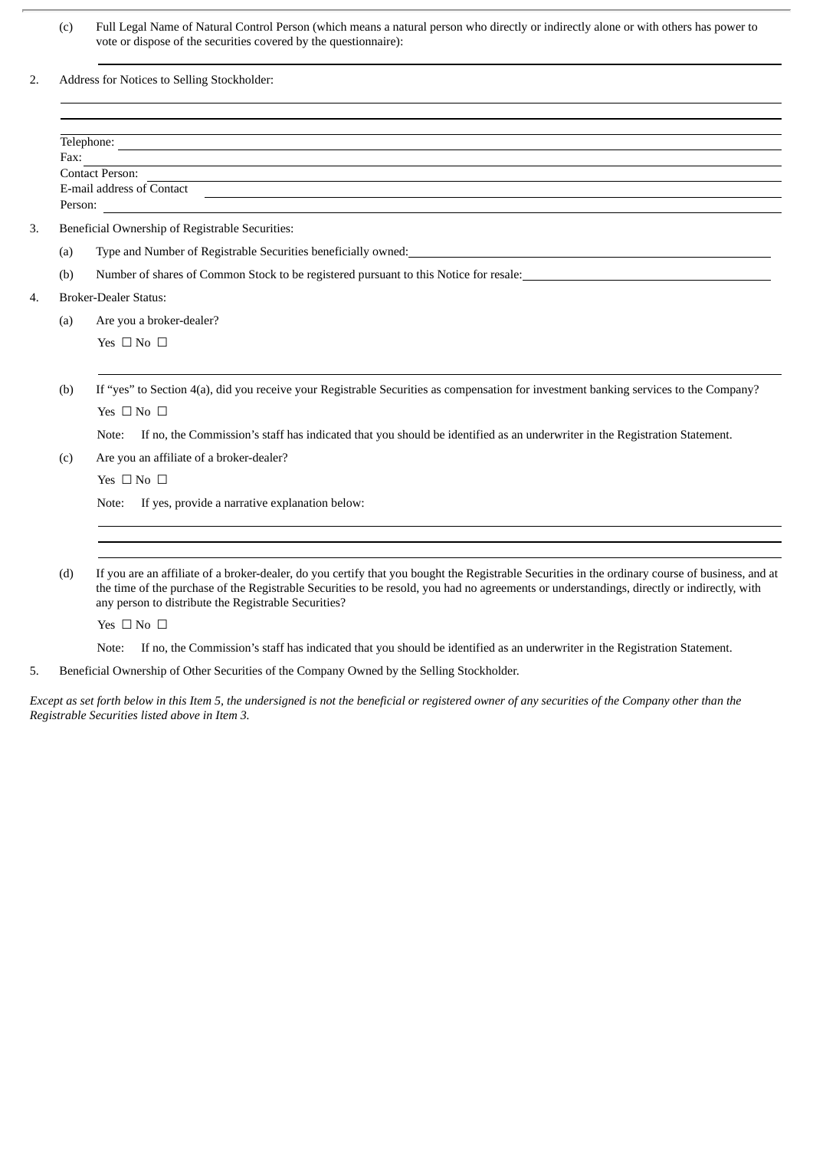(c) Full Legal Name of Natural Control Person (which means a natural person who directly or indirectly alone or with others has power to vote or dispose of the securities covered by the questionnaire):

2. Address for Notices to Selling Stockholder:

| Telephone:                |  |  |  |
|---------------------------|--|--|--|
| Fax:                      |  |  |  |
| <b>Contact Person:</b>    |  |  |  |
| E-mail address of Contact |  |  |  |
| Person:                   |  |  |  |

- (a) Type and Number of Registrable Securities beneficially owned:
- (b) Number of shares of Common Stock to be registered pursuant to this Notice for resale:
- 4. Broker-Dealer Status:
	- (a) Are you a broker-dealer?

Yes □ No □

(b) If "yes" to Section 4(a), did you receive your Registrable Securities as compensation for investment banking services to the Company? Yes □ No □

Note: If no, the Commission's staff has indicated that you should be identified as an underwriter in the Registration Statement.

(c) Are you an affiliate of a broker-dealer?

Yes □ No □

(d) If you are an affiliate of a broker-dealer, do you certify that you bought the Registrable Securities in the ordinary course of business, and at the time of the purchase of the Registrable Securities to be resold, you had no agreements or understandings, directly or indirectly, with any person to distribute the Registrable Securities?

Yes □ No □

Note: If no, the Commission's staff has indicated that you should be identified as an underwriter in the Registration Statement.

5. Beneficial Ownership of Other Securities of the Company Owned by the Selling Stockholder.

Except as set forth below in this Item 5, the undersigned is not the beneficial or registered owner of any securities of the Company other than the *Registrable Securities listed above in Item 3.*

Note: If yes, provide a narrative explanation below: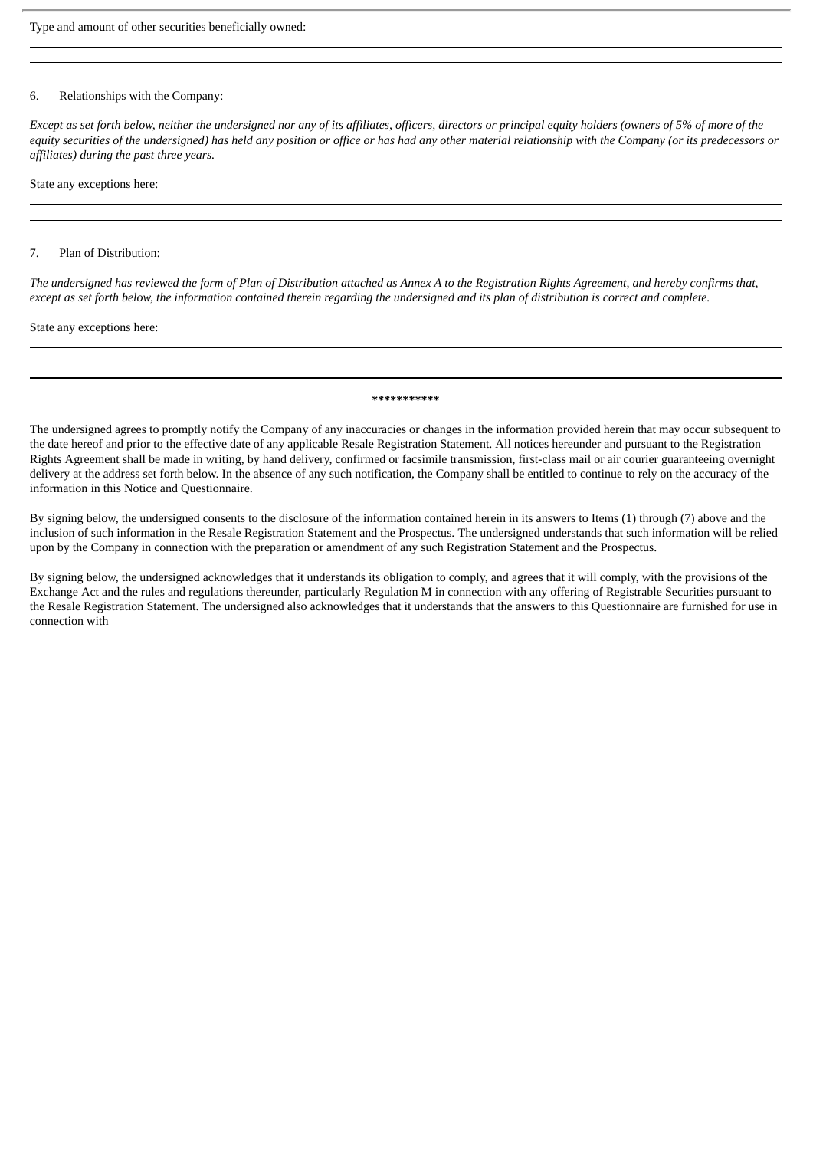#### 6. Relationships with the Company:

Except as set forth below, neither the undersigned nor any of its affiliates, officers, directors or principal equity holders (owners of 5% of more of the equity securities of the undersigned) has held any position or office or has had any other material relationship with the Company (or its predecessors or *affiliates) during the past three years.*

State any exceptions here:

#### 7. Plan of Distribution:

The undersigned has reviewed the form of Plan of Distribution attached as Annex A to the Registration Rights Agreement, and hereby confirms that, except as set forth below, the information contained therein regarding the undersigned and its plan of distribution is correct and complete.

State any exceptions here:

The undersigned agrees to promptly notify the Company of any inaccuracies or changes in the information provided herein that may occur subsequent to the date hereof and prior to the effective date of any applicable Resale Registration Statement. All notices hereunder and pursuant to the Registration Rights Agreement shall be made in writing, by hand delivery, confirmed or facsimile transmission, first-class mail or air courier guaranteeing overnight delivery at the address set forth below. In the absence of any such notification, the Company shall be entitled to continue to rely on the accuracy of the information in this Notice and Questionnaire.

**\*\*\*\*\*\*\*\*\*\*\***

By signing below, the undersigned consents to the disclosure of the information contained herein in its answers to Items (1) through (7) above and the inclusion of such information in the Resale Registration Statement and the Prospectus. The undersigned understands that such information will be relied upon by the Company in connection with the preparation or amendment of any such Registration Statement and the Prospectus.

By signing below, the undersigned acknowledges that it understands its obligation to comply, and agrees that it will comply, with the provisions of the Exchange Act and the rules and regulations thereunder, particularly Regulation M in connection with any offering of Registrable Securities pursuant to the Resale Registration Statement. The undersigned also acknowledges that it understands that the answers to this Questionnaire are furnished for use in connection with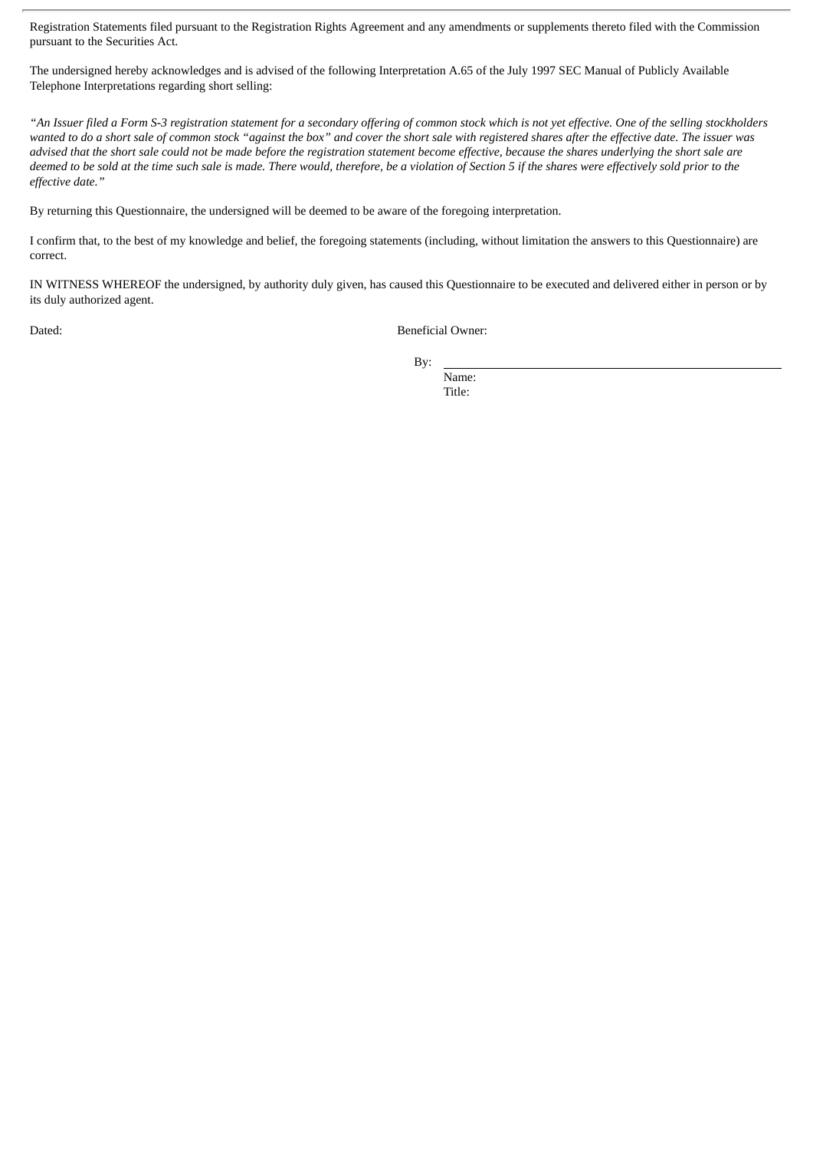Registration Statements filed pursuant to the Registration Rights Agreement and any amendments or supplements thereto filed with the Commission pursuant to the Securities Act.

The undersigned hereby acknowledges and is advised of the following Interpretation A.65 of the July 1997 SEC Manual of Publicly Available Telephone Interpretations regarding short selling:

"An Issuer filed a Form S-3 registration statement for a secondary offering of common stock which is not yet effective. One of the selling stockholders wanted to do a short sale of common stock "against the box" and cover the short sale with registered shares after the effective date. The issuer was advised that the short sale could not be made before the registration statement become effective, because the shares underlying the short sale are deemed to be sold at the time such sale is made. There would, therefore, be a violation of Section 5 if the shares were effectively sold prior to the *effective date."*

By returning this Questionnaire, the undersigned will be deemed to be aware of the foregoing interpretation.

I confirm that, to the best of my knowledge and belief, the foregoing statements (including, without limitation the answers to this Questionnaire) are correct.

IN WITNESS WHEREOF the undersigned, by authority duly given, has caused this Questionnaire to be executed and delivered either in person or by its duly authorized agent.

Dated: Beneficial Owner:

By:

Name: Title: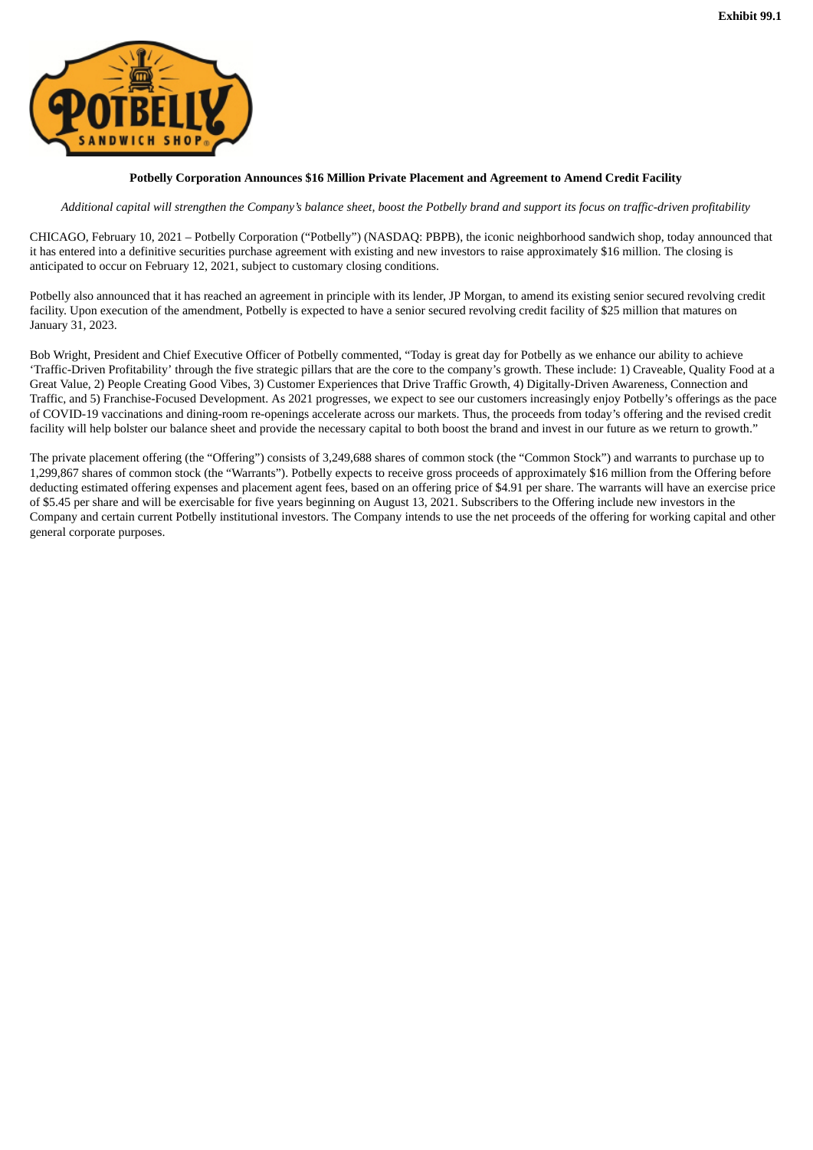

## **Potbelly Corporation Announces \$16 Million Private Placement and Agreement to Amend Credit Facility**

Additional capital will strengthen the Company's balance sheet, boost the Potbelly brand and support its focus on traffic-driven profitability

CHICAGO, February 10, 2021 – Potbelly Corporation ("Potbelly") (NASDAQ: PBPB), the iconic neighborhood sandwich shop, today announced that it has entered into a definitive securities purchase agreement with existing and new investors to raise approximately \$16 million. The closing is anticipated to occur on February 12, 2021, subject to customary closing conditions.

Potbelly also announced that it has reached an agreement in principle with its lender, JP Morgan, to amend its existing senior secured revolving credit facility. Upon execution of the amendment, Potbelly is expected to have a senior secured revolving credit facility of \$25 million that matures on January 31, 2023.

Bob Wright, President and Chief Executive Officer of Potbelly commented, "Today is great day for Potbelly as we enhance our ability to achieve 'Traffic-Driven Profitability' through the five strategic pillars that are the core to the company's growth. These include: 1) Craveable, Quality Food at a Great Value, 2) People Creating Good Vibes, 3) Customer Experiences that Drive Traffic Growth, 4) Digitally-Driven Awareness, Connection and Traffic, and 5) Franchise-Focused Development. As 2021 progresses, we expect to see our customers increasingly enjoy Potbelly's offerings as the pace of COVID-19 vaccinations and dining-room re-openings accelerate across our markets. Thus, the proceeds from today's offering and the revised credit facility will help bolster our balance sheet and provide the necessary capital to both boost the brand and invest in our future as we return to growth."

The private placement offering (the "Offering") consists of 3,249,688 shares of common stock (the "Common Stock") and warrants to purchase up to 1,299,867 shares of common stock (the "Warrants"). Potbelly expects to receive gross proceeds of approximately \$16 million from the Offering before deducting estimated offering expenses and placement agent fees, based on an offering price of \$4.91 per share. The warrants will have an exercise price of \$5.45 per share and will be exercisable for five years beginning on August 13, 2021. Subscribers to the Offering include new investors in the Company and certain current Potbelly institutional investors. The Company intends to use the net proceeds of the offering for working capital and other general corporate purposes.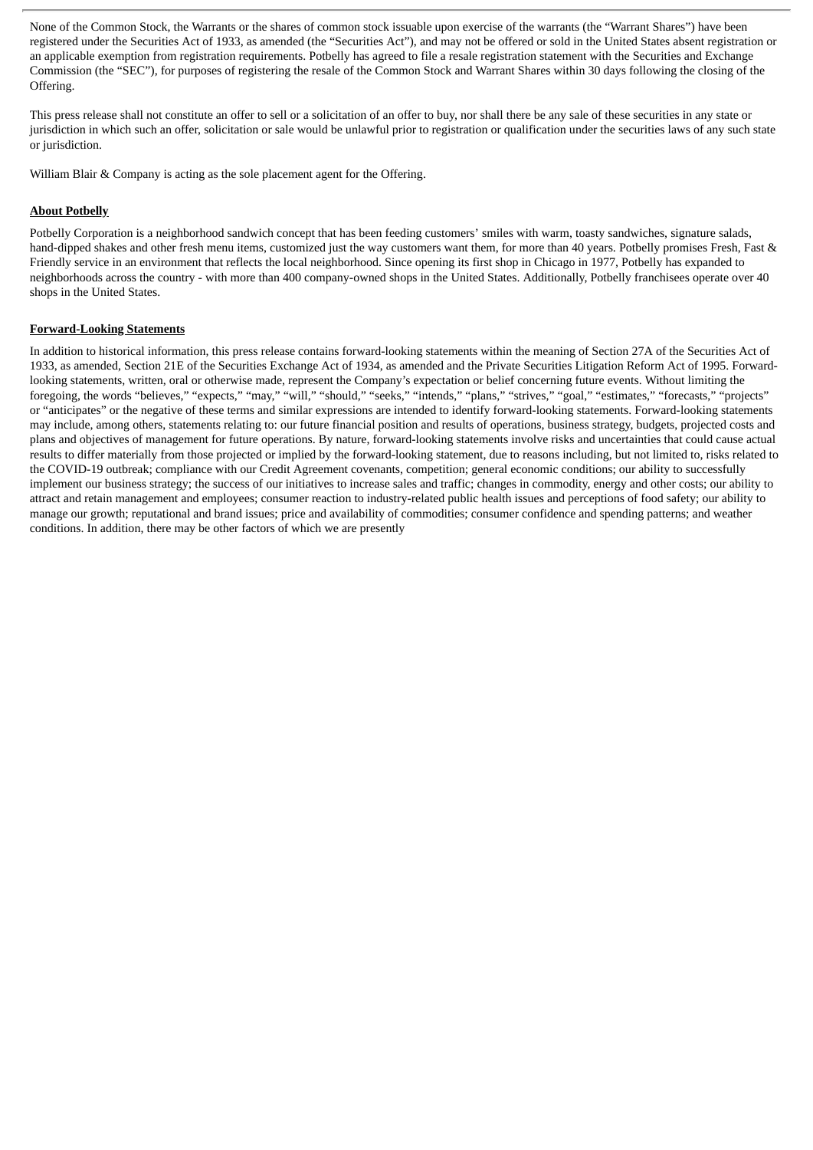None of the Common Stock, the Warrants or the shares of common stock issuable upon exercise of the warrants (the "Warrant Shares") have been registered under the Securities Act of 1933, as amended (the "Securities Act"), and may not be offered or sold in the United States absent registration or an applicable exemption from registration requirements. Potbelly has agreed to file a resale registration statement with the Securities and Exchange Commission (the "SEC"), for purposes of registering the resale of the Common Stock and Warrant Shares within 30 days following the closing of the Offering.

This press release shall not constitute an offer to sell or a solicitation of an offer to buy, nor shall there be any sale of these securities in any state or jurisdiction in which such an offer, solicitation or sale would be unlawful prior to registration or qualification under the securities laws of any such state or jurisdiction.

William Blair & Company is acting as the sole placement agent for the Offering.

## **About Potbelly**

Potbelly Corporation is a neighborhood sandwich concept that has been feeding customers' smiles with warm, toasty sandwiches, signature salads, hand-dipped shakes and other fresh menu items, customized just the way customers want them, for more than 40 years. Potbelly promises Fresh, Fast & Friendly service in an environment that reflects the local neighborhood. Since opening its first shop in Chicago in 1977, Potbelly has expanded to neighborhoods across the country - with more than 400 company-owned shops in the United States. Additionally, Potbelly franchisees operate over 40 shops in the United States.

### **Forward-Looking Statements**

In addition to historical information, this press release contains forward-looking statements within the meaning of Section 27A of the Securities Act of 1933, as amended, Section 21E of the Securities Exchange Act of 1934, as amended and the Private Securities Litigation Reform Act of 1995. Forwardlooking statements, written, oral or otherwise made, represent the Company's expectation or belief concerning future events. Without limiting the foregoing, the words "believes," "expects," "may," "will," "should," "seeks," "intends," "plans," "strives," "goal," "estimates," "forecasts," "projects" or "anticipates" or the negative of these terms and similar expressions are intended to identify forward-looking statements. Forward-looking statements may include, among others, statements relating to: our future financial position and results of operations, business strategy, budgets, projected costs and plans and objectives of management for future operations. By nature, forward-looking statements involve risks and uncertainties that could cause actual results to differ materially from those projected or implied by the forward-looking statement, due to reasons including, but not limited to, risks related to the COVID-19 outbreak; compliance with our Credit Agreement covenants, competition; general economic conditions; our ability to successfully implement our business strategy; the success of our initiatives to increase sales and traffic; changes in commodity, energy and other costs; our ability to attract and retain management and employees; consumer reaction to industry-related public health issues and perceptions of food safety; our ability to manage our growth; reputational and brand issues; price and availability of commodities; consumer confidence and spending patterns; and weather conditions. In addition, there may be other factors of which we are presently